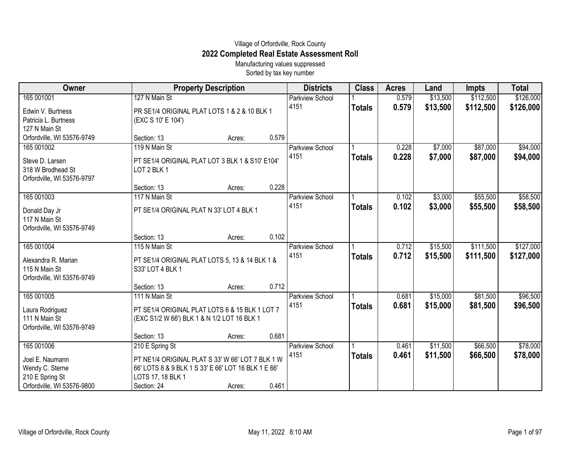## Village of Orfordville, Rock County **2022 Completed Real Estate Assessment Roll**

Manufacturing values suppressed Sorted by tax key number

| Owner                                                                                             | <b>Property Description</b>                                                                                                                                    |        |       | <b>Districts</b>               | <b>Class</b>  | <b>Acres</b>   | Land                 | <b>Impts</b>           | <b>Total</b>           |
|---------------------------------------------------------------------------------------------------|----------------------------------------------------------------------------------------------------------------------------------------------------------------|--------|-------|--------------------------------|---------------|----------------|----------------------|------------------------|------------------------|
| 165 001001                                                                                        | 127 N Main St                                                                                                                                                  |        |       | <b>Parkview School</b>         |               | 0.579          | \$13,500             | \$112,500              | \$126,000              |
| Edwin V. Burtness<br>Patricia L. Burtness<br>127 N Main St                                        | PR SE1/4 ORIGINAL PLAT LOTS 1 & 2 & 10 BLK 1<br>(EXC S 10' E 104')                                                                                             |        |       | 4151                           | <b>Totals</b> | 0.579          | \$13,500             | \$112,500              | \$126,000              |
| Orfordville, WI 53576-9749                                                                        | Section: 13                                                                                                                                                    | Acres: | 0.579 |                                |               |                |                      |                        |                        |
| 165 001002<br>Steve D. Larsen<br>318 W Brodhead St                                                | 119 N Main St<br>PT SE1/4 ORIGINAL PLAT LOT 3 BLK 1 & S10' E104'<br>LOT 2 BLK 1                                                                                |        |       | Parkview School<br>4151        | <b>Totals</b> | 0.228<br>0.228 | \$7,000<br>\$7,000   | \$87,000<br>\$87,000   | \$94,000<br>\$94,000   |
| Orfordville, WI 53576-9797                                                                        | Section: 13                                                                                                                                                    | Acres: | 0.228 |                                |               |                |                      |                        |                        |
| 165 001003<br>Donald Day Jr<br>117 N Main St<br>Orfordville, WI 53576-9749                        | 117 N Main St<br>PT SE1/4 ORIGINAL PLAT N 33' LOT 4 BLK 1                                                                                                      |        |       | <b>Parkview School</b><br>4151 | <b>Totals</b> | 0.102<br>0.102 | \$3,000<br>\$3,000   | \$55,500<br>\$55,500   | \$58,500<br>\$58,500   |
|                                                                                                   | Section: 13                                                                                                                                                    | Acres: | 0.102 |                                |               |                |                      |                        |                        |
| 165 001004<br>Alexandra R. Marian<br>115 N Main St<br>Orfordville, WI 53576-9749                  | 115 N Main St<br>PT SE1/4 ORIGINAL PLAT LOTS 5, 13 & 14 BLK 1 &<br>S33' LOT 4 BLK 1                                                                            |        |       | Parkview School<br>4151        | <b>Totals</b> | 0.712<br>0.712 | \$15,500<br>\$15,500 | \$111,500<br>\$111,500 | \$127,000<br>\$127,000 |
|                                                                                                   | Section: 13                                                                                                                                                    | Acres: | 0.712 |                                |               |                |                      |                        |                        |
| 165 001005<br>Laura Rodriguez<br>111 N Main St<br>Orfordville, WI 53576-9749                      | 111 N Main St<br>PT SE1/4 ORIGINAL PLAT LOTS 6 & 15 BLK 1 LOT 7<br>(EXC S1/2 W 66') BLK 1 & N 1/2 LOT 16 BLK 1                                                 |        |       | Parkview School<br>4151        | <b>Totals</b> | 0.681<br>0.681 | \$15,000<br>\$15,000 | \$81,500<br>\$81,500   | \$96,500<br>\$96,500   |
|                                                                                                   | Section: 13                                                                                                                                                    | Acres: | 0.681 |                                |               |                |                      |                        |                        |
| 165 001006<br>Joel E. Naumann<br>Wendy C. Sterne<br>210 E Spring St<br>Orfordville, WI 53576-9800 | 210 E Spring St<br>PT NE1/4 ORIGINAL PLAT S 33' W 66' LOT 7 BLK 1 W<br>66' LOTS 8 & 9 BLK 1 S 33' E 66' LOT 16 BLK 1 E 66'<br>LOTS 17, 18 BLK 1<br>Section: 24 | Acres: | 0.461 | <b>Parkview School</b><br>4151 | <b>Totals</b> | 0.461<br>0.461 | \$11,500<br>\$11,500 | \$66,500<br>\$66,500   | \$78,000<br>\$78,000   |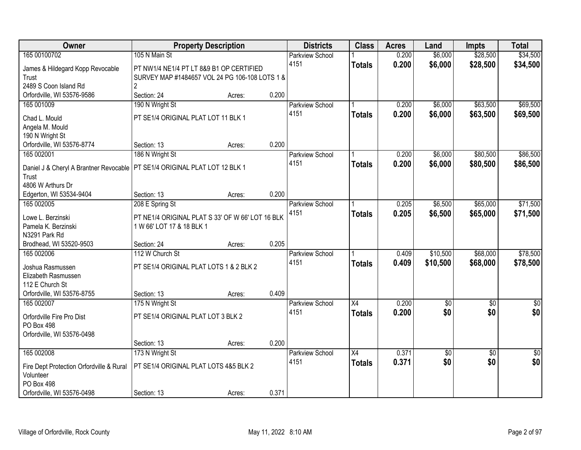| Owner                                          | <b>Property Description</b>                      |                 | <b>Districts</b>       | <b>Class</b>    | <b>Acres</b> | Land            | <b>Impts</b>    | <b>Total</b>    |
|------------------------------------------------|--------------------------------------------------|-----------------|------------------------|-----------------|--------------|-----------------|-----------------|-----------------|
| 165 00100702                                   | 105 N Main St                                    |                 | <b>Parkview School</b> |                 | 0.200        | \$6,000         | \$28,500        | \$34,500        |
| James & Hildegard Kopp Revocable               | PT NW1/4 NE1/4 PT LT 8&9 B1 OP CERTIFIED         |                 | 4151                   | <b>Totals</b>   | 0.200        | \$6,000         | \$28,500        | \$34,500        |
| Trust                                          | SURVEY MAP #1484657 VOL 24 PG 106-108 LOTS 1 &   |                 |                        |                 |              |                 |                 |                 |
| 2489 S Coon Island Rd                          | $\overline{2}$                                   |                 |                        |                 |              |                 |                 |                 |
| Orfordville, WI 53576-9586                     | Section: 24                                      | 0.200<br>Acres: |                        |                 |              |                 |                 |                 |
| 165 001009                                     | 190 N Wright St                                  |                 | <b>Parkview School</b> |                 | 0.200        | \$6,000         | \$63,500        | \$69,500        |
|                                                | PT SE1/4 ORIGINAL PLAT LOT 11 BLK 1              |                 | 4151                   | <b>Totals</b>   | 0.200        | \$6,000         | \$63,500        | \$69,500        |
| Chad L. Mould                                  |                                                  |                 |                        |                 |              |                 |                 |                 |
| Angela M. Mould<br>190 N Wright St             |                                                  |                 |                        |                 |              |                 |                 |                 |
| Orfordville, WI 53576-8774                     | Section: 13                                      | 0.200<br>Acres: |                        |                 |              |                 |                 |                 |
| 165 002001                                     | 186 N Wright St                                  |                 | Parkview School        |                 | 0.200        | \$6,000         | \$80,500        | \$86,500        |
|                                                |                                                  |                 | 4151                   | <b>Totals</b>   | 0.200        | \$6,000         | \$80,500        | \$86,500        |
| Daniel J & Cheryl A Brantner Revocable         | PT SE1/4 ORIGINAL PLAT LOT 12 BLK 1              |                 |                        |                 |              |                 |                 |                 |
| Trust                                          |                                                  |                 |                        |                 |              |                 |                 |                 |
| 4806 W Arthurs Dr                              |                                                  |                 |                        |                 |              |                 |                 |                 |
| Edgerton, WI 53534-9404                        | Section: 13                                      | 0.200<br>Acres: |                        |                 |              |                 |                 |                 |
| 165 002005                                     | 208 E Spring St                                  |                 | <b>Parkview School</b> |                 | 0.205        | \$6,500         | \$65,000        | \$71,500        |
| Lowe L. Berzinski                              | PT NE1/4 ORIGINAL PLAT S 33' OF W 66' LOT 16 BLK |                 | 4151                   | <b>Totals</b>   | 0.205        | \$6,500         | \$65,000        | \$71,500        |
| Pamela K. Berzinski                            | 1 W 66' LOT 17 & 18 BLK 1                        |                 |                        |                 |              |                 |                 |                 |
| N3291 Park Rd                                  |                                                  |                 |                        |                 |              |                 |                 |                 |
| Brodhead, WI 53520-9503                        | Section: 24                                      | 0.205<br>Acres: |                        |                 |              |                 |                 |                 |
| 165 002006                                     | 112 W Church St                                  |                 | Parkview School        |                 | 0.409        | \$10,500        | \$68,000        | \$78,500        |
| Joshua Rasmussen                               | PT SE1/4 ORIGINAL PLAT LOTS 1 & 2 BLK 2          |                 | 4151                   | <b>Totals</b>   | 0.409        | \$10,500        | \$68,000        | \$78,500        |
| Elizabeth Rasmussen                            |                                                  |                 |                        |                 |              |                 |                 |                 |
| 112 E Church St                                |                                                  |                 |                        |                 |              |                 |                 |                 |
| Orfordville, WI 53576-8755                     | Section: 13                                      | 0.409<br>Acres: |                        |                 |              |                 |                 |                 |
| 165 002007                                     | 175 N Wright St                                  |                 | <b>Parkview School</b> | $\overline{X4}$ | 0.200        | $\overline{60}$ | $\overline{50}$ | \$0             |
|                                                |                                                  |                 | 4151                   | <b>Totals</b>   | 0.200        | \$0             | \$0             | \$0             |
| Orfordville Fire Pro Dist<br><b>PO Box 498</b> | PT SE1/4 ORIGINAL PLAT LOT 3 BLK 2               |                 |                        |                 |              |                 |                 |                 |
| Orfordville, WI 53576-0498                     |                                                  |                 |                        |                 |              |                 |                 |                 |
|                                                | Section: 13                                      | 0.200<br>Acres: |                        |                 |              |                 |                 |                 |
| 165 002008                                     | 173 N Wright St                                  |                 | <b>Parkview School</b> | $\overline{X4}$ | 0.371        | $\overline{60}$ | $\overline{30}$ | $\overline{50}$ |
|                                                |                                                  |                 | 4151                   | <b>Totals</b>   | 0.371        | \$0             | \$0             | \$0             |
| Fire Dept Protection Orfordville & Rural       | PT SE1/4 ORIGINAL PLAT LOTS 4&5 BLK 2            |                 |                        |                 |              |                 |                 |                 |
| Volunteer                                      |                                                  |                 |                        |                 |              |                 |                 |                 |
| <b>PO Box 498</b>                              |                                                  |                 |                        |                 |              |                 |                 |                 |
| Orfordville, WI 53576-0498                     | Section: 13                                      | 0.371<br>Acres: |                        |                 |              |                 |                 |                 |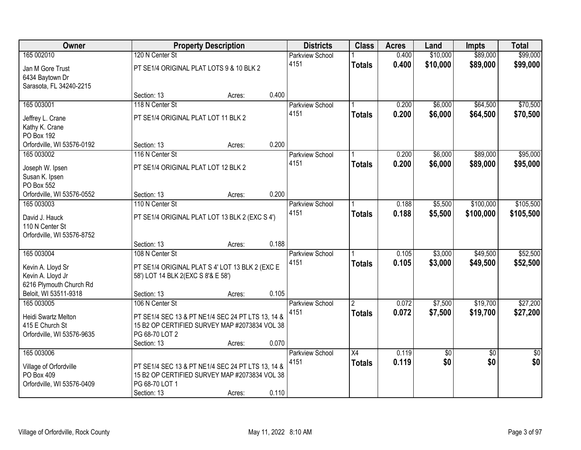| Owner                      |                                          | <b>Property Description</b>                       | <b>Districts</b>       | <b>Class</b>   | <b>Acres</b> | Land            | <b>Impts</b>    | <b>Total</b>    |
|----------------------------|------------------------------------------|---------------------------------------------------|------------------------|----------------|--------------|-----------------|-----------------|-----------------|
| 165 002010                 | 120 N Center St                          |                                                   | <b>Parkview School</b> |                | 0.400        | \$10,000        | \$89,000        | \$99,000        |
| Jan M Gore Trust           | PT SE1/4 ORIGINAL PLAT LOTS 9 & 10 BLK 2 |                                                   | 4151                   | <b>Totals</b>  | 0.400        | \$10,000        | \$89,000        | \$99,000        |
| 6434 Baytown Dr            |                                          |                                                   |                        |                |              |                 |                 |                 |
| Sarasota, FL 34240-2215    |                                          |                                                   |                        |                |              |                 |                 |                 |
|                            | Section: 13                              | Acres:                                            | 0.400                  |                |              |                 |                 |                 |
| 165 003001                 | 118 N Center St                          |                                                   | <b>Parkview School</b> |                | 0.200        | \$6,000         | \$64,500        | \$70,500        |
| Jeffrey L. Crane           | PT SE1/4 ORIGINAL PLAT LOT 11 BLK 2      |                                                   | 4151                   | <b>Totals</b>  | 0.200        | \$6,000         | \$64,500        | \$70,500        |
| Kathy K. Crane             |                                          |                                                   |                        |                |              |                 |                 |                 |
| PO Box 192                 |                                          |                                                   |                        |                |              |                 |                 |                 |
| Orfordville, WI 53576-0192 | Section: 13                              | Acres:                                            | 0.200                  |                |              |                 |                 |                 |
| 165 003002                 | 116 N Center St                          |                                                   | Parkview School        |                | 0.200        | \$6,000         | \$89,000        | \$95,000        |
| Joseph W. Ipsen            | PT SE1/4 ORIGINAL PLAT LOT 12 BLK 2      |                                                   | 4151                   | <b>Totals</b>  | 0.200        | \$6,000         | \$89,000        | \$95,000        |
| Susan K. Ipsen             |                                          |                                                   |                        |                |              |                 |                 |                 |
| PO Box 552                 |                                          |                                                   |                        |                |              |                 |                 |                 |
| Orfordville, WI 53576-0552 | Section: 13                              | Acres:                                            | 0.200                  |                |              |                 |                 |                 |
| 165 003003                 | 110 N Center St                          |                                                   | Parkview School        |                | 0.188        | \$5,500         | \$100,000       | \$105,500       |
| David J. Hauck             |                                          | PT SE1/4 ORIGINAL PLAT LOT 13 BLK 2 (EXC S 4')    | 4151                   | <b>Totals</b>  | 0.188        | \$5,500         | \$100,000       | \$105,500       |
| 110 N Center St            |                                          |                                                   |                        |                |              |                 |                 |                 |
| Orfordville, WI 53576-8752 |                                          |                                                   |                        |                |              |                 |                 |                 |
|                            | Section: 13                              | Acres:                                            | 0.188                  |                |              |                 |                 |                 |
| 165 003004                 | 108 N Center St                          |                                                   | Parkview School        |                | 0.105        | \$3,000         | \$49,500        | \$52,500        |
| Kevin A. Lloyd Sr          |                                          | PT SE1/4 ORIGINAL PLAT S 4' LOT 13 BLK 2 (EXC E   | 4151                   | <b>Totals</b>  | 0.105        | \$3,000         | \$49,500        | \$52,500        |
| Kevin A. Lloyd Jr          | 58') LOT 14 BLK 2(EXC S 8'& E 58')       |                                                   |                        |                |              |                 |                 |                 |
| 6216 Plymouth Church Rd    |                                          |                                                   |                        |                |              |                 |                 |                 |
| Beloit, WI 53511-9318      | Section: 13                              | Acres:                                            | 0.105                  |                |              |                 |                 |                 |
| 165 003005                 | 106 N Center St                          |                                                   | <b>Parkview School</b> | $\overline{2}$ | 0.072        | \$7,500         | \$19,700        | \$27,200        |
| Heidi Swartz Melton        |                                          | PT SE1/4 SEC 13 & PT NE1/4 SEC 24 PT LTS 13, 14 & | 4151                   | <b>Totals</b>  | 0.072        | \$7,500         | \$19,700        | \$27,200        |
| 415 E Church St            |                                          | 15 B2 OP CERTIFIED SURVEY MAP #2073834 VOL 38     |                        |                |              |                 |                 |                 |
| Orfordville, WI 53576-9635 | PG 68-70 LOT 2                           |                                                   |                        |                |              |                 |                 |                 |
|                            | Section: 13                              | Acres:                                            | 0.070                  |                |              |                 |                 |                 |
| 165 003006                 |                                          |                                                   | <b>Parkview School</b> | X4             | 0.119        | $\overline{50}$ | $\overline{30}$ | $\overline{50}$ |
| Village of Orfordville     |                                          | PT SE1/4 SEC 13 & PT NE1/4 SEC 24 PT LTS 13, 14 & | 4151                   | <b>Totals</b>  | 0.119        | \$0             | \$0             | \$0             |
| PO Box 409                 |                                          | 15 B2 OP CERTIFIED SURVEY MAP #2073834 VOL 38     |                        |                |              |                 |                 |                 |
| Orfordville, WI 53576-0409 | PG 68-70 LOT 1                           |                                                   |                        |                |              |                 |                 |                 |
|                            | Section: 13                              | Acres:                                            | 0.110                  |                |              |                 |                 |                 |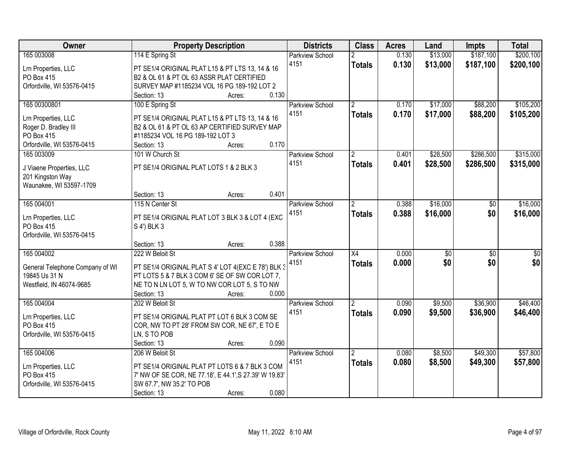| Owner                                       | <b>Property Description</b>                                                                      | <b>Districts</b>       | <b>Class</b>    | <b>Acres</b> | Land            | <b>Impts</b>    | <b>Total</b> |
|---------------------------------------------|--------------------------------------------------------------------------------------------------|------------------------|-----------------|--------------|-----------------|-----------------|--------------|
| 165 003008                                  | 114 E Spring St                                                                                  | Parkview School        | 2               | 0.130        | \$13,000        | \$187,100       | \$200,100    |
| Lrn Properties, LLC                         | PT SE1/4 ORIGINAL PLAT L15 & PT LTS 13, 14 & 16                                                  | 4151                   | <b>Totals</b>   | 0.130        | \$13,000        | \$187,100       | \$200,100    |
| PO Box 415                                  | B2 & OL 61 & PT OL 63 ASSR PLAT CERTIFIED                                                        |                        |                 |              |                 |                 |              |
| Orfordville, WI 53576-0415                  | SURVEY MAP #1185234 VOL 16 PG 189-192 LOT 2                                                      |                        |                 |              |                 |                 |              |
|                                             | 0.130<br>Section: 13<br>Acres:                                                                   |                        |                 |              |                 |                 |              |
| 165 00300801                                | 100 E Spring St                                                                                  | <b>Parkview School</b> | $\mathfrak{p}$  | 0.170        | \$17,000        | \$88,200        | \$105,200    |
|                                             |                                                                                                  | 4151                   | <b>Totals</b>   | 0.170        | \$17,000        | \$88,200        | \$105,200    |
| Lrn Properties, LLC<br>Roger D. Bradley III | PT SE1/4 ORIGINAL PLAT L15 & PT LTS 13, 14 & 16<br>B2 & OL 61 & PT OL 63 AP CERTIFIED SURVEY MAP |                        |                 |              |                 |                 |              |
| PO Box 415                                  | #1185234 VOL 16 PG 189-192 LOT 3                                                                 |                        |                 |              |                 |                 |              |
| Orfordville, WI 53576-0415                  | 0.170<br>Section: 13<br>Acres:                                                                   |                        |                 |              |                 |                 |              |
| 165 003009                                  | 101 W Church St                                                                                  | <b>Parkview School</b> | $\overline{2}$  | 0.401        | \$28,500        | \$286,500       | \$315,000    |
|                                             |                                                                                                  | 4151                   |                 |              |                 |                 |              |
| J Viaene Properties, LLC                    | PT SE1/4 ORIGINAL PLAT LOTS 1 & 2 BLK 3                                                          |                        | <b>Totals</b>   | 0.401        | \$28,500        | \$286,500       | \$315,000    |
| 201 Kingston Way                            |                                                                                                  |                        |                 |              |                 |                 |              |
| Waunakee, WI 53597-1709                     |                                                                                                  |                        |                 |              |                 |                 |              |
|                                             | 0.401<br>Section: 13<br>Acres:                                                                   |                        |                 |              |                 |                 |              |
| 165 004001                                  | 115 N Center St                                                                                  | <b>Parkview School</b> | $\overline{2}$  | 0.388        | \$16,000        | $\sqrt[6]{}$    | \$16,000     |
| Lrn Properties, LLC                         | PT SE1/4 ORIGINAL PLAT LOT 3 BLK 3 & LOT 4 (EXC                                                  | 4151                   | <b>Totals</b>   | 0.388        | \$16,000        | \$0             | \$16,000     |
| PO Box 415                                  | S 4') BLK 3                                                                                      |                        |                 |              |                 |                 |              |
| Orfordville, WI 53576-0415                  |                                                                                                  |                        |                 |              |                 |                 |              |
|                                             | 0.388<br>Section: 13<br>Acres:                                                                   |                        |                 |              |                 |                 |              |
| 165 004002                                  | 222 W Beloit St                                                                                  | Parkview School        | $\overline{X4}$ | 0.000        | $\overline{50}$ | $\overline{50}$ | \$0          |
|                                             |                                                                                                  | 4151                   | <b>Totals</b>   | 0.000        | \$0             | \$0             | \$0          |
| General Telephone Company of WI             | PT SE1/4 ORIGINAL PLAT S 4' LOT 4(EXC E 78') BLK 3                                               |                        |                 |              |                 |                 |              |
| 19845 Us 31 N                               | PT LOTS 5 & 7 BLK 3 COM 6' SE OF SW COR LOT 7,                                                   |                        |                 |              |                 |                 |              |
| Westfield, IN 46074-9685                    | NE TO N LN LOT 5, W TO NW COR LOT 5, S TO NW                                                     |                        |                 |              |                 |                 |              |
|                                             | Section: 13<br>0.000<br>Acres:                                                                   |                        |                 |              |                 |                 |              |
| 165 004004                                  | 202 W Beloit St                                                                                  | Parkview School        | $\overline{2}$  | 0.090        | \$9,500         | \$36,900        | \$46,400     |
| Lrn Properties, LLC                         | PT SE1/4 ORIGINAL PLAT PT LOT 6 BLK 3 COM SE                                                     | 4151                   | <b>Totals</b>   | 0.090        | \$9,500         | \$36,900        | \$46,400     |
| PO Box 415                                  | COR, NW TO PT 28' FROM SW COR, NE 67', E TO E                                                    |                        |                 |              |                 |                 |              |
| Orfordville, WI 53576-0415                  | LN, S TO POB                                                                                     |                        |                 |              |                 |                 |              |
|                                             | 0.090<br>Section: 13<br>Acres:                                                                   |                        |                 |              |                 |                 |              |
| 165 004006                                  | 206 W Beloit St                                                                                  | <b>Parkview School</b> | $\overline{2}$  | 0.080        | \$8,500         | \$49,300        | \$57,800     |
|                                             | PT SE1/4 ORIGINAL PLAT PT LOTS 6 & 7 BLK 3 COM                                                   | 4151                   | <b>Totals</b>   | 0.080        | \$8,500         | \$49,300        | \$57,800     |
| Lrn Properties, LLC<br>PO Box 415           | 7' NW OF SE COR, NE 77.18', E 44.1', S 27.39' W 19.83'                                           |                        |                 |              |                 |                 |              |
| Orfordville, WI 53576-0415                  | SW 67.7', NW 35.2' TO POB                                                                        |                        |                 |              |                 |                 |              |
|                                             | 0.080<br>Section: 13                                                                             |                        |                 |              |                 |                 |              |
|                                             | Acres:                                                                                           |                        |                 |              |                 |                 |              |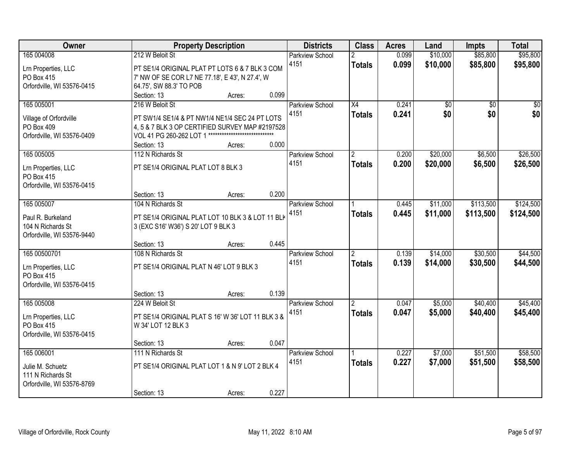| Owner                      | <b>Property Description</b>                            |        | <b>Districts</b> | <b>Class</b>                   | <b>Acres</b>       | Land           | <b>Impts</b>         | <b>Total</b>         |                      |
|----------------------------|--------------------------------------------------------|--------|------------------|--------------------------------|--------------------|----------------|----------------------|----------------------|----------------------|
| 165 004008                 | 212 W Beloit St                                        |        |                  | <b>Parkview School</b><br>4151 | 2<br><b>Totals</b> | 0.099<br>0.099 | \$10,000<br>\$10,000 | \$85,800<br>\$85,800 | \$95,800<br>\$95,800 |
| Lrn Properties, LLC        | PT SE1/4 ORIGINAL PLAT PT LOTS 6 & 7 BLK 3 COM         |        |                  |                                |                    |                |                      |                      |                      |
| PO Box 415                 | 7' NW OF SE COR L7 NE 77.18', E 43', N 27.4', W        |        |                  |                                |                    |                |                      |                      |                      |
| Orfordville, WI 53576-0415 | 64.75', SW 88.3' TO POB                                |        |                  |                                |                    |                |                      |                      |                      |
|                            | Section: 13                                            | Acres: | 0.099            |                                |                    |                |                      |                      |                      |
| 165 005001                 | 216 W Beloit St                                        |        |                  | <b>Parkview School</b>         | $\overline{X4}$    | 0.241          | \$0                  | $\overline{50}$      | \$0                  |
| Village of Orfordville     | PT SW1/4 SE1/4 & PT NW1/4 NE1/4 SEC 24 PT LOTS         |        |                  | 4151                           | <b>Totals</b>      | 0.241          | \$0                  | \$0                  | \$0                  |
| PO Box 409                 | 4, 5 & 7 BLK 3 OP CERTIFIED SURVEY MAP #2197528        |        |                  |                                |                    |                |                      |                      |                      |
| Orfordville, WI 53576-0409 | VOL 41 PG 260-262 LOT 1 ****************************** |        |                  |                                |                    |                |                      |                      |                      |
|                            | Section: 13                                            | Acres: | 0.000            |                                |                    |                |                      |                      |                      |
| 165 005005                 | 112 N Richards St                                      |        |                  | Parkview School                | $\overline{2}$     | 0.200          | \$20,000             | \$6,500              | \$26,500             |
| Lrn Properties, LLC        | PT SE1/4 ORIGINAL PLAT LOT 8 BLK 3                     |        |                  | 4151                           | <b>Totals</b>      | 0.200          | \$20,000             | \$6,500              | \$26,500             |
| PO Box 415                 |                                                        |        |                  |                                |                    |                |                      |                      |                      |
| Orfordville, WI 53576-0415 |                                                        |        |                  |                                |                    |                |                      |                      |                      |
|                            | Section: 13                                            | Acres: | 0.200            |                                |                    |                |                      |                      |                      |
| 165 005007                 | 104 N Richards St                                      |        |                  | Parkview School                |                    | 0.445          | \$11,000             | \$113,500            | \$124,500            |
| Paul R. Burkeland          | PT SE1/4 ORIGINAL PLAT LOT 10 BLK 3 & LOT 11 BLK       |        |                  | 4151                           | <b>Totals</b>      | 0.445          | \$11,000             | \$113,500            | \$124,500            |
| 104 N Richards St          | 3 (EXC S16' W36') S 20' LOT 9 BLK 3                    |        |                  |                                |                    |                |                      |                      |                      |
| Orfordville, WI 53576-9440 |                                                        |        |                  |                                |                    |                |                      |                      |                      |
|                            | Section: 13                                            | Acres: | 0.445            |                                |                    |                |                      |                      |                      |
| 165 00500701               | 108 N Richards St                                      |        |                  | Parkview School                | $\overline{2}$     | 0.139          | \$14,000             | \$30,500             | \$44,500             |
|                            |                                                        |        |                  | 4151                           | <b>Totals</b>      | 0.139          | \$14,000             | \$30,500             | \$44,500             |
| Lrn Properties, LLC        | PT SE1/4 ORIGINAL PLAT N 46' LOT 9 BLK 3               |        |                  |                                |                    |                |                      |                      |                      |
| PO Box 415                 |                                                        |        |                  |                                |                    |                |                      |                      |                      |
| Orfordville, WI 53576-0415 |                                                        |        |                  |                                |                    |                |                      |                      |                      |
|                            | Section: 13                                            | Acres: | 0.139            |                                |                    |                |                      |                      |                      |
| 165 005008                 | 224 W Beloit St                                        |        |                  | <b>Parkview School</b>         | $\overline{2}$     | 0.047          | \$5,000              | \$40,400             | \$45,400             |
| Lrn Properties, LLC        | PT SE1/4 ORIGINAL PLAT S 16' W 36' LOT 11 BLK 3 &      |        |                  | 4151                           | <b>Totals</b>      | 0.047          | \$5,000              | \$40,400             | \$45,400             |
| PO Box 415                 | W 34' LOT 12 BLK 3                                     |        |                  |                                |                    |                |                      |                      |                      |
| Orfordville, WI 53576-0415 |                                                        |        |                  |                                |                    |                |                      |                      |                      |
|                            | Section: 13                                            | Acres: | 0.047            |                                |                    |                |                      |                      |                      |
| 165 006001                 | 111 N Richards St                                      |        |                  | <b>Parkview School</b>         |                    | 0.227          | \$7,000              | \$51,500             | \$58,500             |
| Julie M. Schuetz           | PT SE1/4 ORIGINAL PLAT LOT 1 & N 9' LOT 2 BLK 4        |        |                  | 4151                           | <b>Totals</b>      | 0.227          | \$7,000              | \$51,500             | \$58,500             |
| 111 N Richards St          |                                                        |        |                  |                                |                    |                |                      |                      |                      |
| Orfordville, WI 53576-8769 |                                                        |        |                  |                                |                    |                |                      |                      |                      |
|                            | Section: 13                                            | Acres: | 0.227            |                                |                    |                |                      |                      |                      |
|                            |                                                        |        |                  |                                |                    |                |                      |                      |                      |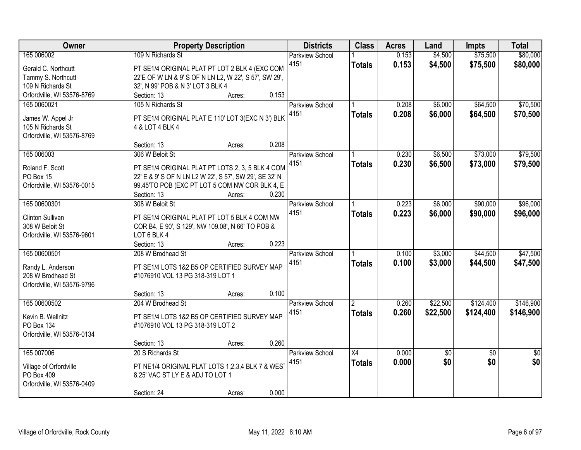| Owner                      | <b>Property Description</b>                            | <b>Districts</b>       | <b>Class</b>    | <b>Acres</b> | Land     | <b>Impts</b>    | <b>Total</b>    |
|----------------------------|--------------------------------------------------------|------------------------|-----------------|--------------|----------|-----------------|-----------------|
| 165 006002                 | 109 N Richards St                                      | <b>Parkview School</b> |                 | 0.153        | \$4,500  | \$75,500        | \$80,000        |
| Gerald C. Northcutt        | PT SE1/4 ORIGINAL PLAT PT LOT 2 BLK 4 (EXC COM         | 4151                   | <b>Totals</b>   | 0.153        | \$4,500  | \$75,500        | \$80,000        |
| Tammy S. Northcutt         | 22'E OF W LN & 9' S OF N LN L2, W 22', S 57', SW 29',  |                        |                 |              |          |                 |                 |
| 109 N Richards St          | 32', N 99' POB & N 3' LOT 3 BLK 4                      |                        |                 |              |          |                 |                 |
| Orfordville, WI 53576-8769 | Section: 13<br>0.153<br>Acres:                         |                        |                 |              |          |                 |                 |
| 165 0060021                | 105 N Richards St                                      | <b>Parkview School</b> |                 | 0.208        | \$6,000  | \$64,500        | \$70,500        |
|                            |                                                        | 4151                   | <b>Totals</b>   | 0.208        | \$6,000  | \$64,500        | \$70,500        |
| James W. Appel Jr          | PT SE1/4 ORIGINAL PLAT E 110' LOT 3(EXC N 3') BLK      |                        |                 |              |          |                 |                 |
| 105 N Richards St          | 4 & LOT 4 BLK 4                                        |                        |                 |              |          |                 |                 |
| Orfordville, WI 53576-8769 |                                                        |                        |                 |              |          |                 |                 |
|                            | 0.208<br>Section: 13<br>Acres:                         |                        |                 |              |          |                 |                 |
| 165 006003                 | 306 W Beloit St                                        | Parkview School        |                 | 0.230        | \$6,500  | \$73,000        | \$79,500        |
| Roland F. Scott            | PT SE1/4 ORIGINAL PLAT PT LOTS 2, 3, 5 BLK 4 COM       | 4151                   | <b>Totals</b>   | 0.230        | \$6,500  | \$73,000        | \$79,500        |
| PO Box 15                  | 22' E & 9' S OF N LN L2 W 22', S 57', SW 29', SE 32' N |                        |                 |              |          |                 |                 |
| Orfordville, WI 53576-0015 | 99.45'TO POB (EXC PT LOT 5 COM NW COR BLK 4, E         |                        |                 |              |          |                 |                 |
|                            | Section: 13<br>0.230<br>Acres:                         |                        |                 |              |          |                 |                 |
| 165 00600301               | 308 W Beloit St                                        | Parkview School        |                 | 0.223        | \$6,000  | \$90,000        | \$96,000        |
|                            |                                                        | 4151                   | <b>Totals</b>   | 0.223        | \$6,000  | \$90,000        | \$96,000        |
| Clinton Sullivan           | PT SE1/4 ORIGINAL PLAT PT LOT 5 BLK 4 COM NW           |                        |                 |              |          |                 |                 |
| 308 W Beloit St            | COR B4, E 90', S 129', NW 109.08', N 66' TO POB &      |                        |                 |              |          |                 |                 |
| Orfordville, WI 53576-9601 | LOT 6 BLK 4                                            |                        |                 |              |          |                 |                 |
|                            | 0.223<br>Section: 13<br>Acres:                         |                        |                 |              |          |                 |                 |
| 165 00600501               | 208 W Brodhead St                                      | <b>Parkview School</b> |                 | 0.100        | \$3,000  | \$44,500        | \$47,500        |
| Randy L. Anderson          | PT SE1/4 LOTS 1&2 B5 OP CERTIFIED SURVEY MAP           | 4151                   | <b>Totals</b>   | 0.100        | \$3,000  | \$44,500        | \$47,500        |
| 208 W Brodhead St          | #1076910 VOL 13 PG 318-319 LOT 1                       |                        |                 |              |          |                 |                 |
| Orfordville, WI 53576-9796 |                                                        |                        |                 |              |          |                 |                 |
|                            | 0.100<br>Section: 13<br>Acres:                         |                        |                 |              |          |                 |                 |
| 165 00600502               | 204 W Brodhead St                                      | Parkview School        | $\overline{2}$  | 0.260        | \$22,500 | \$124,400       | \$146,900       |
|                            |                                                        | 4151                   | <b>Totals</b>   | 0.260        | \$22,500 | \$124,400       | \$146,900       |
| Kevin B. Wellnitz          | PT SE1/4 LOTS 1&2 B5 OP CERTIFIED SURVEY MAP           |                        |                 |              |          |                 |                 |
| PO Box 134                 | #1076910 VOL 13 PG 318-319 LOT 2                       |                        |                 |              |          |                 |                 |
| Orfordville, WI 53576-0134 | 0.260                                                  |                        |                 |              |          |                 |                 |
| 165 007006                 | Section: 13<br>Acres:                                  |                        |                 |              |          |                 |                 |
|                            | 20 S Richards St                                       | <b>Parkview School</b> | $\overline{X4}$ | 0.000        | \$0      | $\overline{50}$ | $\overline{50}$ |
| Village of Orfordville     | PT NE1/4 ORIGINAL PLAT LOTS 1,2,3,4 BLK 7 & WEST       | 4151                   | <b>Totals</b>   | 0.000        | \$0      | \$0             | \$0             |
| PO Box 409                 | 8.25' VAC ST LY E & ADJ TO LOT 1                       |                        |                 |              |          |                 |                 |
| Orfordville, WI 53576-0409 |                                                        |                        |                 |              |          |                 |                 |
|                            | 0.000<br>Section: 24<br>Acres:                         |                        |                 |              |          |                 |                 |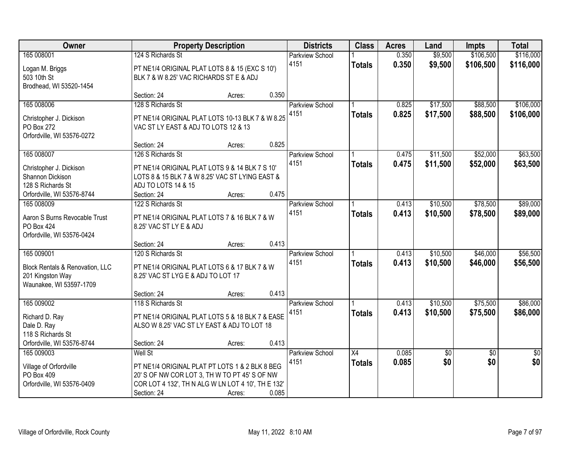| Owner                                              |                                                                         | <b>Property Description</b> |       | <b>Districts</b>       | <b>Class</b>  | <b>Acres</b> | Land            | <b>Impts</b>    | <b>Total</b>    |
|----------------------------------------------------|-------------------------------------------------------------------------|-----------------------------|-------|------------------------|---------------|--------------|-----------------|-----------------|-----------------|
| 165 008001                                         | 124 S Richards St                                                       |                             |       | <b>Parkview School</b> |               | 0.350        | \$9,500         | \$106,500       | \$116,000       |
| Logan M. Briggs                                    | PT NE1/4 ORIGINAL PLAT LOTS 8 & 15 (EXC S 10')                          |                             |       | 4151                   | <b>Totals</b> | 0.350        | \$9,500         | \$106,500       | \$116,000       |
| 503 10th St                                        | BLK 7 & W 8.25' VAC RICHARDS ST E & ADJ                                 |                             |       |                        |               |              |                 |                 |                 |
| Brodhead, WI 53520-1454                            |                                                                         |                             |       |                        |               |              |                 |                 |                 |
|                                                    | Section: 24                                                             | Acres:                      | 0.350 |                        |               |              |                 |                 |                 |
| 165 008006                                         | 128 S Richards St                                                       |                             |       | <b>Parkview School</b> |               | 0.825        | \$17,500        | \$88,500        | \$106,000       |
| Christopher J. Dickison                            | PT NE1/4 ORIGINAL PLAT LOTS 10-13 BLK 7 & W 8.25                        |                             |       | 4151                   | <b>Totals</b> | 0.825        | \$17,500        | \$88,500        | \$106,000       |
| PO Box 272                                         | VAC ST LY EAST & ADJ TO LOTS 12 & 13                                    |                             |       |                        |               |              |                 |                 |                 |
| Orfordville, WI 53576-0272                         |                                                                         |                             |       |                        |               |              |                 |                 |                 |
|                                                    | Section: 24                                                             | Acres:                      | 0.825 |                        |               |              |                 |                 |                 |
| 165 008007                                         | 126 S Richards St                                                       |                             |       | Parkview School        |               | 0.475        | \$11,500        | \$52,000        | \$63,500        |
| Christopher J. Dickison                            | PT NE1/4 ORIGINAL PLAT LOTS 9 & 14 BLK 7 S 10'                          |                             |       | 4151                   | <b>Totals</b> | 0.475        | \$11,500        | \$52,000        | \$63,500        |
| Shannon Dickison                                   | LOTS 8 & 15 BLK 7 & W 8.25' VAC ST LYING EAST &                         |                             |       |                        |               |              |                 |                 |                 |
| 128 S Richards St                                  | ADJ TO LOTS 14 & 15                                                     |                             |       |                        |               |              |                 |                 |                 |
| Orfordville, WI 53576-8744                         | Section: 24                                                             | Acres:                      | 0.475 |                        |               |              |                 |                 |                 |
| 165 008009                                         | 122 S Richards St                                                       |                             |       | Parkview School        |               | 0.413        | \$10,500        | \$78,500        | \$89,000        |
|                                                    |                                                                         |                             |       | 4151                   | <b>Totals</b> | 0.413        | \$10,500        | \$78,500        | \$89,000        |
| Aaron S Burns Revocable Trust<br><b>PO Box 424</b> | PT NE1/4 ORIGINAL PLAT LOTS 7 & 16 BLK 7 & W<br>8.25' VAC ST LY E & ADJ |                             |       |                        |               |              |                 |                 |                 |
| Orfordville, WI 53576-0424                         |                                                                         |                             |       |                        |               |              |                 |                 |                 |
|                                                    | Section: 24                                                             | Acres:                      | 0.413 |                        |               |              |                 |                 |                 |
| 165 009001                                         | 120 S Richards St                                                       |                             |       | Parkview School        |               | 0.413        | \$10,500        | \$46,000        | \$56,500        |
|                                                    |                                                                         |                             |       | 4151                   | <b>Totals</b> | 0.413        | \$10,500        | \$46,000        | \$56,500        |
| Block Rentals & Renovation, LLC                    | PT NE1/4 ORIGINAL PLAT LOTS 6 & 17 BLK 7 & W                            |                             |       |                        |               |              |                 |                 |                 |
| 201 Kingston Way<br>Waunakee, WI 53597-1709        | 8.25' VAC ST LYG E & ADJ TO LOT 17                                      |                             |       |                        |               |              |                 |                 |                 |
|                                                    | Section: 24                                                             | Acres:                      | 0.413 |                        |               |              |                 |                 |                 |
| 165 009002                                         | 118 S Richards St                                                       |                             |       | <b>Parkview School</b> |               | 0.413        | \$10,500        | \$75,500        | \$86,000        |
|                                                    |                                                                         |                             |       | 4151                   | <b>Totals</b> | 0.413        | \$10,500        | \$75,500        | \$86,000        |
| Richard D. Ray                                     | PT NE1/4 ORIGINAL PLAT LOTS 5 & 18 BLK 7 & EASE                         |                             |       |                        |               |              |                 |                 |                 |
| Dale D. Ray<br>118 S Richards St                   | ALSO W 8.25' VAC ST LY EAST & ADJ TO LOT 18                             |                             |       |                        |               |              |                 |                 |                 |
| Orfordville, WI 53576-8744                         | Section: 24                                                             | Acres:                      | 0.413 |                        |               |              |                 |                 |                 |
| 165 009003                                         | <b>Well St</b>                                                          |                             |       | <b>Parkview School</b> | X4            | 0.085        | $\overline{50}$ | $\overline{50}$ | $\overline{50}$ |
|                                                    |                                                                         |                             |       | 4151                   | <b>Totals</b> | 0.085        | \$0             | \$0             | \$0             |
| Village of Orfordville                             | PT NE1/4 ORIGINAL PLAT PT LOTS 1 & 2 BLK 8 BEG                          |                             |       |                        |               |              |                 |                 |                 |
| PO Box 409                                         | 20' S OF NW COR LOT 3, TH W TO PT 45' S OF NW                           |                             |       |                        |               |              |                 |                 |                 |
| Orfordville, WI 53576-0409                         | COR LOT 4 132', TH N ALG W LN LOT 4 10', TH E 132'                      |                             |       |                        |               |              |                 |                 |                 |
|                                                    | Section: 24                                                             | Acres:                      | 0.085 |                        |               |              |                 |                 |                 |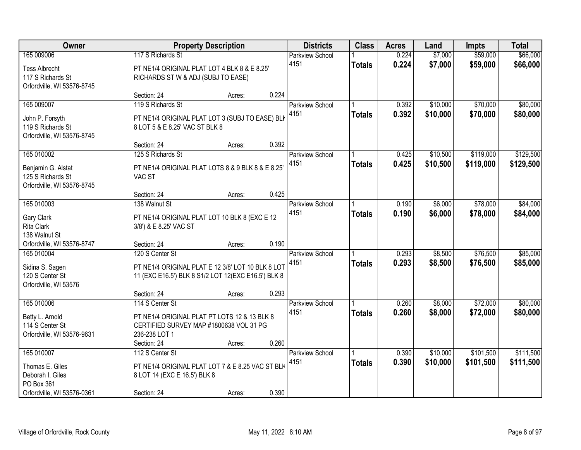| Owner                                    |                                                                                         | <b>Property Description</b> |       | <b>Districts</b>               | <b>Class</b>  | <b>Acres</b> | Land     | <b>Impts</b> | <b>Total</b> |
|------------------------------------------|-----------------------------------------------------------------------------------------|-----------------------------|-------|--------------------------------|---------------|--------------|----------|--------------|--------------|
| 165 009006                               | 117 S Richards St                                                                       |                             |       | <b>Parkview School</b><br>4151 |               | 0.224        | \$7,000  | \$59,000     | \$66,000     |
| <b>Tess Albrecht</b>                     | PT NE1/4 ORIGINAL PLAT LOT 4 BLK 8 & E 8.25'                                            |                             |       |                                | <b>Totals</b> | 0.224        | \$7,000  | \$59,000     | \$66,000     |
| 117 S Richards St                        | RICHARDS ST W & ADJ (SUBJ TO EASE)                                                      |                             |       |                                |               |              |          |              |              |
| Orfordville, WI 53576-8745               |                                                                                         |                             | 0.224 |                                |               |              |          |              |              |
| 165 009007                               | Section: 24<br>119 S Richards St                                                        | Acres:                      |       | <b>Parkview School</b>         |               | 0.392        | \$10,000 | \$70,000     | \$80,000     |
|                                          |                                                                                         |                             |       | 4151                           | <b>Totals</b> | 0.392        | \$10,000 | \$70,000     | \$80,000     |
| John P. Forsyth                          | PT NE1/4 ORIGINAL PLAT LOT 3 (SUBJ TO EASE) BLK                                         |                             |       |                                |               |              |          |              |              |
| 119 S Richards St                        | 8 LOT 5 & E 8.25' VAC ST BLK 8                                                          |                             |       |                                |               |              |          |              |              |
| Orfordville, WI 53576-8745               | Section: 24                                                                             | Acres:                      | 0.392 |                                |               |              |          |              |              |
| 165 010002                               | 125 S Richards St                                                                       |                             |       | Parkview School                |               | 0.425        | \$10,500 | \$119,000    | \$129,500    |
|                                          |                                                                                         |                             |       | 4151                           | <b>Totals</b> | 0.425        | \$10,500 | \$119,000    | \$129,500    |
| Benjamin G. Alstat                       | PT NE1/4 ORIGINAL PLAT LOTS 8 & 9 BLK 8 & E 8.25'                                       |                             |       |                                |               |              |          |              |              |
| 125 S Richards St                        | VAC ST                                                                                  |                             |       |                                |               |              |          |              |              |
| Orfordville, WI 53576-8745               | Section: 24                                                                             | Acres:                      | 0.425 |                                |               |              |          |              |              |
| 165 010003                               | 138 Walnut St                                                                           |                             |       | <b>Parkview School</b>         |               | 0.190        | \$6,000  | \$78,000     | \$84,000     |
|                                          |                                                                                         |                             |       | 4151                           | <b>Totals</b> | 0.190        | \$6,000  | \$78,000     | \$84,000     |
| Gary Clark                               | PT NE1/4 ORIGINAL PLAT LOT 10 BLK 8 (EXC E 12                                           |                             |       |                                |               |              |          |              |              |
| Rita Clark<br>138 Walnut St              | 3/8') & E 8.25' VAC ST                                                                  |                             |       |                                |               |              |          |              |              |
| Orfordville, WI 53576-8747               | Section: 24                                                                             | Acres:                      | 0.190 |                                |               |              |          |              |              |
| 165 010004                               | 120 S Center St                                                                         |                             |       | Parkview School                |               | 0.293        | \$8,500  | \$76,500     | \$85,000     |
|                                          |                                                                                         |                             |       | 4151                           | <b>Totals</b> | 0.293        | \$8,500  | \$76,500     | \$85,000     |
| Sidina S. Sagen                          | PT NE1/4 ORIGINAL PLAT E 12 3/8' LOT 10 BLK 8 LOT                                       |                             |       |                                |               |              |          |              |              |
| 120 S Center St<br>Orfordville, WI 53576 | 11 (EXC E16.5') BLK 8 S1/2 LOT 12(EXC E16.5') BLK 8                                     |                             |       |                                |               |              |          |              |              |
|                                          | Section: 24                                                                             | Acres:                      | 0.293 |                                |               |              |          |              |              |
| 165 010006                               | 114 S Center St                                                                         |                             |       | Parkview School                |               | 0.260        | \$8,000  | \$72,000     | \$80,000     |
|                                          |                                                                                         |                             |       | 4151                           | <b>Totals</b> | 0.260        | \$8,000  | \$72,000     | \$80,000     |
| Betty L. Arnold<br>114 S Center St       | PT NE1/4 ORIGINAL PLAT PT LOTS 12 & 13 BLK 8<br>CERTIFIED SURVEY MAP #1800638 VOL 31 PG |                             |       |                                |               |              |          |              |              |
| Orfordville, WI 53576-9631               | 236-238 LOT 1                                                                           |                             |       |                                |               |              |          |              |              |
|                                          | Section: 24                                                                             | Acres:                      | 0.260 |                                |               |              |          |              |              |
| 165 010007                               | 112 S Center St                                                                         |                             |       | <b>Parkview School</b>         |               | 0.390        | \$10,000 | \$101,500    | \$111,500    |
|                                          |                                                                                         |                             |       | 4151                           | <b>Totals</b> | 0.390        | \$10,000 | \$101,500    | \$111,500    |
| Thomas E. Giles<br>Deborah I. Giles      | PT NE1/4 ORIGINAL PLAT LOT 7 & E 8.25 VAC ST BLK<br>8 LOT 14 (EXC E 16.5') BLK 8        |                             |       |                                |               |              |          |              |              |
| PO Box 361                               |                                                                                         |                             |       |                                |               |              |          |              |              |
| Orfordville, WI 53576-0361               | Section: 24                                                                             | Acres:                      | 0.390 |                                |               |              |          |              |              |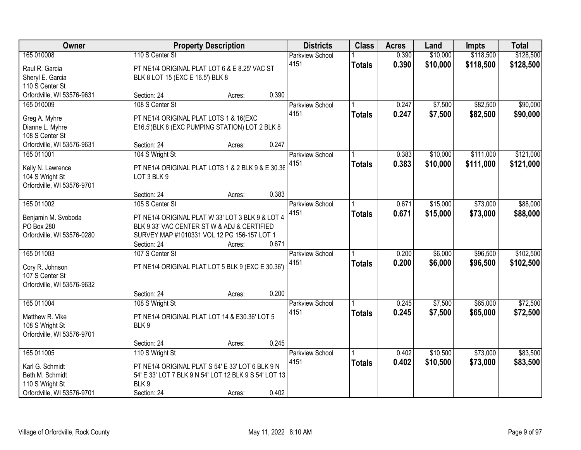| Owner                              |                                                       | <b>Property Description</b> |       | <b>Districts</b>       | <b>Class</b>  | <b>Acres</b> | Land     | <b>Impts</b> | <b>Total</b> |
|------------------------------------|-------------------------------------------------------|-----------------------------|-------|------------------------|---------------|--------------|----------|--------------|--------------|
| 165 010008                         | 110 S Center St                                       |                             |       | Parkview School        |               | 0.390        | \$10,000 | \$118,500    | \$128,500    |
| Raul R. Garcia                     | PT NE1/4 ORIGINAL PLAT LOT 6 & E 8.25' VAC ST         |                             |       | 4151                   | <b>Totals</b> | 0.390        | \$10,000 | \$118,500    | \$128,500    |
| Sheryl E. Garcia                   | BLK 8 LOT 15 (EXC E 16.5') BLK 8                      |                             |       |                        |               |              |          |              |              |
| 110 S Center St                    |                                                       |                             |       |                        |               |              |          |              |              |
| Orfordville, WI 53576-9631         | Section: 24                                           | Acres:                      | 0.390 |                        |               |              |          |              |              |
| 165 010009                         | 108 S Center St                                       |                             |       | <b>Parkview School</b> |               | 0.247        | \$7,500  | \$82,500     | \$90,000     |
|                                    |                                                       |                             |       | 4151                   | <b>Totals</b> | 0.247        | \$7,500  | \$82,500     | \$90,000     |
| Greg A. Myhre                      | PT NE1/4 ORIGINAL PLAT LOTS 1 & 16(EXC                |                             |       |                        |               |              |          |              |              |
| Dianne L. Myhre<br>108 S Center St | E16.5') BLK 8 (EXC PUMPING STATION) LOT 2 BLK 8       |                             |       |                        |               |              |          |              |              |
| Orfordville, WI 53576-9631         | Section: 24                                           | Acres:                      | 0.247 |                        |               |              |          |              |              |
| 165 011001                         | 104 S Wright St                                       |                             |       | Parkview School        |               | 0.383        | \$10,000 | \$111,000    | \$121,000    |
|                                    |                                                       |                             |       | 4151                   | <b>Totals</b> | 0.383        | \$10,000 | \$111,000    | \$121,000    |
| Kelly N. Lawrence                  | PT NE1/4 ORIGINAL PLAT LOTS 1 & 2 BLK 9 & E 30.36     |                             |       |                        |               |              |          |              |              |
| 104 S Wright St                    | LOT 3 BLK 9                                           |                             |       |                        |               |              |          |              |              |
| Orfordville, WI 53576-9701         |                                                       |                             |       |                        |               |              |          |              |              |
|                                    | Section: 24                                           | Acres:                      | 0.383 |                        |               |              |          |              |              |
| 165 011002                         | 105 S Center St                                       |                             |       | Parkview School        |               | 0.671        | \$15,000 | \$73,000     | \$88,000     |
| Benjamin M. Svoboda                | PT NE1/4 ORIGINAL PLAT W 33' LOT 3 BLK 9 & LOT 4      |                             |       | 4151                   | <b>Totals</b> | 0.671        | \$15,000 | \$73,000     | \$88,000     |
| PO Box 280                         | BLK 9 33' VAC CENTER ST W & ADJ & CERTIFIED           |                             |       |                        |               |              |          |              |              |
| Orfordville, WI 53576-0280         | SURVEY MAP #1010331 VOL 12 PG 156-157 LOT 1           |                             |       |                        |               |              |          |              |              |
|                                    | Section: 24                                           | Acres:                      | 0.671 |                        |               |              |          |              |              |
| 165 011003                         | 107 S Center St                                       |                             |       | Parkview School        |               | 0.200        | \$6,000  | \$96,500     | \$102,500    |
|                                    |                                                       |                             |       | 4151                   | <b>Totals</b> | 0.200        | \$6,000  | \$96,500     | \$102,500    |
| Cory R. Johnson<br>107 S Center St | PT NE1/4 ORIGINAL PLAT LOT 5 BLK 9 (EXC E 30.36')     |                             |       |                        |               |              |          |              |              |
| Orfordville, WI 53576-9632         |                                                       |                             |       |                        |               |              |          |              |              |
|                                    | Section: 24                                           | Acres:                      | 0.200 |                        |               |              |          |              |              |
| 165 011004                         | 108 S Wright St                                       |                             |       | <b>Parkview School</b> |               | 0.245        | \$7,500  | \$65,000     | \$72,500     |
|                                    |                                                       |                             |       | 4151                   |               | 0.245        | \$7,500  | \$65,000     | \$72,500     |
| Matthew R. Vike                    | PT NE1/4 ORIGINAL PLAT LOT 14 & E30.36' LOT 5         |                             |       |                        | <b>Totals</b> |              |          |              |              |
| 108 S Wright St                    | BLK9                                                  |                             |       |                        |               |              |          |              |              |
| Orfordville, WI 53576-9701         |                                                       |                             |       |                        |               |              |          |              |              |
|                                    | Section: 24                                           | Acres:                      | 0.245 |                        |               |              |          |              |              |
| 165 011005                         | 110 S Wright St                                       |                             |       | <b>Parkview School</b> |               | 0.402        | \$10,500 | \$73,000     | \$83,500     |
| Karl G. Schmidt                    | PT NE1/4 ORIGINAL PLAT S 54' E 33' LOT 6 BLK 9 N      |                             |       | 4151                   | <b>Totals</b> | 0.402        | \$10,500 | \$73,000     | \$83,500     |
| Beth M. Schmidt                    | 54' E 33' LOT 7 BLK 9 N 54' LOT 12 BLK 9 S 54' LOT 13 |                             |       |                        |               |              |          |              |              |
| 110 S Wright St                    | BLK9                                                  |                             |       |                        |               |              |          |              |              |
| Orfordville, WI 53576-9701         | Section: 24                                           | Acres:                      | 0.402 |                        |               |              |          |              |              |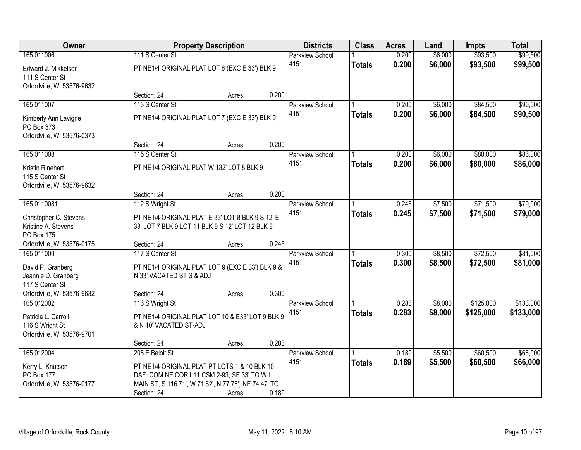| Owner                                                                                                   |                                                                                                                                                                                       | <b>Property Description</b> |       | <b>Districts</b>               | <b>Class</b>  | <b>Acres</b>   | Land               | <b>Impts</b>         | <b>Total</b>         |
|---------------------------------------------------------------------------------------------------------|---------------------------------------------------------------------------------------------------------------------------------------------------------------------------------------|-----------------------------|-------|--------------------------------|---------------|----------------|--------------------|----------------------|----------------------|
| 165 011006                                                                                              | 111 S Center St                                                                                                                                                                       |                             |       | <b>Parkview School</b>         |               | 0.200          | \$6,000            | \$93,500             | \$99,500             |
| Edward J. Mikkelson<br>111 S Center St<br>Orfordville, WI 53576-9632                                    | PT NE1/4 ORIGINAL PLAT LOT 6 (EXC E 33') BLK 9                                                                                                                                        |                             |       | 4151                           | <b>Totals</b> | 0.200          | \$6,000            | \$93,500             | \$99,500             |
|                                                                                                         | Section: 24                                                                                                                                                                           | Acres:                      | 0.200 |                                |               |                |                    |                      |                      |
| 165 011007                                                                                              | 113 S Center St                                                                                                                                                                       |                             |       | <b>Parkview School</b>         |               | 0.200          | \$6,000            | \$84,500             | \$90,500             |
| Kimberly Ann Lavigne<br>PO Box 373<br>Orfordville, WI 53576-0373                                        | PT NE1/4 ORIGINAL PLAT LOT 7 (EXC E 33') BLK 9                                                                                                                                        |                             |       | 4151                           | <b>Totals</b> | 0.200          | \$6,000            | \$84,500             | \$90,500             |
|                                                                                                         | Section: 24                                                                                                                                                                           | Acres:                      | 0.200 |                                |               |                |                    |                      |                      |
| 165 011008                                                                                              | 115 S Center St                                                                                                                                                                       |                             |       | Parkview School                |               | 0.200          | \$6,000            | \$80,000             | \$86,000             |
| Kristin Rinehart<br>115 S Center St<br>Orfordville, WI 53576-9632                                       | PT NE1/4 ORIGINAL PLAT W 132' LOT 8 BLK 9                                                                                                                                             |                             |       | 4151                           | <b>Totals</b> | 0.200          | \$6,000            | \$80,000             | \$86,000             |
|                                                                                                         | Section: 24                                                                                                                                                                           | Acres:                      | 0.200 |                                |               |                |                    |                      |                      |
| 165 0110081                                                                                             | 112 S Wright St                                                                                                                                                                       |                             |       | <b>Parkview School</b>         |               | 0.245          | \$7,500            | \$71,500             | \$79,000             |
| Christopher C. Stevens<br>Kristine A. Stevens<br><b>PO Box 175</b>                                      | PT NE1/4 ORIGINAL PLAT E 33' LOT 8 BLK 9 S 12' E<br>33' LOT 7 BLK 9 LOT 11 BLK 9 S 12' LOT 12 BLK 9                                                                                   |                             |       | 4151                           | <b>Totals</b> | 0.245          | \$7,500            | \$71,500             | \$79,000             |
| Orfordville, WI 53576-0175                                                                              | Section: 24                                                                                                                                                                           | Acres:                      | 0.245 |                                |               |                |                    |                      |                      |
| 165 011009<br>David P. Granberg<br>Jeannie D. Granberg<br>117 S Center St<br>Orfordville, WI 53576-9632 | 117 S Center St<br>PT NE1/4 ORIGINAL PLAT LOT 9 (EXC E 33') BLK 9 &<br>N 33' VACATED ST S & ADJ<br>Section: 24                                                                        | Acres:                      | 0.300 | Parkview School<br>4151        | <b>Totals</b> | 0.300<br>0.300 | \$8,500<br>\$8,500 | \$72,500<br>\$72,500 | \$81,000<br>\$81,000 |
| 165 012002                                                                                              | 116 S Wright St                                                                                                                                                                       |                             |       | Parkview School                |               | 0.283          | \$8,000            | \$125,000            | \$133,000            |
| Patricia L. Carroll<br>116 S Wright St<br>Orfordville, WI 53576-9701                                    | PT NE1/4 ORIGINAL PLAT LOT 10 & E33' LOT 9 BLK 9<br>& N 10' VACATED ST-ADJ                                                                                                            |                             |       | 4151                           | <b>Totals</b> | 0.283          | \$8,000            | \$125,000            | \$133,000            |
|                                                                                                         | Section: 24                                                                                                                                                                           | Acres:                      | 0.283 |                                |               |                |                    |                      |                      |
| 165 012004<br>Kerry L. Knutson<br>PO Box 177<br>Orfordville, WI 53576-0177                              | 208 E Beloit St<br>PT NE1/4 ORIGINAL PLAT PT LOTS 1 & 10 BLK 10<br>DAF: COM NE COR L11 CSM 2-93, SE 33' TO W L<br>MAIN ST, S 116.71', W 71.62', N 77.78', NE 74.47' TO<br>Section: 24 | Acres:                      | 0.189 | <b>Parkview School</b><br>4151 | <b>Totals</b> | 0.189<br>0.189 | \$5,500<br>\$5,500 | \$60,500<br>\$60,500 | \$66,000<br>\$66,000 |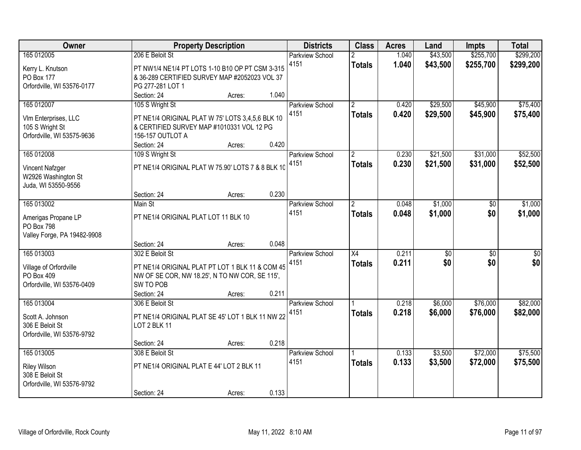| Owner                                                                               | <b>Property Description</b>                                                                                                                                        |                  |                | <b>Districts</b>               | <b>Class</b>                     | <b>Acres</b>   | Land                 | <b>Impts</b>           | <b>Total</b>           |
|-------------------------------------------------------------------------------------|--------------------------------------------------------------------------------------------------------------------------------------------------------------------|------------------|----------------|--------------------------------|----------------------------------|----------------|----------------------|------------------------|------------------------|
| 165 012005<br>Kerry L. Knutson<br>PO Box 177<br>Orfordville, WI 53576-0177          | 206 E Beloit St<br>PT NW1/4 NE1/4 PT LOTS 1-10 B10 OP PT CSM 3-315<br>& 36-289 CERTIFIED SURVEY MAP #2052023 VOL 37<br>PG 277-281 LOT 1                            |                  |                | <b>Parkview School</b><br>4151 | <b>Totals</b>                    | 1.040<br>1.040 | \$43,500<br>\$43,500 | \$255,700<br>\$255,700 | \$299,200<br>\$299,200 |
| 165 012007<br>VIm Enterprises, LLC<br>105 S Wright St<br>Orfordville, WI 53575-9636 | Section: 24<br>105 S Wright St<br>PT NE1/4 ORIGINAL PLAT W 75' LOTS 3,4,5,6 BLK 10<br>& CERTIFIED SURVEY MAP #1010331 VOL 12 PG<br>156-157 OUTLOT A<br>Section: 24 | Acres:<br>Acres: | 1.040<br>0.420 | <b>Parkview School</b><br>4151 | $\overline{2}$<br><b>Totals</b>  | 0.420<br>0.420 | \$29,500<br>\$29,500 | \$45,900<br>\$45,900   | \$75,400<br>\$75,400   |
| 165 012008<br>Vincent Nafzger<br>W2926 Washington St<br>Juda, WI 53550-9556         | 109 S Wright St<br>PT NE1/4 ORIGINAL PLAT W 75.90' LOTS 7 & 8 BLK 10<br>Section: 24                                                                                |                  | 0.230          | <b>Parkview School</b><br>4151 | $\overline{2}$<br><b>Totals</b>  | 0.230<br>0.230 | \$21,500<br>\$21,500 | \$31,000<br>\$31,000   | \$52,500<br>\$52,500   |
| 165 013002<br>Amerigas Propane LP<br>PO Box 798<br>Valley Forge, PA 19482-9908      | Main St<br>PT NE1/4 ORIGINAL PLAT LOT 11 BLK 10<br>Section: 24                                                                                                     | Acres:<br>Acres: | 0.048          | <b>Parkview School</b><br>4151 | <u>2</u><br><b>Totals</b>        | 0.048<br>0.048 | \$1,000<br>\$1,000   | \$0<br>\$0             | \$1,000<br>\$1,000     |
| 165 013003<br>Village of Orfordville<br>PO Box 409<br>Orfordville, WI 53576-0409    | 302 E Beloit St<br>PT NE1/4 ORIGINAL PLAT PT LOT 1 BLK 11 & COM 45<br>NW OF SE COR, NW 18.25', N TO NW COR, SE 115',<br>SW TO POB<br>Section: 24                   | Acres:           | 0.211          | Parkview School<br>4151        | $\overline{X4}$<br><b>Totals</b> | 0.211<br>0.211 | \$0<br>\$0           | $\overline{50}$<br>\$0 | \$0<br>\$0             |
| 165 013004<br>Scott A. Johnson<br>306 E Beloit St<br>Orfordville, WI 53576-9792     | 306 E Beloit St<br>PT NE1/4 ORIGINAL PLAT SE 45' LOT 1 BLK 11 NW 22<br>LOT 2 BLK 11<br>Section: 24                                                                 | Acres:           | 0.218          | <b>Parkview School</b><br>4151 | <b>Totals</b>                    | 0.218<br>0.218 | \$6,000<br>\$6,000   | \$76,000<br>\$76,000   | \$82,000<br>\$82,000   |
| 165 013005<br><b>Riley Wilson</b><br>308 E Beloit St<br>Orfordville, WI 53576-9792  | 308 E Beloit St<br>PT NE1/4 ORIGINAL PLAT E 44' LOT 2 BLK 11<br>Section: 24                                                                                        | Acres:           | 0.133          | <b>Parkview School</b><br>4151 | <b>Totals</b>                    | 0.133<br>0.133 | \$3,500<br>\$3,500   | \$72,000<br>\$72,000   | \$75,500<br>\$75,500   |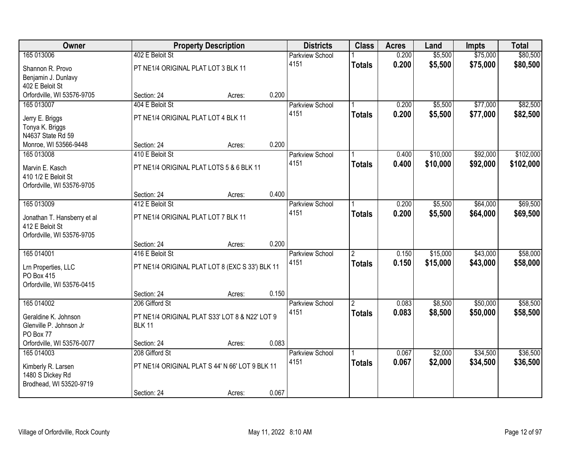| Owner                       |                                          | <b>Property Description</b>                     |       | <b>Districts</b>       | <b>Class</b>   | <b>Acres</b> | Land     | <b>Impts</b> | <b>Total</b> |
|-----------------------------|------------------------------------------|-------------------------------------------------|-------|------------------------|----------------|--------------|----------|--------------|--------------|
| 165 013006                  | 402 E Beloit St                          |                                                 |       | <b>Parkview School</b> |                | 0.200        | \$5,500  | \$75,000     | \$80,500     |
| Shannon R. Provo            | PT NE1/4 ORIGINAL PLAT LOT 3 BLK 11      |                                                 |       | 4151                   | <b>Totals</b>  | 0.200        | \$5,500  | \$75,000     | \$80,500     |
| Benjamin J. Dunlavy         |                                          |                                                 |       |                        |                |              |          |              |              |
| 402 E Beloit St             |                                          |                                                 |       |                        |                |              |          |              |              |
| Orfordville, WI 53576-9705  | Section: 24                              | Acres:                                          | 0.200 |                        |                |              |          |              |              |
| 165 013007                  | 404 E Beloit St                          |                                                 |       | <b>Parkview School</b> |                | 0.200        | \$5,500  | \$77,000     | \$82,500     |
| Jerry E. Briggs             | PT NE1/4 ORIGINAL PLAT LOT 4 BLK 11      |                                                 |       | 4151                   | <b>Totals</b>  | 0.200        | \$5,500  | \$77,000     | \$82,500     |
| Tonya K. Briggs             |                                          |                                                 |       |                        |                |              |          |              |              |
| N4637 State Rd 59           |                                          |                                                 |       |                        |                |              |          |              |              |
| Monroe, WI 53566-9448       | Section: 24                              | Acres:                                          | 0.200 |                        |                |              |          |              |              |
| 165 013008                  | 410 E Beloit St                          |                                                 |       | Parkview School        |                | 0.400        | \$10,000 | \$92,000     | \$102,000    |
| Marvin E. Kasch             | PT NE1/4 ORIGINAL PLAT LOTS 5 & 6 BLK 11 |                                                 |       | 4151                   | <b>Totals</b>  | 0.400        | \$10,000 | \$92,000     | \$102,000    |
| 410 1/2 E Beloit St         |                                          |                                                 |       |                        |                |              |          |              |              |
| Orfordville, WI 53576-9705  |                                          |                                                 |       |                        |                |              |          |              |              |
|                             | Section: 24                              | Acres:                                          | 0.400 |                        |                |              |          |              |              |
| 165 013009                  | 412 E Beloit St                          |                                                 |       | <b>Parkview School</b> |                | 0.200        | \$5,500  | \$64,000     | \$69,500     |
| Jonathan T. Hansberry et al | PT NE1/4 ORIGINAL PLAT LOT 7 BLK 11      |                                                 |       | 4151                   | <b>Totals</b>  | 0.200        | \$5,500  | \$64,000     | \$69,500     |
| 412 E Beloit St             |                                          |                                                 |       |                        |                |              |          |              |              |
| Orfordville, WI 53576-9705  |                                          |                                                 |       |                        |                |              |          |              |              |
|                             | Section: 24                              | Acres:                                          | 0.200 |                        |                |              |          |              |              |
| 165 014001                  | 416 E Beloit St                          |                                                 |       | Parkview School        | $\overline{2}$ | 0.150        | \$15,000 | \$43,000     | \$58,000     |
| Lrn Properties, LLC         |                                          | PT NE1/4 ORIGINAL PLAT LOT 8 (EXC S 33') BLK 11 |       | 4151                   | <b>Totals</b>  | 0.150        | \$15,000 | \$43,000     | \$58,000     |
| <b>PO Box 415</b>           |                                          |                                                 |       |                        |                |              |          |              |              |
| Orfordville, WI 53576-0415  |                                          |                                                 |       |                        |                |              |          |              |              |
|                             | Section: 24                              | Acres:                                          | 0.150 |                        |                |              |          |              |              |
| 165 014002                  | 206 Gifford St                           |                                                 |       | Parkview School        | $\overline{2}$ | 0.083        | \$8,500  | \$50,000     | \$58,500     |
| Geraldine K. Johnson        |                                          | PT NE1/4 ORIGINAL PLAT S33' LOT 8 & N22' LOT 9  |       | 4151                   | <b>Totals</b>  | 0.083        | \$8,500  | \$50,000     | \$58,500     |
| Glenville P. Johnson Jr     | <b>BLK 11</b>                            |                                                 |       |                        |                |              |          |              |              |
| PO Box 77                   |                                          |                                                 |       |                        |                |              |          |              |              |
| Orfordville, WI 53576-0077  | Section: 24                              | Acres:                                          | 0.083 |                        |                |              |          |              |              |
| 165 014003                  | 208 Gifford St                           |                                                 |       | Parkview School        |                | 0.067        | \$2,000  | \$34,500     | \$36,500     |
| Kimberly R. Larsen          |                                          | PT NE1/4 ORIGINAL PLAT S 44' N 66' LOT 9 BLK 11 |       | 4151                   | <b>Totals</b>  | 0.067        | \$2,000  | \$34,500     | \$36,500     |
| 1480 S Dickey Rd            |                                          |                                                 |       |                        |                |              |          |              |              |
| Brodhead, WI 53520-9719     |                                          |                                                 |       |                        |                |              |          |              |              |
|                             | Section: 24                              | Acres:                                          | 0.067 |                        |                |              |          |              |              |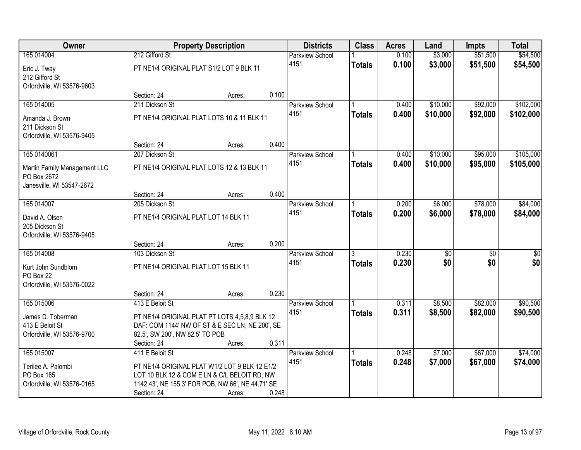| Owner                        |                                                   | <b>Property Description</b> |       | <b>Districts</b>       | <b>Class</b>  | <b>Acres</b> | Land     | <b>Impts</b> | <b>Total</b> |
|------------------------------|---------------------------------------------------|-----------------------------|-------|------------------------|---------------|--------------|----------|--------------|--------------|
| 165 014004                   | 212 Gifford St                                    |                             |       | <b>Parkview School</b> |               | 0.100        | \$3,000  | \$51,500     | \$54,500     |
| Eric J. Tway                 | PT NE1/4 ORIGINAL PLAT S1/2 LOT 9 BLK 11          |                             |       | 4151                   | <b>Totals</b> | 0.100        | \$3,000  | \$51,500     | \$54,500     |
| 212 Gifford St               |                                                   |                             |       |                        |               |              |          |              |              |
| Orfordville, WI 53576-9603   |                                                   |                             |       |                        |               |              |          |              |              |
|                              | Section: 24                                       | Acres:                      | 0.100 |                        |               |              |          |              |              |
| 165 014005                   | 211 Dickson St                                    |                             |       | Parkview School        |               | 0.400        | \$10,000 | \$92,000     | \$102,000    |
| Amanda J. Brown              | PT NE1/4 ORIGINAL PLAT LOTS 10 & 11 BLK 11        |                             |       | 4151                   | <b>Totals</b> | 0.400        | \$10,000 | \$92,000     | \$102,000    |
| 211 Dickson St               |                                                   |                             |       |                        |               |              |          |              |              |
| Orfordville, WI 53576-9405   |                                                   |                             |       |                        |               |              |          |              |              |
|                              | Section: 24                                       | Acres:                      | 0.400 |                        |               |              |          |              |              |
| 165 0140061                  | 207 Dickson St                                    |                             |       | Parkview School        |               | 0.400        | \$10,000 | \$95,000     | \$105,000    |
| Martin Family Management LLC | PT NE1/4 ORIGINAL PLAT LOTS 12 & 13 BLK 11        |                             |       | 4151                   | <b>Totals</b> | 0.400        | \$10,000 | \$95,000     | \$105,000    |
| PO Box 2672                  |                                                   |                             |       |                        |               |              |          |              |              |
| Janesville, WI 53547-2672    |                                                   |                             |       |                        |               |              |          |              |              |
|                              | Section: 24                                       | Acres:                      | 0.400 |                        |               |              |          |              |              |
| 165 014007                   | 205 Dickson St                                    |                             |       | Parkview School        |               | 0.200        | \$6,000  | \$78,000     | \$84,000     |
| David A. Olsen               | PT NE1/4 ORIGINAL PLAT LOT 14 BLK 11              |                             |       | 4151                   | <b>Totals</b> | 0.200        | \$6,000  | \$78,000     | \$84,000     |
| 205 Dickson St               |                                                   |                             |       |                        |               |              |          |              |              |
| Orfordville, WI 53576-9405   |                                                   |                             |       |                        |               |              |          |              |              |
|                              | Section: 24                                       | Acres:                      | 0.200 |                        |               |              |          |              |              |
| 165 014008                   | 103 Dickson St                                    |                             |       | <b>Parkview School</b> |               | 0.230        | \$0      | \$0          | \$0          |
| Kurt John Sundblom           | PT NE1/4 ORIGINAL PLAT LOT 15 BLK 11              |                             |       | 4151                   | <b>Totals</b> | 0.230        | \$0      | \$0          | \$0          |
| PO Box 22                    |                                                   |                             |       |                        |               |              |          |              |              |
| Orfordville, WI 53576-0022   |                                                   |                             |       |                        |               |              |          |              |              |
|                              | Section: 24                                       | Acres:                      | 0.230 |                        |               |              |          |              |              |
| 165 015006                   | 413 E Beloit St                                   |                             |       | <b>Parkview School</b> |               | 0.311        | \$8,500  | \$82,000     | \$90,500     |
| James D. Toberman            | PT NE1/4 ORIGINAL PLAT PT LOTS 4,5,8,9 BLK 12     |                             |       | 4151                   | <b>Totals</b> | 0.311        | \$8,500  | \$82,000     | \$90,500     |
| 413 E Beloit St              | DAF: COM 1144' NW OF ST & E SEC LN, NE 200', SE   |                             |       |                        |               |              |          |              |              |
| Orfordville, WI 53576-9700   | 82.5', SW 200', NW 82.5' TO POB                   |                             |       |                        |               |              |          |              |              |
|                              | Section: 24                                       | Acres:                      | 0.311 |                        |               |              |          |              |              |
| 165 015007                   | 411 E Beloit St                                   |                             |       | Parkview School        |               | 0.248        | \$7,000  | \$67,000     | \$74,000     |
| Terilee A. Palombi           | PT NE1/4 ORIGINAL PLAT W1/2 LOT 9 BLK 12 E1/2     |                             |       | 4151                   | <b>Totals</b> | 0.248        | \$7,000  | \$67,000     | \$74,000     |
| PO Box 165                   | LOT 10 BLK 12 & COM E LN & C/L BELOIT RD, NW      |                             |       |                        |               |              |          |              |              |
| Orfordville, WI 53576-0165   | 1142.43', NE 155.3' FOR POB, NW 66', NE 44.71' SE |                             |       |                        |               |              |          |              |              |
|                              | Section: 24                                       | Acres:                      | 0.248 |                        |               |              |          |              |              |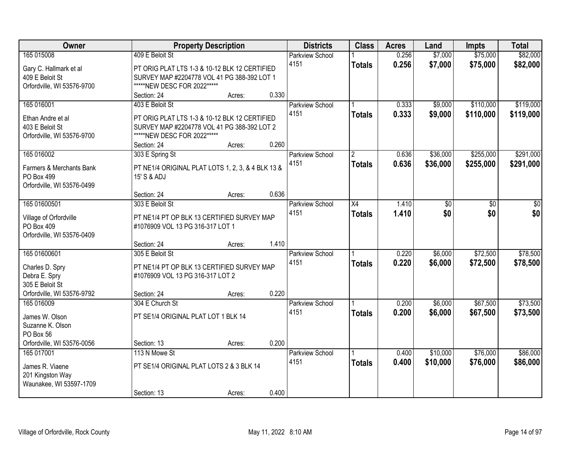| Owner                                    |                                                                  | <b>Property Description</b> |       | <b>Districts</b>       | <b>Class</b>    | <b>Acres</b> | Land     | <b>Impts</b> | <b>Total</b> |
|------------------------------------------|------------------------------------------------------------------|-----------------------------|-------|------------------------|-----------------|--------------|----------|--------------|--------------|
| 165 015008                               | 409 E Beloit St                                                  |                             |       | <b>Parkview School</b> |                 | 0.256        | \$7,000  | \$75,000     | \$82,000     |
| Gary C. Hallmark et al                   | PT ORIG PLAT LTS 1-3 & 10-12 BLK 12 CERTIFIED                    |                             |       | 4151                   | <b>Totals</b>   | 0.256        | \$7,000  | \$75,000     | \$82,000     |
| 409 E Beloit St                          | SURVEY MAP #2204778 VOL 41 PG 388-392 LOT 1                      |                             |       |                        |                 |              |          |              |              |
| Orfordville, WI 53576-9700               | *****NEW DESC FOR 2022*****                                      |                             |       |                        |                 |              |          |              |              |
|                                          | Section: 24                                                      | Acres:                      | 0.330 |                        |                 |              |          |              |              |
| 165 016001                               | 403 E Beloit St                                                  |                             |       | <b>Parkview School</b> |                 | 0.333        | \$9,000  | \$110,000    | \$119,000    |
| Ethan Andre et al                        | PT ORIG PLAT LTS 1-3 & 10-12 BLK 12 CERTIFIED                    |                             |       | 4151                   | <b>Totals</b>   | 0.333        | \$9,000  | \$110,000    | \$119,000    |
| 403 E Beloit St                          | SURVEY MAP #2204778 VOL 41 PG 388-392 LOT 2                      |                             |       |                        |                 |              |          |              |              |
| Orfordville, WI 53576-9700               | *****NEW DESC FOR 2022*****                                      |                             |       |                        |                 |              |          |              |              |
|                                          | Section: 24                                                      | Acres:                      | 0.260 |                        |                 |              |          |              |              |
| 165 016002                               | 303 E Spring St                                                  |                             |       | Parkview School        | $\overline{2}$  | 0.636        | \$36,000 | \$255,000    | \$291,000    |
|                                          |                                                                  |                             |       | 4151                   | <b>Totals</b>   | 0.636        | \$36,000 | \$255,000    | \$291,000    |
| Farmers & Merchants Bank                 | PT NE1/4 ORIGINAL PLAT LOTS 1, 2, 3, & 4 BLK 13 &<br>15' S & ADJ |                             |       |                        |                 |              |          |              |              |
| PO Box 499<br>Orfordville, WI 53576-0499 |                                                                  |                             |       |                        |                 |              |          |              |              |
|                                          | Section: 24                                                      | Acres:                      | 0.636 |                        |                 |              |          |              |              |
| 165 01600501                             | 303 E Beloit St                                                  |                             |       | Parkview School        | $\overline{X4}$ | 1.410        | \$0      | \$0          | \$0          |
|                                          |                                                                  |                             |       | 4151                   | <b>Totals</b>   | 1.410        | \$0      | \$0          | \$0          |
| Village of Orfordville                   | PT NE1/4 PT OP BLK 13 CERTIFIED SURVEY MAP                       |                             |       |                        |                 |              |          |              |              |
| PO Box 409                               | #1076909 VOL 13 PG 316-317 LOT 1                                 |                             |       |                        |                 |              |          |              |              |
| Orfordville, WI 53576-0409               |                                                                  |                             |       |                        |                 |              |          |              |              |
|                                          | Section: 24                                                      | Acres:                      | 1.410 |                        |                 |              |          |              |              |
| 165 01600601                             | 305 E Beloit St                                                  |                             |       | Parkview School        |                 | 0.220        | \$6,000  | \$72,500     | \$78,500     |
| Charles D. Spry                          | PT NE1/4 PT OP BLK 13 CERTIFIED SURVEY MAP                       |                             |       | 4151                   | <b>Totals</b>   | 0.220        | \$6,000  | \$72,500     | \$78,500     |
| Debra E. Spry                            | #1076909 VOL 13 PG 316-317 LOT 2                                 |                             |       |                        |                 |              |          |              |              |
| 305 E Beloit St                          |                                                                  |                             |       |                        |                 |              |          |              |              |
| Orfordville, WI 53576-9792               | Section: 24                                                      | Acres:                      | 0.220 |                        |                 |              |          |              |              |
| 165 016009                               | 304 E Church St                                                  |                             |       | <b>Parkview School</b> |                 | 0.200        | \$6,000  | \$67,500     | \$73,500     |
| James W. Olson                           | PT SE1/4 ORIGINAL PLAT LOT 1 BLK 14                              |                             |       | 4151                   | <b>Totals</b>   | 0.200        | \$6,000  | \$67,500     | \$73,500     |
| Suzanne K. Olson                         |                                                                  |                             |       |                        |                 |              |          |              |              |
| PO Box 56                                |                                                                  |                             |       |                        |                 |              |          |              |              |
| Orfordville, WI 53576-0056               | Section: 13                                                      | Acres:                      | 0.200 |                        |                 |              |          |              |              |
| 165 017001                               | 113 N Mowe St                                                    |                             |       | <b>Parkview School</b> |                 | 0.400        | \$10,000 | \$76,000     | \$86,000     |
| James R. Viaene                          | PT SE1/4 ORIGINAL PLAT LOTS 2 & 3 BLK 14                         |                             |       | 4151                   | <b>Totals</b>   | 0.400        | \$10,000 | \$76,000     | \$86,000     |
| 201 Kingston Way                         |                                                                  |                             |       |                        |                 |              |          |              |              |
| Waunakee, WI 53597-1709                  |                                                                  |                             |       |                        |                 |              |          |              |              |
|                                          | Section: 13                                                      | Acres:                      | 0.400 |                        |                 |              |          |              |              |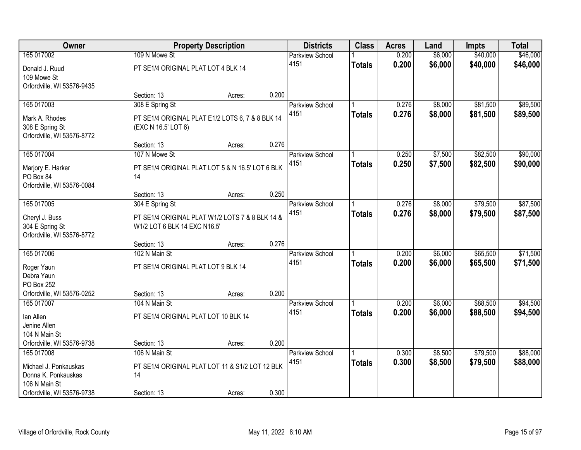| Owner                                                           |                                                                                 | <b>Property Description</b> |       | <b>Districts</b>       | <b>Class</b>  | <b>Acres</b> | Land    | <b>Impts</b> | <b>Total</b> |
|-----------------------------------------------------------------|---------------------------------------------------------------------------------|-----------------------------|-------|------------------------|---------------|--------------|---------|--------------|--------------|
| 165 017002                                                      | 109 N Mowe St                                                                   |                             |       | <b>Parkview School</b> |               | 0.200        | \$6,000 | \$40,000     | \$46,000     |
| Donald J. Ruud<br>109 Mowe St<br>Orfordville, WI 53576-9435     | PT SE1/4 ORIGINAL PLAT LOT 4 BLK 14                                             |                             |       | 4151                   | <b>Totals</b> | 0.200        | \$6,000 | \$40,000     | \$46,000     |
|                                                                 | Section: 13                                                                     | Acres:                      | 0.200 |                        |               |              |         |              |              |
| 165 017003                                                      | 308 E Spring St                                                                 |                             |       | <b>Parkview School</b> |               | 0.276        | \$8,000 | \$81,500     | \$89,500     |
| Mark A. Rhodes<br>308 E Spring St<br>Orfordville, WI 53576-8772 | PT SE1/4 ORIGINAL PLAT E1/2 LOTS 6, 7 & 8 BLK 14<br>(EXC N 16.5' LOT 6)         |                             |       | 4151                   | <b>Totals</b> | 0.276        | \$8,000 | \$81,500     | \$89,500     |
|                                                                 | Section: 13                                                                     | Acres:                      | 0.276 |                        |               |              |         |              |              |
| 165 017004                                                      | 107 N Mowe St                                                                   |                             |       | <b>Parkview School</b> |               | 0.250        | \$7,500 | \$82,500     | \$90,000     |
| Marjory E. Harker<br>PO Box 84<br>Orfordville, WI 53576-0084    | PT SE1/4 ORIGINAL PLAT LOT 5 & N 16.5' LOT 6 BLK<br>14                          |                             |       | 4151                   | <b>Totals</b> | 0.250        | \$7,500 | \$82,500     | \$90,000     |
|                                                                 | Section: 13                                                                     | Acres:                      | 0.250 |                        |               |              |         |              |              |
| 165 017005                                                      | 304 E Spring St                                                                 |                             |       | <b>Parkview School</b> |               | 0.276        | \$8,000 | \$79,500     | \$87,500     |
| Cheryl J. Buss<br>304 E Spring St<br>Orfordville, WI 53576-8772 | PT SE1/4 ORIGINAL PLAT W1/2 LOTS 7 & 8 BLK 14 &<br>W1/2 LOT 6 BLK 14 EXC N16.5' |                             |       | 4151                   | <b>Totals</b> | 0.276        | \$8,000 | \$79,500     | \$87,500     |
|                                                                 | Section: 13                                                                     | Acres:                      | 0.276 |                        |               |              |         |              |              |
| 165 017006                                                      | 102 N Main St                                                                   |                             |       | Parkview School        |               | 0.200        | \$6,000 | \$65,500     | \$71,500     |
| Roger Yaun                                                      | PT SE1/4 ORIGINAL PLAT LOT 9 BLK 14                                             |                             |       | 4151                   | <b>Totals</b> | 0.200        | \$6,000 | \$65,500     | \$71,500     |
| Debra Yaun                                                      |                                                                                 |                             |       |                        |               |              |         |              |              |
| PO Box 252                                                      |                                                                                 |                             |       |                        |               |              |         |              |              |
| Orfordville, WI 53576-0252                                      | Section: 13                                                                     | Acres:                      | 0.200 |                        |               |              |         |              |              |
| 165 017007                                                      | 104 N Main St                                                                   |                             |       | <b>Parkview School</b> |               | 0.200        | \$6,000 | \$88,500     | \$94,500     |
| lan Allen                                                       | PT SE1/4 ORIGINAL PLAT LOT 10 BLK 14                                            |                             |       | 4151                   | <b>Totals</b> | 0.200        | \$6,000 | \$88,500     | \$94,500     |
| Jenine Allen                                                    |                                                                                 |                             |       |                        |               |              |         |              |              |
| 104 N Main St                                                   |                                                                                 |                             |       |                        |               |              |         |              |              |
| Orfordville, WI 53576-9738                                      | Section: 13                                                                     | Acres:                      | 0.200 |                        |               |              |         |              |              |
| 165 017008                                                      | 106 N Main St                                                                   |                             |       | <b>Parkview School</b> |               | 0.300        | \$8,500 | \$79,500     | \$88,000     |
| Michael J. Ponkauskas                                           | PT SE1/4 ORIGINAL PLAT LOT 11 & S1/2 LOT 12 BLK                                 |                             |       | 4151                   | <b>Totals</b> | 0.300        | \$8,500 | \$79,500     | \$88,000     |
| Donna K. Ponkauskas                                             | 14                                                                              |                             |       |                        |               |              |         |              |              |
| 106 N Main St                                                   |                                                                                 |                             |       |                        |               |              |         |              |              |
| Orfordville, WI 53576-9738                                      | Section: 13                                                                     | Acres:                      | 0.300 |                        |               |              |         |              |              |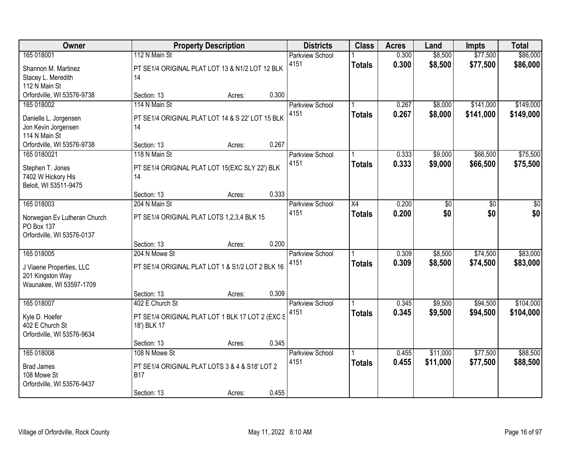| Owner                                                                                  |                                                                                              | <b>Property Description</b> |       | <b>Districts</b>               | <b>Class</b>        | <b>Acres</b>   | Land                 | <b>Impts</b>           | <b>Total</b>           |
|----------------------------------------------------------------------------------------|----------------------------------------------------------------------------------------------|-----------------------------|-------|--------------------------------|---------------------|----------------|----------------------|------------------------|------------------------|
| 165 018001<br>Shannon M. Martinez<br>Stacey L. Meredith                                | 112 N Main St<br>PT SE1/4 ORIGINAL PLAT LOT 13 & N1/2 LOT 12 BLK<br>14                       |                             |       | <b>Parkview School</b><br>4151 | <b>Totals</b>       | 0.300<br>0.300 | \$8,500<br>\$8,500   | \$77,500<br>\$77,500   | \$86,000<br>\$86,000   |
| 112 N Main St<br>Orfordville, WI 53576-9738                                            | Section: 13                                                                                  | Acres:                      | 0.300 |                                |                     |                |                      |                        |                        |
| 165 018002<br>Danielle L. Jorgensen<br>Jon Kevin Jorgensen<br>114 N Main St            | 114 N Main St<br>PT SE1/4 ORIGINAL PLAT LOT 14 & S 22' LOT 15 BLK<br>14                      |                             |       | <b>Parkview School</b><br>4151 | <b>Totals</b>       | 0.267<br>0.267 | \$8,000<br>\$8,000   | \$141,000<br>\$141,000 | \$149,000<br>\$149,000 |
| Orfordville, WI 53576-9738<br>165 0180021                                              | Section: 13<br>118 N Main St                                                                 | Acres:                      | 0.267 | Parkview School                |                     | 0.333          | \$9,000              | \$66,500               | \$75,500               |
| Stephen T. Jones<br>7402 W Hickory HIs<br>Beloit, WI 53511-9475                        | PT SE1/4 ORIGINAL PLAT LOT 15(EXC SLY 22') BLK<br>14                                         |                             |       | 4151                           | <b>Totals</b>       | 0.333          | \$9,000              | \$66,500               | \$75,500               |
|                                                                                        | Section: 13                                                                                  | Acres:                      | 0.333 |                                |                     |                |                      |                        |                        |
| 165 018003<br>Norwegian Ev Lutheran Church<br>PO Box 137<br>Orfordville, WI 53576-0137 | 204 N Main St<br>PT SE1/4 ORIGINAL PLAT LOTS 1,2,3,4 BLK 15                                  |                             |       | Parkview School<br>4151        | X4<br><b>Totals</b> | 0.200<br>0.200 | \$0<br>\$0           | \$0<br>\$0             | \$0<br>\$0             |
|                                                                                        | Section: 13                                                                                  | Acres:                      | 0.200 |                                |                     |                |                      |                        |                        |
| 165 018005<br>J Viaene Properties, LLC<br>201 Kingston Way<br>Waunakee, WI 53597-1709  | 204 N Mowe St<br>PT SE1/4 ORIGINAL PLAT LOT 1 & S1/2 LOT 2 BLK 16                            |                             |       | Parkview School<br>4151        | <b>Totals</b>       | 0.309<br>0.309 | \$8,500<br>\$8,500   | \$74,500<br>\$74,500   | \$83,000<br>\$83,000   |
|                                                                                        | Section: 13                                                                                  | Acres:                      | 0.309 |                                |                     |                |                      |                        |                        |
| 165 018007<br>Kyle D. Hoefer<br>402 E Church St<br>Orfordville, WI 53576-9634          | 402 E Church St<br>PT SE1/4 ORIGINAL PLAT LOT 1 BLK 17 LOT 2 (EXC S<br>18') BLK 17           |                             |       | Parkview School<br>4151        | <b>Totals</b>       | 0.345<br>0.345 | \$9,500<br>\$9,500   | \$94,500<br>\$94,500   | \$104,000<br>\$104,000 |
|                                                                                        | Section: 13                                                                                  | Acres:                      | 0.345 |                                |                     |                |                      |                        |                        |
| 165 018008<br><b>Brad James</b><br>108 Mowe St<br>Orfordville, WI 53576-9437           | 108 N Mowe St<br>PT SE1/4 ORIGINAL PLAT LOTS 3 & 4 & S18' LOT 2<br><b>B17</b><br>Section: 13 | Acres:                      | 0.455 | <b>Parkview School</b><br>4151 | <b>Totals</b>       | 0.455<br>0.455 | \$11,000<br>\$11,000 | \$77,500<br>\$77,500   | \$88,500<br>\$88,500   |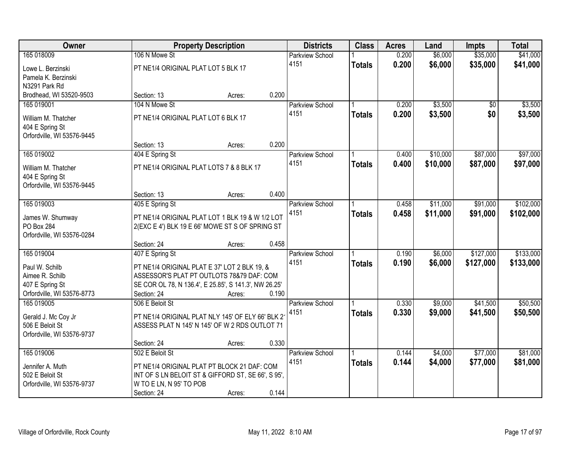| Owner                      |                                          | <b>Property Description</b>                           |       | <b>Districts</b>       | <b>Class</b>  | <b>Acres</b> | Land     | <b>Impts</b>    | <b>Total</b> |
|----------------------------|------------------------------------------|-------------------------------------------------------|-------|------------------------|---------------|--------------|----------|-----------------|--------------|
| 165 018009                 | 106 N Mowe St                            |                                                       |       | Parkview School        |               | 0.200        | \$6,000  | \$35,000        | \$41,000     |
| Lowe L. Berzinski          | PT NE1/4 ORIGINAL PLAT LOT 5 BLK 17      |                                                       |       | 4151                   | <b>Totals</b> | 0.200        | \$6,000  | \$35,000        | \$41,000     |
| Pamela K. Berzinski        |                                          |                                                       |       |                        |               |              |          |                 |              |
| N3291 Park Rd              |                                          |                                                       |       |                        |               |              |          |                 |              |
| Brodhead, WI 53520-9503    | Section: 13                              | Acres:                                                | 0.200 |                        |               |              |          |                 |              |
| 165 019001                 | 104 N Mowe St                            |                                                       |       | <b>Parkview School</b> |               | 0.200        | \$3,500  | $\overline{50}$ | \$3,500      |
| William M. Thatcher        | PT NE1/4 ORIGINAL PLAT LOT 6 BLK 17      |                                                       |       | 4151                   | <b>Totals</b> | 0.200        | \$3,500  | \$0             | \$3,500      |
| 404 E Spring St            |                                          |                                                       |       |                        |               |              |          |                 |              |
| Orfordville, WI 53576-9445 |                                          |                                                       |       |                        |               |              |          |                 |              |
|                            | Section: 13                              | Acres:                                                | 0.200 |                        |               |              |          |                 |              |
| 165 019002                 | 404 E Spring St                          |                                                       |       | <b>Parkview School</b> |               | 0.400        | \$10,000 | \$87,000        | \$97,000     |
| William M. Thatcher        | PT NE1/4 ORIGINAL PLAT LOTS 7 & 8 BLK 17 |                                                       |       | 4151                   | <b>Totals</b> | 0.400        | \$10,000 | \$87,000        | \$97,000     |
| 404 E Spring St            |                                          |                                                       |       |                        |               |              |          |                 |              |
| Orfordville, WI 53576-9445 |                                          |                                                       |       |                        |               |              |          |                 |              |
|                            | Section: 13                              | Acres:                                                | 0.400 |                        |               |              |          |                 |              |
| 165 019003                 | 405 E Spring St                          |                                                       |       | <b>Parkview School</b> |               | 0.458        | \$11,000 | \$91,000        | \$102,000    |
| James W. Shumway           |                                          | PT NE1/4 ORIGINAL PLAT LOT 1 BLK 19 & W 1/2 LOT       |       | 4151                   | <b>Totals</b> | 0.458        | \$11,000 | \$91,000        | \$102,000    |
| PO Box 284                 |                                          | 2(EXC E 4') BLK 19 E 66' MOWE ST S OF SPRING ST       |       |                        |               |              |          |                 |              |
| Orfordville, WI 53576-0284 |                                          |                                                       |       |                        |               |              |          |                 |              |
|                            | Section: 24                              | Acres:                                                | 0.458 |                        |               |              |          |                 |              |
| 165 019004                 | 407 E Spring St                          |                                                       |       | Parkview School        |               | 0.190        | \$6,000  | \$127,000       | \$133,000    |
| Paul W. Schilb             |                                          | PT NE1/4 ORIGINAL PLAT E 37' LOT 2 BLK 19, &          |       | 4151                   | <b>Totals</b> | 0.190        | \$6,000  | \$127,000       | \$133,000    |
| Aimee R. Schilb            |                                          | ASSESSOR'S PLAT PT OUTLOTS 78&79 DAF: COM             |       |                        |               |              |          |                 |              |
| 407 E Spring St            |                                          | SE COR OL 78, N 136.4', E 25.85', S 141.3', NW 26.25' |       |                        |               |              |          |                 |              |
| Orfordville, WI 53576-8773 | Section: 24                              | Acres:                                                | 0.190 |                        |               |              |          |                 |              |
| 165 019005                 | 506 E Beloit St                          |                                                       |       | Parkview School        |               | 0.330        | \$9,000  | \$41,500        | \$50,500     |
| Gerald J. Mc Coy Jr        |                                          | PT NE1/4 ORIGINAL PLAT NLY 145' OF ELY 66' BLK 2      |       | 4151                   | <b>Totals</b> | 0.330        | \$9,000  | \$41,500        | \$50,500     |
| 506 E Beloit St            |                                          | ASSESS PLAT N 145' N 145' OF W 2 RDS OUTLOT 71        |       |                        |               |              |          |                 |              |
| Orfordville, WI 53576-9737 |                                          |                                                       |       |                        |               |              |          |                 |              |
|                            | Section: 24                              | Acres:                                                | 0.330 |                        |               |              |          |                 |              |
| 165 019006                 | 502 E Beloit St                          |                                                       |       | Parkview School        |               | 0.144        | \$4,000  | \$77,000        | \$81,000     |
| Jennifer A. Muth           |                                          | PT NE1/4 ORIGINAL PLAT PT BLOCK 21 DAF: COM           |       | 4151                   | <b>Totals</b> | 0.144        | \$4,000  | \$77,000        | \$81,000     |
| 502 E Beloit St            |                                          | INT OF S LN BELOIT ST & GIFFORD ST, SE 66', S 95',    |       |                        |               |              |          |                 |              |
| Orfordville, WI 53576-9737 | W TO E LN, N 95' TO POB                  |                                                       |       |                        |               |              |          |                 |              |
|                            | Section: 24                              | Acres:                                                | 0.144 |                        |               |              |          |                 |              |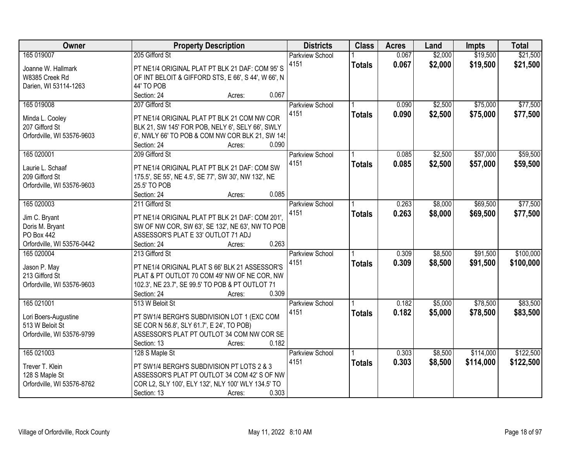| Owner                      | <b>Property Description</b>                                                             | <b>Districts</b>       | <b>Class</b>  | <b>Acres</b> | Land    | <b>Impts</b> | <b>Total</b> |
|----------------------------|-----------------------------------------------------------------------------------------|------------------------|---------------|--------------|---------|--------------|--------------|
| 165 019007                 | 205 Gifford St                                                                          | <b>Parkview School</b> |               | 0.067        | \$2,000 | \$19,500     | \$21,500     |
| Joanne W. Hallmark         | PT NE1/4 ORIGINAL PLAT PT BLK 21 DAF: COM 95'S                                          | 4151                   | <b>Totals</b> | 0.067        | \$2,000 | \$19,500     | \$21,500     |
| W8385 Creek Rd             | OF INT BELOIT & GIFFORD STS, E 66', S 44', W 66', N                                     |                        |               |              |         |              |              |
| Darien, WI 53114-1263      | 44' TO POB                                                                              |                        |               |              |         |              |              |
|                            | Section: 24<br>0.067<br>Acres:                                                          |                        |               |              |         |              |              |
| 165 019008                 | 207 Gifford St                                                                          | <b>Parkview School</b> |               | 0.090        | \$2,500 | \$75,000     | \$77,500     |
|                            |                                                                                         | 4151                   | <b>Totals</b> | 0.090        | \$2,500 | \$75,000     | \$77,500     |
| Minda L. Cooley            | PT NE1/4 ORIGINAL PLAT PT BLK 21 COM NW COR                                             |                        |               |              |         |              |              |
| 207 Gifford St             | BLK 21, SW 145' FOR POB, NELY 6', SELY 66', SWLY                                        |                        |               |              |         |              |              |
| Orfordville, WI 53576-9603 | 6', NWLY 66' TO POB & COM NW COR BLK 21, SW 145                                         |                        |               |              |         |              |              |
|                            | Section: 24<br>0.090<br>Acres:                                                          |                        |               |              |         |              |              |
| 165 020001                 | 209 Gifford St                                                                          | Parkview School        |               | 0.085        | \$2,500 | \$57,000     | \$59,500     |
| Laurie L. Schaaf           | PT NE1/4 ORIGINAL PLAT PT BLK 21 DAF: COM SW                                            | 4151                   | <b>Totals</b> | 0.085        | \$2,500 | \$57,000     | \$59,500     |
| 209 Gifford St             | 175.5', SE 55', NE 4.5', SE 77', SW 30', NW 132', NE                                    |                        |               |              |         |              |              |
| Orfordville, WI 53576-9603 | 25.5' TO POB                                                                            |                        |               |              |         |              |              |
|                            | Section: 24<br>0.085<br>Acres:                                                          |                        |               |              |         |              |              |
| 165 020003                 | 211 Gifford St                                                                          | Parkview School        |               | 0.263        | \$8,000 | \$69,500     | \$77,500     |
|                            |                                                                                         | 4151                   | <b>Totals</b> | 0.263        | \$8,000 | \$69,500     | \$77,500     |
| Jim C. Bryant              | PT NE1/4 ORIGINAL PLAT PT BLK 21 DAF: COM 201',                                         |                        |               |              |         |              |              |
| Doris M. Bryant            | SW OF NW COR, SW 63', SE 132', NE 63', NW TO POB                                        |                        |               |              |         |              |              |
| <b>PO Box 442</b>          | ASSESSOR'S PLAT E 33' OUTLOT 71 ADJ                                                     |                        |               |              |         |              |              |
| Orfordville, WI 53576-0442 | 0.263<br>Section: 24<br>Acres:                                                          |                        |               |              |         |              |              |
| 165 020004                 | 213 Gifford St                                                                          | Parkview School        |               | 0.309        | \$8,500 | \$91,500     | \$100,000    |
| Jason P. May               | PT NE1/4 ORIGINAL PLAT S 66' BLK 21 ASSESSOR'S                                          | 4151                   | <b>Totals</b> | 0.309        | \$8,500 | \$91,500     | \$100,000    |
| 213 Gifford St             | PLAT & PT OUTLOT 70 COM 49' NW OF NE COR, NW                                            |                        |               |              |         |              |              |
| Orfordville, WI 53576-9603 | 102.3', NE 23.7', SE 99.5' TO POB & PT OUTLOT 71                                        |                        |               |              |         |              |              |
|                            | 0.309<br>Section: 24<br>Acres:                                                          |                        |               |              |         |              |              |
| 165 021001                 | 513 W Beloit St                                                                         | <b>Parkview School</b> |               | 0.182        | \$5,000 | \$78,500     | \$83,500     |
|                            |                                                                                         | 4151                   | <b>Totals</b> | 0.182        | \$5,000 | \$78,500     | \$83,500     |
| Lori Boers-Augustine       | PT SW1/4 BERGH'S SUBDIVISION LOT 1 (EXC COM                                             |                        |               |              |         |              |              |
| 513 W Beloit St            | SE COR N 56.8', SLY 61.7', E 24', TO POB)<br>ASSESSOR'S PLAT PT OUTLOT 34 COM NW COR SE |                        |               |              |         |              |              |
| Orfordville, WI 53576-9799 | 0.182                                                                                   |                        |               |              |         |              |              |
| 165 021003                 | Section: 13<br>Acres:                                                                   |                        |               |              |         | \$114,000    | \$122,500    |
|                            | 128 S Maple St                                                                          | <b>Parkview School</b> |               | 0.303        | \$8,500 |              |              |
| Trever T. Klein            | PT SW1/4 BERGH'S SUBDIVISION PT LOTS 2 & 3                                              | 4151                   | <b>Totals</b> | 0.303        | \$8,500 | \$114,000    | \$122,500    |
| 128 S Maple St             | ASSESSOR'S PLAT PT OUTLOT 34 COM 42' S OF NW                                            |                        |               |              |         |              |              |
| Orfordville, WI 53576-8762 | COR L2, SLY 100', ELY 132', NLY 100' WLY 134.5' TO                                      |                        |               |              |         |              |              |
|                            | 0.303<br>Section: 13<br>Acres:                                                          |                        |               |              |         |              |              |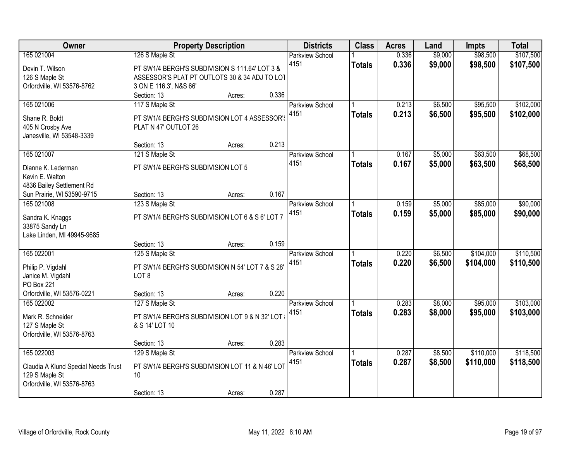| Owner                                                 |                                                  | <b>Property Description</b> |       | <b>Districts</b>       | <b>Class</b>  | <b>Acres</b> | Land    | <b>Impts</b> | <b>Total</b> |
|-------------------------------------------------------|--------------------------------------------------|-----------------------------|-------|------------------------|---------------|--------------|---------|--------------|--------------|
| 165 021004                                            | 126 S Maple St                                   |                             |       | <b>Parkview School</b> |               | 0.336        | \$9,000 | \$98,500     | \$107,500    |
| Devin T. Wilson                                       | PT SW1/4 BERGH'S SUBDIVISION S 111.64' LOT 3 &   |                             |       | 4151                   | <b>Totals</b> | 0.336        | \$9,000 | \$98,500     | \$107,500    |
| 126 S Maple St                                        | ASSESSOR'S PLAT PT OUTLOTS 30 & 34 ADJ TO LOT    |                             |       |                        |               |              |         |              |              |
| Orfordville, WI 53576-8762                            | 3 ON E 116.3', N&S 66'                           |                             |       |                        |               |              |         |              |              |
|                                                       | Section: 13                                      | Acres:                      | 0.336 |                        |               |              |         |              |              |
| 165 021006                                            | 117 S Maple St                                   |                             |       | <b>Parkview School</b> |               | 0.213        | \$6,500 | \$95,500     | \$102,000    |
| Shane R. Boldt                                        | PT SW1/4 BERGH'S SUBDIVISION LOT 4 ASSESSOR'S    |                             |       | 4151                   | <b>Totals</b> | 0.213        | \$6,500 | \$95,500     | \$102,000    |
| 405 N Crosby Ave                                      | PLAT N 47' OUTLOT 26                             |                             |       |                        |               |              |         |              |              |
| Janesville, WI 53548-3339                             |                                                  |                             |       |                        |               |              |         |              |              |
|                                                       | Section: 13                                      | Acres:                      | 0.213 |                        |               |              |         |              |              |
| 165 021007                                            | 121 S Maple St                                   |                             |       | Parkview School        |               | 0.167        | \$5,000 | \$63,500     | \$68,500     |
| Dianne K. Lederman                                    | PT SW1/4 BERGH'S SUBDIVISION LOT 5               |                             |       | 4151                   | <b>Totals</b> | 0.167        | \$5,000 | \$63,500     | \$68,500     |
| Kevin E. Walton                                       |                                                  |                             |       |                        |               |              |         |              |              |
| 4836 Bailey Settlement Rd                             |                                                  |                             |       |                        |               |              |         |              |              |
| Sun Prairie, WI 53590-9715                            | Section: 13                                      | Acres:                      | 0.167 |                        |               |              |         |              |              |
| 165 021008                                            | 123 S Maple St                                   |                             |       | Parkview School        |               | 0.159        | \$5,000 | \$85,000     | \$90,000     |
| Sandra K. Knaggs                                      | PT SW1/4 BERGH'S SUBDIVISION LOT 6 & S 6' LOT 7  |                             |       | 4151                   | <b>Totals</b> | 0.159        | \$5,000 | \$85,000     | \$90,000     |
| 33875 Sandy Ln                                        |                                                  |                             |       |                        |               |              |         |              |              |
| Lake Linden, MI 49945-9685                            |                                                  |                             |       |                        |               |              |         |              |              |
|                                                       | Section: 13                                      | Acres:                      | 0.159 |                        |               |              |         |              |              |
| 165 022001                                            | 125 S Maple St                                   |                             |       | Parkview School        |               | 0.220        | \$6,500 | \$104,000    | \$110,500    |
| Philip P. Vigdahl                                     | PT SW1/4 BERGH'S SUBDIVISION N 54' LOT 7 & S 28' |                             |       | 4151                   | <b>Totals</b> | 0.220        | \$6,500 | \$104,000    | \$110,500    |
| Janice M. Vigdahl                                     | LOT <sub>8</sub>                                 |                             |       |                        |               |              |         |              |              |
| PO Box 221                                            |                                                  |                             |       |                        |               |              |         |              |              |
| Orfordville, WI 53576-0221                            | Section: 13                                      | Acres:                      | 0.220 |                        |               |              |         |              |              |
| 165 022002                                            | 127 S Maple St                                   |                             |       | <b>Parkview School</b> |               | 0.283        | \$8,000 | \$95,000     | \$103,000    |
| Mark R. Schneider                                     | PT SW1/4 BERGH'S SUBDIVISION LOT 9 & N 32' LOT   |                             |       | 4151                   | <b>Totals</b> | 0.283        | \$8,000 | \$95,000     | \$103,000    |
| 127 S Maple St                                        | & S 14' LOT 10                                   |                             |       |                        |               |              |         |              |              |
| Orfordville, WI 53576-8763                            |                                                  |                             |       |                        |               |              |         |              |              |
|                                                       | Section: 13                                      | Acres:                      | 0.283 |                        |               |              |         |              |              |
| 165 022003                                            | 129 S Maple St                                   |                             |       | <b>Parkview School</b> |               | 0.287        | \$8,500 | \$110,000    | \$118,500    |
|                                                       | PT SW1/4 BERGH'S SUBDIVISION LOT 11 & N 46' LOT  |                             |       | 4151                   | <b>Totals</b> | 0.287        | \$8,500 | \$110,000    | \$118,500    |
| Claudia A Klund Special Needs Trust<br>129 S Maple St | 10 <sup>°</sup>                                  |                             |       |                        |               |              |         |              |              |
| Orfordville, WI 53576-8763                            |                                                  |                             |       |                        |               |              |         |              |              |
|                                                       | Section: 13                                      | Acres:                      | 0.287 |                        |               |              |         |              |              |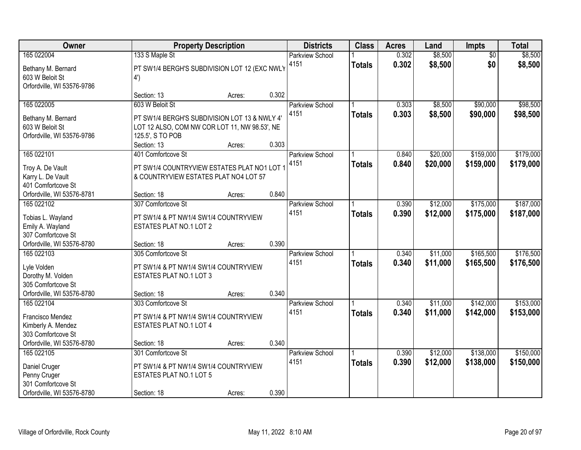| <b>Owner</b>                           |                                               | <b>Property Description</b> |       | <b>Districts</b>       | <b>Class</b>  | <b>Acres</b> | Land     | <b>Impts</b>    | <b>Total</b> |
|----------------------------------------|-----------------------------------------------|-----------------------------|-------|------------------------|---------------|--------------|----------|-----------------|--------------|
| 165 022004                             | 133 S Maple St                                |                             |       | <b>Parkview School</b> |               | 0.302        | \$8,500  | $\overline{50}$ | \$8,500      |
| Bethany M. Bernard                     | PT SW1/4 BERGH'S SUBDIVISION LOT 12 (EXC NWLY |                             |       | 4151                   | <b>Totals</b> | 0.302        | \$8,500  | \$0             | \$8,500      |
| 603 W Beloit St                        | 4')                                           |                             |       |                        |               |              |          |                 |              |
| Orfordville, WI 53576-9786             |                                               |                             |       |                        |               |              |          |                 |              |
|                                        | Section: 13                                   | Acres:                      | 0.302 |                        |               |              |          |                 |              |
| 165 022005                             | 603 W Beloit St                               |                             |       | <b>Parkview School</b> |               | 0.303        | \$8,500  | \$90,000        | \$98,500     |
| Bethany M. Bernard                     | PT SW1/4 BERGH'S SUBDIVISION LOT 13 & NWLY 4' |                             |       | 4151                   | <b>Totals</b> | 0.303        | \$8,500  | \$90,000        | \$98,500     |
| 603 W Beloit St                        | LOT 12 ALSO, COM NW COR LOT 11, NW 98.53', NE |                             |       |                        |               |              |          |                 |              |
| Orfordville, WI 53576-9786             | 125.5', S TO POB                              |                             |       |                        |               |              |          |                 |              |
|                                        | Section: 13                                   | Acres:                      | 0.303 |                        |               |              |          |                 |              |
| 165 022101                             | 401 Comfortcove St                            |                             |       | <b>Parkview School</b> |               | 0.840        | \$20,000 | \$159,000       | \$179,000    |
| Troy A. De Vault                       | PT SW1/4 COUNTRYVIEW ESTATES PLAT NO1 LOT     |                             |       | 4151                   | <b>Totals</b> | 0.840        | \$20,000 | \$159,000       | \$179,000    |
| Karry L. De Vault                      | & COUNTRYVIEW ESTATES PLAT NO4 LOT 57         |                             |       |                        |               |              |          |                 |              |
| 401 Comfortcove St                     |                                               |                             |       |                        |               |              |          |                 |              |
| Orfordville, WI 53576-8781             | Section: 18                                   | Acres:                      | 0.840 |                        |               |              |          |                 |              |
| 165 022102                             | 307 Comfortcove St                            |                             |       | Parkview School        |               | 0.390        | \$12,000 | \$175,000       | \$187,000    |
|                                        |                                               |                             |       | 4151                   | <b>Totals</b> | 0.390        | \$12,000 | \$175,000       | \$187,000    |
| Tobias L. Wayland                      | PT SW1/4 & PT NW1/4 SW1/4 COUNTRYVIEW         |                             |       |                        |               |              |          |                 |              |
| Emily A. Wayland<br>307 Comfortcove St | ESTATES PLAT NO.1 LOT 2                       |                             |       |                        |               |              |          |                 |              |
| Orfordville, WI 53576-8780             | Section: 18                                   | Acres:                      | 0.390 |                        |               |              |          |                 |              |
| 165 022103                             | 305 Comfortcove St                            |                             |       | Parkview School        |               | 0.340        | \$11,000 | \$165,500       | \$176,500    |
|                                        |                                               |                             |       | 4151                   | <b>Totals</b> | 0.340        | \$11,000 | \$165,500       | \$176,500    |
| Lyle Volden                            | PT SW1/4 & PT NW1/4 SW1/4 COUNTRYVIEW         |                             |       |                        |               |              |          |                 |              |
| Dorothy M. Volden                      | ESTATES PLAT NO.1 LOT 3                       |                             |       |                        |               |              |          |                 |              |
| 305 Comfortcove St                     |                                               |                             |       |                        |               |              |          |                 |              |
| Orfordville, WI 53576-8780             | Section: 18                                   | Acres:                      | 0.340 |                        |               |              |          |                 |              |
| 165 022104                             | 303 Comfortcove St                            |                             |       | <b>Parkview School</b> |               | 0.340        | \$11,000 | \$142,000       | \$153,000    |
| Francisco Mendez                       | PT SW1/4 & PT NW1/4 SW1/4 COUNTRYVIEW         |                             |       | 4151                   | <b>Totals</b> | 0.340        | \$11,000 | \$142,000       | \$153,000    |
| Kimberly A. Mendez                     | ESTATES PLAT NO.1 LOT 4                       |                             |       |                        |               |              |          |                 |              |
| 303 Comfortcove St                     |                                               |                             |       |                        |               |              |          |                 |              |
| Orfordville, WI 53576-8780             | Section: 18                                   | Acres:                      | 0.340 |                        |               |              |          |                 |              |
| 165 022105                             | 301 Comfortcove St                            |                             |       | <b>Parkview School</b> |               | 0.390        | \$12,000 | \$138,000       | \$150,000    |
| Daniel Cruger                          | PT SW1/4 & PT NW1/4 SW1/4 COUNTRYVIEW         |                             |       | 4151                   | <b>Totals</b> | 0.390        | \$12,000 | \$138,000       | \$150,000    |
| Penny Cruger                           | ESTATES PLAT NO.1 LOT 5                       |                             |       |                        |               |              |          |                 |              |
| 301 Comfortcove St                     |                                               |                             |       |                        |               |              |          |                 |              |
| Orfordville, WI 53576-8780             | Section: 18                                   | Acres:                      | 0.390 |                        |               |              |          |                 |              |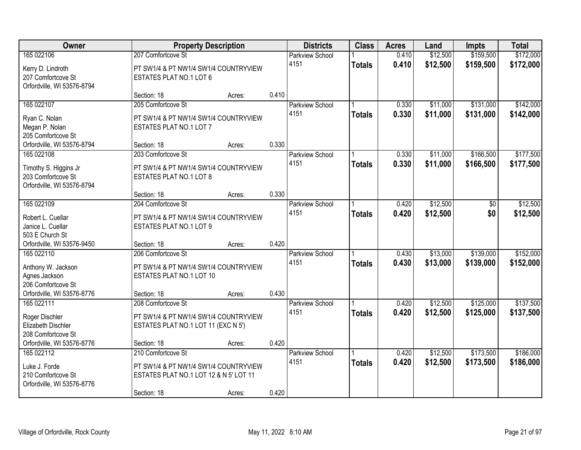| Owner                                                                                   | <b>Property Description</b>                                                                                          |        |       | <b>Districts</b>               | <b>Class</b>  | <b>Acres</b>   | Land                 | <b>Impts</b>           | <b>Total</b>           |
|-----------------------------------------------------------------------------------------|----------------------------------------------------------------------------------------------------------------------|--------|-------|--------------------------------|---------------|----------------|----------------------|------------------------|------------------------|
| 165 022106                                                                              | 207 Comfortcove St                                                                                                   |        |       | <b>Parkview School</b>         |               | 0.410          | \$12,500             | \$159,500              | \$172,000              |
| Kerry D. Lindroth<br>207 Comfortcove St<br>Orfordville, WI 53576-8794                   | PT SW1/4 & PT NW1/4 SW1/4 COUNTRYVIEW<br>ESTATES PLAT NO.1 LOT 6                                                     |        |       | 4151                           | <b>Totals</b> | 0.410          | \$12,500             | \$159,500              | \$172,000              |
|                                                                                         | Section: 18                                                                                                          | Acres: | 0.410 |                                |               |                |                      |                        |                        |
| 165 022107<br>Ryan C. Nolan<br>Megan P. Nolan                                           | 205 Comfortcove St<br>PT SW1/4 & PT NW1/4 SW1/4 COUNTRYVIEW<br>ESTATES PLAT NO.1 LOT 7                               |        |       | <b>Parkview School</b><br>4151 | <b>Totals</b> | 0.330<br>0.330 | \$11,000<br>\$11,000 | \$131,000<br>\$131,000 | \$142,000<br>\$142,000 |
| 205 Comfortcove St<br>Orfordville, WI 53576-8794                                        | Section: 18                                                                                                          | Acres: | 0.330 |                                |               |                |                      |                        |                        |
| 165 022108<br>Timothy S. Higgins Jr<br>203 Comfortcove St<br>Orfordville, WI 53576-8794 | 203 Comfortcove St<br>PT SW1/4 & PT NW1/4 SW1/4 COUNTRYVIEW<br>ESTATES PLAT NO.1 LOT 8                               |        |       | <b>Parkview School</b><br>4151 | <b>Totals</b> | 0.330<br>0.330 | \$11,000<br>\$11,000 | \$166,500<br>\$166,500 | \$177,500<br>\$177,500 |
|                                                                                         | Section: 18                                                                                                          | Acres: | 0.330 |                                |               |                |                      |                        |                        |
| 165 022109<br>Robert L. Cuellar<br>Janice L. Cuellar                                    | 204 Comfortcove St<br>PT SW1/4 & PT NW1/4 SW1/4 COUNTRYVIEW<br>ESTATES PLAT NO.1 LOT 9                               |        |       | <b>Parkview School</b><br>4151 | <b>Totals</b> | 0.420<br>0.420 | \$12,500<br>\$12,500 | \$0<br>\$0             | \$12,500<br>\$12,500   |
| 503 E Church St<br>Orfordville, WI 53576-9450                                           | Section: 18                                                                                                          | Acres: | 0.420 |                                |               |                |                      |                        |                        |
| 165 022110<br>Anthony W. Jackson<br>Agnes Jackson<br>206 Comfortcove St                 | 206 Comfortcove St<br>PT SW1/4 & PT NW1/4 SW1/4 COUNTRYVIEW<br>ESTATES PLAT NO.1 LOT 10                              |        | 0.430 | Parkview School<br>4151        | <b>Totals</b> | 0.430<br>0.430 | \$13,000<br>\$13,000 | \$139,000<br>\$139,000 | \$152,000<br>\$152,000 |
| Orfordville, WI 53576-8776<br>165 022111                                                | Section: 18<br>208 Comfortcove St                                                                                    | Acres: |       | <b>Parkview School</b>         |               | 0.420          | \$12,500             | \$125,000              | \$137,500              |
| Roger Dischler<br>Elizabeth Dischler<br>208 Comfortcove St                              | PT SW1/4 & PT NW1/4 SW1/4 COUNTRYVIEW<br>ESTATES PLAT NO.1 LOT 11 (EXC N 5')                                         |        |       | 4151                           | <b>Totals</b> | 0.420          | \$12,500             | \$125,000              | \$137,500              |
| Orfordville, WI 53576-8776                                                              | Section: 18                                                                                                          | Acres: | 0.420 |                                |               |                |                      |                        |                        |
| 165 022112<br>Luke J. Forde<br>210 Comfortcove St<br>Orfordville, WI 53576-8776         | 210 Comfortcove St<br>PT SW1/4 & PT NW1/4 SW1/4 COUNTRYVIEW<br>ESTATES PLAT NO.1 LOT 12 & N 5' LOT 11<br>Section: 18 | Acres: | 0.420 | Parkview School<br>4151        | <b>Totals</b> | 0.420<br>0.420 | \$12,500<br>\$12,500 | \$173,500<br>\$173,500 | \$186,000<br>\$186,000 |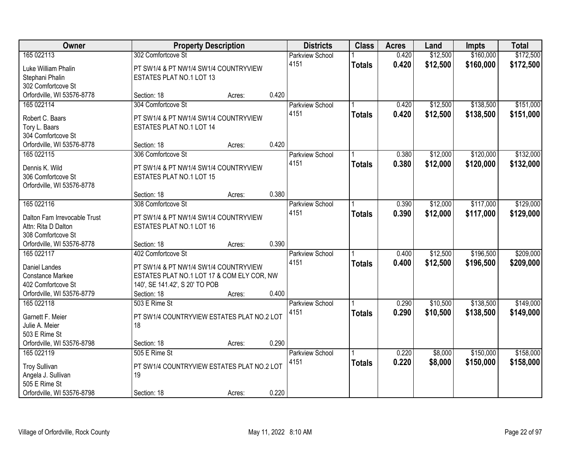| Owner                                         |                                               | <b>Property Description</b> |       | <b>Districts</b>       | <b>Class</b>  | <b>Acres</b> | Land     | <b>Impts</b> | <b>Total</b> |
|-----------------------------------------------|-----------------------------------------------|-----------------------------|-------|------------------------|---------------|--------------|----------|--------------|--------------|
| 165 022113                                    | 302 Comfortcove St                            |                             |       | <b>Parkview School</b> |               | 0.420        | \$12,500 | \$160,000    | \$172,500    |
| Luke William Phalin                           | PT SW1/4 & PT NW1/4 SW1/4 COUNTRYVIEW         |                             |       | 4151                   | <b>Totals</b> | 0.420        | \$12,500 | \$160,000    | \$172,500    |
| Stephani Phalin                               | ESTATES PLAT NO.1 LOT 13                      |                             |       |                        |               |              |          |              |              |
| 302 Comfortcove St                            |                                               |                             |       |                        |               |              |          |              |              |
| Orfordville, WI 53576-8778                    | Section: 18                                   | Acres:                      | 0.420 |                        |               |              |          |              |              |
| 165 022114                                    | 304 Comfortcove St                            |                             |       | Parkview School        |               | 0.420        | \$12,500 | \$138,500    | \$151,000    |
|                                               |                                               |                             |       | 4151                   | <b>Totals</b> | 0.420        | \$12,500 | \$138,500    | \$151,000    |
| Robert C. Baars                               | PT SW1/4 & PT NW1/4 SW1/4 COUNTRYVIEW         |                             |       |                        |               |              |          |              |              |
| Tory L. Baars<br>304 Comfortcove St           | ESTATES PLAT NO.1 LOT 14                      |                             |       |                        |               |              |          |              |              |
| Orfordville, WI 53576-8778                    | Section: 18                                   | Acres:                      | 0.420 |                        |               |              |          |              |              |
| 165 022115                                    | 306 Comfortcove St                            |                             |       | Parkview School        |               | 0.380        | \$12,000 | \$120,000    | \$132,000    |
|                                               |                                               |                             |       | 4151                   |               | 0.380        | \$12,000 | \$120,000    | \$132,000    |
| Dennis K. Wild                                | PT SW1/4 & PT NW1/4 SW1/4 COUNTRYVIEW         |                             |       |                        | <b>Totals</b> |              |          |              |              |
| 306 Comfortcove St                            | ESTATES PLAT NO.1 LOT 15                      |                             |       |                        |               |              |          |              |              |
| Orfordville, WI 53576-8778                    |                                               |                             |       |                        |               |              |          |              |              |
|                                               | Section: 18                                   | Acres:                      | 0.380 |                        |               |              |          |              |              |
| 165 022116                                    | 308 Comfortcove St                            |                             |       | <b>Parkview School</b> |               | 0.390        | \$12,000 | \$117,000    | \$129,000    |
| Dalton Fam Irrevocable Trust                  | PT SW1/4 & PT NW1/4 SW1/4 COUNTRYVIEW         |                             |       | 4151                   | <b>Totals</b> | 0.390        | \$12,000 | \$117,000    | \$129,000    |
| Attn: Rita D Dalton                           | ESTATES PLAT NO.1 LOT 16                      |                             |       |                        |               |              |          |              |              |
| 308 Comfortcove St                            |                                               |                             |       |                        |               |              |          |              |              |
| Orfordville, WI 53576-8778                    | Section: 18                                   | Acres:                      | 0.390 |                        |               |              |          |              |              |
| 165 022117                                    | 402 Comfortcove St                            |                             |       | Parkview School        |               | 0.400        | \$12,500 | \$196,500    | \$209,000    |
|                                               |                                               |                             |       | 4151                   | <b>Totals</b> | 0.400        | \$12,500 | \$196,500    | \$209,000    |
| Daniel Landes                                 | PT SW1/4 & PT NW1/4 SW1/4 COUNTRYVIEW         |                             |       |                        |               |              |          |              |              |
| <b>Constance Markee</b><br>402 Comfortcove St | ESTATES PLAT NO.1 LOT 17 & COM ELY COR, NW    |                             |       |                        |               |              |          |              |              |
| Orfordville, WI 53576-8779                    | 140', SE 141.42', S 20' TO POB<br>Section: 18 | Acres:                      | 0.400 |                        |               |              |          |              |              |
| 165 022118                                    | 503 E Rime St                                 |                             |       | <b>Parkview School</b> |               | 0.290        | \$10,500 | \$138,500    | \$149,000    |
|                                               |                                               |                             |       | 4151                   |               | 0.290        |          |              |              |
| Garnett F. Meier                              | PT SW1/4 COUNTRYVIEW ESTATES PLAT NO.2 LOT    |                             |       |                        | <b>Totals</b> |              | \$10,500 | \$138,500    | \$149,000    |
| Julie A. Meier                                | 18                                            |                             |       |                        |               |              |          |              |              |
| 503 E Rime St                                 |                                               |                             |       |                        |               |              |          |              |              |
| Orfordville, WI 53576-8798                    | Section: 18                                   | Acres:                      | 0.290 |                        |               |              |          |              |              |
| 165 022119                                    | 505 E Rime St                                 |                             |       | Parkview School        |               | 0.220        | \$8,000  | \$150,000    | \$158,000    |
| <b>Troy Sullivan</b>                          | PT SW1/4 COUNTRYVIEW ESTATES PLAT NO.2 LOT    |                             |       | 4151                   | <b>Totals</b> | 0.220        | \$8,000  | \$150,000    | \$158,000    |
| Angela J. Sullivan                            | 19                                            |                             |       |                        |               |              |          |              |              |
| 505 E Rime St                                 |                                               |                             |       |                        |               |              |          |              |              |
| Orfordville, WI 53576-8798                    | Section: 18                                   | Acres:                      | 0.220 |                        |               |              |          |              |              |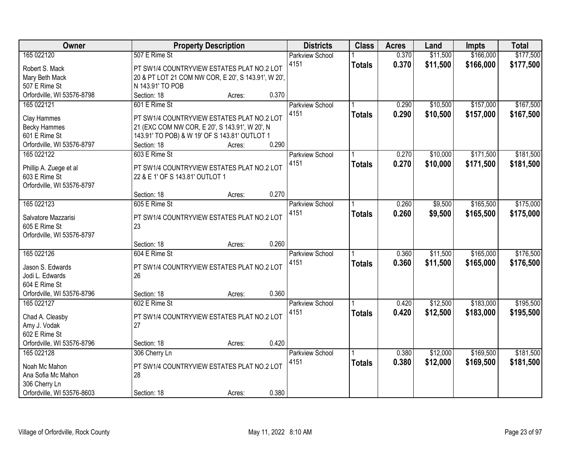| <b>Owner</b>               | <b>Property Description</b>                         | <b>Districts</b>       | <b>Class</b>  | <b>Acres</b> | Land     | <b>Impts</b> | <b>Total</b> |
|----------------------------|-----------------------------------------------------|------------------------|---------------|--------------|----------|--------------|--------------|
| 165 022120                 | 507 E Rime St                                       | <b>Parkview School</b> |               | 0.370        | \$11,500 | \$166,000    | \$177,500    |
| Robert S. Mack             | PT SW1/4 COUNTRYVIEW ESTATES PLAT NO.2 LOT          | 4151                   | <b>Totals</b> | 0.370        | \$11,500 | \$166,000    | \$177,500    |
| Mary Beth Mack             | 20 & PT LOT 21 COM NW COR, E 20', S 143.91', W 20', |                        |               |              |          |              |              |
| 507 E Rime St              | N 143.91' TO POB                                    |                        |               |              |          |              |              |
| Orfordville, WI 53576-8798 | Section: 18<br>0.370<br>Acres:                      |                        |               |              |          |              |              |
| 165 022121                 | 601 E Rime St                                       | Parkview School        |               | 0.290        | \$10,500 | \$157,000    | \$167,500    |
|                            |                                                     | 4151                   | <b>Totals</b> | 0.290        | \$10,500 | \$157,000    | \$167,500    |
| Clay Hammes                | PT SW1/4 COUNTRYVIEW ESTATES PLAT NO.2 LOT          |                        |               |              |          |              |              |
| <b>Becky Hammes</b>        | 21 (EXC COM NW COR, E 20', S 143.91', W 20', N      |                        |               |              |          |              |              |
| 601 E Rime St              | 143.91' TO POB) & W 19' OF S 143.81' OUTLOT 1       |                        |               |              |          |              |              |
| Orfordville, WI 53576-8797 | 0.290<br>Section: 18<br>Acres:                      |                        |               |              |          |              |              |
| 165 022122                 | 603 E Rime St                                       | Parkview School        |               | 0.270        | \$10,000 | \$171,500    | \$181,500    |
| Phillip A. Zuege et al     | PT SW1/4 COUNTRYVIEW ESTATES PLAT NO.2 LOT          | 4151                   | <b>Totals</b> | 0.270        | \$10,000 | \$171,500    | \$181,500    |
| 603 E Rime St              | 22 & E 1' OF S 143.81' OUTLOT 1                     |                        |               |              |          |              |              |
| Orfordville, WI 53576-8797 |                                                     |                        |               |              |          |              |              |
|                            | 0.270<br>Section: 18<br>Acres:                      |                        |               |              |          |              |              |
| 165 022123                 | 605 E Rime St                                       | <b>Parkview School</b> |               | 0.260        | \$9,500  | \$165,500    | \$175,000    |
|                            |                                                     | 4151                   | <b>Totals</b> | 0.260        | \$9,500  | \$165,500    | \$175,000    |
| Salvatore Mazzarisi        | PT SW1/4 COUNTRYVIEW ESTATES PLAT NO.2 LOT          |                        |               |              |          |              |              |
| 605 E Rime St              | 23                                                  |                        |               |              |          |              |              |
| Orfordville, WI 53576-8797 |                                                     |                        |               |              |          |              |              |
|                            | 0.260<br>Section: 18<br>Acres:                      |                        |               |              |          |              |              |
| 165 022126                 | 604 E Rime St                                       | <b>Parkview School</b> |               | 0.360        | \$11,500 | \$165,000    | \$176,500    |
| Jason S. Edwards           | PT SW1/4 COUNTRYVIEW ESTATES PLAT NO.2 LOT          | 4151                   | <b>Totals</b> | 0.360        | \$11,500 | \$165,000    | \$176,500    |
| Jodi L. Edwards            | 26                                                  |                        |               |              |          |              |              |
| 604 E Rime St              |                                                     |                        |               |              |          |              |              |
| Orfordville, WI 53576-8796 | 0.360<br>Section: 18<br>Acres:                      |                        |               |              |          |              |              |
| 165 022127                 | 602 E Rime St                                       | <b>Parkview School</b> |               | 0.420        | \$12,500 | \$183,000    | \$195,500    |
|                            |                                                     | 4151                   | <b>Totals</b> | 0.420        | \$12,500 | \$183,000    | \$195,500    |
| Chad A. Cleasby            | PT SW1/4 COUNTRYVIEW ESTATES PLAT NO.2 LOT          |                        |               |              |          |              |              |
| Amy J. Vodak               | 27                                                  |                        |               |              |          |              |              |
| 602 E Rime St              |                                                     |                        |               |              |          |              |              |
| Orfordville, WI 53576-8796 | 0.420<br>Section: 18<br>Acres:                      |                        |               |              |          |              |              |
| 165 022128                 | 306 Cherry Ln                                       | <b>Parkview School</b> |               | 0.380        | \$12,000 | \$169,500    | \$181,500    |
| Noah Mc Mahon              | PT SW1/4 COUNTRYVIEW ESTATES PLAT NO.2 LOT          | 4151                   | <b>Totals</b> | 0.380        | \$12,000 | \$169,500    | \$181,500    |
| Ana Sofia Mc Mahon         | 28                                                  |                        |               |              |          |              |              |
| 306 Cherry Ln              |                                                     |                        |               |              |          |              |              |
| Orfordville, WI 53576-8603 | 0.380<br>Section: 18<br>Acres:                      |                        |               |              |          |              |              |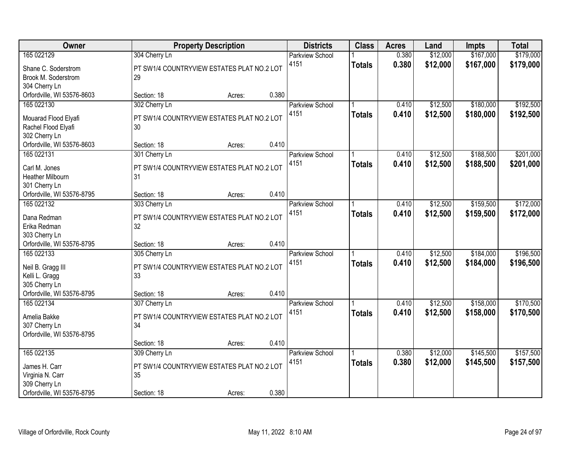| Owner                                       | <b>Property Description</b>                      |       | <b>Districts</b>       | <b>Class</b>  | <b>Acres</b> | Land     | <b>Impts</b> | <b>Total</b> |
|---------------------------------------------|--------------------------------------------------|-------|------------------------|---------------|--------------|----------|--------------|--------------|
| 165 022129                                  | 304 Cherry Ln                                    |       | <b>Parkview School</b> |               | 0.380        | \$12,000 | \$167,000    | \$179,000    |
| Shane C. Soderstrom                         | PT SW1/4 COUNTRYVIEW ESTATES PLAT NO.2 LOT       |       | 4151                   | <b>Totals</b> | 0.380        | \$12,000 | \$167,000    | \$179,000    |
| Brook M. Soderstrom                         | 29                                               |       |                        |               |              |          |              |              |
| 304 Cherry Ln                               |                                                  |       |                        |               |              |          |              |              |
| Orfordville, WI 53576-8603                  | Section: 18<br>Acres:                            | 0.380 |                        |               |              |          |              |              |
| 165 022130                                  | 302 Cherry Ln                                    |       | <b>Parkview School</b> |               | 0.410        | \$12,500 | \$180,000    | \$192,500    |
| Mouarad Flood Elyafi                        | PT SW1/4 COUNTRYVIEW ESTATES PLAT NO.2 LOT       |       | 4151                   | <b>Totals</b> | 0.410        | \$12,500 | \$180,000    | \$192,500    |
| Rachel Flood Elyafi                         | 30                                               |       |                        |               |              |          |              |              |
| 302 Cherry Ln                               |                                                  |       |                        |               |              |          |              |              |
| Orfordville, WI 53576-8603                  | Section: 18<br>Acres:                            | 0.410 |                        |               |              |          |              |              |
| 165 022131                                  | 301 Cherry Ln                                    |       | Parkview School        |               | 0.410        | \$12,500 | \$188,500    | \$201,000    |
| Carl M. Jones                               | PT SW1/4 COUNTRYVIEW ESTATES PLAT NO.2 LOT       |       | 4151                   | <b>Totals</b> | 0.410        | \$12,500 | \$188,500    | \$201,000    |
| Heather Milbourn                            | 31                                               |       |                        |               |              |          |              |              |
| 301 Cherry Ln                               |                                                  |       |                        |               |              |          |              |              |
| Orfordville, WI 53576-8795                  | Section: 18<br>Acres:                            | 0.410 |                        |               |              |          |              |              |
| 165 022132                                  | 303 Cherry Ln                                    |       | Parkview School        |               | 0.410        | \$12,500 | \$159,500    | \$172,000    |
| Dana Redman                                 | PT SW1/4 COUNTRYVIEW ESTATES PLAT NO.2 LOT       |       | 4151                   | <b>Totals</b> | 0.410        | \$12,500 | \$159,500    | \$172,000    |
| Erika Redman                                | 32                                               |       |                        |               |              |          |              |              |
| 303 Cherry Ln                               |                                                  |       |                        |               |              |          |              |              |
| Orfordville, WI 53576-8795                  | Section: 18<br>Acres:                            | 0.410 |                        |               |              |          |              |              |
| 165 022133                                  | 305 Cherry Ln                                    |       | Parkview School        |               | 0.410        | \$12,500 | \$184,000    | \$196,500    |
|                                             |                                                  |       | 4151                   | <b>Totals</b> | 0.410        | \$12,500 | \$184,000    | \$196,500    |
| Neil B. Gragg III<br>Kelli L. Gragg         | PT SW1/4 COUNTRYVIEW ESTATES PLAT NO.2 LOT<br>33 |       |                        |               |              |          |              |              |
| 305 Cherry Ln                               |                                                  |       |                        |               |              |          |              |              |
| Orfordville, WI 53576-8795                  | Section: 18<br>Acres:                            | 0.410 |                        |               |              |          |              |              |
| 165 022134                                  | 307 Cherry Ln                                    |       | <b>Parkview School</b> |               | 0.410        | \$12,500 | \$158,000    | \$170,500    |
|                                             |                                                  |       | 4151                   | <b>Totals</b> | 0.410        | \$12,500 | \$158,000    | \$170,500    |
| Amelia Bakke                                | PT SW1/4 COUNTRYVIEW ESTATES PLAT NO.2 LOT<br>34 |       |                        |               |              |          |              |              |
| 307 Cherry Ln<br>Orfordville, WI 53576-8795 |                                                  |       |                        |               |              |          |              |              |
|                                             | Section: 18<br>Acres:                            | 0.410 |                        |               |              |          |              |              |
| 165 022135                                  | 309 Cherry Ln                                    |       | Parkview School        |               | 0.380        | \$12,000 | \$145,500    | \$157,500    |
|                                             |                                                  |       | 4151                   | <b>Totals</b> | 0.380        | \$12,000 | \$145,500    | \$157,500    |
| James H. Carr                               | PT SW1/4 COUNTRYVIEW ESTATES PLAT NO.2 LOT       |       |                        |               |              |          |              |              |
| Virginia N. Carr<br>309 Cherry Ln           | 35                                               |       |                        |               |              |          |              |              |
| Orfordville, WI 53576-8795                  | Section: 18<br>Acres:                            | 0.380 |                        |               |              |          |              |              |
|                                             |                                                  |       |                        |               |              |          |              |              |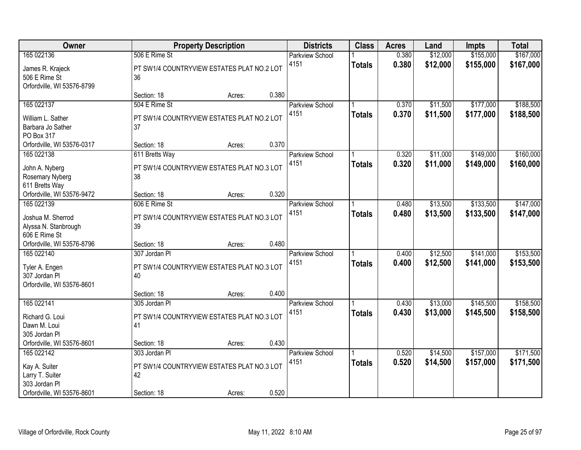| Owner                                                           |                                                             | <b>Property Description</b> |       | <b>Districts</b>               | <b>Class</b>  | <b>Acres</b>   | Land                 | <b>Impts</b>           | <b>Total</b>           |
|-----------------------------------------------------------------|-------------------------------------------------------------|-----------------------------|-------|--------------------------------|---------------|----------------|----------------------|------------------------|------------------------|
| 165 022136                                                      | 506 E Rime St                                               |                             |       | <b>Parkview School</b><br>4151 | <b>Totals</b> | 0.380<br>0.380 | \$12,000<br>\$12,000 | \$155,000<br>\$155,000 | \$167,000<br>\$167,000 |
| James R. Krajeck<br>506 E Rime St<br>Orfordville, WI 53576-8799 | PT SW1/4 COUNTRYVIEW ESTATES PLAT NO.2 LOT<br>36            |                             |       |                                |               |                |                      |                        |                        |
|                                                                 | Section: 18                                                 | Acres:                      | 0.380 |                                |               |                |                      |                        |                        |
| 165 022137                                                      | 504 E Rime St                                               |                             |       | <b>Parkview School</b>         |               | 0.370          | \$11,500             | \$177,000              | \$188,500              |
| William L. Sather<br>Barbara Jo Sather<br>PO Box 317            | PT SW1/4 COUNTRYVIEW ESTATES PLAT NO.2 LOT<br>37            |                             |       | 4151                           | <b>Totals</b> | 0.370          | \$11,500             | \$177,000              | \$188,500              |
| Orfordville, WI 53576-0317                                      | Section: 18                                                 | Acres:                      | 0.370 |                                |               |                |                      |                        |                        |
| 165 022138                                                      | 611 Bretts Way                                              |                             |       | Parkview School                |               | 0.320          | \$11,000             | \$149,000              | \$160,000              |
| John A. Nyberg<br>Rosemary Nyberg<br>611 Bretts Way             | PT SW1/4 COUNTRYVIEW ESTATES PLAT NO.3 LOT<br>38            |                             |       | 4151                           | <b>Totals</b> | 0.320          | \$11,000             | \$149,000              | \$160,000              |
| Orfordville, WI 53576-9472                                      | Section: 18                                                 | Acres:                      | 0.320 |                                |               |                |                      |                        |                        |
| 165 022139                                                      | 606 E Rime St                                               |                             |       | <b>Parkview School</b>         |               | 0.480          | \$13,500             | \$133,500              | \$147,000              |
| Joshua M. Sherrod<br>Alyssa N. Stanbrough<br>606 E Rime St      | PT SW1/4 COUNTRYVIEW ESTATES PLAT NO.3 LOT<br>39            |                             |       | 4151                           | <b>Totals</b> | 0.480          | \$13,500             | \$133,500              | \$147,000              |
| Orfordville, WI 53576-8796                                      | Section: 18                                                 | Acres:                      | 0.480 |                                |               |                |                      |                        |                        |
| 165 022140<br>Tyler A. Engen                                    | 307 Jordan PI<br>PT SW1/4 COUNTRYVIEW ESTATES PLAT NO.3 LOT |                             |       | <b>Parkview School</b><br>4151 | <b>Totals</b> | 0.400<br>0.400 | \$12,500<br>\$12,500 | \$141,000<br>\$141,000 | \$153,500<br>\$153,500 |
| 307 Jordan Pl<br>Orfordville, WI 53576-8601                     | 40                                                          |                             |       |                                |               |                |                      |                        |                        |
|                                                                 | Section: 18                                                 | Acres:                      | 0.400 |                                |               |                |                      |                        |                        |
| 165 022141                                                      | 305 Jordan PI                                               |                             |       | <b>Parkview School</b>         |               | 0.430          | \$13,000             | \$145,500              | \$158,500              |
| Richard G. Loui<br>Dawn M. Loui<br>305 Jordan Pl                | PT SW1/4 COUNTRYVIEW ESTATES PLAT NO.3 LOT<br>41            |                             |       | 4151                           | <b>Totals</b> | 0.430          | \$13,000             | \$145,500              | \$158,500              |
| Orfordville, WI 53576-8601                                      | Section: 18                                                 | Acres:                      | 0.430 |                                |               |                |                      |                        |                        |
| 165 022142                                                      | 303 Jordan PI                                               |                             |       | <b>Parkview School</b>         |               | 0.520          | \$14,500             | \$157,000              | \$171,500              |
| Kay A. Suiter<br>Larry T. Suiter<br>303 Jordan Pl               | PT SW1/4 COUNTRYVIEW ESTATES PLAT NO.3 LOT<br>42            |                             |       | 4151                           | <b>Totals</b> | 0.520          | \$14,500             | \$157,000              | \$171,500              |
| Orfordville, WI 53576-8601                                      | Section: 18                                                 | Acres:                      | 0.520 |                                |               |                |                      |                        |                        |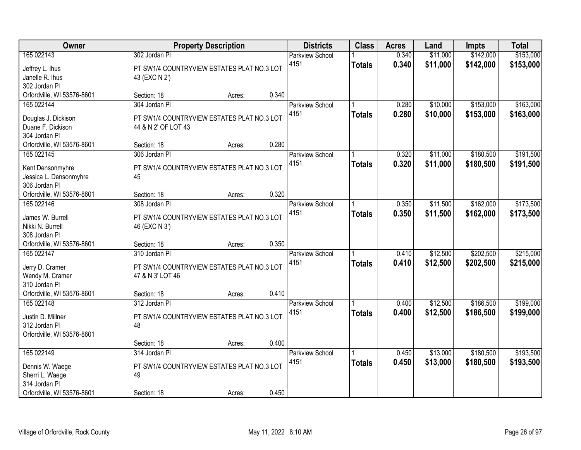| Owner                                                                                           |                                                                                                | <b>Property Description</b> |       | <b>Districts</b>               | <b>Class</b>  | <b>Acres</b>   | Land                 | <b>Impts</b>           | <b>Total</b>           |
|-------------------------------------------------------------------------------------------------|------------------------------------------------------------------------------------------------|-----------------------------|-------|--------------------------------|---------------|----------------|----------------------|------------------------|------------------------|
| 165 022143<br>Jeffrey L. Ihus<br>Janelle R. Ihus<br>302 Jordan Pl                               | 302 Jordan Pl<br>PT SW1/4 COUNTRYVIEW ESTATES PLAT NO.3 LOT<br>43 (EXC N 2')                   |                             |       | <b>Parkview School</b><br>4151 | <b>Totals</b> | 0.340<br>0.340 | \$11,000<br>\$11,000 | \$142,000<br>\$142,000 | \$153,000<br>\$153,000 |
| Orfordville, WI 53576-8601                                                                      | Section: 18                                                                                    | Acres:                      | 0.340 |                                |               |                |                      |                        |                        |
| 165 022144<br>Douglas J. Dickison<br>Duane F. Dickison<br>304 Jordan Pl                         | 304 Jordan PI<br>PT SW1/4 COUNTRYVIEW ESTATES PLAT NO.3 LOT<br>44 & N 2' OF LOT 43             |                             |       | <b>Parkview School</b><br>4151 | <b>Totals</b> | 0.280<br>0.280 | \$10,000<br>\$10,000 | \$153,000<br>\$153,000 | \$163,000<br>\$163,000 |
| Orfordville, WI 53576-8601                                                                      | Section: 18                                                                                    | Acres:                      | 0.280 |                                |               |                |                      |                        |                        |
| 165 022145<br>Kent Densonmyhre<br>Jessica L. Densonmyhre<br>306 Jordan Pl                       | 306 Jordan Pl<br>PT SW1/4 COUNTRYVIEW ESTATES PLAT NO.3 LOT<br>45                              |                             |       | Parkview School<br>4151        | <b>Totals</b> | 0.320<br>0.320 | \$11,000<br>\$11,000 | \$180,500<br>\$180,500 | \$191,500<br>\$191,500 |
| Orfordville, WI 53576-8601                                                                      | Section: 18                                                                                    | Acres:                      | 0.320 |                                |               |                |                      |                        |                        |
| 165 022146<br>James W. Burrell<br>Nikki N. Burrell<br>308 Jordan Pl                             | 308 Jordan Pl<br>PT SW1/4 COUNTRYVIEW ESTATES PLAT NO.3 LOT<br>46 (EXC N 3')                   |                             |       | <b>Parkview School</b><br>4151 | <b>Totals</b> | 0.350<br>0.350 | \$11,500<br>\$11,500 | \$162,000<br>\$162,000 | \$173,500<br>\$173,500 |
| Orfordville, WI 53576-8601                                                                      | Section: 18                                                                                    | Acres:                      | 0.350 |                                |               |                |                      |                        |                        |
| 165 022147<br>Jerry D. Cramer<br>Wendy M. Cramer<br>310 Jordan Pl<br>Orfordville, WI 53576-8601 | 310 Jordan PI<br>PT SW1/4 COUNTRYVIEW ESTATES PLAT NO.3 LOT<br>47 & N 3' LOT 46<br>Section: 18 | Acres:                      | 0.410 | <b>Parkview School</b><br>4151 | <b>Totals</b> | 0.410<br>0.410 | \$12,500<br>\$12,500 | \$202,500<br>\$202,500 | \$215,000<br>\$215,000 |
| 165 022148                                                                                      | 312 Jordan Pl                                                                                  |                             |       | <b>Parkview School</b>         |               | 0.400          | \$12,500             | \$186,500              | \$199,000              |
| Justin D. Millner<br>312 Jordan Pl<br>Orfordville, WI 53576-8601                                | PT SW1/4 COUNTRYVIEW ESTATES PLAT NO.3 LOT<br>48                                               |                             |       | 4151                           | <b>Totals</b> | 0.400          | \$12,500             | \$186,500              | \$199,000              |
|                                                                                                 | Section: 18                                                                                    | Acres:                      | 0.400 |                                |               |                |                      |                        |                        |
| 165 022149<br>Dennis W. Waege<br>Sherri L. Waege<br>314 Jordan Pl<br>Orfordville, WI 53576-8601 | 314 Jordan PI<br>PT SW1/4 COUNTRYVIEW ESTATES PLAT NO.3 LOT<br>49<br>Section: 18               | Acres:                      | 0.450 | <b>Parkview School</b><br>4151 | <b>Totals</b> | 0.450<br>0.450 | \$13,000<br>\$13,000 | \$180,500<br>\$180,500 | \$193,500<br>\$193,500 |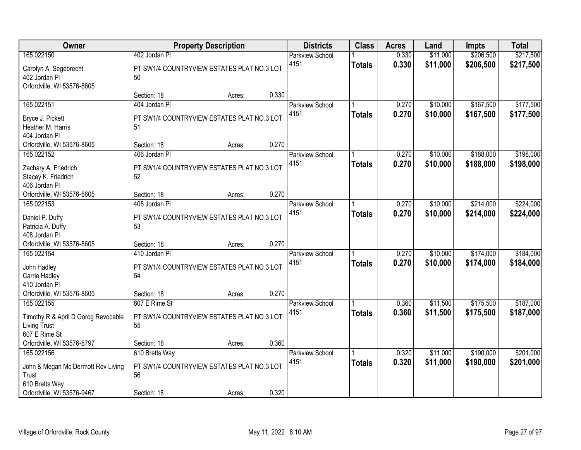| Owner                                       |                                                             | <b>Property Description</b> |       | <b>Districts</b>               | <b>Class</b>  | <b>Acres</b>   | Land                 | <b>Impts</b>           | <b>Total</b>           |
|---------------------------------------------|-------------------------------------------------------------|-----------------------------|-------|--------------------------------|---------------|----------------|----------------------|------------------------|------------------------|
| 165 022150<br>Carolyn A. Segebrecht         | 402 Jordan Pl<br>PT SW1/4 COUNTRYVIEW ESTATES PLAT NO.3 LOT |                             |       | <b>Parkview School</b><br>4151 | <b>Totals</b> | 0.330<br>0.330 | \$11,000<br>\$11,000 | \$206,500<br>\$206,500 | \$217,500<br>\$217,500 |
| 402 Jordan Pl<br>Orfordville, WI 53576-8605 | 50                                                          |                             |       |                                |               |                |                      |                        |                        |
|                                             | Section: 18                                                 | Acres:                      | 0.330 |                                |               |                |                      |                        |                        |
| 165 022151                                  | 404 Jordan PI                                               |                             |       | <b>Parkview School</b>         |               | 0.270          | \$10,000             | \$167,500              | \$177,500              |
| Bryce J. Pickett                            | PT SW1/4 COUNTRYVIEW ESTATES PLAT NO.3 LOT                  |                             |       | 4151                           | <b>Totals</b> | 0.270          | \$10,000             | \$167,500              | \$177,500              |
| Heather M. Harris                           | 51                                                          |                             |       |                                |               |                |                      |                        |                        |
| 404 Jordan Pl                               |                                                             |                             |       |                                |               |                |                      |                        |                        |
| Orfordville, WI 53576-8605                  | Section: 18                                                 | Acres:                      | 0.270 |                                |               |                |                      |                        |                        |
| 165 022152                                  | 406 Jordan Pl                                               |                             |       | <b>Parkview School</b>         |               | 0.270          | \$10,000             | \$188,000              | \$198,000              |
| Zachary A. Friedrich                        | PT SW1/4 COUNTRYVIEW ESTATES PLAT NO.3 LOT                  |                             |       | 4151                           | <b>Totals</b> | 0.270          | \$10,000             | \$188,000              | \$198,000              |
| Stacey K. Friedrich                         | 52                                                          |                             |       |                                |               |                |                      |                        |                        |
| 406 Jordan Pl                               |                                                             |                             |       |                                |               |                |                      |                        |                        |
| Orfordville, WI 53576-8605                  | Section: 18                                                 | Acres:                      | 0.270 |                                |               |                |                      |                        |                        |
| 165 022153                                  | 408 Jordan PI                                               |                             |       | <b>Parkview School</b>         |               | 0.270          | \$10,000             | \$214,000              | \$224,000              |
|                                             | PT SW1/4 COUNTRYVIEW ESTATES PLAT NO.3 LOT                  |                             |       | 4151                           | <b>Totals</b> | 0.270          | \$10,000             | \$214,000              | \$224,000              |
| Daniel P. Duffy<br>Patricia A. Duffy        | 53                                                          |                             |       |                                |               |                |                      |                        |                        |
| 408 Jordan Pl                               |                                                             |                             |       |                                |               |                |                      |                        |                        |
| Orfordville, WI 53576-8605                  | Section: 18                                                 | Acres:                      | 0.270 |                                |               |                |                      |                        |                        |
| 165 022154                                  | 410 Jordan PI                                               |                             |       | <b>Parkview School</b>         |               | 0.270          | \$10,000             | \$174,000              | \$184,000              |
|                                             |                                                             |                             |       | 4151                           | <b>Totals</b> | 0.270          | \$10,000             | \$174,000              | \$184,000              |
| John Hadley                                 | PT SW1/4 COUNTRYVIEW ESTATES PLAT NO.3 LOT                  |                             |       |                                |               |                |                      |                        |                        |
| Carrie Hadley<br>410 Jordan Pl              | 54                                                          |                             |       |                                |               |                |                      |                        |                        |
| Orfordville, WI 53576-8605                  | Section: 18                                                 |                             | 0.270 |                                |               |                |                      |                        |                        |
| 165 022155                                  | 607 E Rime St                                               | Acres:                      |       | <b>Parkview School</b>         |               | 0.360          | \$11,500             | \$175,500              | \$187,000              |
|                                             |                                                             |                             |       | 4151                           | <b>Totals</b> | 0.360          | \$11,500             | \$175,500              | \$187,000              |
| Timothy R & April D Gorog Revocable         | PT SW1/4 COUNTRYVIEW ESTATES PLAT NO.3 LOT                  |                             |       |                                |               |                |                      |                        |                        |
| <b>Living Trust</b>                         | 55                                                          |                             |       |                                |               |                |                      |                        |                        |
| 607 E Rime St                               |                                                             |                             |       |                                |               |                |                      |                        |                        |
| Orfordville, WI 53576-8797                  | Section: 18                                                 | Acres:                      | 0.360 |                                |               |                |                      |                        |                        |
| 165 022156                                  | 610 Bretts Way                                              |                             |       | <b>Parkview School</b>         |               | 0.320          | \$11,000             | \$190,000              | \$201,000              |
| John & Megan Mc Dermott Rev Living          | PT SW1/4 COUNTRYVIEW ESTATES PLAT NO.3 LOT                  |                             |       | 4151                           | <b>Totals</b> | 0.320          | \$11,000             | \$190,000              | \$201,000              |
| Trust                                       | 56                                                          |                             |       |                                |               |                |                      |                        |                        |
| 610 Bretts Way                              |                                                             |                             |       |                                |               |                |                      |                        |                        |
| Orfordville, WI 53576-9467                  | Section: 18                                                 | Acres:                      | 0.320 |                                |               |                |                      |                        |                        |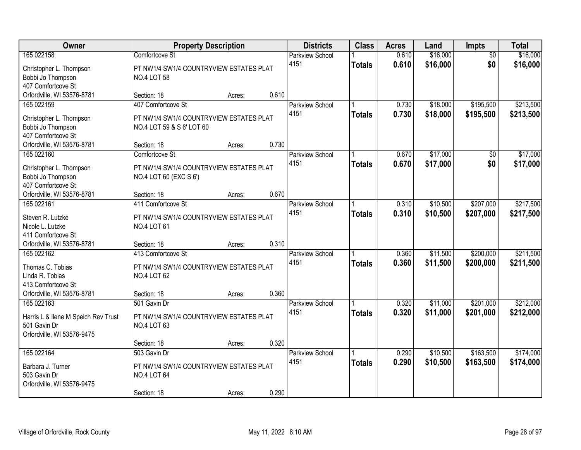| Owner                                                                                   | <b>Property Description</b>                                                                  |        | <b>Districts</b>                 | <b>Class</b>  | <b>Acres</b>   | Land                 | <b>Impts</b>           | <b>Total</b>           |
|-----------------------------------------------------------------------------------------|----------------------------------------------------------------------------------------------|--------|----------------------------------|---------------|----------------|----------------------|------------------------|------------------------|
| 165 022158                                                                              | Comfortcove St                                                                               |        | <b>Parkview School</b>           |               | 0.610          | \$16,000             | $\overline{50}$        | \$16,000               |
| Christopher L. Thompson<br>Bobbi Jo Thompson<br>407 Comfortcove St                      | PT NW1/4 SW1/4 COUNTRYVIEW ESTATES PLAT<br><b>NO.4 LOT 58</b>                                |        | 4151                             | <b>Totals</b> | 0.610          | \$16,000             | \$0                    | \$16,000               |
| Orfordville, WI 53576-8781                                                              | Section: 18                                                                                  | Acres: | 0.610                            |               |                |                      |                        |                        |
| 165 022159<br>Christopher L. Thompson<br>Bobbi Jo Thompson<br>407 Comfortcove St        | 407 Comfortcove St<br>PT NW1/4 SW1/4 COUNTRYVIEW ESTATES PLAT<br>NO.4 LOT 59 & S 6' LOT 60   |        | Parkview School<br>4151          | <b>Totals</b> | 0.730<br>0.730 | \$18,000<br>\$18,000 | \$195,500<br>\$195,500 | \$213,500<br>\$213,500 |
| Orfordville, WI 53576-8781                                                              | Section: 18                                                                                  | Acres: | 0.730                            |               |                |                      |                        |                        |
| 165 022160<br>Christopher L. Thompson<br>Bobbi Jo Thompson<br>407 Comfortcove St        | Comfortcove St<br>PT NW1/4 SW1/4 COUNTRYVIEW ESTATES PLAT<br>NO.4 LOT 60 (EXC S 6')          |        | Parkview School<br>4151          | <b>Totals</b> | 0.670<br>0.670 | \$17,000<br>\$17,000 | \$0<br>\$0             | \$17,000<br>\$17,000   |
| Orfordville, WI 53576-8781                                                              | Section: 18                                                                                  | Acres: | 0.670                            |               |                |                      |                        |                        |
| 165 022161                                                                              | 411 Comfortcove St                                                                           |        | <b>Parkview School</b><br>4151   | <b>Totals</b> | 0.310<br>0.310 | \$10,500<br>\$10,500 | \$207,000<br>\$207,000 | \$217,500<br>\$217,500 |
| Steven R. Lutzke<br>Nicole L. Lutzke<br>411 Comfortcove St                              | PT NW1/4 SW1/4 COUNTRYVIEW ESTATES PLAT<br><b>NO.4 LOT 61</b>                                |        |                                  |               |                |                      |                        |                        |
| Orfordville, WI 53576-8781<br>165 022162                                                | Section: 18<br>413 Comfortcove St                                                            | Acres: | 0.310                            |               | 0.360          | \$11,500             | \$200,000              | \$211,500              |
| Thomas C. Tobias<br>Linda R. Tobias<br>413 Comfortcove St<br>Orfordville, WI 53576-8781 | PT NW1/4 SW1/4 COUNTRYVIEW ESTATES PLAT<br><b>NO.4 LOT 62</b><br>Section: 18                 | Acres: | Parkview School<br>4151<br>0.360 | <b>Totals</b> | 0.360          | \$11,500             | \$200,000              | \$211,500              |
| 165 022163                                                                              | 501 Gavin Dr                                                                                 |        | Parkview School                  |               | 0.320          | \$11,000             | \$201,000              | \$212,000              |
| Harris L & Ilene M Speich Rev Trust<br>501 Gavin Dr<br>Orfordville, WI 53576-9475       | PT NW1/4 SW1/4 COUNTRYVIEW ESTATES PLAT<br><b>NO.4 LOT 63</b>                                |        | 4151                             | <b>Totals</b> | 0.320          | \$11,000             | \$201,000              | \$212,000              |
|                                                                                         | Section: 18                                                                                  | Acres: | 0.320                            |               |                |                      |                        |                        |
| 165 022164<br>Barbara J. Turner<br>503 Gavin Dr<br>Orfordville, WI 53576-9475           | 503 Gavin Dr<br>PT NW1/4 SW1/4 COUNTRYVIEW ESTATES PLAT<br><b>NO.4 LOT 64</b><br>Section: 18 |        | Parkview School<br>4151<br>0.290 | <b>Totals</b> | 0.290<br>0.290 | \$10,500<br>\$10,500 | \$163,500<br>\$163,500 | \$174,000<br>\$174,000 |
|                                                                                         |                                                                                              | Acres: |                                  |               |                |                      |                        |                        |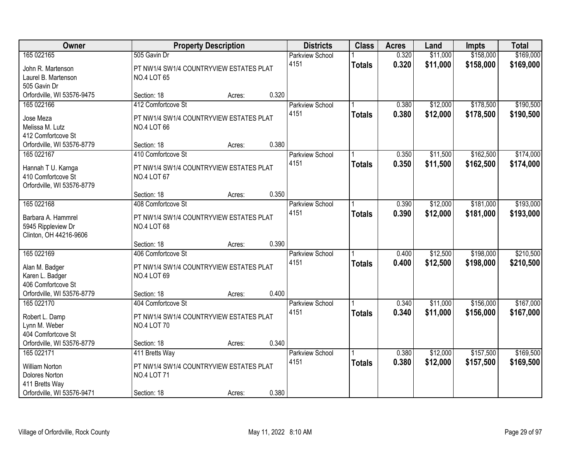| Owner                                                                                                        |                                                                                                    | <b>Property Description</b> |       | <b>Districts</b>               | <b>Class</b>  | <b>Acres</b>   | Land                 | <b>Impts</b>           | <b>Total</b>           |
|--------------------------------------------------------------------------------------------------------------|----------------------------------------------------------------------------------------------------|-----------------------------|-------|--------------------------------|---------------|----------------|----------------------|------------------------|------------------------|
| 165 022165<br>John R. Martenson<br>Laurel B. Martenson<br>505 Gavin Dr                                       | 505 Gavin Dr<br>PT NW1/4 SW1/4 COUNTRYVIEW ESTATES PLAT<br><b>NO.4 LOT 65</b>                      |                             |       | <b>Parkview School</b><br>4151 | <b>Totals</b> | 0.320<br>0.320 | \$11,000<br>\$11,000 | \$158,000<br>\$158,000 | \$169,000<br>\$169,000 |
| Orfordville, WI 53576-9475                                                                                   | Section: 18                                                                                        | Acres:                      | 0.320 |                                |               |                |                      |                        |                        |
| 165 022166<br>Jose Meza<br>Melissa M. Lutz<br>412 Comfortcove St                                             | 412 Comfortcove St<br>PT NW1/4 SW1/4 COUNTRYVIEW ESTATES PLAT<br><b>NO.4 LOT 66</b>                |                             |       | <b>Parkview School</b><br>4151 | <b>Totals</b> | 0.380<br>0.380 | \$12,000<br>\$12,000 | \$178,500<br>\$178,500 | \$190,500<br>\$190,500 |
| Orfordville, WI 53576-8779                                                                                   | Section: 18                                                                                        | Acres:                      | 0.380 |                                |               |                |                      |                        |                        |
| 165 022167<br>Hannah T U. Karnga<br>410 Comfortcove St<br>Orfordville, WI 53576-8779                         | 410 Comfortcove St<br>PT NW1/4 SW1/4 COUNTRYVIEW ESTATES PLAT<br><b>NO.4 LOT 67</b>                |                             |       | Parkview School<br>4151        | <b>Totals</b> | 0.350<br>0.350 | \$11,500<br>\$11,500 | \$162,500<br>\$162,500 | \$174,000<br>\$174,000 |
|                                                                                                              | Section: 18                                                                                        | Acres:                      | 0.350 |                                |               |                |                      |                        |                        |
| 165 022168<br>Barbara A. Hammrel<br>5945 Rippleview Dr<br>Clinton, OH 44216-9606                             | 408 Comfortcove St<br>PT NW1/4 SW1/4 COUNTRYVIEW ESTATES PLAT<br><b>NO.4 LOT 68</b>                |                             |       | Parkview School<br>4151        | <b>Totals</b> | 0.390<br>0.390 | \$12,000<br>\$12,000 | \$181,000<br>\$181,000 | \$193,000<br>\$193,000 |
|                                                                                                              | Section: 18                                                                                        | Acres:                      | 0.390 |                                |               |                |                      |                        |                        |
| 165 022169<br>Alan M. Badger<br>Karen L. Badger<br>406 Comfortcove St<br>Orfordville, WI 53576-8779          | 406 Comfortcove St<br>PT NW1/4 SW1/4 COUNTRYVIEW ESTATES PLAT<br><b>NO.4 LOT 69</b><br>Section: 18 | Acres:                      | 0.400 | Parkview School<br>4151        | <b>Totals</b> | 0.400<br>0.400 | \$12,500<br>\$12,500 | \$198,000<br>\$198,000 | \$210,500<br>\$210,500 |
| 165 022170<br>Robert L. Damp<br>Lynn M. Weber<br>404 Comfortcove St<br>Orfordville, WI 53576-8779            | 404 Comfortcove St<br>PT NW1/4 SW1/4 COUNTRYVIEW ESTATES PLAT<br><b>NO.4 LOT 70</b><br>Section: 18 | Acres:                      | 0.340 | <b>Parkview School</b><br>4151 | <b>Totals</b> | 0.340<br>0.340 | \$11,000<br>\$11,000 | \$156,000<br>\$156,000 | \$167,000<br>\$167,000 |
| 165 022171<br><b>William Norton</b><br><b>Dolores Norton</b><br>411 Bretts Way<br>Orfordville, WI 53576-9471 | 411 Bretts Way<br>PT NW1/4 SW1/4 COUNTRYVIEW ESTATES PLAT<br><b>NO.4 LOT 71</b><br>Section: 18     | Acres:                      | 0.380 | <b>Parkview School</b><br>4151 | <b>Totals</b> | 0.380<br>0.380 | \$12,000<br>\$12,000 | \$157,500<br>\$157,500 | \$169,500<br>\$169,500 |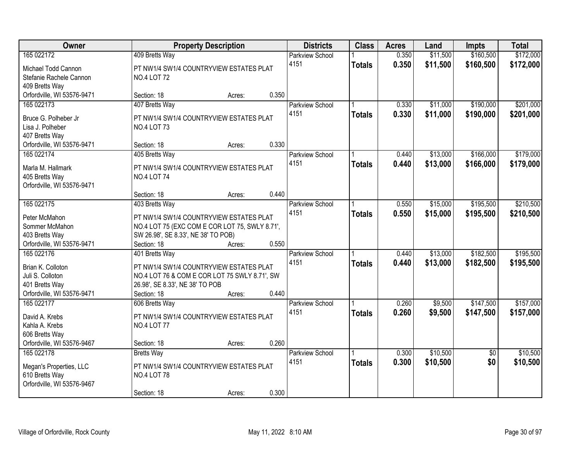| Owner                      |                                                | <b>Property Description</b> |       | <b>Districts</b>       | <b>Class</b>  | <b>Acres</b> | Land     | <b>Impts</b>    | <b>Total</b> |
|----------------------------|------------------------------------------------|-----------------------------|-------|------------------------|---------------|--------------|----------|-----------------|--------------|
| 165 022172                 | 409 Bretts Way                                 |                             |       | <b>Parkview School</b> |               | 0.350        | \$11,500 | \$160,500       | \$172,000    |
| Michael Todd Cannon        | PT NW1/4 SW1/4 COUNTRYVIEW ESTATES PLAT        |                             |       | 4151                   | <b>Totals</b> | 0.350        | \$11,500 | \$160,500       | \$172,000    |
| Stefanie Rachele Cannon    | <b>NO.4 LOT 72</b>                             |                             |       |                        |               |              |          |                 |              |
| 409 Bretts Way             |                                                |                             |       |                        |               |              |          |                 |              |
| Orfordville, WI 53576-9471 | Section: 18                                    | Acres:                      | 0.350 |                        |               |              |          |                 |              |
| 165 022173                 | 407 Bretts Way                                 |                             |       | <b>Parkview School</b> |               | 0.330        | \$11,000 | \$190,000       | \$201,000    |
| Bruce G. Polheber Jr       | PT NW1/4 SW1/4 COUNTRYVIEW ESTATES PLAT        |                             |       | 4151                   | <b>Totals</b> | 0.330        | \$11,000 | \$190,000       | \$201,000    |
| Lisa J. Polheber           | <b>NO.4 LOT 73</b>                             |                             |       |                        |               |              |          |                 |              |
| 407 Bretts Way             |                                                |                             |       |                        |               |              |          |                 |              |
| Orfordville, WI 53576-9471 | Section: 18                                    | Acres:                      | 0.330 |                        |               |              |          |                 |              |
| 165 022174                 | 405 Bretts Way                                 |                             |       | Parkview School        |               | 0.440        | \$13,000 | \$166,000       | \$179,000    |
|                            |                                                |                             |       | 4151                   | <b>Totals</b> | 0.440        | \$13,000 | \$166,000       | \$179,000    |
| Marla M. Hallmark          | PT NW1/4 SW1/4 COUNTRYVIEW ESTATES PLAT        |                             |       |                        |               |              |          |                 |              |
| 405 Bretts Way             | <b>NO.4 LOT 74</b>                             |                             |       |                        |               |              |          |                 |              |
| Orfordville, WI 53576-9471 | Section: 18                                    | Acres:                      | 0.440 |                        |               |              |          |                 |              |
| 165 022175                 | 403 Bretts Way                                 |                             |       | Parkview School        |               | 0.550        | \$15,000 | \$195,500       | \$210,500    |
|                            |                                                |                             |       | 4151                   |               | 0.550        | \$15,000 |                 |              |
| Peter McMahon              | PT NW1/4 SW1/4 COUNTRYVIEW ESTATES PLAT        |                             |       |                        | <b>Totals</b> |              |          | \$195,500       | \$210,500    |
| Sommer McMahon             | NO.4 LOT 75 (EXC COM E COR LOT 75, SWLY 8.71', |                             |       |                        |               |              |          |                 |              |
| 403 Bretts Way             | SW 26.98', SE 8.33', NE 38' TO POB)            |                             |       |                        |               |              |          |                 |              |
| Orfordville, WI 53576-9471 | Section: 18                                    | Acres:                      | 0.550 |                        |               |              |          |                 |              |
| 165 022176                 | 401 Bretts Way                                 |                             |       | Parkview School        |               | 0.440        | \$13,000 | \$182,500       | \$195,500    |
| Brian K. Colloton          | PT NW1/4 SW1/4 COUNTRYVIEW ESTATES PLAT        |                             |       | 4151                   | <b>Totals</b> | 0.440        | \$13,000 | \$182,500       | \$195,500    |
| Juli S. Colloton           | NO.4 LOT 76 & COM E COR LOT 75 SWLY 8.71', SW  |                             |       |                        |               |              |          |                 |              |
| 401 Bretts Way             | 26.98', SE 8.33', NE 38' TO POB                |                             |       |                        |               |              |          |                 |              |
| Orfordville, WI 53576-9471 | Section: 18                                    | Acres:                      | 0.440 |                        |               |              |          |                 |              |
| 165 022177                 | 606 Bretts Way                                 |                             |       | <b>Parkview School</b> |               | 0.260        | \$9,500  | \$147,500       | \$157,000    |
| David A. Krebs             | PT NW1/4 SW1/4 COUNTRYVIEW ESTATES PLAT        |                             |       | 4151                   | <b>Totals</b> | 0.260        | \$9,500  | \$147,500       | \$157,000    |
| Kahla A. Krebs             | <b>NO.4 LOT 77</b>                             |                             |       |                        |               |              |          |                 |              |
| 606 Bretts Way             |                                                |                             |       |                        |               |              |          |                 |              |
| Orfordville, WI 53576-9467 | Section: 18                                    | Acres:                      | 0.260 |                        |               |              |          |                 |              |
| 165 022178                 | <b>Bretts Way</b>                              |                             |       | <b>Parkview School</b> |               | 0.300        | \$10,500 | $\overline{50}$ | \$10,500     |
|                            |                                                |                             |       | 4151                   | <b>Totals</b> | 0.300        | \$10,500 | \$0             | \$10,500     |
| Megan's Properties, LLC    | PT NW1/4 SW1/4 COUNTRYVIEW ESTATES PLAT        |                             |       |                        |               |              |          |                 |              |
| 610 Bretts Way             | <b>NO.4 LOT 78</b>                             |                             |       |                        |               |              |          |                 |              |
| Orfordville, WI 53576-9467 |                                                |                             |       |                        |               |              |          |                 |              |
|                            | Section: 18                                    | Acres:                      | 0.300 |                        |               |              |          |                 |              |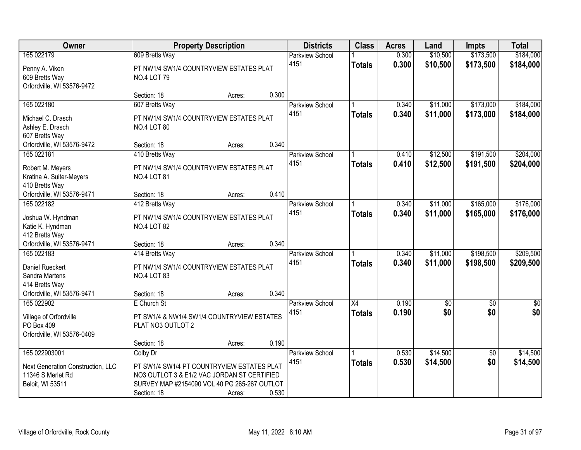| Owner                                                                                           |                                                                                                                                                                                     | <b>Property Description</b> |       | <b>Districts</b>               | <b>Class</b>        | <b>Acres</b>   | Land                 | <b>Impts</b>           | <b>Total</b>           |
|-------------------------------------------------------------------------------------------------|-------------------------------------------------------------------------------------------------------------------------------------------------------------------------------------|-----------------------------|-------|--------------------------------|---------------------|----------------|----------------------|------------------------|------------------------|
| 165 022179<br>Penny A. Viken<br>609 Bretts Way<br>Orfordville, WI 53576-9472                    | 609 Bretts Way<br>PT NW1/4 SW1/4 COUNTRYVIEW ESTATES PLAT<br><b>NO.4 LOT 79</b>                                                                                                     |                             |       | <b>Parkview School</b><br>4151 | <b>Totals</b>       | 0.300<br>0.300 | \$10,500<br>\$10,500 | \$173,500<br>\$173,500 | \$184,000<br>\$184,000 |
|                                                                                                 | Section: 18                                                                                                                                                                         | Acres:                      | 0.300 |                                |                     |                |                      |                        |                        |
| 165 022180<br>Michael C. Drasch                                                                 | 607 Bretts Way<br>PT NW1/4 SW1/4 COUNTRYVIEW ESTATES PLAT<br><b>NO.4 LOT 80</b>                                                                                                     |                             |       | <b>Parkview School</b><br>4151 | <b>Totals</b>       | 0.340<br>0.340 | \$11,000<br>\$11,000 | \$173,000<br>\$173,000 | \$184,000<br>\$184,000 |
| Ashley E. Drasch<br>607 Bretts Way<br>Orfordville, WI 53576-9472                                | Section: 18                                                                                                                                                                         | Acres:                      | 0.340 |                                |                     |                |                      |                        |                        |
| 165 022181<br>Robert M. Meyers<br>Kratina A. Suiter-Meyers<br>410 Bretts Way                    | 410 Bretts Way<br>PT NW1/4 SW1/4 COUNTRYVIEW ESTATES PLAT<br><b>NO.4 LOT 81</b>                                                                                                     |                             |       | Parkview School<br>4151        | <b>Totals</b>       | 0.410<br>0.410 | \$12,500<br>\$12,500 | \$191,500<br>\$191,500 | \$204,000<br>\$204,000 |
| Orfordville, WI 53576-9471                                                                      | Section: 18                                                                                                                                                                         | Acres:                      | 0.410 |                                |                     |                |                      |                        |                        |
| 165 022182<br>Joshua W. Hyndman<br>Katie K. Hyndman                                             | 412 Bretts Way<br>PT NW1/4 SW1/4 COUNTRYVIEW ESTATES PLAT<br><b>NO.4 LOT 82</b>                                                                                                     |                             |       | Parkview School<br>4151        | <b>Totals</b>       | 0.340<br>0.340 | \$11,000<br>\$11,000 | \$165,000<br>\$165,000 | \$176,000<br>\$176,000 |
| 412 Bretts Way<br>Orfordville, WI 53576-9471                                                    | Section: 18                                                                                                                                                                         | Acres:                      | 0.340 |                                |                     |                |                      |                        |                        |
| 165 022183<br>Daniel Rueckert<br>Sandra Martens<br>414 Bretts Way<br>Orfordville, WI 53576-9471 | 414 Bretts Way<br>PT NW1/4 SW1/4 COUNTRYVIEW ESTATES PLAT<br><b>NO.4 LOT 83</b><br>Section: 18                                                                                      | Acres:                      | 0.340 | Parkview School<br>4151        | <b>Totals</b>       | 0.340<br>0.340 | \$11,000<br>\$11,000 | \$198,500<br>\$198,500 | \$209,500<br>\$209,500 |
| 165 022902<br>Village of Orfordville<br>PO Box 409<br>Orfordville, WI 53576-0409                | E Church St<br>PT SW1/4 & NW1/4 SW1/4 COUNTRYVIEW ESTATES<br>PLAT NO3 OUTLOT 2                                                                                                      |                             | 0.190 | <b>Parkview School</b><br>4151 | X4<br><b>Totals</b> | 0.190<br>0.190 | \$0<br>\$0           | $\sqrt{6}$<br>\$0      | $\frac{6}{3}$<br>\$0   |
| 165 022903001<br>Next Generation Construction, LLC<br>11346 S Merlet Rd<br>Beloit, WI 53511     | Section: 18<br>Colby Dr<br>PT SW1/4 SW1/4 PT COUNTRYVIEW ESTATES PLAT<br>NO3 OUTLOT 3 & E1/2 VAC JORDAN ST CERTIFIED<br>SURVEY MAP #2154090 VOL 40 PG 265-267 OUTLOT<br>Section: 18 | Acres:<br>Acres:            | 0.530 | <b>Parkview School</b><br>4151 | <b>Totals</b>       | 0.530<br>0.530 | \$14,500<br>\$14,500 | $\overline{50}$<br>\$0 | \$14,500<br>\$14,500   |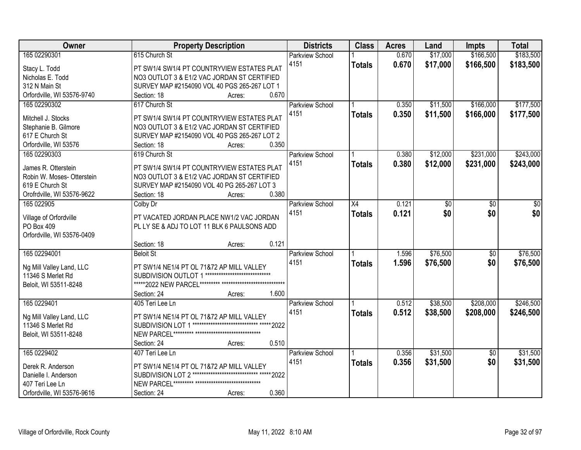| \$17,000<br>\$166,500<br>165 02290301<br>615 Church St<br>0.670<br><b>Parkview School</b>                                    | \$183,500 |
|------------------------------------------------------------------------------------------------------------------------------|-----------|
| 0.670<br>\$17,000<br>\$166,500<br>4151<br><b>Totals</b><br>Stacy L. Todd<br>PT SW1/4 SW1/4 PT COUNTRYVIEW ESTATES PLAT       | \$183,500 |
| NO3 OUTLOT 3 & E1/2 VAC JORDAN ST CERTIFIED<br>Nicholas E. Todd                                                              |           |
| 312 N Main St<br>SURVEY MAP #2154090 VOL 40 PGS 265-267 LOT 1                                                                |           |
| 0.670<br>Orfordville, WI 53576-9740<br>Section: 18<br>Acres:                                                                 |           |
| 617 Church St<br>\$166,000<br>165 02290302<br>0.350<br>\$11,500<br><b>Parkview School</b>                                    | \$177,500 |
| 0.350<br>4151<br>\$11,500<br>\$166,000<br><b>Totals</b>                                                                      | \$177,500 |
| PT SW1/4 SW1/4 PT COUNTRYVIEW ESTATES PLAT<br>Mitchell J. Stocks                                                             |           |
| NO3 OUTLOT 3 & E1/2 VAC JORDAN ST CERTIFIED<br>Stephanie B. Gilmore                                                          |           |
| 617 E Church St<br>SURVEY MAP #2154090 VOL 40 PGS 265-267 LOT 2                                                              |           |
| 0.350<br>Orfordville, WI 53576<br>Section: 18<br>Acres:                                                                      |           |
| \$12,000<br>\$231,000<br>165 02290303<br>619 Church St<br><b>Parkview School</b><br>0.380                                    | \$243,000 |
| 4151<br>\$12,000<br>\$231,000<br>0.380<br><b>Totals</b><br>PT SW1/4 SW1/4 PT COUNTRYVIEW ESTATES PLAT<br>James R. Otterstein | \$243,000 |
| NO3 OUTLOT 3 & E1/2 VAC JORDAN ST CERTIFIED<br>Robin W. Moses- Otterstein                                                    |           |
| 619 E Church St<br>SURVEY MAP #2154090 VOL 40 PG 265-267 LOT 3                                                               |           |
| Orofrdville, WI 53576-9622<br>0.380<br>Section: 18<br>Acres:                                                                 |           |
| 165 022905<br>$\overline{X4}$<br>0.121<br>Colby Dr<br><b>Parkview School</b><br>\$0<br>\$0                                   | \$0       |
| \$0<br>0.121<br>\$0<br>4151<br><b>Totals</b>                                                                                 | \$0       |
| PT VACATED JORDAN PLACE NW1/2 VAC JORDAN<br>Village of Orfordville                                                           |           |
| PO Box 409<br>PL LY SE & ADJ TO LOT 11 BLK 6 PAULSONS ADD                                                                    |           |
| Orfordville, WI 53576-0409                                                                                                   |           |
| 0.121<br>Section: 18<br>Acres:                                                                                               |           |
| 165 02294001<br>\$76,500<br>1.596<br>$\overline{50}$<br><b>Beloit St</b><br>Parkview School                                  | \$76,500  |
| 4151<br>1.596<br>\$76,500<br>\$0<br><b>Totals</b><br>Ng Mill Valley Land, LLC<br>PT SW1/4 NE1/4 PT OL 71&72 AP MILL VALLEY   | \$76,500  |
| SUBDIVISION OUTLOT 1 ******************************<br>11346 S Merlet Rd                                                     |           |
| Beloit, WI 53511-8248                                                                                                        |           |
| 1.600<br>Section: 24<br>Acres:                                                                                               |           |
| 165 0229401<br>\$38,500<br>\$208,000<br><b>Parkview School</b><br>0.512<br>405 Teri Lee Ln                                   | \$246,500 |
| 0.512<br>4151<br>\$38,500<br>\$208,000<br><b>Totals</b>                                                                      | \$246,500 |
| Ng Mill Valley Land, LLC<br>PT SW1/4 NE1/4 PT OL 71&72 AP MILL VALLEY                                                        |           |
| **************************** ***** 2022<br>11346 S Merlet Rd<br>SUBDIVISION LOT 1                                            |           |
| Beloit, WI 53511-8248                                                                                                        |           |
| 0.510<br>Section: 24<br>Acres:                                                                                               |           |
| \$31,500<br>165 0229402<br><b>Parkview School</b><br>0.356<br>$\overline{30}$<br>407 Teri Lee Ln                             | \$31,500  |
| 0.356<br>\$0<br>4151<br>\$31,500<br><b>Totals</b><br>Derek R. Anderson<br>PT SW1/4 NE1/4 PT OL 71&72 AP MILL VALLEY          | \$31,500  |
| SUBDIVISION LOT 2 ***************************** ***** 2022<br>Danielle I. Anderson                                           |           |
| 407 Teri Lee Ln                                                                                                              |           |
| 0.360<br>Orfordville, WI 53576-9616<br>Section: 24<br>Acres:                                                                 |           |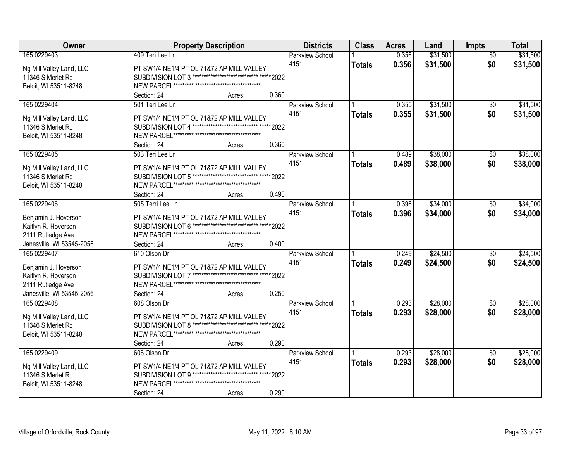| Owner                                         | <b>Property Description</b>                                                                             | <b>Districts</b>       | <b>Class</b>  | <b>Acres</b> | Land     | <b>Impts</b>    | <b>Total</b> |
|-----------------------------------------------|---------------------------------------------------------------------------------------------------------|------------------------|---------------|--------------|----------|-----------------|--------------|
| 165 0229403                                   | 409 Teri Lee Ln                                                                                         | <b>Parkview School</b> |               | 0.356        | \$31,500 | $\overline{30}$ | \$31,500     |
| Ng Mill Valley Land, LLC                      | PT SW1/4 NE1/4 PT OL 71&72 AP MILL VALLEY                                                               | 4151                   | <b>Totals</b> | 0.356        | \$31,500 | \$0             | \$31,500     |
| 11346 S Merlet Rd                             | SUBDIVISION LOT 3 ***************************** ***** 2022                                              |                        |               |              |          |                 |              |
| Beloit, WI 53511-8248                         |                                                                                                         |                        |               |              |          |                 |              |
|                                               | 0.360<br>Section: 24<br>Acres:                                                                          |                        |               |              |          |                 |              |
| 165 0229404                                   | 501 Teri Lee Ln                                                                                         | <b>Parkview School</b> |               | 0.355        | \$31,500 | \$0             | \$31,500     |
|                                               |                                                                                                         | 4151                   | <b>Totals</b> | 0.355        | \$31,500 | \$0             | \$31,500     |
| Ng Mill Valley Land, LLC                      | PT SW1/4 NE1/4 PT OL 71&72 AP MILL VALLEY                                                               |                        |               |              |          |                 |              |
| 11346 S Merlet Rd                             | SUBDIVISION LOT 4 ***************************** ***** 2022                                              |                        |               |              |          |                 |              |
| Beloit, WI 53511-8248                         |                                                                                                         |                        |               |              |          |                 |              |
|                                               | 0.360<br>Section: 24<br>Acres:                                                                          |                        |               |              |          |                 |              |
| 165 0229405                                   | 503 Teri Lee Ln                                                                                         | <b>Parkview School</b> |               | 0.489        | \$38,000 | $\sqrt{6}$      | \$38,000     |
| Ng Mill Valley Land, LLC                      | PT SW1/4 NE1/4 PT OL 71&72 AP MILL VALLEY                                                               | 4151                   | <b>Totals</b> | 0.489        | \$38,000 | \$0             | \$38,000     |
| 11346 S Merlet Rd                             | SUBDIVISION LOT 5 ***************************** ***** 2022                                              |                        |               |              |          |                 |              |
| Beloit, WI 53511-8248                         |                                                                                                         |                        |               |              |          |                 |              |
|                                               | 0.490<br>Section: 24<br>Acres:                                                                          |                        |               |              |          |                 |              |
| 165 0229406                                   | 505 Terri Lee Ln                                                                                        | <b>Parkview School</b> |               | 0.396        | \$34,000 | $\frac{1}{20}$  | \$34,000     |
|                                               |                                                                                                         | 4151                   | <b>Totals</b> | 0.396        | \$34,000 | \$0             | \$34,000     |
| Benjamin J. Hoverson                          | PT SW1/4 NE1/4 PT OL 71&72 AP MILL VALLEY                                                               |                        |               |              |          |                 |              |
| Kaitlyn R. Hoverson                           | SUBDIVISION LOT 6 ***************************** ***** 2022                                              |                        |               |              |          |                 |              |
| 2111 Rutledge Ave                             |                                                                                                         |                        |               |              |          |                 |              |
| Janesville, WI 53545-2056                     | 0.400<br>Section: 24<br>Acres:                                                                          |                        |               |              |          |                 |              |
| 165 0229407                                   | 610 Olson Dr                                                                                            | Parkview School        |               | 0.249        | \$24,500 | \$0             | \$24,500     |
| Benjamin J. Hoverson                          | PT SW1/4 NE1/4 PT OL 71&72 AP MILL VALLEY                                                               | 4151                   | <b>Totals</b> | 0.249        | \$24,500 | \$0             | \$24,500     |
| Kaitlyn R. Hoverson                           | SUBDIVISION LOT 7 ***************************** ***** 2022                                              |                        |               |              |          |                 |              |
| 2111 Rutledge Ave                             |                                                                                                         |                        |               |              |          |                 |              |
| Janesville, WI 53545-2056                     | 0.250<br>Section: 24<br>Acres:                                                                          |                        |               |              |          |                 |              |
| 165 0229408                                   | 608 Olson Dr                                                                                            | <b>Parkview School</b> |               | 0.293        | \$28,000 | $\sqrt{6}$      | \$28,000     |
|                                               |                                                                                                         | 4151                   | <b>Totals</b> | 0.293        | \$28,000 | \$0             | \$28,000     |
| Ng Mill Valley Land, LLC<br>11346 S Merlet Rd | PT SW1/4 NE1/4 PT OL 71&72 AP MILL VALLEY<br>SUBDIVISION LOT 8 ***************************** ***** 2022 |                        |               |              |          |                 |              |
| Beloit, WI 53511-8248                         |                                                                                                         |                        |               |              |          |                 |              |
|                                               | 0.290<br>Section: 24                                                                                    |                        |               |              |          |                 |              |
| 165 0229409                                   | Acres:<br>606 Olson Dr                                                                                  |                        |               | 0.293        | \$28,000 |                 | \$28,000     |
|                                               |                                                                                                         | Parkview School        |               |              |          | $\overline{30}$ |              |
| Ng Mill Valley Land, LLC                      | PT SW1/4 NE1/4 PT OL 71&72 AP MILL VALLEY                                                               | 4151                   | <b>Totals</b> | 0.293        | \$28,000 | \$0             | \$28,000     |
| 11346 S Merlet Rd                             | SUBDIVISION LOT 9 ***************************** ***** 2022                                              |                        |               |              |          |                 |              |
| Beloit, WI 53511-8248                         |                                                                                                         |                        |               |              |          |                 |              |
|                                               | 0.290<br>Section: 24<br>Acres:                                                                          |                        |               |              |          |                 |              |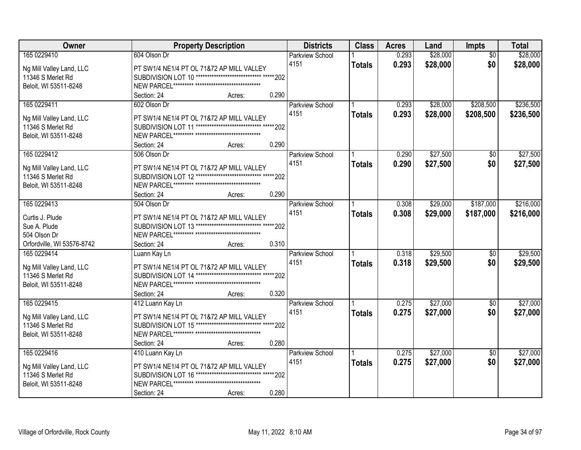| Owner                           | <b>Property Description</b>                                                                             | <b>Districts</b>       | <b>Class</b>  | <b>Acres</b> | Land     | <b>Impts</b>    | <b>Total</b> |
|---------------------------------|---------------------------------------------------------------------------------------------------------|------------------------|---------------|--------------|----------|-----------------|--------------|
| 165 0229410                     | 604 Olson Dr                                                                                            | <b>Parkview School</b> |               | 0.293        | \$28,000 | $\overline{30}$ | \$28,000     |
| Ng Mill Valley Land, LLC        | PT SW1/4 NE1/4 PT OL 71&72 AP MILL VALLEY                                                               | 4151                   | <b>Totals</b> | 0.293        | \$28,000 | \$0             | \$28,000     |
| 11346 S Merlet Rd               | SUBDIVISION LOT 10 ***************************** ***** 202                                              |                        |               |              |          |                 |              |
| Beloit, WI 53511-8248           |                                                                                                         |                        |               |              |          |                 |              |
|                                 | 0.290<br>Section: 24<br>Acres:                                                                          |                        |               |              |          |                 |              |
| 165 0229411                     | 602 Olson Dr                                                                                            | <b>Parkview School</b> |               | 0.293        | \$28,000 | \$208,500       | \$236,500    |
|                                 |                                                                                                         | 4151                   | <b>Totals</b> | 0.293        | \$28,000 | \$208,500       | \$236,500    |
| Ng Mill Valley Land, LLC        | PT SW1/4 NE1/4 PT OL 71&72 AP MILL VALLEY                                                               |                        |               |              |          |                 |              |
| 11346 S Merlet Rd               | SUBDIVISION LOT 11 ***************************** ***** 202                                              |                        |               |              |          |                 |              |
| Beloit, WI 53511-8248           | 0.290                                                                                                   |                        |               |              |          |                 |              |
|                                 | Section: 24<br>Acres:                                                                                   |                        |               |              |          |                 |              |
| 165 0229412                     | 506 Olson Dr                                                                                            | <b>Parkview School</b> |               | 0.290        | \$27,500 | \$0             | \$27,500     |
| Ng Mill Valley Land, LLC        | PT SW1/4 NE1/4 PT OL 71&72 AP MILL VALLEY                                                               | 4151                   | <b>Totals</b> | 0.290        | \$27,500 | \$0             | \$27,500     |
| 11346 S Merlet Rd               | SUBDIVISION LOT 12 ***************************** ***** 202                                              |                        |               |              |          |                 |              |
| Beloit, WI 53511-8248           |                                                                                                         |                        |               |              |          |                 |              |
|                                 | 0.290<br>Section: 24<br>Acres:                                                                          |                        |               |              |          |                 |              |
| 165 0229413                     | 504 Olson Dr                                                                                            | <b>Parkview School</b> |               | 0.308        | \$29,000 | \$187,000       | \$216,000    |
|                                 |                                                                                                         | 4151                   | <b>Totals</b> | 0.308        | \$29,000 | \$187,000       | \$216,000    |
| Curtis J. Plude<br>Sue A. Plude | PT SW1/4 NE1/4 PT OL 71&72 AP MILL VALLEY<br>SUBDIVISION LOT 13 ***************************** ***** 202 |                        |               |              |          |                 |              |
| 504 Olson Dr                    |                                                                                                         |                        |               |              |          |                 |              |
| Orfordville, WI 53576-8742      | 0.310<br>Section: 24                                                                                    |                        |               |              |          |                 |              |
| 165 0229414                     | Acres:<br>Luann Kay Ln                                                                                  | <b>Parkview School</b> |               | 0.318        | \$29,500 | $\overline{50}$ | \$29,500     |
|                                 |                                                                                                         | 4151                   |               |              |          |                 |              |
| Ng Mill Valley Land, LLC        | PT SW1/4 NE1/4 PT OL 71&72 AP MILL VALLEY                                                               |                        | <b>Totals</b> | 0.318        | \$29,500 | \$0             | \$29,500     |
| 11346 S Merlet Rd               | SUBDIVISION LOT 14 ***************************** ***** 202                                              |                        |               |              |          |                 |              |
| Beloit, WI 53511-8248           |                                                                                                         |                        |               |              |          |                 |              |
|                                 | Section: 24<br>0.320<br>Acres:                                                                          |                        |               |              |          |                 |              |
| 165 0229415                     | 412 Luann Kay Ln                                                                                        | <b>Parkview School</b> |               | 0.275        | \$27,000 | $\sqrt{6}$      | \$27,000     |
| Ng Mill Valley Land, LLC        | PT SW1/4 NE1/4 PT OL 71&72 AP MILL VALLEY                                                               | 4151                   | <b>Totals</b> | 0.275        | \$27,000 | \$0             | \$27,000     |
| 11346 S Merlet Rd               | SUBDIVISION LOT 15 ***************************** ***** 202                                              |                        |               |              |          |                 |              |
| Beloit, WI 53511-8248           |                                                                                                         |                        |               |              |          |                 |              |
|                                 | 0.280<br>Section: 24<br>Acres:                                                                          |                        |               |              |          |                 |              |
| 165 0229416                     | 410 Luann Kay Ln                                                                                        | <b>Parkview School</b> |               | 0.275        | \$27,000 | $\overline{30}$ | \$27,000     |
|                                 |                                                                                                         | 4151                   | <b>Totals</b> | 0.275        | \$27,000 | \$0             | \$27,000     |
| Ng Mill Valley Land, LLC        | PT SW1/4 NE1/4 PT OL 71&72 AP MILL VALLEY                                                               |                        |               |              |          |                 |              |
| 11346 S Merlet Rd               | SUBDIVISION LOT 16 ***************************** ***** 202                                              |                        |               |              |          |                 |              |
| Beloit, WI 53511-8248           |                                                                                                         |                        |               |              |          |                 |              |
|                                 | 0.280<br>Section: 24<br>Acres:                                                                          |                        |               |              |          |                 |              |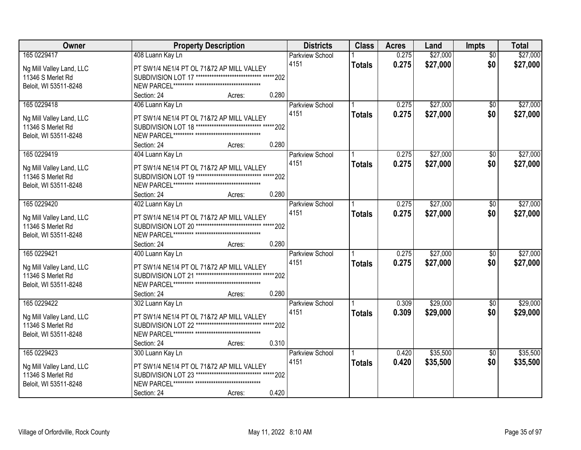| Owner                                         | <b>Property Description</b>                                | <b>Districts</b>       | <b>Class</b>  | <b>Acres</b> | Land     | <b>Impts</b>    | <b>Total</b> |
|-----------------------------------------------|------------------------------------------------------------|------------------------|---------------|--------------|----------|-----------------|--------------|
| 165 0229417                                   | 408 Luann Kay Ln                                           | <b>Parkview School</b> |               | 0.275        | \$27,000 | $\overline{30}$ | \$27,000     |
| Ng Mill Valley Land, LLC                      | PT SW1/4 NE1/4 PT OL 71&72 AP MILL VALLEY                  | 4151                   | Totals        | 0.275        | \$27,000 | \$0             | \$27,000     |
| 11346 S Merlet Rd                             | SUBDIVISION LOT 17 ***************************** ***** 202 |                        |               |              |          |                 |              |
| Beloit, WI 53511-8248                         |                                                            |                        |               |              |          |                 |              |
|                                               | 0.280<br>Section: 24<br>Acres:                             |                        |               |              |          |                 |              |
| 165 0229418                                   | 406 Luann Kay Ln                                           | <b>Parkview School</b> |               | 0.275        | \$27,000 | \$0             | \$27,000     |
|                                               |                                                            | 4151                   | <b>Totals</b> | 0.275        | \$27,000 | \$0             | \$27,000     |
| Ng Mill Valley Land, LLC                      | PT SW1/4 NE1/4 PT OL 71&72 AP MILL VALLEY                  |                        |               |              |          |                 |              |
| 11346 S Merlet Rd                             | SUBDIVISION LOT 18 **************************** ***** 202  |                        |               |              |          |                 |              |
| Beloit, WI 53511-8248                         |                                                            |                        |               |              |          |                 |              |
|                                               | 0.280<br>Section: 24<br>Acres:                             |                        |               |              |          |                 |              |
| 165 0229419                                   | 404 Luann Kay Ln                                           | Parkview School        |               | 0.275        | \$27,000 | \$0             | \$27,000     |
| Ng Mill Valley Land, LLC                      | PT SW1/4 NE1/4 PT OL 71&72 AP MILL VALLEY                  | 4151                   | <b>Totals</b> | 0.275        | \$27,000 | \$0             | \$27,000     |
| 11346 S Merlet Rd                             | SUBDIVISION LOT 19 ***************************** ***** 202 |                        |               |              |          |                 |              |
| Beloit, WI 53511-8248                         |                                                            |                        |               |              |          |                 |              |
|                                               | 0.280<br>Section: 24<br>Acres:                             |                        |               |              |          |                 |              |
| 165 0229420                                   | 402 Luann Kay Ln                                           | <b>Parkview School</b> |               | 0.275        | \$27,000 | $\sqrt[6]{}$    | \$27,000     |
|                                               |                                                            | 4151                   | <b>Totals</b> | 0.275        | \$27,000 | \$0             | \$27,000     |
| Ng Mill Valley Land, LLC                      | PT SW1/4 NE1/4 PT OL 71&72 AP MILL VALLEY                  |                        |               |              |          |                 |              |
| 11346 S Merlet Rd                             | SUBDIVISION LOT 20 ***************************** ***** 202 |                        |               |              |          |                 |              |
| Beloit, WI 53511-8248                         |                                                            |                        |               |              |          |                 |              |
|                                               | 0.280<br>Section: 24<br>Acres:                             |                        |               |              |          |                 |              |
| 165 0229421                                   | 400 Luann Kay Ln                                           | <b>Parkview School</b> |               | 0.275        | \$27,000 | \$0             | \$27,000     |
| Ng Mill Valley Land, LLC                      | PT SW1/4 NE1/4 PT OL 71&72 AP MILL VALLEY                  | 4151                   | <b>Totals</b> | 0.275        | \$27,000 | \$0             | \$27,000     |
| 11346 S Merlet Rd                             | SUBDIVISION LOT 21 ***************************** ***** 202 |                        |               |              |          |                 |              |
| Beloit, WI 53511-8248                         |                                                            |                        |               |              |          |                 |              |
|                                               | 0.280<br>Section: 24<br>Acres:                             |                        |               |              |          |                 |              |
| 165 0229422                                   | 302 Luann Kay Ln                                           | <b>Parkview School</b> |               | 0.309        | \$29,000 | $\sqrt{6}$      | \$29,000     |
|                                               | PT SW1/4 NE1/4 PT OL 71&72 AP MILL VALLEY                  | 4151                   | <b>Totals</b> | 0.309        | \$29,000 | \$0             | \$29,000     |
| Ng Mill Valley Land, LLC<br>11346 S Merlet Rd | SUBDIVISION LOT 22 **************************** ***** 202  |                        |               |              |          |                 |              |
|                                               |                                                            |                        |               |              |          |                 |              |
| Beloit, WI 53511-8248                         | 0.310<br>Section: 24<br>Acres:                             |                        |               |              |          |                 |              |
| 165 0229423                                   |                                                            | <b>Parkview School</b> |               | 0.420        | \$35,500 |                 | \$35,500     |
|                                               | 300 Luann Kay Ln                                           |                        |               |              |          | $\overline{30}$ |              |
| Ng Mill Valley Land, LLC                      | PT SW1/4 NE1/4 PT OL 71&72 AP MILL VALLEY                  | 4151                   | <b>Totals</b> | 0.420        | \$35,500 | \$0             | \$35,500     |
| 11346 S Merlet Rd                             | SUBDIVISION LOT 23 ***************************** ***** 202 |                        |               |              |          |                 |              |
| Beloit, WI 53511-8248                         |                                                            |                        |               |              |          |                 |              |
|                                               | 0.420<br>Section: 24<br>Acres:                             |                        |               |              |          |                 |              |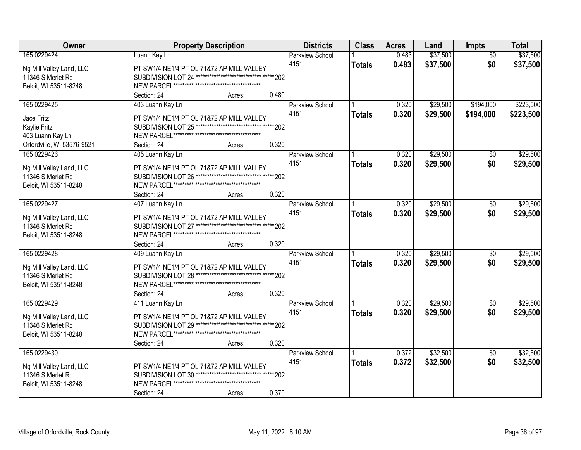| Owner                      | <b>Property Description</b>                                                                             | <b>Districts</b>       | <b>Class</b>  | <b>Acres</b> | Land     | <b>Impts</b>    | <b>Total</b> |
|----------------------------|---------------------------------------------------------------------------------------------------------|------------------------|---------------|--------------|----------|-----------------|--------------|
| 165 0229424                | Luann Kay Ln                                                                                            | <b>Parkview School</b> |               | 0.483        | \$37,500 | $\overline{50}$ | \$37,500     |
| Ng Mill Valley Land, LLC   | PT SW1/4 NE1/4 PT OL 71&72 AP MILL VALLEY                                                               | 4151                   | <b>Totals</b> | 0.483        | \$37,500 | \$0             | \$37,500     |
| 11346 S Merlet Rd          | SUBDIVISION LOT 24 ***************************** ***** 202                                              |                        |               |              |          |                 |              |
| Beloit, WI 53511-8248      |                                                                                                         |                        |               |              |          |                 |              |
|                            | 0.480<br>Section: 24<br>Acres:                                                                          |                        |               |              |          |                 |              |
| 165 0229425                | 403 Luann Kay Ln                                                                                        | <b>Parkview School</b> |               | 0.320        | \$29,500 | \$194,000       | \$223,500    |
|                            |                                                                                                         | 4151                   | <b>Totals</b> | 0.320        | \$29,500 | \$194,000       | \$223,500    |
| Jace Fritz                 | PT SW1/4 NE1/4 PT OL 71&72 AP MILL VALLEY                                                               |                        |               |              |          |                 |              |
| Kaylie Fritz               | SUBDIVISION LOT 25 ***************************** ***** 202                                              |                        |               |              |          |                 |              |
| 403 Luann Kay Ln           |                                                                                                         |                        |               |              |          |                 |              |
| Orfordville, WI 53576-9521 | 0.320<br>Section: 24<br>Acres:                                                                          |                        |               |              |          |                 |              |
| 165 0229426                | 405 Luann Kay Ln                                                                                        | <b>Parkview School</b> |               | 0.320        | \$29,500 | \$0             | \$29,500     |
| Ng Mill Valley Land, LLC   | PT SW1/4 NE1/4 PT OL 71&72 AP MILL VALLEY                                                               | 4151                   | <b>Totals</b> | 0.320        | \$29,500 | \$0             | \$29,500     |
| 11346 S Merlet Rd          | SUBDIVISION LOT 26 ***************************** ***** 202                                              |                        |               |              |          |                 |              |
| Beloit, WI 53511-8248      |                                                                                                         |                        |               |              |          |                 |              |
|                            | 0.320<br>Section: 24<br>Acres:                                                                          |                        |               |              |          |                 |              |
| 165 0229427                | 407 Luann Kay Ln                                                                                        | <b>Parkview School</b> |               | 0.320        | \$29,500 | $\frac{1}{20}$  | \$29,500     |
|                            |                                                                                                         | 4151                   | <b>Totals</b> | 0.320        | \$29,500 | \$0             | \$29,500     |
| Ng Mill Valley Land, LLC   | PT SW1/4 NE1/4 PT OL 71&72 AP MILL VALLEY<br>SUBDIVISION LOT 27 ***************************** ***** 202 |                        |               |              |          |                 |              |
| 11346 S Merlet Rd          |                                                                                                         |                        |               |              |          |                 |              |
| Beloit, WI 53511-8248      | 0.320                                                                                                   |                        |               |              |          |                 |              |
| 165 0229428                | Section: 24<br>Acres:                                                                                   |                        |               | 0.320        | \$29,500 |                 | \$29,500     |
|                            | 409 Luann Kay Ln                                                                                        | <b>Parkview School</b> |               |              |          | $\overline{60}$ |              |
| Ng Mill Valley Land, LLC   | PT SW1/4 NE1/4 PT OL 71&72 AP MILL VALLEY                                                               | 4151                   | <b>Totals</b> | 0.320        | \$29,500 | \$0             | \$29,500     |
| 11346 S Merlet Rd          | SUBDIVISION LOT 28 ***************************** ***** 202                                              |                        |               |              |          |                 |              |
| Beloit, WI 53511-8248      |                                                                                                         |                        |               |              |          |                 |              |
|                            | Section: 24<br>0.320<br>Acres:                                                                          |                        |               |              |          |                 |              |
| 165 0229429                | 411 Luann Kay Ln                                                                                        | <b>Parkview School</b> |               | 0.320        | \$29,500 | $\sqrt{6}$      | \$29,500     |
| Ng Mill Valley Land, LLC   | PT SW1/4 NE1/4 PT OL 71&72 AP MILL VALLEY                                                               | 4151                   | <b>Totals</b> | 0.320        | \$29,500 | \$0             | \$29,500     |
| 11346 S Merlet Rd          | SUBDIVISION LOT 29 ***************************** ***** 202                                              |                        |               |              |          |                 |              |
| Beloit, WI 53511-8248      |                                                                                                         |                        |               |              |          |                 |              |
|                            | 0.320<br>Section: 24<br>Acres:                                                                          |                        |               |              |          |                 |              |
| 165 0229430                |                                                                                                         | <b>Parkview School</b> |               | 0.372        | \$32,500 | $\overline{30}$ | \$32,500     |
|                            |                                                                                                         | 4151                   | <b>Totals</b> | 0.372        | \$32,500 | \$0             | \$32,500     |
| Ng Mill Valley Land, LLC   | PT SW1/4 NE1/4 PT OL 71&72 AP MILL VALLEY                                                               |                        |               |              |          |                 |              |
| 11346 S Merlet Rd          | SUBDIVISION LOT 30 ***************************** ***** 202                                              |                        |               |              |          |                 |              |
| Beloit, WI 53511-8248      |                                                                                                         |                        |               |              |          |                 |              |
|                            | 0.370<br>Section: 24<br>Acres:                                                                          |                        |               |              |          |                 |              |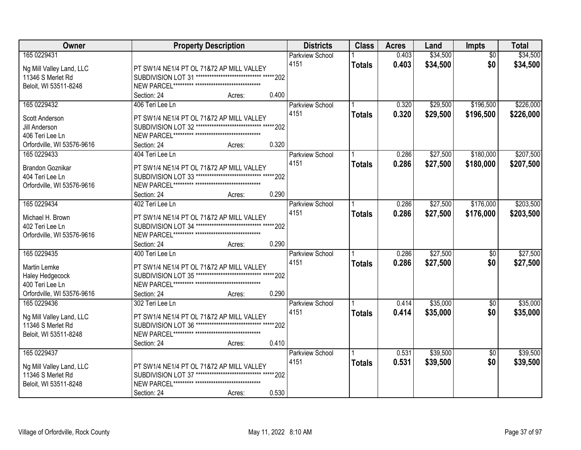| Owner                      | <b>Property Description</b>                                | <b>Districts</b>       | <b>Class</b>  | <b>Acres</b> | Land     | <b>Impts</b>    | <b>Total</b> |
|----------------------------|------------------------------------------------------------|------------------------|---------------|--------------|----------|-----------------|--------------|
| 165 0229431                |                                                            | <b>Parkview School</b> |               | 0.403        | \$34,500 | $\overline{30}$ | \$34,500     |
| Ng Mill Valley Land, LLC   | PT SW1/4 NE1/4 PT OL 71&72 AP MILL VALLEY                  | 4151                   | <b>Totals</b> | 0.403        | \$34,500 | \$0             | \$34,500     |
| 11346 S Merlet Rd          | SUBDIVISION LOT 31 ***************************** ***** 202 |                        |               |              |          |                 |              |
| Beloit, WI 53511-8248      |                                                            |                        |               |              |          |                 |              |
|                            | 0.400<br>Section: 24<br>Acres:                             |                        |               |              |          |                 |              |
| 165 0229432                | 406 Teri Lee Ln                                            | <b>Parkview School</b> |               | 0.320        | \$29,500 | \$196,500       | \$226,000    |
|                            |                                                            | 4151                   | <b>Totals</b> | 0.320        | \$29,500 | \$196,500       | \$226,000    |
| Scott Anderson             | PT SW1/4 NE1/4 PT OL 71&72 AP MILL VALLEY                  |                        |               |              |          |                 |              |
| Jill Anderson              | SUBDIVISION LOT 32 ***************************** ***** 202 |                        |               |              |          |                 |              |
| 406 Teri Lee Ln            |                                                            |                        |               |              |          |                 |              |
| Orfordville, WI 53576-9616 | 0.320<br>Section: 24<br>Acres:                             |                        |               |              |          |                 |              |
| 165 0229433                | 404 Teri Lee Ln                                            | <b>Parkview School</b> |               | 0.286        | \$27,500 | \$180,000       | \$207,500    |
| Brandon Goznikar           | PT SW1/4 NE1/4 PT OL 71&72 AP MILL VALLEY                  | 4151                   | <b>Totals</b> | 0.286        | \$27,500 | \$180,000       | \$207,500    |
| 404 Teri Lee Ln            | SUBDIVISION LOT 33 ***************************** ***** 202 |                        |               |              |          |                 |              |
| Orfordville, WI 53576-9616 |                                                            |                        |               |              |          |                 |              |
|                            | 0.290<br>Section: 24<br>Acres:                             |                        |               |              |          |                 |              |
| 165 0229434                | 402 Teri Lee Ln                                            | <b>Parkview School</b> |               | 0.286        | \$27,500 | \$176,000       | \$203,500    |
|                            |                                                            | 4151                   | <b>Totals</b> | 0.286        | \$27,500 | \$176,000       | \$203,500    |
| Michael H. Brown           | PT SW1/4 NE1/4 PT OL 71&72 AP MILL VALLEY                  |                        |               |              |          |                 |              |
| 402 Teri Lee Ln            | SUBDIVISION LOT 34 ***************************** ***** 202 |                        |               |              |          |                 |              |
| Orfordville, WI 53576-9616 |                                                            |                        |               |              |          |                 |              |
|                            | 0.290<br>Section: 24<br>Acres:                             |                        |               |              |          |                 |              |
| 165 0229435                | 400 Teri Lee Ln                                            | <b>Parkview School</b> |               | 0.286        | \$27,500 | \$0             | \$27,500     |
| Martin Lemke               | PT SW1/4 NE1/4 PT OL 71&72 AP MILL VALLEY                  | 4151                   | <b>Totals</b> | 0.286        | \$27,500 | \$0             | \$27,500     |
| Haley Hedgecock            | SUBDIVISION LOT 35 ***************************** ***** 202 |                        |               |              |          |                 |              |
| 400 Teri Lee Ln            |                                                            |                        |               |              |          |                 |              |
| Orfordville, WI 53576-9616 | 0.290<br>Section: 24<br>Acres:                             |                        |               |              |          |                 |              |
| 165 0229436                | 302 Teri Lee Ln                                            | <b>Parkview School</b> |               | 0.414        | \$35,000 | $\sqrt{6}$      | \$35,000     |
|                            |                                                            | 4151                   | <b>Totals</b> | 0.414        | \$35,000 | \$0             | \$35,000     |
| Ng Mill Valley Land, LLC   | PT SW1/4 NE1/4 PT OL 71&72 AP MILL VALLEY                  |                        |               |              |          |                 |              |
| 11346 S Merlet Rd          | SUBDIVISION LOT 36 ***************************** ***** 202 |                        |               |              |          |                 |              |
| Beloit, WI 53511-8248      |                                                            |                        |               |              |          |                 |              |
|                            | 0.410<br>Section: 24<br>Acres:                             |                        |               |              |          |                 |              |
| 165 0229437                |                                                            | <b>Parkview School</b> |               | 0.531        | \$39,500 | $\overline{30}$ | \$39,500     |
| Ng Mill Valley Land, LLC   | PT SW1/4 NE1/4 PT OL 71&72 AP MILL VALLEY                  | 4151                   | <b>Totals</b> | 0.531        | \$39,500 | \$0             | \$39,500     |
| 11346 S Merlet Rd          | SUBDIVISION LOT 37 ***************************** ***** 202 |                        |               |              |          |                 |              |
| Beloit, WI 53511-8248      |                                                            |                        |               |              |          |                 |              |
|                            | 0.530<br>Section: 24<br>Acres:                             |                        |               |              |          |                 |              |
|                            |                                                            |                        |               |              |          |                 |              |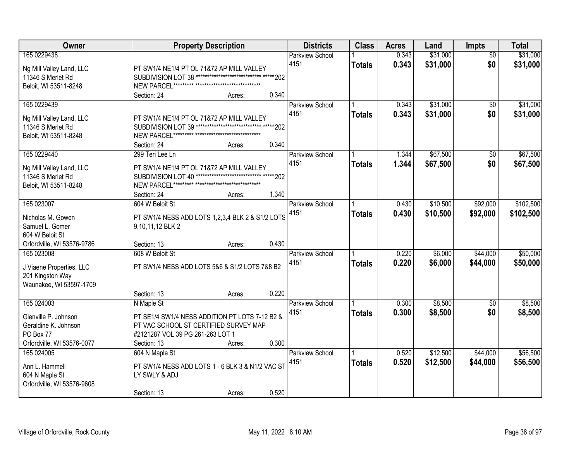| Owner                                        |                                                                   | <b>Property Description</b>           |       | <b>Districts</b>       | <b>Class</b>  | <b>Acres</b> | Land     | Impts           | <b>Total</b> |
|----------------------------------------------|-------------------------------------------------------------------|---------------------------------------|-------|------------------------|---------------|--------------|----------|-----------------|--------------|
| 165 0229438                                  |                                                                   |                                       |       | <b>Parkview School</b> |               | 0.343        | \$31,000 | $\overline{50}$ | \$31,000     |
| Ng Mill Valley Land, LLC                     | PT SW1/4 NE1/4 PT OL 71&72 AP MILL VALLEY                         |                                       |       | 4151                   | <b>Totals</b> | 0.343        | \$31,000 | \$0             | \$31,000     |
| 11346 S Merlet Rd                            | SUBDIVISION LOT 38 ***************************** ***** 202        |                                       |       |                        |               |              |          |                 |              |
| Beloit, WI 53511-8248                        |                                                                   |                                       |       |                        |               |              |          |                 |              |
|                                              | Section: 24                                                       | Acres:                                | 0.340 |                        |               |              |          |                 |              |
| 165 0229439                                  |                                                                   |                                       |       | <b>Parkview School</b> |               | 0.343        | \$31,000 | \$0             | \$31,000     |
| Ng Mill Valley Land, LLC                     | PT SW1/4 NE1/4 PT OL 71&72 AP MILL VALLEY                         |                                       |       | 4151                   | <b>Totals</b> | 0.343        | \$31,000 | \$0             | \$31,000     |
| 11346 S Merlet Rd                            | SUBDIVISION LOT 39 ***************************** ***** 202        |                                       |       |                        |               |              |          |                 |              |
| Beloit, WI 53511-8248                        |                                                                   |                                       |       |                        |               |              |          |                 |              |
|                                              | Section: 24                                                       | Acres:                                | 0.340 |                        |               |              |          |                 |              |
| 165 0229440                                  | 299 Teri Lee Ln                                                   |                                       |       | Parkview School        |               | 1.344        | \$67,500 | \$0             | \$67,500     |
| Ng Mill Valley Land, LLC                     | PT SW1/4 NE1/4 PT OL 71872 AP MILL VALLEY                         |                                       |       | 4151                   | <b>Totals</b> | 1.344        | \$67,500 | \$0             | \$67,500     |
| 11346 S Merlet Rd                            | SUBDIVISION LOT 40                                                | *************************** ***** 202 |       |                        |               |              |          |                 |              |
| Beloit, WI 53511-8248                        |                                                                   |                                       |       |                        |               |              |          |                 |              |
|                                              | Section: 24                                                       | Acres:                                | 1.340 |                        |               |              |          |                 |              |
| 165 023007                                   | 604 W Beloit St                                                   |                                       |       | Parkview School        |               | 0.430        | \$10,500 | \$92,000        | \$102,500    |
| Nicholas M. Gowen                            | PT SW1/4 NESS ADD LOTS 1,2,3,4 BLK 2 & S1/2 LOTS                  |                                       |       | 4151                   | <b>Totals</b> | 0.430        | \$10,500 | \$92,000        | \$102,500    |
| Samuel L. Gomer                              | 9,10,11,12 BLK 2                                                  |                                       |       |                        |               |              |          |                 |              |
| 604 W Beloit St                              |                                                                   |                                       |       |                        |               |              |          |                 |              |
| Orfordville, WI 53576-9786                   | Section: 13                                                       | Acres:                                | 0.430 |                        |               |              |          |                 |              |
| 165 023008                                   | 608 W Beloit St                                                   |                                       |       | Parkview School        |               | 0.220        | \$6,000  | \$44,000        | \$50,000     |
|                                              | PT SW1/4 NESS ADD LOTS 5&6 & S1/2 LOTS 7&8 B2                     |                                       |       | 4151                   | <b>Totals</b> | 0.220        | \$6,000  | \$44,000        | \$50,000     |
| J Viaene Properties, LLC<br>201 Kingston Way |                                                                   |                                       |       |                        |               |              |          |                 |              |
| Waunakee, WI 53597-1709                      |                                                                   |                                       |       |                        |               |              |          |                 |              |
|                                              | Section: 13                                                       | Acres:                                | 0.220 |                        |               |              |          |                 |              |
| 165 024003                                   | N Maple St                                                        |                                       |       | Parkview School        |               | 0.300        | \$8,500  | $\overline{50}$ | \$8,500      |
| Glenville P. Johnson                         | PT SE1/4 SW1/4 NESS ADDITION PT LOTS 7-12 B2 &                    |                                       |       | 4151                   | <b>Totals</b> | 0.300        | \$8,500  | \$0             | \$8,500      |
| Geraldine K. Johnson                         | PT VAC SCHOOL ST CERTIFIED SURVEY MAP                             |                                       |       |                        |               |              |          |                 |              |
| PO Box 77                                    | #2121287 VOL 39 PG 261-263 LOT 1                                  |                                       |       |                        |               |              |          |                 |              |
| Orfordville, WI 53576-0077                   | Section: 13                                                       | Acres:                                | 0.300 |                        |               |              |          |                 |              |
| 165 024005                                   | 604 N Maple St                                                    |                                       |       | <b>Parkview School</b> |               | 0.520        | \$12,500 | \$44,000        | \$56,500     |
|                                              |                                                                   |                                       |       | 4151                   | <b>Totals</b> | 0.520        | \$12,500 | \$44,000        | \$56,500     |
| Ann L. Hammell<br>604 N Maple St             | PT SW1/4 NESS ADD LOTS 1 - 6 BLK 3 & N1/2 VAC ST<br>LY SWLY & ADJ |                                       |       |                        |               |              |          |                 |              |
| Orfordville, WI 53576-9608                   |                                                                   |                                       |       |                        |               |              |          |                 |              |
|                                              | Section: 13                                                       | Acres:                                | 0.520 |                        |               |              |          |                 |              |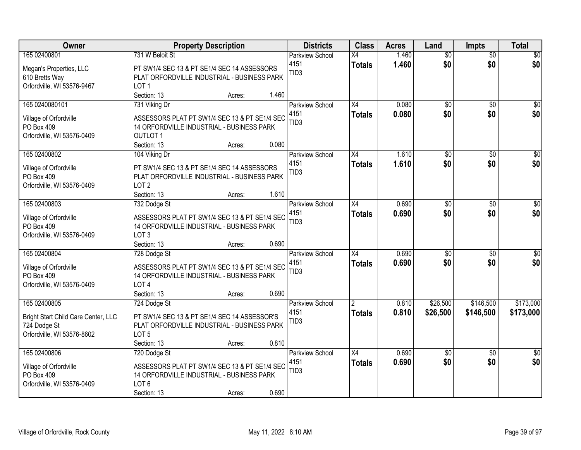| Owner                                | <b>Property Description</b>                                                                | <b>Districts</b>               | <b>Class</b>    | <b>Acres</b>   | Land                   | <b>Impts</b>           | <b>Total</b>           |
|--------------------------------------|--------------------------------------------------------------------------------------------|--------------------------------|-----------------|----------------|------------------------|------------------------|------------------------|
| 165 02400801                         | 731 W Beloit St                                                                            | <b>Parkview School</b>         | $\overline{X4}$ | 1.460          | $\overline{50}$        | $\overline{50}$        | \$0                    |
| Megan's Properties, LLC              | PT SW1/4 SEC 13 & PT SE1/4 SEC 14 ASSESSORS                                                | 4151                           | <b>Totals</b>   | 1.460          | \$0                    | \$0                    | \$0                    |
| 610 Bretts Way                       | PLAT ORFORDVILLE INDUSTRIAL - BUSINESS PARK                                                | TID <sub>3</sub>               |                 |                |                        |                        |                        |
| Orfordville, WI 53576-9467           | LOT <sub>1</sub>                                                                           |                                |                 |                |                        |                        |                        |
|                                      | Section: 13<br>1.460<br>Acres:                                                             |                                |                 |                |                        |                        |                        |
| 165 0240080101                       | 731 Viking Dr                                                                              | <b>Parkview School</b>         | $\overline{X4}$ | 0.080          | $\overline{50}$        | $\overline{50}$        | \$0                    |
| Village of Orfordville               | ASSESSORS PLAT PT SW1/4 SEC 13 & PT SE1/4 SEC                                              | 4151                           | <b>Totals</b>   | 0.080          | \$0                    | \$0                    | \$0                    |
| PO Box 409                           | 14 ORFORDVILLE INDUSTRIAL - BUSINESS PARK                                                  | TID <sub>3</sub>               |                 |                |                        |                        |                        |
| Orfordville, WI 53576-0409           | <b>OUTLOT 1</b>                                                                            |                                |                 |                |                        |                        |                        |
|                                      | 0.080<br>Section: 13<br>Acres:                                                             |                                |                 |                |                        |                        |                        |
| 165 02400802                         | 104 Viking Dr                                                                              | Parkview School                | X4              | 1.610          | \$0                    | \$0                    | $\overline{50}$        |
| Village of Orfordville               | PT SW1/4 SEC 13 & PT SE1/4 SEC 14 ASSESSORS                                                | 4151                           | <b>Totals</b>   | 1.610          | \$0                    | \$0                    | \$0                    |
| PO Box 409                           | PLAT ORFORDVILLE INDUSTRIAL - BUSINESS PARK                                                | TID <sub>3</sub>               |                 |                |                        |                        |                        |
| Orfordville, WI 53576-0409           | LOT <sub>2</sub>                                                                           |                                |                 |                |                        |                        |                        |
|                                      | 1.610<br>Section: 13<br>Acres:                                                             |                                |                 |                |                        |                        |                        |
| 165 02400803                         | 732 Dodge St                                                                               | <b>Parkview School</b>         | X4              | 0.690          | \$0                    | $\sqrt{6}$             | \$0                    |
|                                      |                                                                                            | 4151                           | <b>Totals</b>   | 0.690          | \$0                    | \$0                    | \$0                    |
| Village of Orfordville<br>PO Box 409 | ASSESSORS PLAT PT SW1/4 SEC 13 & PT SE1/4 SEC<br>14 ORFORDVILLE INDUSTRIAL - BUSINESS PARK | TID <sub>3</sub>               |                 |                |                        |                        |                        |
| Orfordville, WI 53576-0409           | LOT <sub>3</sub>                                                                           |                                |                 |                |                        |                        |                        |
|                                      | 0.690<br>Section: 13<br>Acres:                                                             |                                |                 |                |                        |                        |                        |
| 165 02400804                         | 728 Dodge St                                                                               | Parkview School                | $\overline{X4}$ | 0.690          | $\overline{50}$        | $\overline{50}$        | $\overline{50}$        |
|                                      |                                                                                            | 4151                           | <b>Totals</b>   | 0.690          | \$0                    | \$0                    | \$0                    |
| Village of Orfordville               | ASSESSORS PLAT PT SW1/4 SEC 13 & PT SE1/4 SEC                                              | TID <sub>3</sub>               |                 |                |                        |                        |                        |
| PO Box 409                           | 14 ORFORDVILLE INDUSTRIAL - BUSINESS PARK<br>LOT <sub>4</sub>                              |                                |                 |                |                        |                        |                        |
| Orfordville, WI 53576-0409           | Section: 13<br>0.690<br>Acres:                                                             |                                |                 |                |                        |                        |                        |
| 165 02400805                         | 724 Dodge St                                                                               | <b>Parkview School</b>         | <u>2</u>        | 0.810          | \$26,500               | \$146,500              | \$173,000              |
|                                      |                                                                                            | 4151                           | <b>Totals</b>   | 0.810          | \$26,500               | \$146,500              | \$173,000              |
| Bright Start Child Care Center, LLC  | PT SW1/4 SEC 13 & PT SE1/4 SEC 14 ASSESSOR'S                                               | TID <sub>3</sub>               |                 |                |                        |                        |                        |
| 724 Dodge St                         | PLAT ORFORDVILLE INDUSTRIAL - BUSINESS PARK                                                |                                |                 |                |                        |                        |                        |
| Orfordville, WI 53576-8602           | LOT <sub>5</sub>                                                                           |                                |                 |                |                        |                        |                        |
|                                      | 0.810<br>Section: 13<br>Acres:                                                             |                                |                 |                |                        |                        |                        |
| 165 02400806                         | 720 Dodge St                                                                               | <b>Parkview School</b><br>4151 | X4              | 0.690<br>0.690 | $\overline{50}$<br>\$0 | $\overline{50}$<br>\$0 | $\overline{30}$<br>\$0 |
| Village of Orfordville               | ASSESSORS PLAT PT SW1/4 SEC 13 & PT SE1/4 SEC                                              | TID <sub>3</sub>               | <b>Totals</b>   |                |                        |                        |                        |
| PO Box 409                           | 14 ORFORDVILLE INDUSTRIAL - BUSINESS PARK                                                  |                                |                 |                |                        |                        |                        |
| Orfordville, WI 53576-0409           | LOT <sub>6</sub>                                                                           |                                |                 |                |                        |                        |                        |
|                                      | 0.690<br>Section: 13<br>Acres:                                                             |                                |                 |                |                        |                        |                        |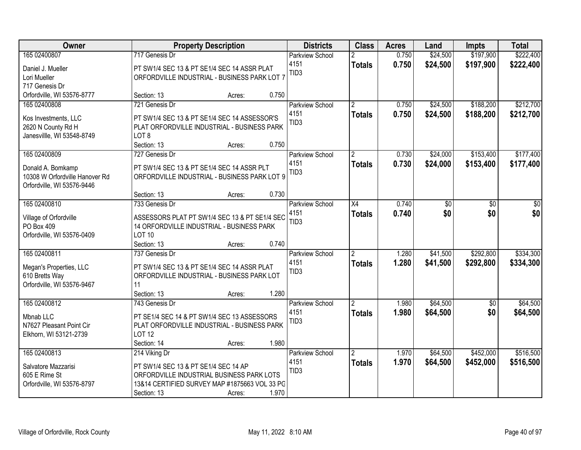| <b>Owner</b>                                        | <b>Property Description</b>                                                                |                 | <b>Districts</b>       | <b>Class</b>   | <b>Acres</b> | Land     | <b>Impts</b>    | <b>Total</b> |
|-----------------------------------------------------|--------------------------------------------------------------------------------------------|-----------------|------------------------|----------------|--------------|----------|-----------------|--------------|
| 165 02400807                                        | 717 Genesis Dr                                                                             |                 | <b>Parkview School</b> |                | 0.750        | \$24,500 | \$197,900       | \$222,400    |
| Daniel J. Mueller                                   | PT SW1/4 SEC 13 & PT SE1/4 SEC 14 ASSR PLAT                                                |                 | 4151                   | <b>Totals</b>  | 0.750        | \$24,500 | \$197,900       | \$222,400    |
| Lori Mueller                                        | ORFORDVILLE INDUSTRIAL - BUSINESS PARK LOT 7                                               |                 | TID <sub>3</sub>       |                |              |          |                 |              |
| 717 Genesis Dr                                      |                                                                                            |                 |                        |                |              |          |                 |              |
| Orfordville, WI 53576-8777                          | Section: 13                                                                                | 0.750<br>Acres: |                        |                |              |          |                 |              |
| 165 02400808                                        | 721 Genesis Dr                                                                             |                 | <b>Parkview School</b> | $\overline{2}$ | 0.750        | \$24,500 | \$188,200       | \$212,700    |
| Kos Investments, LLC                                | PT SW1/4 SEC 13 & PT SE1/4 SEC 14 ASSESSOR'S                                               |                 | 4151                   | <b>Totals</b>  | 0.750        | \$24,500 | \$188,200       | \$212,700    |
| 2620 N County Rd H                                  | PLAT ORFORDVILLE INDUSTRIAL - BUSINESS PARK                                                |                 | TID <sub>3</sub>       |                |              |          |                 |              |
| Janesvillle, WI 53548-8749                          | LOT <sub>8</sub>                                                                           |                 |                        |                |              |          |                 |              |
|                                                     | Section: 13                                                                                | 0.750<br>Acres: |                        |                |              |          |                 |              |
| 165 02400809                                        | 727 Genesis Dr                                                                             |                 | Parkview School        | $\overline{2}$ | 0.730        | \$24,000 | \$153,400       | \$177,400    |
|                                                     | PT SW1/4 SEC 13 & PT SE1/4 SEC 14 ASSR PLT                                                 |                 | 4151                   | <b>Totals</b>  | 0.730        | \$24,000 | \$153,400       | \$177,400    |
| Donald A. Bomkamp<br>10308 W Orfordville Hanover Rd | ORFORDVILLE INDUSTRIAL - BUSINESS PARK LOT 9                                               |                 | TID <sub>3</sub>       |                |              |          |                 |              |
| Orfordville, WI 53576-9446                          |                                                                                            |                 |                        |                |              |          |                 |              |
|                                                     | Section: 13                                                                                | 0.730<br>Acres: |                        |                |              |          |                 |              |
| 165 02400810                                        | 733 Genesis Dr                                                                             |                 | <b>Parkview School</b> | X4             | 0.740        | \$0      | \$0             | \$0          |
|                                                     |                                                                                            |                 | 4151                   | <b>Totals</b>  | 0.740        | \$0      | \$0             | \$0          |
| Village of Orfordville<br>PO Box 409                | ASSESSORS PLAT PT SW1/4 SEC 13 & PT SE1/4 SEC<br>14 ORFORDVILLE INDUSTRIAL - BUSINESS PARK |                 | TID <sub>3</sub>       |                |              |          |                 |              |
| Orfordville, WI 53576-0409                          | <b>LOT 10</b>                                                                              |                 |                        |                |              |          |                 |              |
|                                                     | Section: 13                                                                                | 0.740<br>Acres: |                        |                |              |          |                 |              |
| 165 02400811                                        | 737 Genesis Dr                                                                             |                 | Parkview School        | $\overline{2}$ | 1.280        | \$41,500 | \$292,800       | \$334,300    |
|                                                     |                                                                                            |                 | 4151                   | <b>Totals</b>  | 1.280        | \$41,500 | \$292,800       | \$334,300    |
| Megan's Properties, LLC                             | PT SW1/4 SEC 13 & PT SE1/4 SEC 14 ASSR PLAT                                                |                 | TID <sub>3</sub>       |                |              |          |                 |              |
| 610 Bretts Way                                      | ORFORDVILLE INDUSTRIAL - BUSINESS PARK LOT                                                 |                 |                        |                |              |          |                 |              |
| Orfordville, WI 53576-9467                          | 11<br>Section: 13                                                                          | 1.280           |                        |                |              |          |                 |              |
| 165 02400812                                        | 743 Genesis Dr                                                                             | Acres:          | Parkview School        | $\overline{2}$ | 1.980        | \$64,500 | $\overline{50}$ | \$64,500     |
|                                                     |                                                                                            |                 | 4151                   |                | 1.980        | \$64,500 | \$0             | \$64,500     |
| Mbnab LLC                                           | PT SE1/4 SEC 14 & PT SW1/4 SEC 13 ASSESSORS                                                |                 | TID <sub>3</sub>       | <b>Totals</b>  |              |          |                 |              |
| N7627 Pleasant Point Cir                            | PLAT ORFORDVILLE INDUSTRIAL - BUSINESS PARK                                                |                 |                        |                |              |          |                 |              |
| Elkhorn, WI 53121-2739                              | <b>LOT 12</b>                                                                              |                 |                        |                |              |          |                 |              |
|                                                     | Section: 14                                                                                | 1.980<br>Acres: |                        |                |              |          |                 |              |
| 165 02400813                                        | 214 Viking Dr                                                                              |                 | <b>Parkview School</b> | $\overline{2}$ | 1.970        | \$64,500 | \$452,000       | \$516,500    |
| Salvatore Mazzarisi                                 | PT SW1/4 SEC 13 & PT SE1/4 SEC 14 AP                                                       |                 | 4151                   | <b>Totals</b>  | 1.970        | \$64,500 | \$452,000       | \$516,500    |
| 605 E Rime St                                       | ORFORDVILLE INDUSTRIAL BUSINESS PARK LOTS                                                  |                 | TID <sub>3</sub>       |                |              |          |                 |              |
| Orfordville, WI 53576-8797                          | 13&14 CERTIFIED SURVEY MAP #1875663 VOL 33 PC                                              |                 |                        |                |              |          |                 |              |
|                                                     | Section: 13                                                                                | 1.970<br>Acres: |                        |                |              |          |                 |              |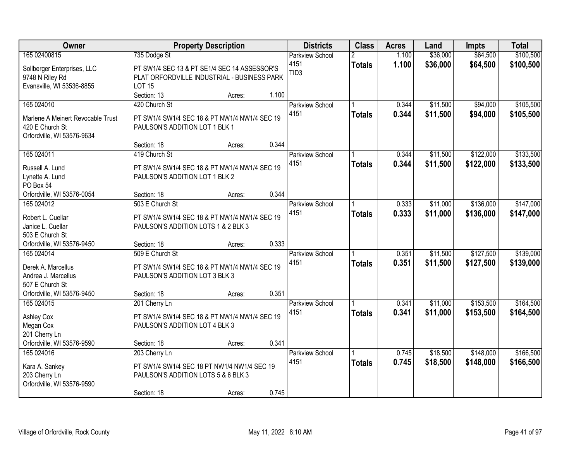| Owner                                                                                                    |                                                                                                                                | <b>Property Description</b> |                | <b>Districts</b>                                   | <b>Class</b>  | <b>Acres</b>   | Land                 | <b>Impts</b>           | <b>Total</b>           |
|----------------------------------------------------------------------------------------------------------|--------------------------------------------------------------------------------------------------------------------------------|-----------------------------|----------------|----------------------------------------------------|---------------|----------------|----------------------|------------------------|------------------------|
| 165 02400815<br>Sollberger Enterprises, LLC<br>9748 N Riley Rd<br>Evansville, WI 53536-8855              | 735 Dodge St<br>PT SW1/4 SEC 13 & PT SE1/4 SEC 14 ASSESSOR'S<br>PLAT ORFORDVILLE INDUSTRIAL - BUSINESS PARK<br><b>LOT 15</b>   |                             |                | <b>Parkview School</b><br>4151<br>TID <sub>3</sub> | <b>Totals</b> | 1.100<br>1.100 | \$36,000<br>\$36,000 | \$64,500<br>\$64,500   | \$100,500<br>\$100,500 |
| 165 024010<br>Marlene A Meinert Revocable Trust<br>420 E Church St<br>Orfordville, WI 53576-9634         | Section: 13<br>420 Church St<br>PT SW1/4 SW1/4 SEC 18 & PT NW1/4 NW1/4 SEC 19<br>PAULSON'S ADDITION LOT 1 BLK 1                | Acres:                      | 1.100          | <b>Parkview School</b><br>4151                     | <b>Totals</b> | 0.344<br>0.344 | \$11,500<br>\$11,500 | \$94,000<br>\$94,000   | \$105,500<br>\$105,500 |
| 165 024011<br>Russell A. Lund<br>Lynette A. Lund<br>PO Box 54<br>Orfordville, WI 53576-0054              | Section: 18<br>419 Church St<br>PT SW1/4 SW1/4 SEC 18 & PT NW1/4 NW1/4 SEC 19<br>PAULSON'S ADDITION LOT 1 BLK 2<br>Section: 18 | Acres:<br>Acres:            | 0.344<br>0.344 | Parkview School<br>4151                            | <b>Totals</b> | 0.344<br>0.344 | \$11,500<br>\$11,500 | \$122,000<br>\$122,000 | \$133,500<br>\$133,500 |
| 165 024012<br>Robert L. Cuellar<br>Janice L. Cuellar<br>503 E Church St<br>Orfordville, WI 53576-9450    | 503 E Church St<br>PT SW1/4 SW1/4 SEC 18 & PT NW1/4 NW1/4 SEC 19<br>PAULSON'S ADDITION LOTS 1 & 2 BLK 3<br>Section: 18         | Acres:                      | 0.333          | <b>Parkview School</b><br>4151                     | <b>Totals</b> | 0.333<br>0.333 | \$11,000<br>\$11,000 | \$136,000<br>\$136,000 | \$147,000<br>\$147,000 |
| 165 024014<br>Derek A. Marcellus<br>Andrea J. Marcellus<br>507 E Church St<br>Orfordville, WI 53576-9450 | 509 E Church St<br>PT SW1/4 SW1/4 SEC 18 & PT NW1/4 NW1/4 SEC 19<br>PAULSON'S ADDITION LOT 3 BLK 3<br>Section: 18              | Acres:                      | 0.351          | Parkview School<br>4151                            | <b>Totals</b> | 0.351<br>0.351 | \$11,500<br>\$11,500 | \$127,500<br>\$127,500 | \$139,000<br>\$139,000 |
| 165 024015<br><b>Ashley Cox</b><br>Megan Cox<br>201 Cherry Ln<br>Orfordville, WI 53576-9590              | 201 Cherry Ln<br>PT SW1/4 SW1/4 SEC 18 & PT NW1/4 NW1/4 SEC 19<br>PAULSON'S ADDITION LOT 4 BLK 3<br>Section: 18                | Acres:                      | 0.341          | <b>Parkview School</b><br>4151                     | <b>Totals</b> | 0.341<br>0.341 | \$11,000<br>\$11,000 | \$153,500<br>\$153,500 | \$164,500<br>\$164,500 |
| 165 024016<br>Kara A. Sankey<br>203 Cherry Ln<br>Orfordville, WI 53576-9590                              | 203 Cherry Ln<br>PT SW1/4 SW1/4 SEC 18 PT NW1/4 NW1/4 SEC 19<br>PAULSON'S ADDITION LOTS 5 & 6 BLK 3<br>Section: 18             | Acres:                      | 0.745          | <b>Parkview School</b><br>4151                     | <b>Totals</b> | 0.745<br>0.745 | \$18,500<br>\$18,500 | \$148,000<br>\$148,000 | \$166,500<br>\$166,500 |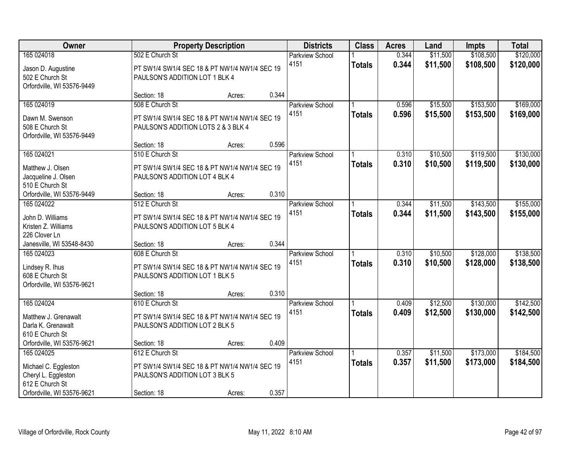| Owner                                         |                                                                  | <b>Property Description</b> |       | <b>Districts</b>               | <b>Class</b>  | <b>Acres</b>   | Land                 | <b>Impts</b>           | <b>Total</b>           |
|-----------------------------------------------|------------------------------------------------------------------|-----------------------------|-------|--------------------------------|---------------|----------------|----------------------|------------------------|------------------------|
| 165 024018<br>Jason D. Augustine              | 502 E Church St<br>PT SW1/4 SW1/4 SEC 18 & PT NW1/4 NW1/4 SEC 19 |                             |       | <b>Parkview School</b><br>4151 | <b>Totals</b> | 0.344<br>0.344 | \$11,500<br>\$11,500 | \$108,500<br>\$108,500 | \$120,000<br>\$120,000 |
| 502 E Church St<br>Orfordville, WI 53576-9449 | PAULSON'S ADDITION LOT 1 BLK 4                                   |                             |       |                                |               |                |                      |                        |                        |
|                                               | Section: 18                                                      | Acres:                      | 0.344 |                                |               |                |                      |                        |                        |
| 165 024019                                    | 508 E Church St                                                  |                             |       | <b>Parkview School</b>         |               | 0.596          | \$15,500             | \$153,500              | \$169,000              |
| Dawn M. Swenson                               | PT SW1/4 SW1/4 SEC 18 & PT NW1/4 NW1/4 SEC 19                    |                             |       | 4151                           | <b>Totals</b> | 0.596          | \$15,500             | \$153,500              | \$169,000              |
| 508 E Church St                               | PAULSON'S ADDITION LOTS 2 & 3 BLK 4                              |                             |       |                                |               |                |                      |                        |                        |
| Orfordville, WI 53576-9449                    |                                                                  |                             |       |                                |               |                |                      |                        |                        |
|                                               | Section: 18                                                      | Acres:                      | 0.596 |                                |               |                |                      |                        |                        |
| 165 024021                                    | 510 E Church St                                                  |                             |       | Parkview School                |               | 0.310          | \$10,500             | \$119,500              | \$130,000              |
| Matthew J. Olsen                              | PT SW1/4 SW1/4 SEC 18 & PT NW1/4 NW1/4 SEC 19                    |                             |       | 4151                           | <b>Totals</b> | 0.310          | \$10,500             | \$119,500              | \$130,000              |
| Jacqueline J. Olsen                           | PAULSON'S ADDITION LOT 4 BLK 4                                   |                             |       |                                |               |                |                      |                        |                        |
| 510 E Church St                               |                                                                  |                             |       |                                |               |                |                      |                        |                        |
| Orfordville, WI 53576-9449                    | Section: 18                                                      | Acres:                      | 0.310 |                                |               |                |                      |                        |                        |
| 165 024022                                    | 512 E Church St                                                  |                             |       | Parkview School                |               | 0.344          | \$11,500             | \$143,500              | \$155,000              |
| John D. Williams                              | PT SW1/4 SW1/4 SEC 18 & PT NW1/4 NW1/4 SEC 19                    |                             |       | 4151                           | <b>Totals</b> | 0.344          | \$11,500             | \$143,500              | \$155,000              |
| Kristen Z. Williams                           | PAULSON'S ADDITION LOT 5 BLK 4                                   |                             |       |                                |               |                |                      |                        |                        |
| 226 Clover Ln                                 |                                                                  |                             |       |                                |               |                |                      |                        |                        |
| Janesville, WI 53548-8430                     | Section: 18                                                      | Acres:                      | 0.344 |                                |               |                |                      |                        |                        |
| 165 024023                                    | 608 E Church St                                                  |                             |       | <b>Parkview School</b>         |               | 0.310          | \$10,500             | \$128,000              | \$138,500              |
| Lindsey R. Ihus                               | PT SW1/4 SW1/4 SEC 18 & PT NW1/4 NW1/4 SEC 19                    |                             |       | 4151                           | <b>Totals</b> | 0.310          | \$10,500             | \$128,000              | \$138,500              |
| 608 E Church St                               | PAULSON'S ADDITION LOT 1 BLK 5                                   |                             |       |                                |               |                |                      |                        |                        |
| Orfordville, WI 53576-9621                    |                                                                  |                             |       |                                |               |                |                      |                        |                        |
|                                               | Section: 18                                                      | Acres:                      | 0.310 |                                |               |                |                      |                        |                        |
| 165 024024                                    | 610 E Church St                                                  |                             |       | <b>Parkview School</b>         |               | 0.409          | \$12,500             | \$130,000              | \$142,500              |
| Matthew J. Grenawalt                          | PT SW1/4 SW1/4 SEC 18 & PT NW1/4 NW1/4 SEC 19                    |                             |       | 4151                           | <b>Totals</b> | 0.409          | \$12,500             | \$130,000              | \$142,500              |
| Darla K. Grenawalt                            | PAULSON'S ADDITION LOT 2 BLK 5                                   |                             |       |                                |               |                |                      |                        |                        |
| 610 E Church St                               |                                                                  |                             |       |                                |               |                |                      |                        |                        |
| Orfordville, WI 53576-9621                    | Section: 18                                                      | Acres:                      | 0.409 |                                |               |                |                      |                        |                        |
| 165 024025                                    | 612 E Church St                                                  |                             |       | <b>Parkview School</b>         |               | 0.357          | \$11,500             | \$173,000              | \$184,500              |
| Michael C. Eggleston                          | PT SW1/4 SW1/4 SEC 18 & PT NW1/4 NW1/4 SEC 19                    |                             |       | 4151                           | <b>Totals</b> | 0.357          | \$11,500             | \$173,000              | \$184,500              |
| Cheryl L. Eggleston                           | PAULSON'S ADDITION LOT 3 BLK 5                                   |                             |       |                                |               |                |                      |                        |                        |
| 612 E Church St                               |                                                                  |                             |       |                                |               |                |                      |                        |                        |
| Orfordville, WI 53576-9621                    | Section: 18                                                      | Acres:                      | 0.357 |                                |               |                |                      |                        |                        |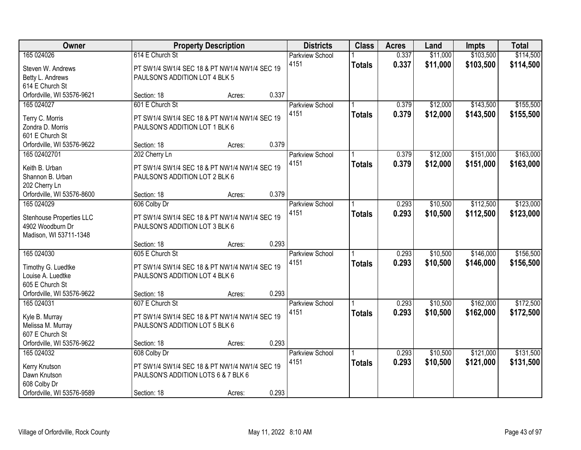| Owner                                                                                                  |                                                                                                                     | <b>Property Description</b> |       | <b>Districts</b>               | <b>Class</b>  | <b>Acres</b>   | Land                 | <b>Impts</b>           | <b>Total</b>           |
|--------------------------------------------------------------------------------------------------------|---------------------------------------------------------------------------------------------------------------------|-----------------------------|-------|--------------------------------|---------------|----------------|----------------------|------------------------|------------------------|
| 165 024026<br>Steven W. Andrews<br>Betty L. Andrews                                                    | 614 E Church St<br>PT SW1/4 SW1/4 SEC 18 & PT NW1/4 NW1/4 SEC 19<br>PAULSON'S ADDITION LOT 4 BLK 5                  |                             |       | <b>Parkview School</b><br>4151 | <b>Totals</b> | 0.337<br>0.337 | \$11,000<br>\$11,000 | \$103,500<br>\$103,500 | \$114,500<br>\$114,500 |
| 614 E Church St<br>Orfordville, WI 53576-9621                                                          | Section: 18                                                                                                         | Acres:                      | 0.337 |                                |               |                |                      |                        |                        |
| 165 024027<br>Terry C. Morris<br>Zondra D. Morris<br>601 E Church St                                   | 601 E Church St<br>PT SW1/4 SW1/4 SEC 18 & PT NW1/4 NW1/4 SEC 19<br>PAULSON'S ADDITION LOT 1 BLK 6                  |                             |       | <b>Parkview School</b><br>4151 | <b>Totals</b> | 0.379<br>0.379 | \$12,000<br>\$12,000 | \$143,500<br>\$143,500 | \$155,500<br>\$155,500 |
| Orfordville, WI 53576-9622<br>165 02402701                                                             | Section: 18<br>202 Cherry Ln                                                                                        | Acres:                      | 0.379 | Parkview School                |               | 0.379          | \$12,000             | \$151,000              | \$163,000              |
| Keith B. Urban<br>Shannon B. Urban<br>202 Cherry Ln                                                    | PT SW1/4 SW1/4 SEC 18 & PT NW1/4 NW1/4 SEC 19<br>PAULSON'S ADDITION LOT 2 BLK 6                                     |                             |       | 4151                           | <b>Totals</b> | 0.379          | \$12,000             | \$151,000              | \$163,000              |
| Orfordville, WI 53576-8600                                                                             | Section: 18                                                                                                         | Acres:                      | 0.379 |                                |               |                |                      |                        |                        |
| 165 024029<br>Stenhouse Properties LLC<br>4902 Woodburn Dr<br>Madison, WI 53711-1348                   | 606 Colby Dr<br>PT SW1/4 SW1/4 SEC 18 & PT NW1/4 NW1/4 SEC 19<br>PAULSON'S ADDITION LOT 3 BLK 6                     |                             |       | Parkview School<br>4151        | <b>Totals</b> | 0.293<br>0.293 | \$10,500<br>\$10,500 | \$112,500<br>\$112,500 | \$123,000<br>\$123,000 |
|                                                                                                        | Section: 18                                                                                                         | Acres:                      | 0.293 |                                |               |                |                      |                        |                        |
| 165 024030<br>Timothy G. Luedtke<br>Louise A. Luedtke<br>605 E Church St<br>Orfordville, WI 53576-9622 | 605 E Church St<br>PT SW1/4 SW1/4 SEC 18 & PT NW1/4 NW1/4 SEC 19<br>PAULSON'S ADDITION LOT 4 BLK 6<br>Section: 18   | Acres:                      | 0.293 | <b>Parkview School</b><br>4151 | <b>Totals</b> | 0.293<br>0.293 | \$10,500<br>\$10,500 | \$146,000<br>\$146,000 | \$156,500<br>\$156,500 |
| 165 024031<br>Kyle B. Murray                                                                           | 607 E Church St<br>PT SW1/4 SW1/4 SEC 18 & PT NW1/4 NW1/4 SEC 19                                                    |                             |       | Parkview School<br>4151        | <b>Totals</b> | 0.293<br>0.293 | \$10,500<br>\$10,500 | \$162,000<br>\$162,000 | \$172,500<br>\$172,500 |
| Melissa M. Murray<br>607 E Church St<br>Orfordville, WI 53576-9622                                     | PAULSON'S ADDITION LOT 5 BLK 6<br>Section: 18                                                                       | Acres:                      | 0.293 |                                |               |                |                      |                        |                        |
| 165 024032<br>Kerry Knutson<br>Dawn Knutson<br>608 Colby Dr<br>Orfordville, WI 53576-9589              | 608 Colby Dr<br>PT SW1/4 SW1/4 SEC 18 & PT NW1/4 NW1/4 SEC 19<br>PAULSON'S ADDITION LOTS 6 & 7 BLK 6<br>Section: 18 | Acres:                      | 0.293 | <b>Parkview School</b><br>4151 | <b>Totals</b> | 0.293<br>0.293 | \$10,500<br>\$10,500 | \$121,000<br>\$121,000 | \$131,500<br>\$131,500 |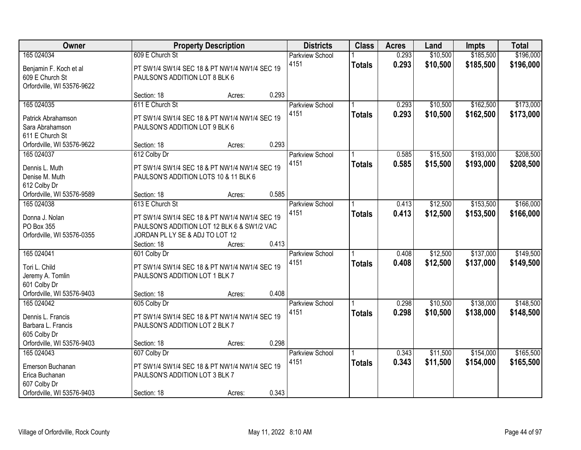| Owner                            |                                       | <b>Property Description</b>                   |       | <b>Districts</b>       | <b>Class</b>  | <b>Acres</b> | Land     | <b>Impts</b> | <b>Total</b> |
|----------------------------------|---------------------------------------|-----------------------------------------------|-------|------------------------|---------------|--------------|----------|--------------|--------------|
| 165 024034                       | 609 E Church St                       |                                               |       | <b>Parkview School</b> |               | 0.293        | \$10,500 | \$185,500    | \$196,000    |
| Benjamin F. Koch et al           |                                       | PT SW1/4 SW1/4 SEC 18 & PT NW1/4 NW1/4 SEC 19 |       | 4151                   | <b>Totals</b> | 0.293        | \$10,500 | \$185,500    | \$196,000    |
| 609 E Church St                  | PAULSON'S ADDITION LOT 8 BLK 6        |                                               |       |                        |               |              |          |              |              |
| Orfordville, WI 53576-9622       |                                       |                                               |       |                        |               |              |          |              |              |
|                                  | Section: 18                           | Acres:                                        | 0.293 |                        |               |              |          |              |              |
| 165 024035                       | 611 E Church St                       |                                               |       | <b>Parkview School</b> |               | 0.293        | \$10,500 | \$162,500    | \$173,000    |
| Patrick Abrahamson               |                                       | PT SW1/4 SW1/4 SEC 18 & PT NW1/4 NW1/4 SEC 19 |       | 4151                   | <b>Totals</b> | 0.293        | \$10,500 | \$162,500    | \$173,000    |
| Sara Abrahamson                  | PAULSON'S ADDITION LOT 9 BLK 6        |                                               |       |                        |               |              |          |              |              |
| 611 E Church St                  |                                       |                                               |       |                        |               |              |          |              |              |
| Orfordville, WI 53576-9622       | Section: 18                           | Acres:                                        | 0.293 |                        |               |              |          |              |              |
| 165 024037                       | 612 Colby Dr                          |                                               |       | Parkview School        |               | 0.585        | \$15,500 | \$193,000    | \$208,500    |
|                                  |                                       |                                               |       | 4151                   | <b>Totals</b> | 0.585        | \$15,500 | \$193,000    | \$208,500    |
| Dennis L. Muth<br>Denise M. Muth | PAULSON'S ADDITION LOTS 10 & 11 BLK 6 | PT SW1/4 SW1/4 SEC 18 & PT NW1/4 NW1/4 SEC 19 |       |                        |               |              |          |              |              |
| 612 Colby Dr                     |                                       |                                               |       |                        |               |              |          |              |              |
| Orfordville, WI 53576-9589       | Section: 18                           | Acres:                                        | 0.585 |                        |               |              |          |              |              |
| 165 024038                       | 613 E Church St                       |                                               |       | <b>Parkview School</b> |               | 0.413        | \$12,500 | \$153,500    | \$166,000    |
|                                  |                                       |                                               |       | 4151                   | <b>Totals</b> | 0.413        | \$12,500 | \$153,500    | \$166,000    |
| Donna J. Nolan                   |                                       | PT SW1/4 SW1/4 SEC 18 & PT NW1/4 NW1/4 SEC 19 |       |                        |               |              |          |              |              |
| PO Box 355                       |                                       | PAULSON'S ADDITION LOT 12 BLK 6 & SW1/2 VAC   |       |                        |               |              |          |              |              |
| Orfordville, WI 53576-0355       | JORDAN PL LY SE & ADJ TO LOT 12       |                                               |       |                        |               |              |          |              |              |
|                                  | Section: 18                           | Acres:                                        | 0.413 |                        |               |              |          |              |              |
| 165 024041                       | 601 Colby Dr                          |                                               |       | Parkview School        |               | 0.408        | \$12,500 | \$137,000    | \$149,500    |
| Tori L. Child                    |                                       | PT SW1/4 SW1/4 SEC 18 & PT NW1/4 NW1/4 SEC 19 |       | 4151                   | <b>Totals</b> | 0.408        | \$12,500 | \$137,000    | \$149,500    |
| Jeremy A. Tomlin                 | PAULSON'S ADDITION LOT 1 BLK 7        |                                               |       |                        |               |              |          |              |              |
| 601 Colby Dr                     |                                       |                                               |       |                        |               |              |          |              |              |
| Orfordville, WI 53576-9403       | Section: 18                           | Acres:                                        | 0.408 |                        |               |              |          |              |              |
| 165 024042                       | 605 Colby Dr                          |                                               |       | Parkview School        |               | 0.298        | \$10,500 | \$138,000    | \$148,500    |
| Dennis L. Francis                |                                       | PT SW1/4 SW1/4 SEC 18 & PT NW1/4 NW1/4 SEC 19 |       | 4151                   | <b>Totals</b> | 0.298        | \$10,500 | \$138,000    | \$148,500    |
| Barbara L. Francis               | PAULSON'S ADDITION LOT 2 BLK 7        |                                               |       |                        |               |              |          |              |              |
| 605 Colby Dr                     |                                       |                                               |       |                        |               |              |          |              |              |
| Orfordville, WI 53576-9403       | Section: 18                           | Acres:                                        | 0.298 |                        |               |              |          |              |              |
| 165 024043                       | 607 Colby Dr                          |                                               |       | Parkview School        |               | 0.343        | \$11,500 | \$154,000    | \$165,500    |
| Emerson Buchanan                 |                                       | PT SW1/4 SW1/4 SEC 18 & PT NW1/4 NW1/4 SEC 19 |       | 4151                   | <b>Totals</b> | 0.343        | \$11,500 | \$154,000    | \$165,500    |
| Erica Buchanan                   | PAULSON'S ADDITION LOT 3 BLK 7        |                                               |       |                        |               |              |          |              |              |
| 607 Colby Dr                     |                                       |                                               |       |                        |               |              |          |              |              |
| Orfordville, WI 53576-9403       | Section: 18                           | Acres:                                        | 0.343 |                        |               |              |          |              |              |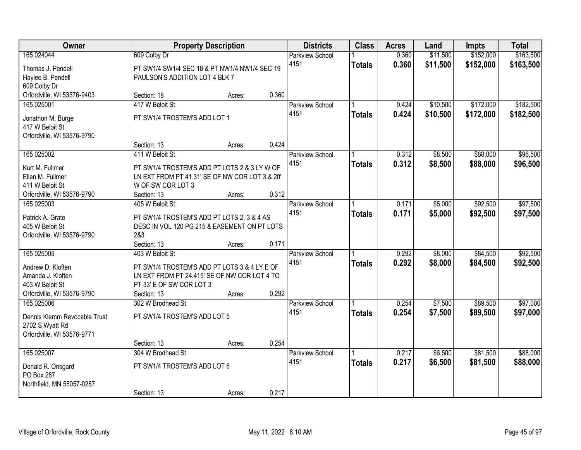| Owner                               |                                                                     | <b>Property Description</b> |       | <b>Districts</b>       | <b>Class</b>  | <b>Acres</b> | Land     | <b>Impts</b> | <b>Total</b> |
|-------------------------------------|---------------------------------------------------------------------|-----------------------------|-------|------------------------|---------------|--------------|----------|--------------|--------------|
| 165 024044                          | 609 Colby Dr                                                        |                             |       | <b>Parkview School</b> |               | 0.360        | \$11,500 | \$152,000    | \$163,500    |
| Thomas J. Pendell                   | PT SW1/4 SW1/4 SEC 18 & PT NW1/4 NW1/4 SEC 19                       |                             |       | 4151                   | <b>Totals</b> | 0.360        | \$11,500 | \$152,000    | \$163,500    |
| Haylee B. Pendell                   | PAULSON'S ADDITION LOT 4 BLK 7                                      |                             |       |                        |               |              |          |              |              |
| 609 Colby Dr                        |                                                                     |                             |       |                        |               |              |          |              |              |
| Orfordville, WI 53576-9403          | Section: 18                                                         | Acres:                      | 0.360 |                        |               |              |          |              |              |
| 165 025001                          | 417 W Beloit St                                                     |                             |       | <b>Parkview School</b> |               | 0.424        | \$10,500 | \$172,000    | \$182,500    |
| Jonathon M. Burge                   | PT SW1/4 TROSTEM'S ADD LOT 1                                        |                             |       | 4151                   | <b>Totals</b> | 0.424        | \$10,500 | \$172,000    | \$182,500    |
| 417 W Beloit St                     |                                                                     |                             |       |                        |               |              |          |              |              |
| Orfordville, WI 53576-9790          |                                                                     |                             |       |                        |               |              |          |              |              |
|                                     | Section: 13                                                         | Acres:                      | 0.424 |                        |               |              |          |              |              |
| 165 025002                          | 411 W Beloit St                                                     |                             |       | Parkview School        |               | 0.312        | \$8,500  | \$88,000     | \$96,500     |
|                                     |                                                                     |                             |       | 4151                   | <b>Totals</b> | 0.312        | \$8,500  | \$88,000     | \$96,500     |
| Kurt M. Fullmer                     | PT SW1/4 TROSTEM'S ADD PT LOTS 2 & 3 LY W OF                        |                             |       |                        |               |              |          |              |              |
| Ellen M. Fullmer<br>411 W Beloit St | LN EXT FROM PT 41.31' SE OF NW COR LOT 3 & 20'<br>W OF SW COR LOT 3 |                             |       |                        |               |              |          |              |              |
| Orfordville, WI 53576-9790          | Section: 13                                                         | Acres:                      | 0.312 |                        |               |              |          |              |              |
| 165 025003                          | 405 W Beloit St                                                     |                             |       | Parkview School        |               | 0.171        | \$5,000  | \$92,500     | \$97,500     |
|                                     |                                                                     |                             |       | 4151                   | <b>Totals</b> | 0.171        | \$5,000  | \$92,500     | \$97,500     |
| Patrick A. Grate                    | PT SW1/4 TROSTEM'S ADD PT LOTS 2, 3 & 4 AS                          |                             |       |                        |               |              |          |              |              |
| 405 W Beloit St                     | DESC IN VOL 120 PG 215 & EASEMENT ON PT LOTS                        |                             |       |                        |               |              |          |              |              |
| Orfordville, WI 53576-9790          | 2&3                                                                 |                             |       |                        |               |              |          |              |              |
|                                     | Section: 13                                                         | Acres:                      | 0.171 |                        |               |              |          |              |              |
| 165 025005                          | 403 W Beloit St                                                     |                             |       | Parkview School        |               | 0.292        | \$8,000  | \$84,500     | \$92,500     |
| Andrew D. Kloften                   | PT SW1/4 TROSTEM'S ADD PT LOTS 3 & 4 LY E OF                        |                             |       | 4151                   | <b>Totals</b> | 0.292        | \$8,000  | \$84,500     | \$92,500     |
| Amanda J. Kloften                   | LN EXT FROM PT 24.415' SE OF NW COR LOT 4 TO                        |                             |       |                        |               |              |          |              |              |
| 403 W Beloit St                     | PT 33' E OF SW COR LOT 3                                            |                             |       |                        |               |              |          |              |              |
| Orfordville, WI 53576-9790          | Section: 13                                                         | Acres:                      | 0.292 |                        |               |              |          |              |              |
| 165 025006                          | 302 W Brodhead St                                                   |                             |       | <b>Parkview School</b> |               | 0.254        | \$7,500  | \$89,500     | \$97,000     |
| Dennis Klemm Revocable Trust        | PT SW1/4 TROSTEM'S ADD LOT 5                                        |                             |       | 4151                   | <b>Totals</b> | 0.254        | \$7,500  | \$89,500     | \$97,000     |
| 2702 S Wyatt Rd                     |                                                                     |                             |       |                        |               |              |          |              |              |
| Orfordville, WI 53576-9771          |                                                                     |                             |       |                        |               |              |          |              |              |
|                                     | Section: 13                                                         | Acres:                      | 0.254 |                        |               |              |          |              |              |
| 165 025007                          | 304 W Brodhead St                                                   |                             |       | Parkview School        |               | 0.217        | \$6,500  | \$81,500     | \$88,000     |
| Donald R. Onsgard                   | PT SW1/4 TROSTEM'S ADD LOT 6                                        |                             |       | 4151                   | <b>Totals</b> | 0.217        | \$6,500  | \$81,500     | \$88,000     |
| PO Box 287                          |                                                                     |                             |       |                        |               |              |          |              |              |
| Northfield, MN 55057-0287           |                                                                     |                             |       |                        |               |              |          |              |              |
|                                     | Section: 13                                                         | Acres:                      | 0.217 |                        |               |              |          |              |              |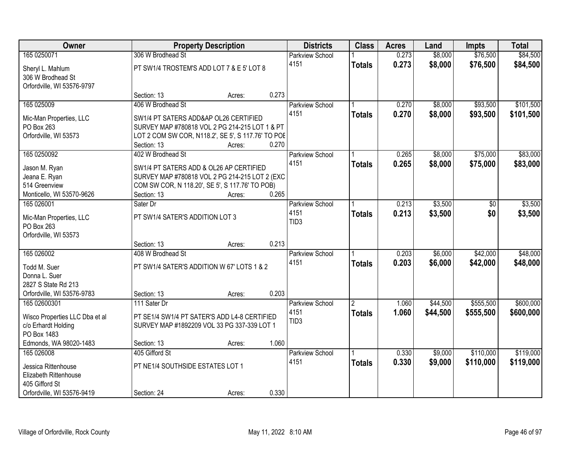| Owner                                                               |                                                                                         | <b>Property Description</b> |       | <b>Districts</b>        | <b>Class</b>   | <b>Acres</b>   | Land               | <b>Impts</b>         | <b>Total</b>           |
|---------------------------------------------------------------------|-----------------------------------------------------------------------------------------|-----------------------------|-------|-------------------------|----------------|----------------|--------------------|----------------------|------------------------|
| 165 0250071                                                         | 306 W Brodhead St                                                                       |                             |       | <b>Parkview School</b>  |                | 0.273          | \$8,000            | \$76,500             | \$84,500               |
| Sheryl L. Mahlum<br>306 W Brodhead St<br>Orfordville, WI 53576-9797 | PT SW1/4 TROSTEM'S ADD LOT 7 & E 5' LOT 8                                               |                             |       | 4151                    | <b>Totals</b>  | 0.273          | \$8,000            | \$76,500             | \$84,500               |
|                                                                     | Section: 13                                                                             | Acres:                      | 0.273 |                         |                |                |                    |                      |                        |
| 165 025009                                                          | 406 W Brodhead St                                                                       |                             |       | Parkview School<br>4151 | <b>Totals</b>  | 0.270<br>0.270 | \$8,000<br>\$8,000 | \$93,500<br>\$93,500 | \$101,500<br>\$101,500 |
| Mic-Man Properties, LLC<br>PO Box 263                               | SW1/4 PT SATERS ADD&AP OL26 CERTIFIED<br>SURVEY MAP #780818 VOL 2 PG 214-215 LOT 1 & PT |                             |       |                         |                |                |                    |                      |                        |
| Orfordville, WI 53573                                               | LOT 2 COM SW COR, N118.2', SE 5', S 117.76' TO POE                                      |                             |       |                         |                |                |                    |                      |                        |
|                                                                     | Section: 13                                                                             | Acres:                      | 0.270 |                         |                |                |                    |                      |                        |
| 165 0250092                                                         | 402 W Brodhead St                                                                       |                             |       | Parkview School         |                | 0.265          | \$8,000            | \$75,000             | \$83,000               |
| Jason M. Ryan                                                       | SW1/4 PT SATERS ADD & OL26 AP CERTIFIED                                                 |                             |       | 4151                    | <b>Totals</b>  | 0.265          | \$8,000            | \$75,000             | \$83,000               |
| Jeana E. Ryan                                                       | SURVEY MAP #780818 VOL 2 PG 214-215 LOT 2 (EXC                                          |                             |       |                         |                |                |                    |                      |                        |
| 514 Greenview                                                       | COM SW COR, N 118.20', SE 5', S 117.76' TO POB)                                         |                             |       |                         |                |                |                    |                      |                        |
| Monticello, WI 53570-9626                                           | Section: 13                                                                             | Acres:                      | 0.265 |                         |                |                |                    |                      |                        |
| 165 026001                                                          | Sater Dr                                                                                |                             |       | Parkview School         |                | 0.213          | \$3,500            | \$0                  | \$3,500                |
| Mic-Man Properties, LLC                                             | PT SW1/4 SATER'S ADDITION LOT 3                                                         |                             |       | 4151                    | <b>Totals</b>  | 0.213          | \$3,500            | \$0                  | \$3,500                |
| PO Box 263                                                          |                                                                                         |                             |       | TID <sub>3</sub>        |                |                |                    |                      |                        |
| Orfordville, WI 53573                                               |                                                                                         |                             |       |                         |                |                |                    |                      |                        |
|                                                                     | Section: 13                                                                             | Acres:                      | 0.213 |                         |                |                |                    |                      |                        |
| 165 026002                                                          | 408 W Brodhead St                                                                       |                             |       | Parkview School         |                | 0.203          | \$6,000            | \$42,000             | \$48,000               |
| Todd M. Suer                                                        | PT SW1/4 SATER'S ADDITION W 67' LOTS 1 & 2                                              |                             |       | 4151                    | <b>Totals</b>  | 0.203          | \$6,000            | \$42,000             | \$48,000               |
| Donna L. Suer                                                       |                                                                                         |                             |       |                         |                |                |                    |                      |                        |
| 2827 S State Rd 213                                                 |                                                                                         |                             |       |                         |                |                |                    |                      |                        |
| Orfordville, WI 53576-9783                                          | Section: 13                                                                             | Acres:                      | 0.203 |                         |                |                |                    |                      |                        |
| 165 02600301                                                        | 111 Sater Dr                                                                            |                             |       | Parkview School         | $\overline{2}$ | 1.060          | \$44,500           | \$555,500            | \$600,000              |
| Wisco Properties LLC Dba et al                                      | PT SE1/4 SW1/4 PT SATER'S ADD L4-8 CERTIFIED                                            |                             |       | 4151                    | <b>Totals</b>  | 1.060          | \$44,500           | \$555,500            | \$600,000              |
| c/o Erhardt Holding                                                 | SURVEY MAP #1892209 VOL 33 PG 337-339 LOT 1                                             |                             |       | TID <sub>3</sub>        |                |                |                    |                      |                        |
| PO Box 1483                                                         |                                                                                         |                             |       |                         |                |                |                    |                      |                        |
| Edmonds, WA 98020-1483                                              | Section: 13                                                                             | Acres:                      | 1.060 |                         |                |                |                    |                      |                        |
| 165 026008                                                          | 405 Gifford St                                                                          |                             |       | <b>Parkview School</b>  |                | 0.330          | \$9,000            | \$110,000            | \$119,000              |
| Jessica Rittenhouse                                                 | PT NE1/4 SOUTHSIDE ESTATES LOT 1                                                        |                             |       | 4151                    | <b>Totals</b>  | 0.330          | \$9,000            | \$110,000            | \$119,000              |
| Elizabeth Rittenhouse                                               |                                                                                         |                             |       |                         |                |                |                    |                      |                        |
| 405 Gifford St                                                      |                                                                                         |                             |       |                         |                |                |                    |                      |                        |
| Orfordville, WI 53576-9419                                          | Section: 24                                                                             | Acres:                      | 0.330 |                         |                |                |                    |                      |                        |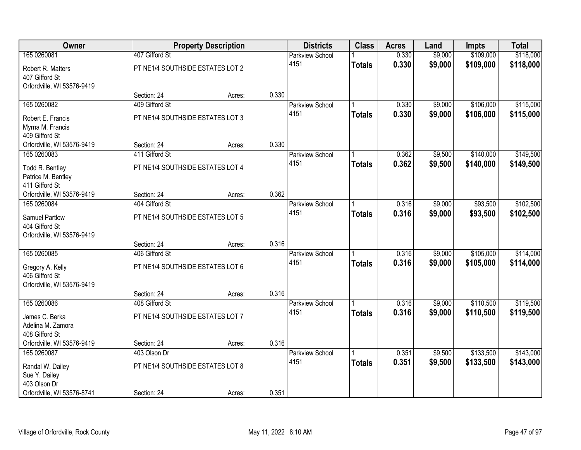| Owner                      |                                  | <b>Property Description</b> |       | <b>Districts</b>       | <b>Class</b>  | <b>Acres</b> | Land    | <b>Impts</b> | <b>Total</b> |
|----------------------------|----------------------------------|-----------------------------|-------|------------------------|---------------|--------------|---------|--------------|--------------|
| 165 0260081                | 407 Gifford St                   |                             |       | <b>Parkview School</b> |               | 0.330        | \$9,000 | \$109,000    | \$118,000    |
| Robert R. Matters          | PT NE1/4 SOUTHSIDE ESTATES LOT 2 |                             |       | 4151                   | <b>Totals</b> | 0.330        | \$9,000 | \$109,000    | \$118,000    |
| 407 Gifford St             |                                  |                             |       |                        |               |              |         |              |              |
| Orfordville, WI 53576-9419 |                                  |                             |       |                        |               |              |         |              |              |
|                            | Section: 24                      | Acres:                      | 0.330 |                        |               |              |         |              |              |
| 165 0260082                | 409 Gifford St                   |                             |       | <b>Parkview School</b> |               | 0.330        | \$9,000 | \$106,000    | \$115,000    |
| Robert E. Francis          | PT NE1/4 SOUTHSIDE ESTATES LOT 3 |                             |       | 4151                   | <b>Totals</b> | 0.330        | \$9,000 | \$106,000    | \$115,000    |
| Myrna M. Francis           |                                  |                             |       |                        |               |              |         |              |              |
| 409 Gifford St             |                                  |                             |       |                        |               |              |         |              |              |
| Orfordville, WI 53576-9419 | Section: 24                      | Acres:                      | 0.330 |                        |               |              |         |              |              |
| 165 0260083                | 411 Gifford St                   |                             |       | <b>Parkview School</b> |               | 0.362        | \$9,500 | \$140,000    | \$149,500    |
| Todd R. Bentley            | PT NE1/4 SOUTHSIDE ESTATES LOT 4 |                             |       | 4151                   | <b>Totals</b> | 0.362        | \$9,500 | \$140,000    | \$149,500    |
| Patrice M. Bentley         |                                  |                             |       |                        |               |              |         |              |              |
| 411 Gifford St             |                                  |                             |       |                        |               |              |         |              |              |
| Orfordville, WI 53576-9419 | Section: 24                      | Acres:                      | 0.362 |                        |               |              |         |              |              |
| 165 0260084                | 404 Gifford St                   |                             |       | Parkview School        |               | 0.316        | \$9,000 | \$93,500     | \$102,500    |
| Samuel Partlow             | PT NE1/4 SOUTHSIDE ESTATES LOT 5 |                             |       | 4151                   | <b>Totals</b> | 0.316        | \$9,000 | \$93,500     | \$102,500    |
| 404 Gifford St             |                                  |                             |       |                        |               |              |         |              |              |
| Orfordville, WI 53576-9419 |                                  |                             |       |                        |               |              |         |              |              |
|                            | Section: 24                      | Acres:                      | 0.316 |                        |               |              |         |              |              |
| 165 0260085                | 406 Gifford St                   |                             |       | Parkview School        |               | 0.316        | \$9,000 | \$105,000    | \$114,000    |
| Gregory A. Kelly           | PT NE1/4 SOUTHSIDE ESTATES LOT 6 |                             |       | 4151                   | <b>Totals</b> | 0.316        | \$9,000 | \$105,000    | \$114,000    |
| 406 Gifford St             |                                  |                             |       |                        |               |              |         |              |              |
| Orfordville, WI 53576-9419 |                                  |                             |       |                        |               |              |         |              |              |
|                            | Section: 24                      | Acres:                      | 0.316 |                        |               |              |         |              |              |
| 165 0260086                | 408 Gifford St                   |                             |       | Parkview School        |               | 0.316        | \$9,000 | \$110,500    | \$119,500    |
| James C. Berka             | PT NE1/4 SOUTHSIDE ESTATES LOT 7 |                             |       | 4151                   | <b>Totals</b> | 0.316        | \$9,000 | \$110,500    | \$119,500    |
| Adelina M. Zamora          |                                  |                             |       |                        |               |              |         |              |              |
| 408 Gifford St             |                                  |                             |       |                        |               |              |         |              |              |
| Orfordville, WI 53576-9419 | Section: 24                      | Acres:                      | 0.316 |                        |               |              |         |              |              |
| 165 0260087                | 403 Olson Dr                     |                             |       | <b>Parkview School</b> |               | 0.351        | \$9,500 | \$133,500    | \$143,000    |
| Randal W. Dailey           | PT NE1/4 SOUTHSIDE ESTATES LOT 8 |                             |       | 4151                   | <b>Totals</b> | 0.351        | \$9,500 | \$133,500    | \$143,000    |
| Sue Y. Dailey              |                                  |                             |       |                        |               |              |         |              |              |
| 403 Olson Dr               |                                  |                             |       |                        |               |              |         |              |              |
| Orfordville, WI 53576-8741 | Section: 24                      | Acres:                      | 0.351 |                        |               |              |         |              |              |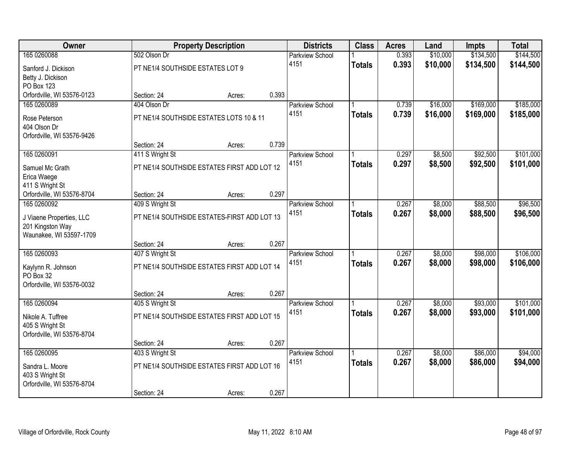| Owner                      |                                             | <b>Property Description</b> |       | <b>Districts</b>       | <b>Class</b>  | <b>Acres</b> | Land     | <b>Impts</b> | <b>Total</b> |
|----------------------------|---------------------------------------------|-----------------------------|-------|------------------------|---------------|--------------|----------|--------------|--------------|
| 165 0260088                | 502 Olson Dr                                |                             |       | <b>Parkview School</b> |               | 0.393        | \$10,000 | \$134,500    | \$144,500    |
| Sanford J. Dickison        | PT NE1/4 SOUTHSIDE ESTATES LOT 9            |                             |       | 4151                   | <b>Totals</b> | 0.393        | \$10,000 | \$134,500    | \$144,500    |
| Betty J. Dickison          |                                             |                             |       |                        |               |              |          |              |              |
| PO Box 123                 |                                             |                             |       |                        |               |              |          |              |              |
| Orfordville, WI 53576-0123 | Section: 24                                 | Acres:                      | 0.393 |                        |               |              |          |              |              |
| 165 0260089                | 404 Olson Dr                                |                             |       | <b>Parkview School</b> |               | 0.739        | \$16,000 | \$169,000    | \$185,000    |
| Rose Peterson              | PT NE1/4 SOUTHSIDE ESTATES LOTS 10 & 11     |                             |       | 4151                   | <b>Totals</b> | 0.739        | \$16,000 | \$169,000    | \$185,000    |
| 404 Olson Dr               |                                             |                             |       |                        |               |              |          |              |              |
| Orfordville, WI 53576-9426 |                                             |                             |       |                        |               |              |          |              |              |
|                            | Section: 24                                 | Acres:                      | 0.739 |                        |               |              |          |              |              |
| 165 0260091                | 411 S Wright St                             |                             |       | Parkview School        |               | 0.297        | \$8,500  | \$92,500     | \$101,000    |
| Samuel Mc Grath            | PT NE1/4 SOUTHSIDE ESTATES FIRST ADD LOT 12 |                             |       | 4151                   | <b>Totals</b> | 0.297        | \$8,500  | \$92,500     | \$101,000    |
| Erica Waege                |                                             |                             |       |                        |               |              |          |              |              |
| 411 S Wright St            |                                             |                             |       |                        |               |              |          |              |              |
| Orfordville, WI 53576-8704 | Section: 24                                 | Acres:                      | 0.297 |                        |               |              |          |              |              |
| 165 0260092                | 409 S Wright St                             |                             |       | Parkview School        |               | 0.267        | \$8,000  | \$88,500     | \$96,500     |
| J Viaene Properties, LLC   | PT NE1/4 SOUTHSIDE ESTATES-FIRST ADD LOT 13 |                             |       | 4151                   | <b>Totals</b> | 0.267        | \$8,000  | \$88,500     | \$96,500     |
| 201 Kingston Way           |                                             |                             |       |                        |               |              |          |              |              |
| Waunakee, WI 53597-1709    |                                             |                             |       |                        |               |              |          |              |              |
|                            | Section: 24                                 | Acres:                      | 0.267 |                        |               |              |          |              |              |
| 165 0260093                | 407 S Wright St                             |                             |       | Parkview School        |               | 0.267        | \$8,000  | \$98,000     | \$106,000    |
| Kaylynn R. Johnson         | PT NE1/4 SOUTHSIDE ESTATES FIRST ADD LOT 14 |                             |       | 4151                   | <b>Totals</b> | 0.267        | \$8,000  | \$98,000     | \$106,000    |
| PO Box 32                  |                                             |                             |       |                        |               |              |          |              |              |
| Orfordville, WI 53576-0032 |                                             |                             |       |                        |               |              |          |              |              |
|                            | Section: 24                                 | Acres:                      | 0.267 |                        |               |              |          |              |              |
| 165 0260094                | 405 S Wright St                             |                             |       | <b>Parkview School</b> |               | 0.267        | \$8,000  | \$93,000     | \$101,000    |
| Nikole A. Tuffree          | PT NE1/4 SOUTHSIDE ESTATES FIRST ADD LOT 15 |                             |       | 4151                   | <b>Totals</b> | 0.267        | \$8,000  | \$93,000     | \$101,000    |
| 405 S Wright St            |                                             |                             |       |                        |               |              |          |              |              |
| Orfordville, WI 53576-8704 |                                             |                             |       |                        |               |              |          |              |              |
|                            | Section: 24                                 | Acres:                      | 0.267 |                        |               |              |          |              |              |
| 165 0260095                | 403 S Wright St                             |                             |       | <b>Parkview School</b> |               | 0.267        | \$8,000  | \$86,000     | \$94,000     |
| Sandra L. Moore            | PT NE1/4 SOUTHSIDE ESTATES FIRST ADD LOT 16 |                             |       | 4151                   | <b>Totals</b> | 0.267        | \$8,000  | \$86,000     | \$94,000     |
| 403 S Wright St            |                                             |                             |       |                        |               |              |          |              |              |
| Orfordville, WI 53576-8704 |                                             |                             |       |                        |               |              |          |              |              |
|                            | Section: 24                                 | Acres:                      | 0.267 |                        |               |              |          |              |              |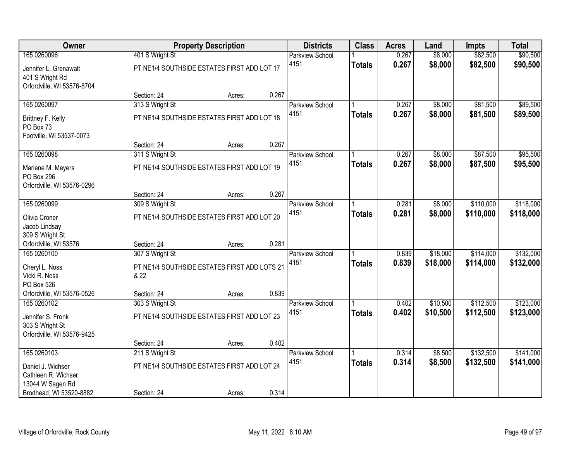| Owner                                                                  |                                                      | <b>Property Description</b> |       | <b>Districts</b>       | <b>Class</b>  | <b>Acres</b> | Land     | <b>Impts</b> | <b>Total</b> |
|------------------------------------------------------------------------|------------------------------------------------------|-----------------------------|-------|------------------------|---------------|--------------|----------|--------------|--------------|
| 165 0260096                                                            | 401 S Wright St                                      |                             |       | <b>Parkview School</b> |               | 0.267        | \$8,000  | \$82,500     | \$90,500     |
| Jennifer L. Grenawalt<br>401 S Wright Rd<br>Orfordville, WI 53576-8704 | PT NE1/4 SOUTHSIDE ESTATES FIRST ADD LOT 17          |                             |       | 4151                   | <b>Totals</b> | 0.267        | \$8,000  | \$82,500     | \$90,500     |
|                                                                        | Section: 24                                          | Acres:                      | 0.267 |                        |               |              |          |              |              |
| 165 0260097                                                            | 313 S Wright St                                      |                             |       | Parkview School        |               | 0.267        | \$8,000  | \$81,500     | \$89,500     |
| Brittney F. Kelly<br>PO Box 73<br>Footville, WI 53537-0073             | PT NE1/4 SOUTHSIDE ESTATES FIRST ADD LOT 18          |                             |       | 4151                   | <b>Totals</b> | 0.267        | \$8,000  | \$81,500     | \$89,500     |
|                                                                        | Section: 24                                          | Acres:                      | 0.267 |                        |               |              |          |              |              |
| 165 0260098                                                            | 311 S Wright St                                      |                             |       | Parkview School        |               | 0.267        | \$8,000  | \$87,500     | \$95,500     |
| Marlene M. Meyers<br>PO Box 296<br>Orfordville, WI 53576-0296          | PT NE1/4 SOUTHSIDE ESTATES FIRST ADD LOT 19          |                             |       | 4151                   | <b>Totals</b> | 0.267        | \$8,000  | \$87,500     | \$95,500     |
|                                                                        | Section: 24                                          | Acres:                      | 0.267 |                        |               |              |          |              |              |
| 165 0260099                                                            | 309 S Wright St                                      |                             |       | <b>Parkview School</b> |               | 0.281        | \$8,000  | \$110,000    | \$118,000    |
| Olivia Croner<br>Jacob Lindsay<br>309 S Wright St                      | PT NE1/4 SOUTHSIDE ESTATES FIRST ADD LOT 20          |                             |       | 4151                   | <b>Totals</b> | 0.281        | \$8,000  | \$110,000    | \$118,000    |
| Orfordville, WI 53576                                                  | Section: 24                                          | Acres:                      | 0.281 |                        |               |              |          |              |              |
| 165 0260100                                                            | 307 S Wright St                                      |                             |       | <b>Parkview School</b> |               | 0.839        | \$18,000 | \$114,000    | \$132,000    |
| Cheryl L. Noss<br>Vicki R. Noss<br>PO Box 526                          | PT NE1/4 SOUTHSIDE ESTATES FIRST ADD LOTS 21<br>& 22 |                             |       | 4151                   | <b>Totals</b> | 0.839        | \$18,000 | \$114,000    | \$132,000    |
| Orfordville, WI 53576-0526                                             | Section: 24                                          | Acres:                      | 0.839 |                        |               |              |          |              |              |
| 165 0260102                                                            | 303 S Wright St                                      |                             |       | <b>Parkview School</b> |               | 0.402        | \$10,500 | \$112,500    | \$123,000    |
| Jennifer S. Fronk<br>303 S Wright St<br>Orfordville, WI 53576-9425     | PT NE1/4 SOUTHSIDE ESTATES FIRST ADD LOT 23          |                             |       | 4151                   | <b>Totals</b> | 0.402        | \$10,500 | \$112,500    | \$123,000    |
|                                                                        | Section: 24                                          | Acres:                      | 0.402 |                        |               |              |          |              |              |
| 165 0260103                                                            | 211 S Wright St                                      |                             |       | <b>Parkview School</b> |               | 0.314        | \$8,500  | \$132,500    | \$141,000    |
| Daniel J. Wichser<br>Cathleen R. Wichser<br>13044 W Sagen Rd           | PT NE1/4 SOUTHSIDE ESTATES FIRST ADD LOT 24          |                             |       | 4151                   | <b>Totals</b> | 0.314        | \$8,500  | \$132,500    | \$141,000    |
| Brodhead, WI 53520-8882                                                | Section: 24                                          | Acres:                      | 0.314 |                        |               |              |          |              |              |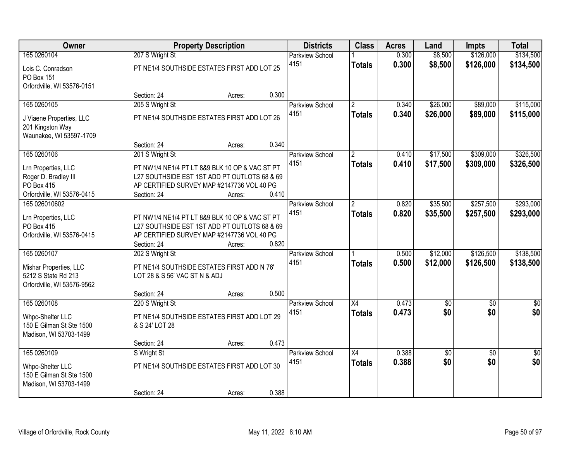| Owner                      |                               | <b>Property Description</b>                    |       | <b>Districts</b>       | <b>Class</b>         | <b>Acres</b> | Land            | <b>Impts</b>    | <b>Total</b>    |
|----------------------------|-------------------------------|------------------------------------------------|-------|------------------------|----------------------|--------------|-----------------|-----------------|-----------------|
| 165 0260104                | 207 S Wright St               |                                                |       | <b>Parkview School</b> |                      | 0.300        | \$8,500         | \$126,000       | \$134,500       |
| Lois C. Conradson          |                               | PT NE1/4 SOUTHSIDE ESTATES FIRST ADD LOT 25    |       | 4151                   | <b>Totals</b>        | 0.300        | \$8,500         | \$126,000       | \$134,500       |
| PO Box 151                 |                               |                                                |       |                        |                      |              |                 |                 |                 |
| Orfordville, WI 53576-0151 |                               |                                                |       |                        |                      |              |                 |                 |                 |
|                            | Section: 24                   | Acres:                                         | 0.300 |                        |                      |              |                 |                 |                 |
| 165 0260105                | 205 S Wright St               |                                                |       | <b>Parkview School</b> | $\overline{2}$       | 0.340        | \$26,000        | \$89,000        | \$115,000       |
| J Viaene Properties, LLC   |                               | PT NE1/4 SOUTHSIDE ESTATES FIRST ADD LOT 26    |       | 4151                   | <b>Totals</b>        | 0.340        | \$26,000        | \$89,000        | \$115,000       |
| 201 Kingston Way           |                               |                                                |       |                        |                      |              |                 |                 |                 |
| Waunakee, WI 53597-1709    |                               |                                                |       |                        |                      |              |                 |                 |                 |
|                            | Section: 24                   | Acres:                                         | 0.340 |                        |                      |              |                 |                 |                 |
| 165 0260106                | 201 S Wright St               |                                                |       | Parkview School        | $\overline{2}$       | 0.410        | \$17,500        | \$309,000       | \$326,500       |
| Lrn Properties, LLC        |                               | PT NW1/4 NE1/4 PT LT 8&9 BLK 10 OP & VAC ST PT |       | 4151                   | <b>Totals</b>        | 0.410        | \$17,500        | \$309,000       | \$326,500       |
| Roger D. Bradley III       |                               | L27 SOUTHSIDE EST 1ST ADD PT OUTLOTS 68 & 69   |       |                        |                      |              |                 |                 |                 |
| <b>PO Box 415</b>          |                               | AP CERTIFIED SURVEY MAP #2147736 VOL 40 PG     |       |                        |                      |              |                 |                 |                 |
| Orfordville, WI 53576-0415 | Section: 24                   | Acres:                                         | 0.410 |                        |                      |              |                 |                 |                 |
| 165 026010602              |                               |                                                |       | Parkview School        | $\mathbf{2}^{\circ}$ | 0.820        | \$35,500        | \$257,500       | \$293,000       |
|                            |                               |                                                |       | 4151                   | <b>Totals</b>        | 0.820        | \$35,500        | \$257,500       | \$293,000       |
| Lrn Properties, LLC        |                               | PT NW1/4 NE1/4 PT LT 8&9 BLK 10 OP & VAC ST PT |       |                        |                      |              |                 |                 |                 |
| PO Box 415                 |                               | L27 SOUTHSIDE EST 1ST ADD PT OUTLOTS 68 & 69   |       |                        |                      |              |                 |                 |                 |
| Orfordville, WI 53576-0415 | Section: 24                   | AP CERTIFIED SURVEY MAP #2147736 VOL 40 PG     | 0.820 |                        |                      |              |                 |                 |                 |
| 165 0260107                | 202 S Wright St               | Acres:                                         |       | Parkview School        |                      | 0.500        | \$12,000        | \$126,500       | \$138,500       |
|                            |                               |                                                |       | 4151                   |                      | 0.500        | \$12,000        | \$126,500       |                 |
| Mishar Properties, LLC     |                               | PT NE1/4 SOUTHSIDE ESTATES FIRST ADD N 76'     |       |                        | <b>Totals</b>        |              |                 |                 | \$138,500       |
| 5212 S State Rd 213        | LOT 28 & S 56' VAC ST N & ADJ |                                                |       |                        |                      |              |                 |                 |                 |
| Orfordville, WI 53576-9562 |                               |                                                |       |                        |                      |              |                 |                 |                 |
|                            | Section: 24                   | Acres:                                         | 0.500 |                        |                      |              |                 |                 |                 |
| 165 0260108                | 220 S Wright St               |                                                |       | Parkview School        | $\overline{X4}$      | 0.473        | $\overline{50}$ | $\overline{50}$ | $\overline{50}$ |
| Whpc-Shelter LLC           |                               | PT NE1/4 SOUTHSIDE ESTATES FIRST ADD LOT 29    |       | 4151                   | <b>Totals</b>        | 0.473        | \$0             | \$0             | \$0             |
| 150 E Gilman St Ste 1500   | & S 24' LOT 28                |                                                |       |                        |                      |              |                 |                 |                 |
| Madison, WI 53703-1499     |                               |                                                |       |                        |                      |              |                 |                 |                 |
|                            | Section: 24                   | Acres:                                         | 0.473 |                        |                      |              |                 |                 |                 |
| 165 0260109                | S Wright St                   |                                                |       | Parkview School        | $\overline{X4}$      | 0.388        | $\sqrt{50}$     | $\overline{50}$ | $\overline{50}$ |
| Whpc-Shelter LLC           |                               | PT NE1/4 SOUTHSIDE ESTATES FIRST ADD LOT 30    |       | 4151                   | <b>Totals</b>        | 0.388        | \$0             | \$0             | \$0             |
| 150 E Gilman St Ste 1500   |                               |                                                |       |                        |                      |              |                 |                 |                 |
| Madison, WI 53703-1499     |                               |                                                |       |                        |                      |              |                 |                 |                 |
|                            | Section: 24                   | Acres:                                         | 0.388 |                        |                      |              |                 |                 |                 |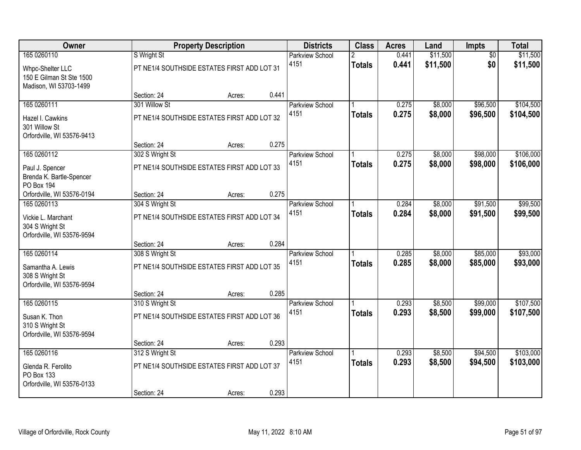| Owner                                                                  |                                             | <b>Property Description</b> |       | <b>Districts</b>               | <b>Class</b>       | <b>Acres</b>   | Land                 | <b>Impts</b>           | <b>Total</b>         |
|------------------------------------------------------------------------|---------------------------------------------|-----------------------------|-------|--------------------------------|--------------------|----------------|----------------------|------------------------|----------------------|
| 165 0260110                                                            | S Wright St                                 |                             |       | <b>Parkview School</b><br>4151 | 2<br><b>Totals</b> | 0.441<br>0.441 | \$11,500<br>\$11,500 | $\overline{50}$<br>\$0 | \$11,500<br>\$11,500 |
| Whpc-Shelter LLC<br>150 E Gilman St Ste 1500<br>Madison, WI 53703-1499 | PT NE1/4 SOUTHSIDE ESTATES FIRST ADD LOT 31 |                             |       |                                |                    |                |                      |                        |                      |
|                                                                        | Section: 24                                 | Acres:                      | 0.441 |                                |                    |                |                      |                        |                      |
| 165 0260111                                                            | 301 Willow St                               |                             |       | Parkview School                |                    | 0.275          | \$8,000              | \$96,500               | \$104,500            |
| Hazel I. Cawkins<br>301 Willow St<br>Orfordville, WI 53576-9413        | PT NE1/4 SOUTHSIDE ESTATES FIRST ADD LOT 32 |                             |       | 4151                           | <b>Totals</b>      | 0.275          | \$8,000              | \$96,500               | \$104,500            |
|                                                                        | Section: 24                                 | Acres:                      | 0.275 |                                |                    |                |                      |                        |                      |
| 165 0260112                                                            | 302 S Wright St                             |                             |       | Parkview School                |                    | 0.275          | \$8,000              | \$98,000               | \$106,000            |
| Paul J. Spencer<br>Brenda K. Bartle-Spencer<br><b>PO Box 194</b>       | PT NE1/4 SOUTHSIDE ESTATES FIRST ADD LOT 33 |                             |       | 4151                           | <b>Totals</b>      | 0.275          | \$8,000              | \$98,000               | \$106,000            |
| Orfordville, WI 53576-0194                                             | Section: 24                                 | Acres:                      | 0.275 |                                |                    |                |                      |                        |                      |
| 165 0260113                                                            | 304 S Wright St                             |                             |       | Parkview School                |                    | 0.284          | \$8,000              | \$91,500               | \$99,500             |
| Vickie L. Marchant<br>304 S Wright St<br>Orfordville, WI 53576-9594    | PT NE1/4 SOUTHSIDE ESTATES FIRST ADD LOT 34 |                             |       | 4151                           | <b>Totals</b>      | 0.284          | \$8,000              | \$91,500               | \$99,500             |
|                                                                        | Section: 24                                 | Acres:                      | 0.284 |                                |                    |                |                      |                        |                      |
| 165 0260114                                                            | 308 S Wright St                             |                             |       | <b>Parkview School</b>         |                    | 0.285          | \$8,000              | \$85,000               | \$93,000             |
| Samantha A. Lewis<br>308 S Wright St<br>Orfordville, WI 53576-9594     | PT NE1/4 SOUTHSIDE ESTATES FIRST ADD LOT 35 |                             |       | 4151                           | <b>Totals</b>      | 0.285          | \$8,000              | \$85,000               | \$93,000             |
|                                                                        | Section: 24                                 | Acres:                      | 0.285 |                                |                    |                |                      |                        |                      |
| 165 0260115                                                            | 310 S Wright St                             |                             |       | <b>Parkview School</b>         |                    | 0.293          | \$8,500              | \$99,000               | \$107,500            |
| Susan K. Thon<br>310 S Wright St<br>Orfordville, WI 53576-9594         | PT NE1/4 SOUTHSIDE ESTATES FIRST ADD LOT 36 |                             |       | 4151                           | <b>Totals</b>      | 0.293          | \$8,500              | \$99,000               | \$107,500            |
|                                                                        | Section: 24                                 | Acres:                      | 0.293 |                                |                    |                |                      |                        |                      |
| 165 0260116                                                            | 312 S Wright St                             |                             |       | <b>Parkview School</b>         |                    | 0.293          | \$8,500              | \$94,500               | \$103,000            |
| Glenda R. Ferolito<br>PO Box 133<br>Orfordville, WI 53576-0133         | PT NE1/4 SOUTHSIDE ESTATES FIRST ADD LOT 37 |                             |       | 4151                           | <b>Totals</b>      | 0.293          | \$8,500              | \$94,500               | \$103,000            |
|                                                                        | Section: 24                                 | Acres:                      | 0.293 |                                |                    |                |                      |                        |                      |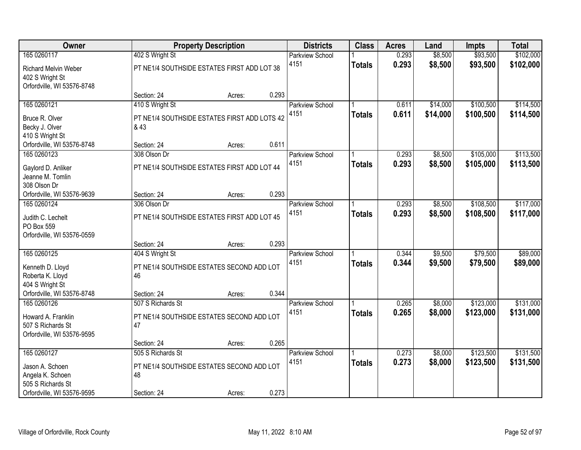| Owner                                         |                                                                | <b>Property Description</b> |       | <b>Districts</b>               | <b>Class</b>  | <b>Acres</b>   | Land               | <b>Impts</b>         | <b>Total</b>           |
|-----------------------------------------------|----------------------------------------------------------------|-----------------------------|-------|--------------------------------|---------------|----------------|--------------------|----------------------|------------------------|
| 165 0260117<br><b>Richard Melvin Weber</b>    | 402 S Wright St<br>PT NE1/4 SOUTHSIDE ESTATES FIRST ADD LOT 38 |                             |       | <b>Parkview School</b><br>4151 | <b>Totals</b> | 0.293<br>0.293 | \$8,500<br>\$8,500 | \$93,500<br>\$93,500 | \$102,000<br>\$102,000 |
| 402 S Wright St<br>Orfordville, WI 53576-8748 | Section: 24                                                    | Acres:                      | 0.293 |                                |               |                |                    |                      |                        |
| 165 0260121                                   | 410 S Wright St                                                |                             |       | <b>Parkview School</b>         |               | 0.611          | \$14,000           | \$100,500            | \$114,500              |
|                                               |                                                                |                             |       | 4151                           | <b>Totals</b> | 0.611          | \$14,000           | \$100,500            | \$114,500              |
| Bruce R. Olver                                | PT NE1/4 SOUTHSIDE ESTATES FIRST ADD LOTS 42                   |                             |       |                                |               |                |                    |                      |                        |
| Becky J. Olver                                | & 43                                                           |                             |       |                                |               |                |                    |                      |                        |
| 410 S Wright St<br>Orfordville, WI 53576-8748 | Section: 24                                                    | Acres:                      | 0.611 |                                |               |                |                    |                      |                        |
| 165 0260123                                   | 308 Olson Dr                                                   |                             |       | Parkview School                |               | 0.293          | \$8,500            | \$105,000            | \$113,500              |
|                                               |                                                                |                             |       | 4151                           | <b>Totals</b> | 0.293          | \$8,500            | \$105,000            | \$113,500              |
| Gaylord D. Anliker                            | PT NE1/4 SOUTHSIDE ESTATES FIRST ADD LOT 44                    |                             |       |                                |               |                |                    |                      |                        |
| Jeanne M. Tomlin                              |                                                                |                             |       |                                |               |                |                    |                      |                        |
| 308 Olson Dr<br>Orfordville, WI 53576-9639    | Section: 24                                                    | Acres:                      | 0.293 |                                |               |                |                    |                      |                        |
| 165 0260124                                   | 306 Olson Dr                                                   |                             |       | Parkview School                |               | 0.293          | \$8,500            | \$108,500            | \$117,000              |
|                                               |                                                                |                             |       | 4151                           | <b>Totals</b> | 0.293          | \$8,500            | \$108,500            | \$117,000              |
| Judith C. Lechelt                             | PT NE1/4 SOUTHSIDE ESTATES FIRST ADD LOT 45                    |                             |       |                                |               |                |                    |                      |                        |
| PO Box 559                                    |                                                                |                             |       |                                |               |                |                    |                      |                        |
| Orfordville, WI 53576-0559                    |                                                                |                             | 0.293 |                                |               |                |                    |                      |                        |
| 165 0260125                                   | Section: 24<br>404 S Wright St                                 | Acres:                      |       |                                |               | 0.344          | \$9,500            | \$79,500             | \$89,000               |
|                                               |                                                                |                             |       | Parkview School<br>4151        |               | 0.344          | \$9,500            | \$79,500             | \$89,000               |
| Kenneth D. Lloyd                              | PT NE1/4 SOUTHSIDE ESTATES SECOND ADD LOT                      |                             |       |                                | <b>Totals</b> |                |                    |                      |                        |
| Roberta K. Lloyd                              | 46                                                             |                             |       |                                |               |                |                    |                      |                        |
| 404 S Wright St                               |                                                                |                             |       |                                |               |                |                    |                      |                        |
| Orfordville, WI 53576-8748                    | Section: 24                                                    | Acres:                      | 0.344 |                                |               |                |                    |                      |                        |
| 165 0260126                                   | 507 S Richards St                                              |                             |       | <b>Parkview School</b><br>4151 |               | 0.265<br>0.265 | \$8,000            | \$123,000            | \$131,000              |
| Howard A. Franklin                            | PT NE1/4 SOUTHSIDE ESTATES SECOND ADD LOT                      |                             |       |                                | <b>Totals</b> |                | \$8,000            | \$123,000            | \$131,000              |
| 507 S Richards St                             | 47                                                             |                             |       |                                |               |                |                    |                      |                        |
| Orfordville, WI 53576-9595                    |                                                                |                             |       |                                |               |                |                    |                      |                        |
|                                               | Section: 24                                                    | Acres:                      | 0.265 |                                |               |                |                    |                      |                        |
| 165 0260127                                   | 505 S Richards St                                              |                             |       | <b>Parkview School</b><br>4151 |               | 0.273<br>0.273 | \$8,000            | \$123,500            | \$131,500              |
| Jason A. Schoen                               | PT NE1/4 SOUTHSIDE ESTATES SECOND ADD LOT                      |                             |       |                                | <b>Totals</b> |                | \$8,000            | \$123,500            | \$131,500              |
| Angela K. Schoen                              | 48                                                             |                             |       |                                |               |                |                    |                      |                        |
| 505 S Richards St                             |                                                                |                             |       |                                |               |                |                    |                      |                        |
| Orfordville, WI 53576-9595                    | Section: 24                                                    | Acres:                      | 0.273 |                                |               |                |                    |                      |                        |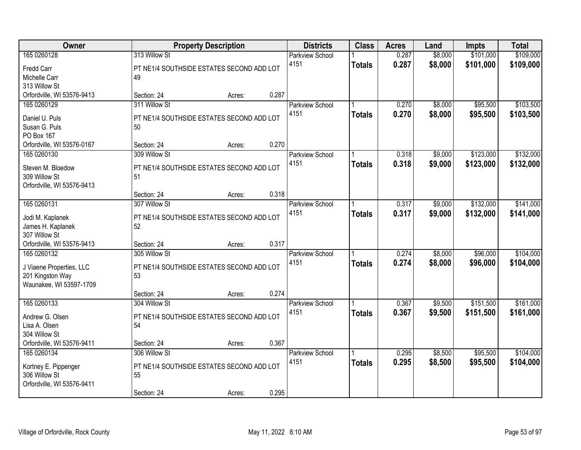| Owner                      |                                           | <b>Property Description</b> |       | <b>Districts</b>       | <b>Class</b>  | <b>Acres</b> | Land    | <b>Impts</b> | <b>Total</b> |
|----------------------------|-------------------------------------------|-----------------------------|-------|------------------------|---------------|--------------|---------|--------------|--------------|
| 165 0260128                | 313 Willow St                             |                             |       | <b>Parkview School</b> |               | 0.287        | \$8,000 | \$101,000    | \$109,000    |
| Fredd Carr                 | PT NE1/4 SOUTHSIDE ESTATES SECOND ADD LOT |                             |       | 4151                   | <b>Totals</b> | 0.287        | \$8,000 | \$101,000    | \$109,000    |
| Michelle Carr              | 49                                        |                             |       |                        |               |              |         |              |              |
| 313 Willow St              |                                           |                             |       |                        |               |              |         |              |              |
| Orfordville, WI 53576-9413 | Section: 24                               | Acres:                      | 0.287 |                        |               |              |         |              |              |
| 165 0260129                | 311 Willow St                             |                             |       | <b>Parkview School</b> |               | 0.270        | \$8,000 | \$95,500     | \$103,500    |
| Daniel U. Puls             | PT NE1/4 SOUTHSIDE ESTATES SECOND ADD LOT |                             |       | 4151                   | <b>Totals</b> | 0.270        | \$8,000 | \$95,500     | \$103,500    |
| Susan G. Puls              | 50                                        |                             |       |                        |               |              |         |              |              |
| PO Box 167                 |                                           |                             |       |                        |               |              |         |              |              |
| Orfordville, WI 53576-0167 | Section: 24                               | Acres:                      | 0.270 |                        |               |              |         |              |              |
| 165 0260130                | 309 Willow St                             |                             |       | Parkview School        |               | 0.318        | \$9,000 | \$123,000    | \$132,000    |
| Steven M. Bloedow          | PT NE1/4 SOUTHSIDE ESTATES SECOND ADD LOT |                             |       | 4151                   | <b>Totals</b> | 0.318        | \$9,000 | \$123,000    | \$132,000    |
| 309 Willow St              | 51                                        |                             |       |                        |               |              |         |              |              |
| Orfordville, WI 53576-9413 |                                           |                             |       |                        |               |              |         |              |              |
|                            | Section: 24                               | Acres:                      | 0.318 |                        |               |              |         |              |              |
| 165 0260131                | 307 Willow St                             |                             |       | <b>Parkview School</b> |               | 0.317        | \$9,000 | \$132,000    | \$141,000    |
| Jodi M. Kaplanek           | PT NE1/4 SOUTHSIDE ESTATES SECOND ADD LOT |                             |       | 4151                   | <b>Totals</b> | 0.317        | \$9,000 | \$132,000    | \$141,000    |
| James H. Kaplanek          | 52                                        |                             |       |                        |               |              |         |              |              |
| 307 Willow St              |                                           |                             |       |                        |               |              |         |              |              |
| Orfordville, WI 53576-9413 | Section: 24                               | Acres:                      | 0.317 |                        |               |              |         |              |              |
| 165 0260132                | 305 Willow St                             |                             |       | <b>Parkview School</b> |               | 0.274        | \$8,000 | \$96,000     | \$104,000    |
| J Viaene Properties, LLC   | PT NE1/4 SOUTHSIDE ESTATES SECOND ADD LOT |                             |       | 4151                   | <b>Totals</b> | 0.274        | \$8,000 | \$96,000     | \$104,000    |
| 201 Kingston Way           | 53                                        |                             |       |                        |               |              |         |              |              |
| Waunakee, WI 53597-1709    |                                           |                             |       |                        |               |              |         |              |              |
|                            | Section: 24                               | Acres:                      | 0.274 |                        |               |              |         |              |              |
| 165 0260133                | 304 Willow St                             |                             |       | Parkview School        |               | 0.367        | \$9,500 | \$151,500    | \$161,000    |
| Andrew G. Olsen            | PT NE1/4 SOUTHSIDE ESTATES SECOND ADD LOT |                             |       | 4151                   | <b>Totals</b> | 0.367        | \$9,500 | \$151,500    | \$161,000    |
| Lisa A. Olsen              | 54                                        |                             |       |                        |               |              |         |              |              |
| 304 Willow St              |                                           |                             |       |                        |               |              |         |              |              |
| Orfordville, WI 53576-9411 | Section: 24                               | Acres:                      | 0.367 |                        |               |              |         |              |              |
| 165 0260134                | 306 Willow St                             |                             |       | <b>Parkview School</b> |               | 0.295        | \$8,500 | \$95,500     | \$104,000    |
| Kortney E. Pippenger       | PT NE1/4 SOUTHSIDE ESTATES SECOND ADD LOT |                             |       | 4151                   | <b>Totals</b> | 0.295        | \$8,500 | \$95,500     | \$104,000    |
| 306 Willow St              | 55                                        |                             |       |                        |               |              |         |              |              |
| Orfordville, WI 53576-9411 |                                           |                             |       |                        |               |              |         |              |              |
|                            | Section: 24                               | Acres:                      | 0.295 |                        |               |              |         |              |              |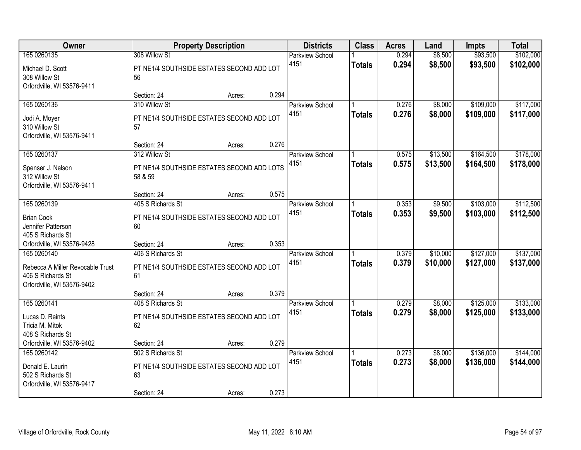| Owner                             |                                                 | <b>Property Description</b> |       | <b>Districts</b>       | <b>Class</b>  | <b>Acres</b> | Land     | <b>Impts</b> | <b>Total</b> |
|-----------------------------------|-------------------------------------------------|-----------------------------|-------|------------------------|---------------|--------------|----------|--------------|--------------|
| 165 0260135                       | 308 Willow St                                   |                             |       | <b>Parkview School</b> |               | 0.294        | \$8,500  | \$93,500     | \$102,000    |
| Michael D. Scott<br>308 Willow St | PT NE1/4 SOUTHSIDE ESTATES SECOND ADD LOT<br>56 |                             |       | 4151                   | <b>Totals</b> | 0.294        | \$8,500  | \$93,500     | \$102,000    |
| Orfordville, WI 53576-9411        |                                                 |                             |       |                        |               |              |          |              |              |
|                                   | Section: 24                                     | Acres:                      | 0.294 |                        |               |              |          |              |              |
| 165 0260136                       | 310 Willow St                                   |                             |       | <b>Parkview School</b> |               | 0.276        | \$8,000  | \$109,000    | \$117,000    |
| Jodi A. Moyer                     | PT NE1/4 SOUTHSIDE ESTATES SECOND ADD LOT       |                             |       | 4151                   | <b>Totals</b> | 0.276        | \$8,000  | \$109,000    | \$117,000    |
| 310 Willow St                     | 57                                              |                             |       |                        |               |              |          |              |              |
| Orfordville, WI 53576-9411        |                                                 |                             |       |                        |               |              |          |              |              |
|                                   | Section: 24                                     | Acres:                      | 0.276 |                        |               |              |          |              |              |
| 165 0260137                       | 312 Willow St                                   |                             |       | <b>Parkview School</b> |               | 0.575        | \$13,500 | \$164,500    | \$178,000    |
| Spenser J. Nelson                 | PT NE1/4 SOUTHSIDE ESTATES SECOND ADD LOTS      |                             |       | 4151                   | <b>Totals</b> | 0.575        | \$13,500 | \$164,500    | \$178,000    |
| 312 Willow St                     | 58 & 59                                         |                             |       |                        |               |              |          |              |              |
| Orfordville, WI 53576-9411        |                                                 |                             |       |                        |               |              |          |              |              |
|                                   | Section: 24                                     | Acres:                      | 0.575 |                        |               |              |          |              |              |
| 165 0260139                       | 405 S Richards St                               |                             |       | <b>Parkview School</b> |               | 0.353        | \$9,500  | \$103,000    | \$112,500    |
| <b>Brian Cook</b>                 | PT NE1/4 SOUTHSIDE ESTATES SECOND ADD LOT       |                             |       | 4151                   | <b>Totals</b> | 0.353        | \$9,500  | \$103,000    | \$112,500    |
| Jennifer Patterson                | 60                                              |                             |       |                        |               |              |          |              |              |
| 405 S Richards St                 |                                                 |                             |       |                        |               |              |          |              |              |
| Orfordville, WI 53576-9428        | Section: 24                                     | Acres:                      | 0.353 |                        |               |              |          |              |              |
| 165 0260140                       | 406 S Richards St                               |                             |       | Parkview School        |               | 0.379        | \$10,000 | \$127,000    | \$137,000    |
| Rebecca A Miller Revocable Trust  | PT NE1/4 SOUTHSIDE ESTATES SECOND ADD LOT       |                             |       | 4151                   | <b>Totals</b> | 0.379        | \$10,000 | \$127,000    | \$137,000    |
| 406 S Richards St                 | 61                                              |                             |       |                        |               |              |          |              |              |
| Orfordville, WI 53576-9402        |                                                 |                             |       |                        |               |              |          |              |              |
|                                   | Section: 24                                     | Acres:                      | 0.379 |                        |               |              |          |              |              |
| 165 0260141                       | 408 S Richards St                               |                             |       | <b>Parkview School</b> |               | 0.279        | \$8,000  | \$125,000    | \$133,000    |
| Lucas D. Reints                   | PT NE1/4 SOUTHSIDE ESTATES SECOND ADD LOT       |                             |       | 4151                   | <b>Totals</b> | 0.279        | \$8,000  | \$125,000    | \$133,000    |
| Tricia M. Mitok                   | 62                                              |                             |       |                        |               |              |          |              |              |
| 408 S Richards St                 |                                                 |                             |       |                        |               |              |          |              |              |
| Orfordville, WI 53576-9402        | Section: 24                                     | Acres:                      | 0.279 |                        |               |              |          |              |              |
| 165 0260142                       | 502 S Richards St                               |                             |       | <b>Parkview School</b> |               | 0.273        | \$8,000  | \$136,000    | \$144,000    |
| Donald E. Laurin                  | PT NE1/4 SOUTHSIDE ESTATES SECOND ADD LOT       |                             |       | 4151                   | <b>Totals</b> | 0.273        | \$8,000  | \$136,000    | \$144,000    |
| 502 S Richards St                 | 63                                              |                             |       |                        |               |              |          |              |              |
| Orfordville, WI 53576-9417        |                                                 |                             |       |                        |               |              |          |              |              |
|                                   | Section: 24                                     | Acres:                      | 0.273 |                        |               |              |          |              |              |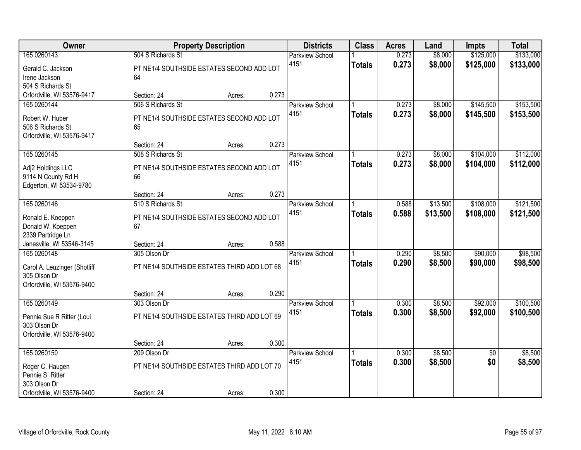| Owner                        |                                             | <b>Property Description</b> |       | <b>Districts</b>       | <b>Class</b>  | <b>Acres</b> | Land     | <b>Impts</b>    | <b>Total</b> |
|------------------------------|---------------------------------------------|-----------------------------|-------|------------------------|---------------|--------------|----------|-----------------|--------------|
| 165 0260143                  | 504 S Richards St                           |                             |       | <b>Parkview School</b> |               | 0.273        | \$8,000  | \$125,000       | \$133,000    |
| Gerald C. Jackson            | PT NE1/4 SOUTHSIDE ESTATES SECOND ADD LOT   |                             |       | 4151                   | <b>Totals</b> | 0.273        | \$8,000  | \$125,000       | \$133,000    |
| Irene Jackson                | 64                                          |                             |       |                        |               |              |          |                 |              |
| 504 S Richards St            |                                             |                             |       |                        |               |              |          |                 |              |
| Orfordville, WI 53576-9417   | Section: 24                                 | Acres:                      | 0.273 |                        |               |              |          |                 |              |
| 165 0260144                  | 506 S Richards St                           |                             |       | Parkview School        |               | 0.273        | \$8,000  | \$145,500       | \$153,500    |
| Robert W. Huber              | PT NE1/4 SOUTHSIDE ESTATES SECOND ADD LOT   |                             |       | 4151                   | <b>Totals</b> | 0.273        | \$8,000  | \$145,500       | \$153,500    |
| 506 S Richards St            | 65                                          |                             |       |                        |               |              |          |                 |              |
| Orfordville, WI 53576-9417   |                                             |                             |       |                        |               |              |          |                 |              |
|                              | Section: 24                                 | Acres:                      | 0.273 |                        |               |              |          |                 |              |
| 165 0260145                  | 508 S Richards St                           |                             |       | <b>Parkview School</b> |               | 0.273        | \$8,000  | \$104,000       | \$112,000    |
| Adj2 Holdings LLC            | PT NE1/4 SOUTHSIDE ESTATES SECOND ADD LOT   |                             |       | 4151                   | <b>Totals</b> | 0.273        | \$8,000  | \$104,000       | \$112,000    |
| 9114 N County Rd H           | 66                                          |                             |       |                        |               |              |          |                 |              |
| Edgerton, WI 53534-9780      |                                             |                             |       |                        |               |              |          |                 |              |
|                              | Section: 24                                 | Acres:                      | 0.273 |                        |               |              |          |                 |              |
| 165 0260146                  | 510 S Richards St                           |                             |       | <b>Parkview School</b> |               | 0.588        | \$13,500 | \$108,000       | \$121,500    |
| Ronald E. Koeppen            | PT NE1/4 SOUTHSIDE ESTATES SECOND ADD LOT   |                             |       | 4151                   | <b>Totals</b> | 0.588        | \$13,500 | \$108,000       | \$121,500    |
| Donald W. Koeppen            | 67                                          |                             |       |                        |               |              |          |                 |              |
| 2339 Partridge Ln            |                                             |                             |       |                        |               |              |          |                 |              |
| Janesville, WI 53546-3145    | Section: 24                                 | Acres:                      | 0.588 |                        |               |              |          |                 |              |
| 165 0260148                  | 305 Olson Dr                                |                             |       | <b>Parkview School</b> |               | 0.290        | \$8,500  | \$90,000        | \$98,500     |
| Carol A. Leuzinger (Shotliff | PT NE1/4 SOUTHSIDE ESTATES THIRD ADD LOT 68 |                             |       | 4151                   | <b>Totals</b> | 0.290        | \$8,500  | \$90,000        | \$98,500     |
| 305 Olson Dr                 |                                             |                             |       |                        |               |              |          |                 |              |
| Orfordville, WI 53576-9400   |                                             |                             |       |                        |               |              |          |                 |              |
|                              | Section: 24                                 | Acres:                      | 0.290 |                        |               |              |          |                 |              |
| 165 0260149                  | 303 Olson Dr                                |                             |       | <b>Parkview School</b> |               | 0.300        | \$8,500  | \$92,000        | \$100,500    |
| Pennie Sue R Ritter (Loui    | PT NE1/4 SOUTHSIDE ESTATES THIRD ADD LOT 69 |                             |       | 4151                   | <b>Totals</b> | 0.300        | \$8,500  | \$92,000        | \$100,500    |
| 303 Olson Dr                 |                                             |                             |       |                        |               |              |          |                 |              |
| Orfordville, WI 53576-9400   |                                             |                             |       |                        |               |              |          |                 |              |
|                              | Section: 24                                 | Acres:                      | 0.300 |                        |               |              |          |                 |              |
| 165 0260150                  | 209 Olson Dr                                |                             |       | <b>Parkview School</b> |               | 0.300        | \$8,500  | $\overline{50}$ | \$8,500      |
| Roger C. Haugen              | PT NE1/4 SOUTHSIDE ESTATES THIRD ADD LOT 70 |                             |       | 4151                   | <b>Totals</b> | 0.300        | \$8,500  | \$0             | \$8,500      |
| Pennie S. Ritter             |                                             |                             |       |                        |               |              |          |                 |              |
| 303 Olson Dr                 |                                             |                             |       |                        |               |              |          |                 |              |
| Orfordville, WI 53576-9400   | Section: 24                                 | Acres:                      | 0.300 |                        |               |              |          |                 |              |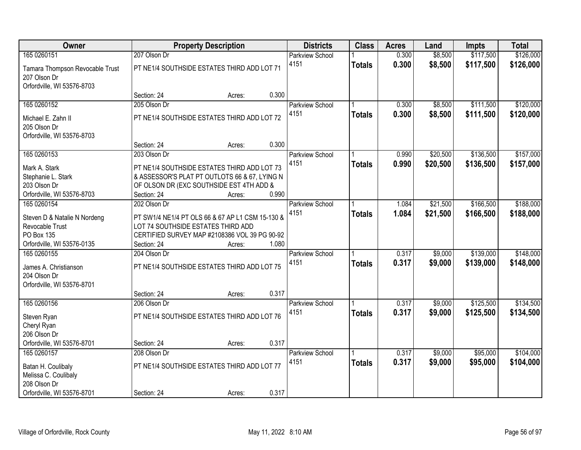| Owner                           |                                    | <b>Property Description</b>                      |       | <b>Districts</b>       | <b>Class</b>  | <b>Acres</b> | Land     | <b>Impts</b> | <b>Total</b> |
|---------------------------------|------------------------------------|--------------------------------------------------|-------|------------------------|---------------|--------------|----------|--------------|--------------|
| 165 0260151                     | 207 Olson Dr                       |                                                  |       | <b>Parkview School</b> |               | 0.300        | \$8,500  | \$117,500    | \$126,000    |
| Tamara Thompson Revocable Trust |                                    | PT NE1/4 SOUTHSIDE ESTATES THIRD ADD LOT 71      |       | 4151                   | <b>Totals</b> | 0.300        | \$8,500  | \$117,500    | \$126,000    |
| 207 Olson Dr                    |                                    |                                                  |       |                        |               |              |          |              |              |
| Orfordville, WI 53576-8703      |                                    |                                                  |       |                        |               |              |          |              |              |
|                                 | Section: 24                        | Acres:                                           | 0.300 |                        |               |              |          |              |              |
| 165 0260152                     | 205 Olson Dr                       |                                                  |       | Parkview School        |               | 0.300        | \$8,500  | \$111,500    | \$120,000    |
| Michael E. Zahn II              |                                    | PT NE1/4 SOUTHSIDE ESTATES THIRD ADD LOT 72      |       | 4151                   | <b>Totals</b> | 0.300        | \$8,500  | \$111,500    | \$120,000    |
| 205 Olson Dr                    |                                    |                                                  |       |                        |               |              |          |              |              |
| Orfordville, WI 53576-8703      |                                    |                                                  |       |                        |               |              |          |              |              |
|                                 | Section: 24                        | Acres:                                           | 0.300 |                        |               |              |          |              |              |
| 165 0260153                     | 203 Olson Dr                       |                                                  |       | Parkview School        |               | 0.990        | \$20,500 | \$136,500    | \$157,000    |
| Mark A. Stark                   |                                    | PT NE1/4 SOUTHSIDE ESTATES THIRD ADD LOT 73      |       | 4151                   | <b>Totals</b> | 0.990        | \$20,500 | \$136,500    | \$157,000    |
| Stephanie L. Stark              |                                    | & ASSESSOR'S PLAT PT OUTLOTS 66 & 67, LYING N    |       |                        |               |              |          |              |              |
| 203 Olson Dr                    |                                    | OF OLSON DR (EXC SOUTHSIDE EST 4TH ADD &         |       |                        |               |              |          |              |              |
| Orfordville, WI 53576-8703      | Section: 24                        | Acres:                                           | 0.990 |                        |               |              |          |              |              |
| 165 0260154                     | 202 Olson Dr                       |                                                  |       | Parkview School        |               | 1.084        | \$21,500 | \$166,500    | \$188,000    |
| Steven D & Natalie N Nordeng    |                                    | PT SW1/4 NE1/4 PT OLS 66 & 67 AP L1 CSM 15-130 & |       | 4151                   | <b>Totals</b> | 1.084        | \$21,500 | \$166,500    | \$188,000    |
| Revocable Trust                 | LOT 74 SOUTHSIDE ESTATES THIRD ADD |                                                  |       |                        |               |              |          |              |              |
| PO Box 135                      |                                    | CERTIFIED SURVEY MAP #2108386 VOL 39 PG 90-92    |       |                        |               |              |          |              |              |
| Orfordville, WI 53576-0135      | Section: 24                        | Acres:                                           | 1.080 |                        |               |              |          |              |              |
| 165 0260155                     | 204 Olson Dr                       |                                                  |       | <b>Parkview School</b> |               | 0.317        | \$9,000  | \$139,000    | \$148,000    |
| James A. Christianson           |                                    | PT NE1/4 SOUTHSIDE ESTATES THIRD ADD LOT 75      |       | 4151                   | <b>Totals</b> | 0.317        | \$9,000  | \$139,000    | \$148,000    |
| 204 Olson Dr                    |                                    |                                                  |       |                        |               |              |          |              |              |
| Orfordville, WI 53576-8701      |                                    |                                                  |       |                        |               |              |          |              |              |
|                                 | Section: 24                        | Acres:                                           | 0.317 |                        |               |              |          |              |              |
| 165 0260156                     | 206 Olson Dr                       |                                                  |       | <b>Parkview School</b> |               | 0.317        | \$9,000  | \$125,500    | \$134,500    |
| Steven Ryan                     |                                    | PT NE1/4 SOUTHSIDE ESTATES THIRD ADD LOT 76      |       | 4151                   | <b>Totals</b> | 0.317        | \$9,000  | \$125,500    | \$134,500    |
| Cheryl Ryan                     |                                    |                                                  |       |                        |               |              |          |              |              |
| 206 Olson Dr                    |                                    |                                                  |       |                        |               |              |          |              |              |
| Orfordville, WI 53576-8701      | Section: 24                        | Acres:                                           | 0.317 |                        |               |              |          |              |              |
| 165 0260157                     | 208 Olson Dr                       |                                                  |       | <b>Parkview School</b> |               | 0.317        | \$9,000  | \$95,000     | \$104,000    |
| Batan H. Coulibaly              |                                    | PT NE1/4 SOUTHSIDE ESTATES THIRD ADD LOT 77      |       | 4151                   | <b>Totals</b> | 0.317        | \$9,000  | \$95,000     | \$104,000    |
| Melissa C. Coulibaly            |                                    |                                                  |       |                        |               |              |          |              |              |
| 208 Olson Dr                    |                                    |                                                  |       |                        |               |              |          |              |              |
| Orfordville, WI 53576-8701      | Section: 24                        | Acres:                                           | 0.317 |                        |               |              |          |              |              |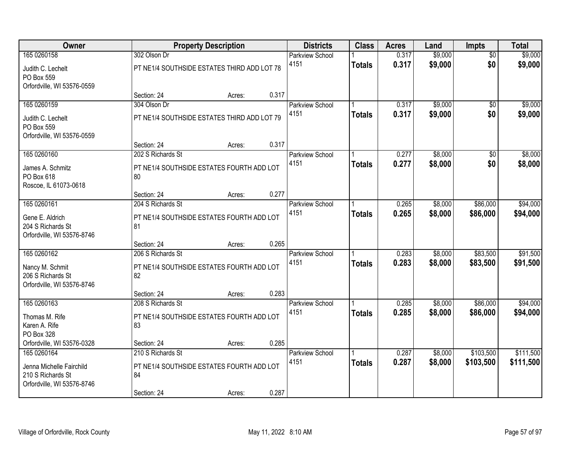| \$9,000<br>165 0260158<br>302 Olson Dr<br>0.317<br><b>Parkview School</b>                                     | \$9,000<br>$\overline{30}$                       |
|---------------------------------------------------------------------------------------------------------------|--------------------------------------------------|
| \$9,000<br>4151<br>0.317<br><b>Totals</b><br>PT NE1/4 SOUTHSIDE ESTATES THIRD ADD LOT 78<br>Judith C. Lechelt | \$0<br>\$9,000                                   |
| PO Box 559                                                                                                    |                                                  |
| Orfordville, WI 53576-0559<br>0.317<br>Section: 24<br>Acres:                                                  |                                                  |
| \$9,000<br>165 0260159<br>304 Olson Dr<br>0.317<br><b>Parkview School</b>                                     | \$9,000<br>$\overline{50}$                       |
| 0.317<br>4151<br>\$9,000<br><b>Totals</b><br>PT NE1/4 SOUTHSIDE ESTATES THIRD ADD LOT 79                      | \$0<br>\$9,000                                   |
| Judith C. Lechelt<br>PO Box 559                                                                               |                                                  |
| Orfordville, WI 53576-0559                                                                                    |                                                  |
| 0.317<br>Section: 24<br>Acres:                                                                                |                                                  |
| \$8,000<br>165 0260160<br>202 S Richards St<br>0.277<br>Parkview School                                       | $\overline{50}$<br>\$8,000                       |
| 4151<br>0.277<br>\$8,000<br><b>Totals</b><br>James A. Schmitz<br>PT NE1/4 SOUTHSIDE ESTATES FOURTH ADD LOT    | \$0<br>\$8,000                                   |
| PO Box 618<br>80                                                                                              |                                                  |
| Roscoe, IL 61073-0618                                                                                         |                                                  |
| 0.277<br>Section: 24<br>Acres:                                                                                |                                                  |
| 165 0260161<br>\$8,000<br>204 S Richards St<br>0.265<br>Parkview School<br>4151<br>0.265                      | \$86,000<br>\$94,000                             |
| \$8,000<br><b>Totals</b><br>PT NE1/4 SOUTHSIDE ESTATES FOURTH ADD LOT<br>Gene E. Aldrich                      | \$86,000<br>\$94,000                             |
| 204 S Richards St<br>81                                                                                       |                                                  |
| Orfordville, WI 53576-8746<br>0.265<br>Section: 24<br>Acres:                                                  |                                                  |
| 165 0260162<br>\$8,000<br>206 S Richards St<br>0.283<br>Parkview School                                       | \$83,500<br>\$91,500                             |
| 4151<br>0.283<br>\$8,000<br><b>Totals</b>                                                                     | \$83,500<br>\$91,500                             |
| Nancy M. Schmit<br>PT NE1/4 SOUTHSIDE ESTATES FOURTH ADD LOT<br>206 S Richards St<br>82                       |                                                  |
| Orfordville, WI 53576-8746                                                                                    |                                                  |
| 0.283<br>Section: 24<br>Acres:                                                                                |                                                  |
| 165 0260163<br>\$8,000<br>208 S Richards St<br><b>Parkview School</b><br>0.285                                | \$86,000<br>\$94,000                             |
| 4151<br>0.285<br>\$8,000<br><b>Totals</b><br>PT NE1/4 SOUTHSIDE ESTATES FOURTH ADD LOT<br>Thomas M. Rife      | \$86,000<br>\$94,000                             |
| Karen A. Rife<br>83                                                                                           |                                                  |
| PO Box 328                                                                                                    |                                                  |
| 0.285<br>Orfordville, WI 53576-0328<br>Section: 24<br>Acres:                                                  |                                                  |
| 210 S Richards St<br>165 0260164<br>0.287<br>\$8,000<br><b>Parkview School</b><br>0.287<br>4151<br>\$8,000    | \$103,500<br>\$111,500<br>\$103,500<br>\$111,500 |
| <b>Totals</b><br>PT NE1/4 SOUTHSIDE ESTATES FOURTH ADD LOT<br>Jenna Michelle Fairchild                        |                                                  |
| 84<br>210 S Richards St                                                                                       |                                                  |
| Orfordville, WI 53576-8746<br>0.287<br>Section: 24<br>Acres:                                                  |                                                  |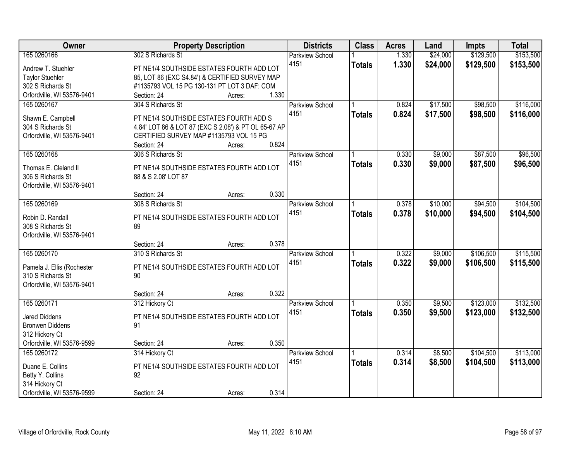| Owner                      | <b>Property Description</b>                          | <b>Districts</b>       | <b>Class</b>  | <b>Acres</b> | Land     | <b>Impts</b> | <b>Total</b> |
|----------------------------|------------------------------------------------------|------------------------|---------------|--------------|----------|--------------|--------------|
| 165 0260166                | 302 S Richards St                                    | <b>Parkview School</b> |               | 1.330        | \$24,000 | \$129,500    | \$153,500    |
| Andrew T. Stuehler         | PT NE1/4 SOUTHSIDE ESTATES FOURTH ADD LOT            | 4151                   | <b>Totals</b> | 1.330        | \$24,000 | \$129,500    | \$153,500    |
| <b>Taylor Stuehler</b>     | 85, LOT 86 (EXC S4.84') & CERTIFIED SURVEY MAP       |                        |               |              |          |              |              |
| 302 S Richards St          | #1135793 VOL 15 PG 130-131 PT LOT 3 DAF: COM         |                        |               |              |          |              |              |
| Orfordville, WI 53576-9401 | 1.330<br>Section: 24<br>Acres:                       |                        |               |              |          |              |              |
| 165 0260167                | 304 S Richards St                                    | <b>Parkview School</b> |               | 0.824        | \$17,500 | \$98,500     | \$116,000    |
|                            |                                                      | 4151                   | <b>Totals</b> | 0.824        | \$17,500 | \$98,500     | \$116,000    |
| Shawn E. Campbell          | PT NE1/4 SOUTHSIDE ESTATES FOURTH ADD S              |                        |               |              |          |              |              |
| 304 S Richards St          | 4.84' LOT 86 & LOT 87 (EXC S 2.08') & PT OL 65-67 AP |                        |               |              |          |              |              |
| Orfordville, WI 53576-9401 | CERTIFIED SURVEY MAP #1135793 VOL 15 PG<br>0.824     |                        |               |              |          |              |              |
|                            | Section: 24<br>Acres:                                |                        |               |              |          |              |              |
| 165 0260168                | 306 S Richards St                                    | Parkview School        |               | 0.330        | \$9,000  | \$87,500     | \$96,500     |
| Thomas E. Cleland II       | PT NE1/4 SOUTHSIDE ESTATES FOURTH ADD LOT            | 4151                   | <b>Totals</b> | 0.330        | \$9,000  | \$87,500     | \$96,500     |
| 306 S Richards St          | 88 & S 2.08' LOT 87                                  |                        |               |              |          |              |              |
| Orfordville, WI 53576-9401 |                                                      |                        |               |              |          |              |              |
|                            | 0.330<br>Section: 24<br>Acres:                       |                        |               |              |          |              |              |
| 165 0260169                | 308 S Richards St                                    | <b>Parkview School</b> |               | 0.378        | \$10,000 | \$94,500     | \$104,500    |
| Robin D. Randall           | PT NE1/4 SOUTHSIDE ESTATES FOURTH ADD LOT            | 4151                   | <b>Totals</b> | 0.378        | \$10,000 | \$94,500     | \$104,500    |
| 308 S Richards St          | 89                                                   |                        |               |              |          |              |              |
| Orfordville, WI 53576-9401 |                                                      |                        |               |              |          |              |              |
|                            | 0.378<br>Section: 24<br>Acres:                       |                        |               |              |          |              |              |
| 165 0260170                | 310 S Richards St                                    | Parkview School        |               | 0.322        | \$9,000  | \$106,500    | \$115,500    |
|                            |                                                      | 4151                   | <b>Totals</b> | 0.322        | \$9,000  | \$106,500    | \$115,500    |
| Pamela J. Ellis (Rochester | PT NE1/4 SOUTHSIDE ESTATES FOURTH ADD LOT            |                        |               |              |          |              |              |
| 310 S Richards St          | 90                                                   |                        |               |              |          |              |              |
| Orfordville, WI 53576-9401 |                                                      |                        |               |              |          |              |              |
|                            | 0.322<br>Section: 24<br>Acres:                       |                        |               |              |          |              |              |
| 165 0260171                | 312 Hickory Ct                                       | Parkview School        |               | 0.350        | \$9,500  | \$123,000    | \$132,500    |
| <b>Jared Diddens</b>       | PT NE1/4 SOUTHSIDE ESTATES FOURTH ADD LOT            | 4151                   | <b>Totals</b> | 0.350        | \$9,500  | \$123,000    | \$132,500    |
| <b>Bronwen Diddens</b>     | 91                                                   |                        |               |              |          |              |              |
| 312 Hickory Ct             |                                                      |                        |               |              |          |              |              |
| Orfordville, WI 53576-9599 | 0.350<br>Section: 24<br>Acres:                       |                        |               |              |          |              |              |
| 165 0260172                | 314 Hickory Ct                                       | <b>Parkview School</b> |               | 0.314        | \$8,500  | \$104,500    | \$113,000    |
|                            |                                                      | 4151                   | <b>Totals</b> | 0.314        | \$8,500  | \$104,500    | \$113,000    |
| Duane E. Collins           | PT NE1/4 SOUTHSIDE ESTATES FOURTH ADD LOT            |                        |               |              |          |              |              |
| Betty Y. Collins           | 92                                                   |                        |               |              |          |              |              |
| 314 Hickory Ct             |                                                      |                        |               |              |          |              |              |
| Orfordville, WI 53576-9599 | 0.314<br>Section: 24<br>Acres:                       |                        |               |              |          |              |              |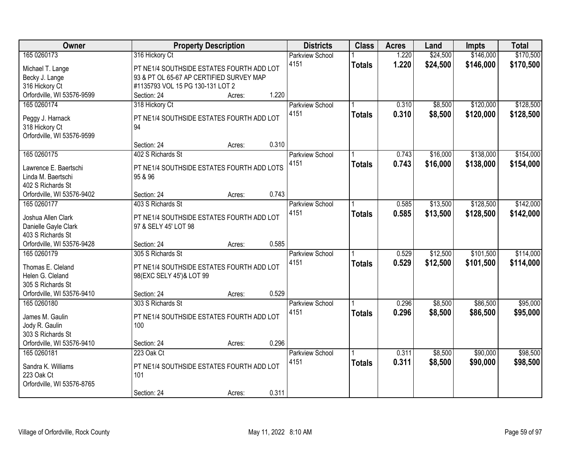| Owner                      |                                            | <b>Property Description</b> |       | <b>Districts</b>       | <b>Class</b>  | <b>Acres</b> | Land     | <b>Impts</b> | <b>Total</b> |
|----------------------------|--------------------------------------------|-----------------------------|-------|------------------------|---------------|--------------|----------|--------------|--------------|
| 165 0260173                | 316 Hickory Ct                             |                             |       | <b>Parkview School</b> |               | 1.220        | \$24,500 | \$146,000    | \$170,500    |
| Michael T. Lange           | PT NE1/4 SOUTHSIDE ESTATES FOURTH ADD LOT  |                             |       | 4151                   | <b>Totals</b> | 1.220        | \$24,500 | \$146,000    | \$170,500    |
| Becky J. Lange             | 93 & PT OL 65-67 AP CERTIFIED SURVEY MAP   |                             |       |                        |               |              |          |              |              |
| 316 Hickory Ct             | #1135793 VOL 15 PG 130-131 LOT 2           |                             |       |                        |               |              |          |              |              |
| Orfordville, WI 53576-9599 | Section: 24                                | Acres:                      | 1.220 |                        |               |              |          |              |              |
| 165 0260174                | 318 Hickory Ct                             |                             |       | <b>Parkview School</b> |               | 0.310        | \$8,500  | \$120,000    | \$128,500    |
|                            |                                            |                             |       | 4151                   | <b>Totals</b> | 0.310        | \$8,500  | \$120,000    | \$128,500    |
| Peggy J. Harnack           | PT NE1/4 SOUTHSIDE ESTATES FOURTH ADD LOT  |                             |       |                        |               |              |          |              |              |
| 318 Hickory Ct             | 94                                         |                             |       |                        |               |              |          |              |              |
| Orfordville, WI 53576-9599 | Section: 24                                |                             | 0.310 |                        |               |              |          |              |              |
| 165 0260175                | 402 S Richards St                          | Acres:                      |       |                        |               | 0.743        |          | \$138,000    | \$154,000    |
|                            |                                            |                             |       | Parkview School        |               |              | \$16,000 |              |              |
| Lawrence E. Baertschi      | PT NE1/4 SOUTHSIDE ESTATES FOURTH ADD LOTS |                             |       | 4151                   | <b>Totals</b> | 0.743        | \$16,000 | \$138,000    | \$154,000    |
| Linda M. Baertschi         | 95 & 96                                    |                             |       |                        |               |              |          |              |              |
| 402 S Richards St          |                                            |                             |       |                        |               |              |          |              |              |
| Orfordville, WI 53576-9402 | Section: 24                                | Acres:                      | 0.743 |                        |               |              |          |              |              |
| 165 0260177                | 403 S Richards St                          |                             |       | <b>Parkview School</b> |               | 0.585        | \$13,500 | \$128,500    | \$142,000    |
| Joshua Allen Clark         | PT NE1/4 SOUTHSIDE ESTATES FOURTH ADD LOT  |                             |       | 4151                   | <b>Totals</b> | 0.585        | \$13,500 | \$128,500    | \$142,000    |
| Danielle Gayle Clark       | 97 & SELY 45' LOT 98                       |                             |       |                        |               |              |          |              |              |
| 403 S Richards St          |                                            |                             |       |                        |               |              |          |              |              |
| Orfordville, WI 53576-9428 | Section: 24                                | Acres:                      | 0.585 |                        |               |              |          |              |              |
| 165 0260179                | 305 S Richards St                          |                             |       | Parkview School        |               | 0.529        | \$12,500 | \$101,500    | \$114,000    |
|                            |                                            |                             |       | 4151                   |               | 0.529        | \$12,500 | \$101,500    | \$114,000    |
| Thomas E. Cleland          | PT NE1/4 SOUTHSIDE ESTATES FOURTH ADD LOT  |                             |       |                        | <b>Totals</b> |              |          |              |              |
| Helen G. Cleland           | 98(EXC SELY 45')& LOT 99                   |                             |       |                        |               |              |          |              |              |
| 305 S Richards St          |                                            |                             |       |                        |               |              |          |              |              |
| Orfordville, WI 53576-9410 | Section: 24                                | Acres:                      | 0.529 |                        |               |              |          |              |              |
| 165 0260180                | 303 S Richards St                          |                             |       | Parkview School        |               | 0.296        | \$8,500  | \$86,500     | \$95,000     |
| James M. Gaulin            | PT NE1/4 SOUTHSIDE ESTATES FOURTH ADD LOT  |                             |       | 4151                   | <b>Totals</b> | 0.296        | \$8,500  | \$86,500     | \$95,000     |
| Jody R. Gaulin             | 100                                        |                             |       |                        |               |              |          |              |              |
| 303 S Richards St          |                                            |                             |       |                        |               |              |          |              |              |
| Orfordville, WI 53576-9410 | Section: 24                                | Acres:                      | 0.296 |                        |               |              |          |              |              |
| 165 0260181                | 223 Oak Ct                                 |                             |       | <b>Parkview School</b> |               | 0.311        | \$8,500  | \$90,000     | \$98,500     |
|                            |                                            |                             |       | 4151                   | <b>Totals</b> | 0.311        | \$8,500  | \$90,000     | \$98,500     |
| Sandra K. Williams         | PT NE1/4 SOUTHSIDE ESTATES FOURTH ADD LOT  |                             |       |                        |               |              |          |              |              |
| 223 Oak Ct                 | 101                                        |                             |       |                        |               |              |          |              |              |
| Orfordville, WI 53576-8765 |                                            |                             |       |                        |               |              |          |              |              |
|                            | Section: 24                                | Acres:                      | 0.311 |                        |               |              |          |              |              |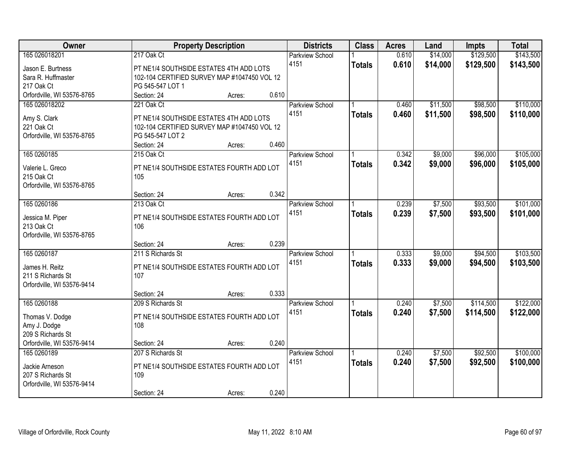| Owner                      |                                                                  | <b>Property Description</b> |       | <b>Districts</b>       | <b>Class</b>  | <b>Acres</b> | Land     | <b>Impts</b> | <b>Total</b> |
|----------------------------|------------------------------------------------------------------|-----------------------------|-------|------------------------|---------------|--------------|----------|--------------|--------------|
| 165 026018201              | 217 Oak Ct                                                       |                             |       | <b>Parkview School</b> |               | 0.610        | \$14,000 | \$129,500    | \$143,500    |
| Jason E. Burtness          | PT NE1/4 SOUTHSIDE ESTATES 4TH ADD LOTS                          |                             |       | 4151                   | <b>Totals</b> | 0.610        | \$14,000 | \$129,500    | \$143,500    |
| Sara R. Huffmaster         | 102-104 CERTIFIED SURVEY MAP #1047450 VOL 12                     |                             |       |                        |               |              |          |              |              |
| 217 Oak Ct                 | PG 545-547 LOT 1                                                 |                             |       |                        |               |              |          |              |              |
| Orfordville, WI 53576-8765 | Section: 24                                                      | Acres:                      | 0.610 |                        |               |              |          |              |              |
| 165 026018202              | 221 Oak Ct                                                       |                             |       | <b>Parkview School</b> |               | 0.460        | \$11,500 | \$98,500     | \$110,000    |
|                            |                                                                  |                             |       | 4151                   | <b>Totals</b> | 0.460        | \$11,500 | \$98,500     | \$110,000    |
| Amy S. Clark<br>221 Oak Ct | PT NE1/4 SOUTHSIDE ESTATES 4TH ADD LOTS                          |                             |       |                        |               |              |          |              |              |
|                            | 102-104 CERTIFIED SURVEY MAP #1047450 VOL 12<br>PG 545-547 LOT 2 |                             |       |                        |               |              |          |              |              |
| Orfordville, WI 53576-8765 | Section: 24                                                      | Acres:                      | 0.460 |                        |               |              |          |              |              |
| 165 0260185                | 215 Oak Ct                                                       |                             |       | Parkview School        |               | 0.342        | \$9,000  | \$96,000     | \$105,000    |
|                            |                                                                  |                             |       | 4151                   |               |              |          |              |              |
| Valerie L. Greco           | PT NE1/4 SOUTHSIDE ESTATES FOURTH ADD LOT                        |                             |       |                        | <b>Totals</b> | 0.342        | \$9,000  | \$96,000     | \$105,000    |
| 215 Oak Ct                 | 105                                                              |                             |       |                        |               |              |          |              |              |
| Orfordville, WI 53576-8765 |                                                                  |                             |       |                        |               |              |          |              |              |
|                            | Section: 24                                                      | Acres:                      | 0.342 |                        |               |              |          |              |              |
| 165 0260186                | 213 Oak Ct                                                       |                             |       | <b>Parkview School</b> |               | 0.239        | \$7,500  | \$93,500     | \$101,000    |
| Jessica M. Piper           | PT NE1/4 SOUTHSIDE ESTATES FOURTH ADD LOT                        |                             |       | 4151                   | <b>Totals</b> | 0.239        | \$7,500  | \$93,500     | \$101,000    |
| 213 Oak Ct                 | 106                                                              |                             |       |                        |               |              |          |              |              |
| Orfordville, WI 53576-8765 |                                                                  |                             |       |                        |               |              |          |              |              |
|                            | Section: 24                                                      | Acres:                      | 0.239 |                        |               |              |          |              |              |
| 165 0260187                | 211 S Richards St                                                |                             |       | Parkview School        |               | 0.333        | \$9,000  | \$94,500     | \$103,500    |
|                            |                                                                  |                             |       | 4151                   | <b>Totals</b> | 0.333        | \$9,000  | \$94,500     | \$103,500    |
| James H. Reitz             | PT NE1/4 SOUTHSIDE ESTATES FOURTH ADD LOT                        |                             |       |                        |               |              |          |              |              |
| 211 S Richards St          | 107                                                              |                             |       |                        |               |              |          |              |              |
| Orfordville, WI 53576-9414 |                                                                  |                             |       |                        |               |              |          |              |              |
|                            | Section: 24                                                      | Acres:                      | 0.333 |                        |               |              |          |              |              |
| 165 0260188                | 209 S Richards St                                                |                             |       | <b>Parkview School</b> |               | 0.240        | \$7,500  | \$114,500    | \$122,000    |
| Thomas V. Dodge            | PT NE1/4 SOUTHSIDE ESTATES FOURTH ADD LOT                        |                             |       | 4151                   | <b>Totals</b> | 0.240        | \$7,500  | \$114,500    | \$122,000    |
| Amy J. Dodge               | 108                                                              |                             |       |                        |               |              |          |              |              |
| 209 S Richards St          |                                                                  |                             |       |                        |               |              |          |              |              |
| Orfordville, WI 53576-9414 | Section: 24                                                      | Acres:                      | 0.240 |                        |               |              |          |              |              |
| 165 0260189                | 207 S Richards St                                                |                             |       | <b>Parkview School</b> |               | 0.240        | \$7,500  | \$92,500     | \$100,000    |
| Jackie Arneson             | PT NE1/4 SOUTHSIDE ESTATES FOURTH ADD LOT                        |                             |       | 4151                   | <b>Totals</b> | 0.240        | \$7,500  | \$92,500     | \$100,000    |
| 207 S Richards St          | 109                                                              |                             |       |                        |               |              |          |              |              |
| Orfordville, WI 53576-9414 |                                                                  |                             |       |                        |               |              |          |              |              |
|                            | Section: 24                                                      | Acres:                      | 0.240 |                        |               |              |          |              |              |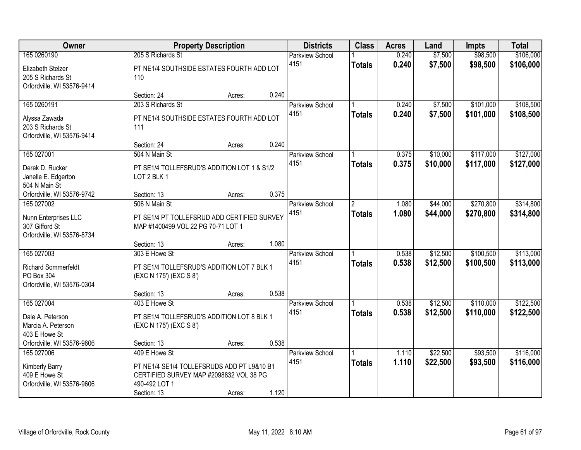| Owner                                                                  | <b>Property Description</b>                                                                                           |        | <b>Districts</b> | <b>Class</b>                   | <b>Acres</b>         | Land           | <b>Impts</b>       | <b>Total</b>         |                        |
|------------------------------------------------------------------------|-----------------------------------------------------------------------------------------------------------------------|--------|------------------|--------------------------------|----------------------|----------------|--------------------|----------------------|------------------------|
| 165 0260190                                                            | 205 S Richards St                                                                                                     |        |                  | <b>Parkview School</b><br>4151 | <b>Totals</b>        | 0.240<br>0.240 | \$7,500<br>\$7,500 | \$98,500<br>\$98,500 | \$106,000<br>\$106,000 |
| Elizabeth Stelzer<br>205 S Richards St<br>Orfordville, WI 53576-9414   | PT NE1/4 SOUTHSIDE ESTATES FOURTH ADD LOT<br>110                                                                      |        |                  |                                |                      |                |                    |                      |                        |
|                                                                        | Section: 24                                                                                                           | Acres: | 0.240            |                                |                      |                |                    |                      |                        |
| 165 0260191                                                            | 203 S Richards St                                                                                                     |        |                  | <b>Parkview School</b>         |                      | 0.240          | \$7,500            | \$101,000            | \$108,500              |
| Alyssa Zawada<br>203 S Richards St<br>Orfordville, WI 53576-9414       | PT NE1/4 SOUTHSIDE ESTATES FOURTH ADD LOT<br>111                                                                      |        |                  | 4151                           | <b>Totals</b>        | 0.240          | \$7,500            | \$101,000            | \$108,500              |
|                                                                        | Section: 24                                                                                                           | Acres: | 0.240            |                                |                      |                |                    |                      |                        |
| 165 027001                                                             | 504 N Main St                                                                                                         |        |                  | Parkview School                |                      | 0.375          | \$10,000           | \$117,000            | \$127,000              |
| Derek D. Rucker<br>Janelle E. Edgerton<br>504 N Main St                | PT SE1/4 TOLLEFSRUD'S ADDITION LOT 1 & S1/2<br>LOT 2 BLK 1                                                            |        |                  | 4151                           | <b>Totals</b>        | 0.375          | \$10,000           | \$117,000            | \$127,000              |
| Orfordville, WI 53576-9742                                             | Section: 13                                                                                                           | Acres: | 0.375            |                                |                      |                |                    |                      |                        |
| 165 027002                                                             | 506 N Main St                                                                                                         |        |                  | <b>Parkview School</b>         | $\mathbf{2}^{\circ}$ | 1.080          | \$44,000           | \$270,800            | \$314,800              |
| Nunn Enterprises LLC<br>307 Gifford St<br>Orfordville, WI 53576-8734   | PT SE1/4 PT TOLLEFSRUD ADD CERTIFIED SURVEY<br>MAP #1400499 VOL 22 PG 70-71 LOT 1                                     |        |                  | 4151                           | <b>Totals</b>        | 1.080          | \$44,000           | \$270,800            | \$314,800              |
|                                                                        | Section: 13                                                                                                           | Acres: | 1.080            |                                |                      |                |                    |                      |                        |
| 165 027003                                                             | 303 E Howe St                                                                                                         |        |                  | Parkview School                |                      | 0.538          | \$12,500           | \$100,500            | \$113,000              |
| <b>Richard Sommerfeldt</b><br>PO Box 304<br>Orfordville, WI 53576-0304 | PT SE1/4 TOLLEFSRUD'S ADDITION LOT 7 BLK 1<br>(EXC N 175') (EXC S 8')                                                 |        |                  | 4151                           | <b>Totals</b>        | 0.538          | \$12,500           | \$100,500            | \$113,000              |
|                                                                        | Section: 13                                                                                                           | Acres: | 0.538            |                                |                      |                |                    |                      |                        |
| 165 027004                                                             | 403 E Howe St                                                                                                         |        |                  | Parkview School                |                      | 0.538          | \$12,500           | \$110,000            | \$122,500              |
| Dale A. Peterson<br>Marcia A. Peterson<br>403 E Howe St                | PT SE1/4 TOLLEFSRUD'S ADDITION LOT 8 BLK 1<br>(EXC N 175') (EXC S 8')                                                 |        |                  | 4151                           | <b>Totals</b>        | 0.538          | \$12,500           | \$110,000            | \$122,500              |
| Orfordville, WI 53576-9606                                             | Section: 13                                                                                                           | Acres: | 0.538            |                                |                      |                |                    |                      |                        |
| 165 027006                                                             | 409 E Howe St                                                                                                         |        |                  | Parkview School                |                      | 1.110          | \$22,500           | \$93,500             | \$116,000              |
| Kimberly Barry<br>409 E Howe St<br>Orfordville, WI 53576-9606          | PT NE1/4 SE1/4 TOLLEFSRUDS ADD PT L9&10 B1<br>CERTIFIED SURVEY MAP #2098832 VOL 38 PG<br>490-492 LOT 1<br>Section: 13 | Acres: | 1.120            | 4151                           | <b>Totals</b>        | 1.110          | \$22,500           | \$93,500             | \$116,000              |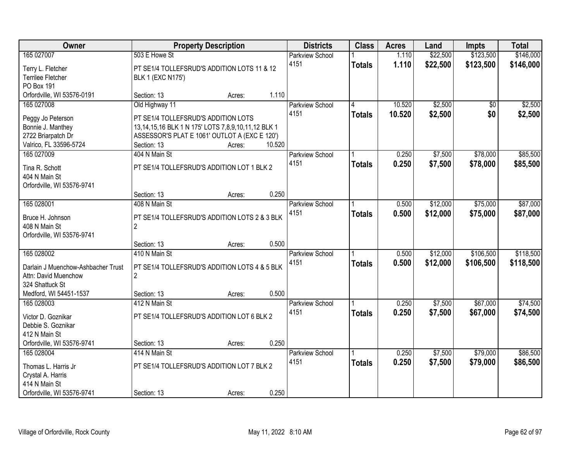| \$123,500<br>\$146,000<br>165 027007<br>503 E Howe St<br>\$22,500<br>1.110<br><b>Parkview School</b><br>1.110<br>\$22,500<br>\$123,500<br>4151<br>\$146,000<br><b>Totals</b><br>Terry L. Fletcher<br>PT SE1/4 TOLLEFSRUD'S ADDITION LOTS 11 & 12<br><b>Terrilee Fletcher</b><br><b>BLK 1 (EXC N175')</b><br>PO Box 191<br>Orfordville, WI 53576-0191<br>1.110<br>Section: 13<br>Acres: |
|----------------------------------------------------------------------------------------------------------------------------------------------------------------------------------------------------------------------------------------------------------------------------------------------------------------------------------------------------------------------------------------|
|                                                                                                                                                                                                                                                                                                                                                                                        |
|                                                                                                                                                                                                                                                                                                                                                                                        |
|                                                                                                                                                                                                                                                                                                                                                                                        |
|                                                                                                                                                                                                                                                                                                                                                                                        |
|                                                                                                                                                                                                                                                                                                                                                                                        |
| 10.520<br>\$2,500<br>\$2,500<br>165 027008<br>Old Highway 11<br><b>Parkview School</b><br>4<br>\$0                                                                                                                                                                                                                                                                                     |
| 10.520<br>4151<br>\$2,500<br>\$0<br>\$2,500<br><b>Totals</b><br>PT SE1/4 TOLLEFSRUD'S ADDITION LOTS<br>Peggy Jo Peterson                                                                                                                                                                                                                                                               |
| 13,14,15,16 BLK 1 N 175' LOTS 7,8,9,10,11,12 BLK 1<br>Bonnie J. Manthey                                                                                                                                                                                                                                                                                                                |
| ASSESSOR'S PLAT E 1061' OUTLOT A (EXC E 120')<br>2722 Briarpatch Dr                                                                                                                                                                                                                                                                                                                    |
| 10.520<br>Valrico, FL 33596-5724<br>Section: 13<br>Acres:                                                                                                                                                                                                                                                                                                                              |
| \$78,000<br>\$85,500<br>165 027009<br>404 N Main St<br>0.250<br>\$7,500<br>Parkview School                                                                                                                                                                                                                                                                                             |
| 4151<br>0.250<br>\$7,500<br>\$78,000<br>\$85,500<br><b>Totals</b>                                                                                                                                                                                                                                                                                                                      |
| PT SE1/4 TOLLEFSRUD'S ADDITION LOT 1 BLK 2<br>Tina R. Schott                                                                                                                                                                                                                                                                                                                           |
| 404 N Main St                                                                                                                                                                                                                                                                                                                                                                          |
| Orfordville, WI 53576-9741<br>0.250<br>Section: 13<br>Acres:                                                                                                                                                                                                                                                                                                                           |
| \$87,000<br>165 028001<br>408 N Main St<br>\$12,000<br>\$75,000<br>0.500<br><b>Parkview School</b>                                                                                                                                                                                                                                                                                     |
| 4151<br>0.500<br>\$12,000<br>\$75,000<br>\$87,000<br><b>Totals</b>                                                                                                                                                                                                                                                                                                                     |
| PT SE1/4 TOLLEFSRUD'S ADDITION LOTS 2 & 3 BLK<br>Bruce H. Johnson                                                                                                                                                                                                                                                                                                                      |
| 408 N Main St<br>$\overline{2}$                                                                                                                                                                                                                                                                                                                                                        |
| Orfordville, WI 53576-9741                                                                                                                                                                                                                                                                                                                                                             |
| 0.500<br>Section: 13<br>Acres:                                                                                                                                                                                                                                                                                                                                                         |
| 410 N Main St<br>\$106,500<br>\$118,500<br>165 028002<br>0.500<br>\$12,000<br><b>Parkview School</b>                                                                                                                                                                                                                                                                                   |
| 0.500<br>\$12,000<br>\$106,500<br>\$118,500<br>4151<br><b>Totals</b><br>PT SE1/4 TOLLEFSRUD'S ADDITION LOTS 4 & 5 BLK<br>Darlain J Muenchow-Ashbacher Trust                                                                                                                                                                                                                            |
| $\overline{2}$<br>Attn: David Muenchow                                                                                                                                                                                                                                                                                                                                                 |
| 324 Shattuck St                                                                                                                                                                                                                                                                                                                                                                        |
| 0.500<br>Medford, WI 54451-1537<br>Section: 13<br>Acres:                                                                                                                                                                                                                                                                                                                               |
| \$7,500<br>\$67,000<br>\$74,500<br>165 028003<br>412 N Main St<br>Parkview School<br>0.250                                                                                                                                                                                                                                                                                             |
| 4151<br>0.250<br>\$67,000<br>\$7,500<br>\$74,500<br><b>Totals</b><br>PT SE1/4 TOLLEFSRUD'S ADDITION LOT 6 BLK 2<br>Victor D. Goznikar                                                                                                                                                                                                                                                  |
| Debbie S. Goznikar                                                                                                                                                                                                                                                                                                                                                                     |
| 412 N Main St                                                                                                                                                                                                                                                                                                                                                                          |
| Orfordville, WI 53576-9741<br>0.250<br>Section: 13<br>Acres:                                                                                                                                                                                                                                                                                                                           |
| 165 028004<br>0.250<br>\$7,500<br>\$79,000<br>\$86,500<br>414 N Main St<br><b>Parkview School</b>                                                                                                                                                                                                                                                                                      |
| 4151<br>0.250<br>\$7,500<br>\$79,000<br>\$86,500<br><b>Totals</b><br>PT SE1/4 TOLLEFSRUD'S ADDITION LOT 7 BLK 2                                                                                                                                                                                                                                                                        |
| Thomas L. Harris Jr<br>Crystal A. Harris                                                                                                                                                                                                                                                                                                                                               |
| 414 N Main St                                                                                                                                                                                                                                                                                                                                                                          |
| 0.250<br>Orfordville, WI 53576-9741<br>Section: 13<br>Acres:                                                                                                                                                                                                                                                                                                                           |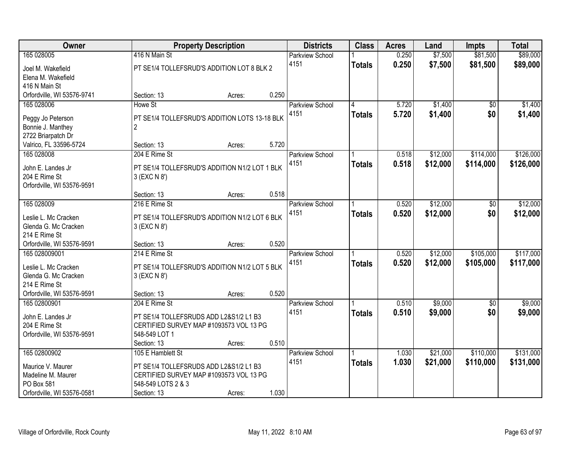| Owner                                        |                                                          | <b>Property Description</b> |       | <b>Districts</b>       | <b>Class</b>  | <b>Acres</b> | Land     | <b>Impts</b>    | <b>Total</b> |
|----------------------------------------------|----------------------------------------------------------|-----------------------------|-------|------------------------|---------------|--------------|----------|-----------------|--------------|
| 165 028005                                   | 416 N Main St                                            |                             |       | <b>Parkview School</b> |               | 0.250        | \$7,500  | \$81,500        | \$89,000     |
| Joel M. Wakefield                            | PT SE1/4 TOLLEFSRUD'S ADDITION LOT 8 BLK 2               |                             |       | 4151                   | <b>Totals</b> | 0.250        | \$7,500  | \$81,500        | \$89,000     |
| Elena M. Wakefield                           |                                                          |                             |       |                        |               |              |          |                 |              |
| 416 N Main St                                |                                                          |                             |       |                        |               |              |          |                 |              |
| Orfordville, WI 53576-9741                   | Section: 13                                              | Acres:                      | 0.250 |                        |               |              |          |                 |              |
| 165 028006                                   | Howe St                                                  |                             |       | <b>Parkview School</b> | 4             | 5.720        | \$1,400  | \$0             | \$1,400      |
| Peggy Jo Peterson                            | PT SE1/4 TOLLEFSRUD'S ADDITION LOTS 13-18 BLK            |                             |       | 4151                   | <b>Totals</b> | 5.720        | \$1,400  | \$0             | \$1,400      |
| Bonnie J. Manthey                            | 2                                                        |                             |       |                        |               |              |          |                 |              |
| 2722 Briarpatch Dr                           |                                                          |                             |       |                        |               |              |          |                 |              |
| Valrico, FL 33596-5724                       | Section: 13                                              | Acres:                      | 5.720 |                        |               |              |          |                 |              |
| 165 028008                                   | 204 E Rime St                                            |                             |       | Parkview School        |               | 0.518        | \$12,000 | \$114,000       | \$126,000    |
| John E. Landes Jr                            | PT SE1/4 TOLLEFSRUD'S ADDITION N1/2 LOT 1 BLK            |                             |       | 4151                   | <b>Totals</b> | 0.518        | \$12,000 | \$114,000       | \$126,000    |
| 204 E Rime St                                | 3 (EXC N 8')                                             |                             |       |                        |               |              |          |                 |              |
| Orfordville, WI 53576-9591                   |                                                          |                             |       |                        |               |              |          |                 |              |
|                                              | Section: 13                                              | Acres:                      | 0.518 |                        |               |              |          |                 |              |
| 165 028009                                   | 216 E Rime St                                            |                             |       | <b>Parkview School</b> |               | 0.520        | \$12,000 | \$0             | \$12,000     |
|                                              | PT SE1/4 TOLLEFSRUD'S ADDITION N1/2 LOT 6 BLK            |                             |       | 4151                   | <b>Totals</b> | 0.520        | \$12,000 | \$0             | \$12,000     |
| Leslie L. Mc Cracken<br>Glenda G. Mc Cracken | 3 (EXC N 8')                                             |                             |       |                        |               |              |          |                 |              |
| 214 E Rime St                                |                                                          |                             |       |                        |               |              |          |                 |              |
| Orfordville, WI 53576-9591                   | Section: 13                                              | Acres:                      | 0.520 |                        |               |              |          |                 |              |
| 165 028009001                                | 214 E Rime St                                            |                             |       | Parkview School        |               | 0.520        | \$12,000 | \$105,000       | \$117,000    |
|                                              |                                                          |                             |       | 4151                   | <b>Totals</b> | 0.520        | \$12,000 | \$105,000       | \$117,000    |
| Leslie L. Mc Cracken<br>Glenda G. Mc Cracken | PT SE1/4 TOLLEFSRUD'S ADDITION N1/2 LOT 5 BLK            |                             |       |                        |               |              |          |                 |              |
| 214 E Rime St                                | 3 (EXC N 8')                                             |                             |       |                        |               |              |          |                 |              |
| Orfordville, WI 53576-9591                   | Section: 13                                              | Acres:                      | 0.520 |                        |               |              |          |                 |              |
| 165 02800901                                 | 204 E Rime St                                            |                             |       | Parkview School        |               | 0.510        | \$9,000  | $\overline{50}$ | \$9,000      |
|                                              |                                                          |                             |       | 4151                   | <b>Totals</b> | 0.510        | \$9,000  | \$0             | \$9,000      |
| John E. Landes Jr                            | PT SE1/4 TOLLEFSRUDS ADD L2&S1/2 L1 B3                   |                             |       |                        |               |              |          |                 |              |
| 204 E Rime St<br>Orfordville, WI 53576-9591  | CERTIFIED SURVEY MAP #1093573 VOL 13 PG<br>548-549 LOT 1 |                             |       |                        |               |              |          |                 |              |
|                                              | Section: 13                                              | Acres:                      | 0.510 |                        |               |              |          |                 |              |
| 165 02800902                                 | 105 E Hamblett St                                        |                             |       | Parkview School        |               | 1.030        | \$21,000 | \$110,000       | \$131,000    |
|                                              |                                                          |                             |       | 4151                   | <b>Totals</b> | 1.030        | \$21,000 | \$110,000       | \$131,000    |
| Maurice V. Maurer                            | PT SE1/4 TOLLEFSRUDS ADD L2&S1/2 L1 B3                   |                             |       |                        |               |              |          |                 |              |
| Madeline M. Maurer                           | CERTIFIED SURVEY MAP #1093573 VOL 13 PG                  |                             |       |                        |               |              |          |                 |              |
| PO Box 581<br>Orfordville, WI 53576-0581     | 548-549 LOTS 2 & 3                                       |                             | 1.030 |                        |               |              |          |                 |              |
|                                              | Section: 13                                              | Acres:                      |       |                        |               |              |          |                 |              |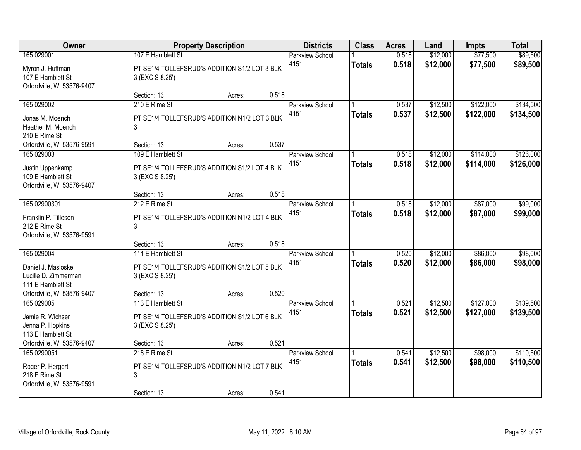| Owner                                                                                                       | <b>Property Description</b>                                                                          |                 | <b>Districts</b>               | <b>Class</b>  | <b>Acres</b>   | Land                 | <b>Impts</b>           | <b>Total</b>           |
|-------------------------------------------------------------------------------------------------------------|------------------------------------------------------------------------------------------------------|-----------------|--------------------------------|---------------|----------------|----------------------|------------------------|------------------------|
| 165 029001<br>Myron J. Huffman<br>107 E Hamblett St<br>Orfordville, WI 53576-9407                           | 107 E Hamblett St<br>PT SE1/4 TOLLEFSRUD'S ADDITION S1/2 LOT 3 BLK<br>3 (EXC S 8.25')                |                 | <b>Parkview School</b><br>4151 | <b>Totals</b> | 0.518<br>0.518 | \$12,000<br>\$12,000 | \$77,500<br>\$77,500   | \$89,500<br>\$89,500   |
|                                                                                                             | Section: 13                                                                                          | 0.518<br>Acres: |                                |               |                |                      |                        |                        |
| 165 029002<br>Jonas M. Moench<br>Heather M. Moench<br>210 E Rime St                                         | 210 E Rime St<br>PT SE1/4 TOLLEFSRUD'S ADDITION N1/2 LOT 3 BLK<br>3                                  |                 | <b>Parkview School</b><br>4151 | <b>Totals</b> | 0.537<br>0.537 | \$12,500<br>\$12,500 | \$122,000<br>\$122,000 | \$134,500<br>\$134,500 |
| Orfordville, WI 53576-9591                                                                                  | Section: 13                                                                                          | 0.537<br>Acres: |                                |               |                |                      |                        |                        |
| 165 029003<br>Justin Uppenkamp<br>109 E Hamblett St<br>Orfordville, WI 53576-9407                           | 109 E Hamblett St<br>PT SE1/4 TOLLEFSRUD'S ADDITION S1/2 LOT 4 BLK<br>3 (EXC S 8.25')                |                 | Parkview School<br>4151        | <b>Totals</b> | 0.518<br>0.518 | \$12,000<br>\$12,000 | \$114,000<br>\$114,000 | \$126,000<br>\$126,000 |
|                                                                                                             | Section: 13                                                                                          | 0.518<br>Acres: |                                |               |                |                      |                        |                        |
| 165 02900301<br>Franklin P. Tilleson<br>212 E Rime St                                                       | 212 E Rime St<br>PT SE1/4 TOLLEFSRUD'S ADDITION N1/2 LOT 4 BLK<br>3                                  |                 | <b>Parkview School</b><br>4151 | <b>Totals</b> | 0.518<br>0.518 | \$12,000<br>\$12,000 | \$87,000<br>\$87,000   | \$99,000<br>\$99,000   |
| Orfordville, WI 53576-9591                                                                                  | Section: 13                                                                                          | 0.518<br>Acres: |                                |               |                |                      |                        |                        |
| 165 029004<br>Daniel J. Masloske<br>Lucille D. Zimmerman<br>111 E Hamblett St<br>Orfordville, WI 53576-9407 | 111 E Hamblett St<br>PT SE1/4 TOLLEFSRUD'S ADDITION S1/2 LOT 5 BLK<br>3 (EXC S 8.25')<br>Section: 13 | 0.520<br>Acres: | <b>Parkview School</b><br>4151 | <b>Totals</b> | 0.520<br>0.520 | \$12,000<br>\$12,000 | \$86,000<br>\$86,000   | \$98,000<br>\$98,000   |
| 165 029005                                                                                                  | 113 E Hamblett St                                                                                    |                 | Parkview School                |               | 0.521          | \$12,500             | \$127,000              | \$139,500              |
| Jamie R. Wichser<br>Jenna P. Hopkins<br>113 E Hamblett St                                                   | PT SE1/4 TOLLEFSRUD'S ADDITION S1/2 LOT 6 BLK<br>3 (EXC S 8.25')                                     |                 | 4151                           | <b>Totals</b> | 0.521          | \$12,500             | \$127,000              | \$139,500              |
| Orfordville, WI 53576-9407                                                                                  | Section: 13                                                                                          | 0.521<br>Acres: |                                |               |                |                      |                        |                        |
| 165 0290051<br>Roger P. Hergert<br>218 E Rime St<br>Orfordville, WI 53576-9591                              | 218 E Rime St<br>PT SE1/4 TOLLEFSRUD'S ADDITION N1/2 LOT 7 BLK<br>3<br>Section: 13                   | 0.541<br>Acres: | Parkview School<br>4151        | <b>Totals</b> | 0.541<br>0.541 | \$12,500<br>\$12,500 | \$98,000<br>\$98,000   | \$110,500<br>\$110,500 |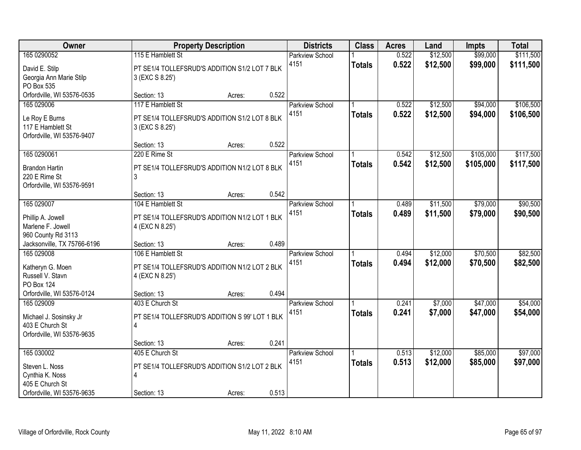| Owner                                                                                            |                                                                                                      | <b>Property Description</b> |       | <b>Districts</b>               | <b>Class</b>  | <b>Acres</b>   | Land                 | <b>Impts</b>           | <b>Total</b>           |
|--------------------------------------------------------------------------------------------------|------------------------------------------------------------------------------------------------------|-----------------------------|-------|--------------------------------|---------------|----------------|----------------------|------------------------|------------------------|
| 165 0290052                                                                                      | 115 E Hamblett St                                                                                    |                             |       | <b>Parkview School</b>         |               | 0.522          | \$12,500             | \$99,000               | \$111,500              |
| David E. Stilp<br>Georgia Ann Marie Stilp<br>PO Box 535                                          | PT SE1/4 TOLLEFSRUD'S ADDITION S1/2 LOT 7 BLK<br>3 (EXC S 8.25')                                     |                             |       | 4151                           | <b>Totals</b> | 0.522          | \$12,500             | \$99,000               | \$111,500              |
| Orfordville, WI 53576-0535                                                                       | Section: 13                                                                                          | Acres:                      | 0.522 |                                |               |                |                      |                        |                        |
| 165 029006<br>Le Roy E Burns<br>117 E Hamblett St<br>Orfordville, WI 53576-9407                  | 117 E Hamblett St<br>PT SE1/4 TOLLEFSRUD'S ADDITION S1/2 LOT 8 BLK<br>3 (EXC S 8.25')                |                             |       | <b>Parkview School</b><br>4151 | <b>Totals</b> | 0.522<br>0.522 | \$12,500<br>\$12,500 | \$94,000<br>\$94,000   | \$106,500<br>\$106,500 |
|                                                                                                  | Section: 13                                                                                          | Acres:                      | 0.522 |                                |               |                |                      |                        |                        |
| 165 0290061<br><b>Brandon Hartin</b><br>220 E Rime St<br>Orfordville, WI 53576-9591              | 220 E Rime St<br>PT SE1/4 TOLLEFSRUD'S ADDITION N1/2 LOT 8 BLK<br>3                                  |                             |       | Parkview School<br>4151        | <b>Totals</b> | 0.542<br>0.542 | \$12,500<br>\$12,500 | \$105,000<br>\$105,000 | \$117,500<br>\$117,500 |
|                                                                                                  | Section: 13                                                                                          | Acres:                      | 0.542 |                                |               |                |                      |                        |                        |
| 165 029007<br>Phillip A. Jowell<br>Marlene F. Jowell                                             | 104 E Hamblett St<br>PT SE1/4 TOLLEFSRUD'S ADDITION N1/2 LOT 1 BLK<br>4 (EXC N 8.25')                |                             |       | <b>Parkview School</b><br>4151 | <b>Totals</b> | 0.489<br>0.489 | \$11,500<br>\$11,500 | \$79,000<br>\$79,000   | \$90,500<br>\$90,500   |
| 960 County Rd 3113<br>Jacksonville, TX 75766-6196                                                | Section: 13                                                                                          | Acres:                      | 0.489 |                                |               |                |                      |                        |                        |
| 165 029008<br>Katheryn G. Moen<br>Russell V. Stavn<br><b>PO Box 124</b>                          | 106 E Hamblett St<br>PT SE1/4 TOLLEFSRUD'S ADDITION N1/2 LOT 2 BLK<br>4 (EXC N 8.25')<br>Section: 13 |                             | 0.494 | <b>Parkview School</b><br>4151 | <b>Totals</b> | 0.494<br>0.494 | \$12,000<br>\$12,000 | \$70,500<br>\$70,500   | \$82,500<br>\$82,500   |
| Orfordville, WI 53576-0124<br>165 029009                                                         | 403 E Church St                                                                                      | Acres:                      |       | Parkview School                |               | 0.241          | \$7,000              | \$47,000               | \$54,000               |
| Michael J. Sosinsky Jr<br>403 E Church St<br>Orfordville, WI 53576-9635                          | PT SE1/4 TOLLEFSRUD'S ADDITION S 99' LOT 1 BLK<br>4                                                  |                             |       | 4151                           | <b>Totals</b> | 0.241          | \$7,000              | \$47,000               | \$54,000               |
|                                                                                                  | Section: 13                                                                                          | Acres:                      | 0.241 |                                |               |                |                      |                        |                        |
| 165 030002<br>Steven L. Noss<br>Cynthia K. Noss<br>405 E Church St<br>Orfordville, WI 53576-9635 | 405 E Church St<br>PT SE1/4 TOLLEFSRUD'S ADDITION S1/2 LOT 2 BLK<br>4<br>Section: 13                 | Acres:                      | 0.513 | <b>Parkview School</b><br>4151 | <b>Totals</b> | 0.513<br>0.513 | \$12,000<br>\$12,000 | \$85,000<br>\$85,000   | \$97,000<br>\$97,000   |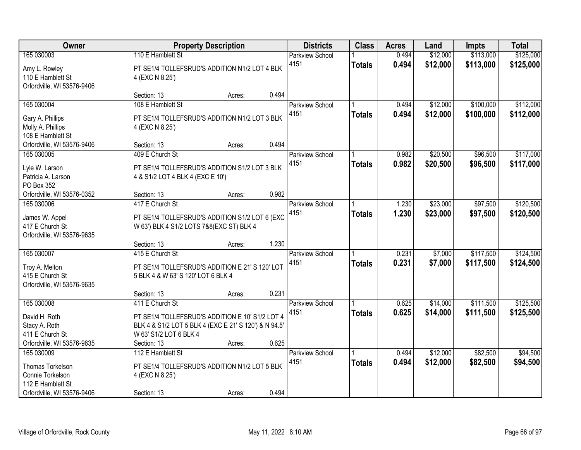| Owner                                                                           | <b>Property Description</b>                                                                                                                       |                 | <b>Districts</b>       | <b>Class</b>  | <b>Acres</b> | Land     | <b>Impts</b> | <b>Total</b> |
|---------------------------------------------------------------------------------|---------------------------------------------------------------------------------------------------------------------------------------------------|-----------------|------------------------|---------------|--------------|----------|--------------|--------------|
| 165 030003                                                                      | 110 E Hamblett St                                                                                                                                 |                 | <b>Parkview School</b> |               | 0.494        | \$12,000 | \$113,000    | \$125,000    |
| Amy L. Rowley<br>110 E Hamblett St<br>Orfordville, WI 53576-9406                | PT SE1/4 TOLLEFSRUD'S ADDITION N1/2 LOT 4 BLK<br>4 (EXC N 8.25')                                                                                  |                 | 4151                   | <b>Totals</b> | 0.494        | \$12,000 | \$113,000    | \$125,000    |
|                                                                                 | Section: 13                                                                                                                                       | 0.494<br>Acres: |                        |               |              |          |              |              |
| 165 030004                                                                      | 108 E Hamblett St                                                                                                                                 |                 | <b>Parkview School</b> |               | 0.494        | \$12,000 | \$100,000    | \$112,000    |
| Gary A. Phillips<br>Molly A. Phillips<br>108 E Hamblett St                      | PT SE1/4 TOLLEFSRUD'S ADDITION N1/2 LOT 3 BLK<br>4 (EXC N 8.25')                                                                                  |                 | 4151                   | <b>Totals</b> | 0.494        | \$12,000 | \$100,000    | \$112,000    |
| Orfordville, WI 53576-9406                                                      | Section: 13                                                                                                                                       | 0.494<br>Acres: |                        |               |              |          |              |              |
| 165 030005                                                                      | 409 E Church St                                                                                                                                   |                 | Parkview School        |               | 0.982        | \$20,500 | \$96,500     | \$117,000    |
| Lyle W. Larson<br>Patricia A. Larson<br>PO Box 352                              | PT SE1/4 TOLLEFSRUD'S ADDITION S1/2 LOT 3 BLK<br>4 & S1/2 LOT 4 BLK 4 (EXC E 10')                                                                 |                 | 4151                   | <b>Totals</b> | 0.982        | \$20,500 | \$96,500     | \$117,000    |
| Orfordville, WI 53576-0352                                                      | Section: 13                                                                                                                                       | 0.982<br>Acres: |                        |               |              |          |              |              |
| 165 030006                                                                      | 417 E Church St                                                                                                                                   |                 | <b>Parkview School</b> |               | 1.230        | \$23,000 | \$97,500     | \$120,500    |
| James W. Appel<br>417 E Church St<br>Orfordville, WI 53576-9635                 | PT SE1/4 TOLLEFSRUD'S ADDITION S1/2 LOT 6 (EXC<br>W 63') BLK 4 S1/2 LOTS 7&8(EXC ST) BLK 4                                                        |                 | 4151                   | <b>Totals</b> | 1.230        | \$23,000 | \$97,500     | \$120,500    |
|                                                                                 | Section: 13                                                                                                                                       | 1.230<br>Acres: |                        |               |              |          |              |              |
| 165 030007                                                                      | 415 E Church St                                                                                                                                   |                 | Parkview School        |               | 0.231        | \$7,000  | \$117,500    | \$124,500    |
| Troy A. Melton<br>415 E Church St<br>Orfordville, WI 53576-9635                 | PT SE1/4 TOLLEFSRUD'S ADDITION E 21' S 120' LOT<br>5 BLK 4 & W 63' S 120' LOT 6 BLK 4                                                             |                 | 4151                   | <b>Totals</b> | 0.231        | \$7,000  | \$117,500    | \$124,500    |
|                                                                                 | Section: 13                                                                                                                                       | 0.231<br>Acres: |                        |               |              |          |              |              |
| 165 030008                                                                      | 411 E Church St                                                                                                                                   |                 | Parkview School        |               | 0.625        | \$14,000 | \$111,500    | \$125,500    |
| David H. Roth<br>Stacy A. Roth<br>411 E Church St<br>Orfordville, WI 53576-9635 | PT SE1/4 TOLLEFSRUD'S ADDITION E 10' S1/2 LOT 4<br>BLK 4 & S1/2 LOT 5 BLK 4 (EXC E 21' S 120') & N 94.5'<br>W 63' S1/2 LOT 6 BLK 4<br>Section: 13 | 0.625<br>Acres: | 4151                   | <b>Totals</b> | 0.625        | \$14,000 | \$111,500    | \$125,500    |
| 165 030009                                                                      | 112 E Hamblett St                                                                                                                                 |                 | Parkview School        |               | 0.494        | \$12,000 | \$82,500     | \$94,500     |
| Thomas Torkelson<br>Connie Torkelson<br>112 E Hamblett St                       | PT SE1/4 TOLLEFSRUD'S ADDITION N1/2 LOT 5 BLK<br>4 (EXC N 8.25')                                                                                  |                 | 4151                   | <b>Totals</b> | 0.494        | \$12,000 | \$82,500     | \$94,500     |
| Orfordville, WI 53576-9406                                                      | Section: 13                                                                                                                                       | 0.494<br>Acres: |                        |               |              |          |              |              |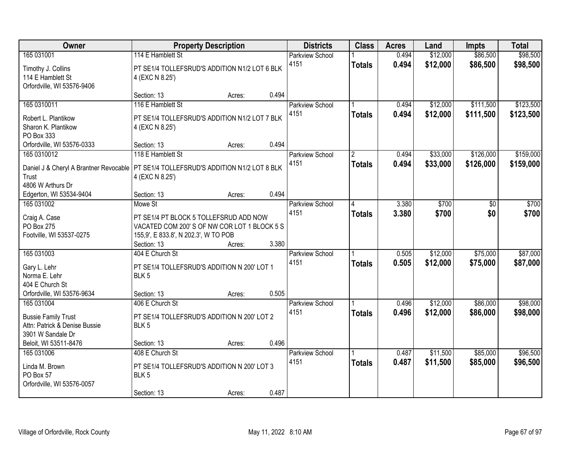| Owner                                                                                                                | <b>Property Description</b>                                                                                                   |                 | <b>Districts</b>               | <b>Class</b>   | <b>Acres</b>   | Land                 | <b>Impts</b>         | <b>Total</b>         |
|----------------------------------------------------------------------------------------------------------------------|-------------------------------------------------------------------------------------------------------------------------------|-----------------|--------------------------------|----------------|----------------|----------------------|----------------------|----------------------|
| 165 031001                                                                                                           | 114 E Hamblett St                                                                                                             |                 | <b>Parkview School</b>         |                | 0.494          | \$12,000             | \$86,500             | \$98,500             |
| Timothy J. Collins<br>114 E Hamblett St<br>Orfordville, WI 53576-9406                                                | PT SE1/4 TOLLEFSRUD'S ADDITION N1/2 LOT 6 BLK<br>4 (EXC N 8.25')                                                              |                 | 4151                           | <b>Totals</b>  | 0.494          | \$12,000             | \$86,500             | \$98,500             |
|                                                                                                                      | Section: 13                                                                                                                   | 0.494<br>Acres: |                                |                |                |                      |                      |                      |
| 165 0310011                                                                                                          | 116 E Hamblett St                                                                                                             |                 | <b>Parkview School</b>         |                | 0.494          | \$12,000             | \$111,500            | \$123,500            |
| Robert L. Plantikow<br>Sharon K. Plantikow<br>PO Box 333                                                             | PT SE1/4 TOLLEFSRUD'S ADDITION N1/2 LOT 7 BLK<br>4 (EXC N 8.25')                                                              |                 | 4151                           | <b>Totals</b>  | 0.494          | \$12,000             | \$111,500            | \$123,500            |
| Orfordville, WI 53576-0333                                                                                           | Section: 13                                                                                                                   | 0.494<br>Acres: |                                |                |                |                      |                      |                      |
| 165 0310012                                                                                                          | 118 E Hamblett St                                                                                                             |                 | Parkview School                | $\overline{2}$ | 0.494          | \$33,000             | \$126,000            | \$159,000            |
| Daniel J & Cheryl A Brantner Revocable   PT SE1/4 TOLLEFSRUD'S ADDITION N1/2 LOT 8 BLK<br>Trust<br>4806 W Arthurs Dr | 4 (EXC N 8.25')                                                                                                               |                 | 4151                           | <b>Totals</b>  | 0.494          | \$33,000             | \$126,000            | \$159,000            |
| Edgerton, WI 53534-9404                                                                                              | Section: 13                                                                                                                   | 0.494<br>Acres: |                                |                |                |                      |                      |                      |
| 165 031002                                                                                                           | Mowe St                                                                                                                       |                 | <b>Parkview School</b>         | 14             | 3.380          | \$700                | \$0                  | \$700                |
| Craig A. Case<br>PO Box 275<br>Footville, WI 53537-0275                                                              | PT SE1/4 PT BLOCK 5 TOLLEFSRUD ADD NOW<br>VACATED COM 200'S OF NW COR LOT 1 BLOCK 5 S<br>155,9', E 833.8', N 202.3', W TO POB |                 | 4151                           | <b>Totals</b>  | 3.380          | \$700                | \$0                  | \$700                |
|                                                                                                                      | Section: 13                                                                                                                   | 3.380<br>Acres: |                                |                |                |                      |                      |                      |
| 165 031003<br>Gary L. Lehr<br>Norma E. Lehr<br>404 E Church St                                                       | 404 E Church St<br>PT SE1/4 TOLLEFSRUD'S ADDITION N 200' LOT 1<br>BLK <sub>5</sub>                                            |                 | <b>Parkview School</b><br>4151 | <b>Totals</b>  | 0.505<br>0.505 | \$12,000<br>\$12,000 | \$75,000<br>\$75,000 | \$87,000<br>\$87,000 |
| Orfordville, WI 53576-9634                                                                                           | Section: 13                                                                                                                   | 0.505<br>Acres: |                                |                |                |                      |                      |                      |
| 165 031004<br><b>Bussie Family Trust</b><br>Attn: Patrick & Denise Bussie                                            | 406 E Church St<br>PT SE1/4 TOLLEFSRUD'S ADDITION N 200' LOT 2<br>BLK <sub>5</sub>                                            |                 | Parkview School<br>4151        | <b>Totals</b>  | 0.496<br>0.496 | \$12,000<br>\$12,000 | \$86,000<br>\$86,000 | \$98,000<br>\$98,000 |
| 3901 W Sandale Dr                                                                                                    |                                                                                                                               |                 |                                |                |                |                      |                      |                      |
| Beloit, WI 53511-8476                                                                                                | Section: 13                                                                                                                   | 0.496<br>Acres: |                                |                |                |                      |                      |                      |
| 165 031006<br>Linda M. Brown<br>PO Box 57<br>Orfordville, WI 53576-0057                                              | 408 E Church St<br>PT SE1/4 TOLLEFSRUD'S ADDITION N 200' LOT 3<br>BLK <sub>5</sub>                                            |                 | Parkview School<br>4151        | <b>Totals</b>  | 0.487<br>0.487 | \$11,500<br>\$11,500 | \$85,000<br>\$85,000 | \$96,500<br>\$96,500 |
|                                                                                                                      | Section: 13                                                                                                                   | 0.487<br>Acres: |                                |                |                |                      |                      |                      |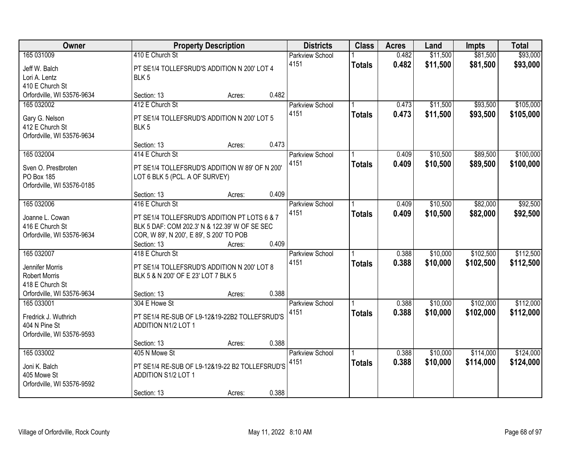| Owner                                   |                                                | <b>Property Description</b> |       | <b>Districts</b>       | <b>Class</b>  | <b>Acres</b> | Land     | <b>Impts</b> | <b>Total</b> |
|-----------------------------------------|------------------------------------------------|-----------------------------|-------|------------------------|---------------|--------------|----------|--------------|--------------|
| 165 031009                              | 410 E Church St                                |                             |       | <b>Parkview School</b> |               | 0.482        | \$11,500 | \$81,500     | \$93,000     |
| Jeff W. Balch                           | PT SE1/4 TOLLEFSRUD'S ADDITION N 200' LOT 4    |                             |       | 4151                   | <b>Totals</b> | 0.482        | \$11,500 | \$81,500     | \$93,000     |
| Lori A. Lentz                           | BLK <sub>5</sub>                               |                             |       |                        |               |              |          |              |              |
| 410 E Church St                         |                                                |                             |       |                        |               |              |          |              |              |
| Orfordville, WI 53576-9634              | Section: 13                                    | Acres:                      | 0.482 |                        |               |              |          |              |              |
| 165 032002                              | 412 E Church St                                |                             |       | <b>Parkview School</b> |               | 0.473        | \$11,500 | \$93,500     | \$105,000    |
| Gary G. Nelson                          | PT SE1/4 TOLLEFSRUD'S ADDITION N 200' LOT 5    |                             |       | 4151                   | <b>Totals</b> | 0.473        | \$11,500 | \$93,500     | \$105,000    |
| 412 E Church St                         | BLK <sub>5</sub>                               |                             |       |                        |               |              |          |              |              |
| Orfordville, WI 53576-9634              |                                                |                             |       |                        |               |              |          |              |              |
|                                         | Section: 13                                    | Acres:                      | 0.473 |                        |               |              |          |              |              |
| 165 032004                              | 414 E Church St                                |                             |       | Parkview School        |               | 0.409        | \$10,500 | \$89,500     | \$100,000    |
| Sven O. Prestbroten                     | PT SE1/4 TOLLEFSRUD'S ADDITION W 89' OF N 200' |                             |       | 4151                   | <b>Totals</b> | 0.409        | \$10,500 | \$89,500     | \$100,000    |
| PO Box 185                              | LOT 6 BLK 5 (PCL. A OF SURVEY)                 |                             |       |                        |               |              |          |              |              |
| Orfordville, WI 53576-0185              |                                                |                             |       |                        |               |              |          |              |              |
|                                         | Section: 13                                    | Acres:                      | 0.409 |                        |               |              |          |              |              |
| 165 032006                              | 416 E Church St                                |                             |       | Parkview School        |               | 0.409        | \$10,500 | \$82,000     | \$92,500     |
| Joanne L. Cowan                         | PT SE1/4 TOLLEFSRUD'S ADDITION PT LOTS 6 & 7   |                             |       | 4151                   | <b>Totals</b> | 0.409        | \$10,500 | \$82,000     | \$92,500     |
| 416 E Church St                         | BLK 5 DAF: COM 202.3' N & 122.39' W OF SE SEC  |                             |       |                        |               |              |          |              |              |
| Orfordville, WI 53576-9634              | COR, W 89', N 200', E 89', S 200' TO POB       |                             |       |                        |               |              |          |              |              |
|                                         | Section: 13                                    | Acres:                      | 0.409 |                        |               |              |          |              |              |
| 165 032007                              | 418 E Church St                                |                             |       | Parkview School        |               | 0.388        | \$10,000 | \$102,500    | \$112,500    |
|                                         |                                                |                             |       | 4151                   | <b>Totals</b> | 0.388        | \$10,000 | \$102,500    | \$112,500    |
| Jennifer Morris                         | PT SE1/4 TOLLEFSRUD'S ADDITION N 200' LOT 8    |                             |       |                        |               |              |          |              |              |
| <b>Robert Morris</b><br>418 E Church St | BLK 5 & N 200' OF E 23' LOT 7 BLK 5            |                             |       |                        |               |              |          |              |              |
| Orfordville, WI 53576-9634              | Section: 13                                    | Acres:                      | 0.388 |                        |               |              |          |              |              |
| 165 033001                              | 304 E Howe St                                  |                             |       | Parkview School        |               | 0.388        | \$10,000 | \$102,000    | \$112,000    |
|                                         |                                                |                             |       | 4151                   | <b>Totals</b> | 0.388        | \$10,000 | \$102,000    | \$112,000    |
| Fredrick J. Wuthrich                    | PT SE1/4 RE-SUB OF L9-12&19-22B2 TOLLEFSRUD'S  |                             |       |                        |               |              |          |              |              |
| 404 N Pine St                           | <b>ADDITION N1/2 LOT 1</b>                     |                             |       |                        |               |              |          |              |              |
| Orfordville, WI 53576-9593              | Section: 13                                    | Acres:                      | 0.388 |                        |               |              |          |              |              |
| 165 033002                              | 405 N Mowe St                                  |                             |       | <b>Parkview School</b> |               | 0.388        | \$10,000 | \$114,000    | \$124,000    |
|                                         |                                                |                             |       | 4151                   | <b>Totals</b> | 0.388        | \$10,000 | \$114,000    | \$124,000    |
| Joni K. Balch                           | PT SE1/4 RE-SUB OF L9-12&19-22 B2 TOLLEFSRUD'S |                             |       |                        |               |              |          |              |              |
| 405 Mowe St                             | <b>ADDITION S1/2 LOT 1</b>                     |                             |       |                        |               |              |          |              |              |
| Orfordville, WI 53576-9592              |                                                |                             |       |                        |               |              |          |              |              |
|                                         | Section: 13                                    | Acres:                      | 0.388 |                        |               |              |          |              |              |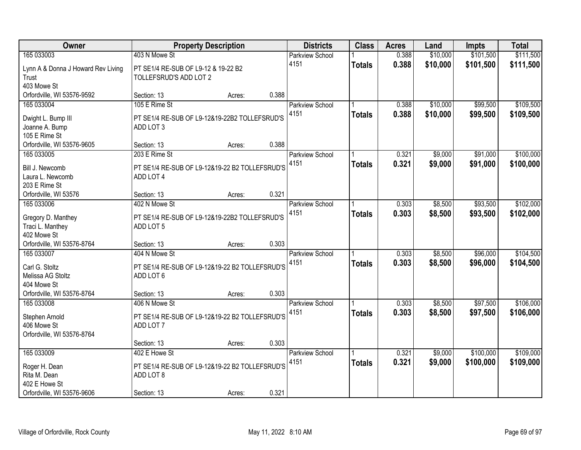| Owner                              |                                                | <b>Property Description</b> |       | <b>Districts</b>       | <b>Class</b>  | <b>Acres</b> | Land     | <b>Impts</b> | <b>Total</b> |
|------------------------------------|------------------------------------------------|-----------------------------|-------|------------------------|---------------|--------------|----------|--------------|--------------|
| 165 033003                         | 403 N Mowe St                                  |                             |       | <b>Parkview School</b> |               | 0.388        | \$10,000 | \$101,500    | \$111,500    |
| Lynn A & Donna J Howard Rev Living | PT SE1/4 RE-SUB OF L9-12 & 19-22 B2            |                             |       | 4151                   | <b>Totals</b> | 0.388        | \$10,000 | \$101,500    | \$111,500    |
| Trust                              | TOLLEFSRUD'S ADD LOT 2                         |                             |       |                        |               |              |          |              |              |
| 403 Mowe St                        |                                                |                             |       |                        |               |              |          |              |              |
| Orfordville, WI 53576-9592         | Section: 13                                    | Acres:                      | 0.388 |                        |               |              |          |              |              |
| 165 033004                         | 105 E Rime St                                  |                             |       | <b>Parkview School</b> |               | 0.388        | \$10,000 | \$99,500     | \$109,500    |
| Dwight L. Bump III                 | PT SE1/4 RE-SUB OF L9-12&19-22B2 TOLLEFSRUD'S  |                             |       | 4151                   | <b>Totals</b> | 0.388        | \$10,000 | \$99,500     | \$109,500    |
| Joanne A. Bump                     | ADD LOT 3                                      |                             |       |                        |               |              |          |              |              |
| 105 E Rime St                      |                                                |                             |       |                        |               |              |          |              |              |
| Orfordville, WI 53576-9605         | Section: 13                                    | Acres:                      | 0.388 |                        |               |              |          |              |              |
| 165 033005                         | 203 E Rime St                                  |                             |       | Parkview School        |               | 0.321        | \$9,000  | \$91,000     | \$100,000    |
| Bill J. Newcomb                    | PT SE1/4 RE-SUB OF L9-12&19-22 B2 TOLLEFSRUD'S |                             |       | 4151                   | <b>Totals</b> | 0.321        | \$9,000  | \$91,000     | \$100,000    |
| Laura L. Newcomb                   | ADD LOT 4                                      |                             |       |                        |               |              |          |              |              |
| 203 E Rime St                      |                                                |                             |       |                        |               |              |          |              |              |
| Orfordville, WI 53576              | Section: 13                                    | Acres:                      | 0.321 |                        |               |              |          |              |              |
| 165 033006                         | 402 N Mowe St                                  |                             |       | Parkview School        |               | 0.303        | \$8,500  | \$93,500     | \$102,000    |
| Gregory D. Manthey                 | PT SE1/4 RE-SUB OF L9-12&19-22B2 TOLLEFSRUD'S  |                             |       | 4151                   | <b>Totals</b> | 0.303        | \$8,500  | \$93,500     | \$102,000    |
| Traci L. Manthey                   | ADD LOT 5                                      |                             |       |                        |               |              |          |              |              |
| 402 Mowe St                        |                                                |                             |       |                        |               |              |          |              |              |
| Orfordville, WI 53576-8764         | Section: 13                                    | Acres:                      | 0.303 |                        |               |              |          |              |              |
| 165 033007                         | 404 N Mowe St                                  |                             |       | Parkview School        |               | 0.303        | \$8,500  | \$96,000     | \$104,500    |
| Carl G. Stoltz                     | PT SE1/4 RE-SUB OF L9-12&19-22 B2 TOLLEFSRUD'S |                             |       | 4151                   | <b>Totals</b> | 0.303        | \$8,500  | \$96,000     | \$104,500    |
| Melissa AG Stoltz                  | ADD LOT 6                                      |                             |       |                        |               |              |          |              |              |
| 404 Mowe St                        |                                                |                             |       |                        |               |              |          |              |              |
| Orfordville, WI 53576-8764         | Section: 13                                    | Acres:                      | 0.303 |                        |               |              |          |              |              |
| 165 033008                         | 406 N Mowe St                                  |                             |       | <b>Parkview School</b> |               | 0.303        | \$8,500  | \$97,500     | \$106,000    |
| Stephen Arnold                     | PT SE1/4 RE-SUB OF L9-12&19-22 B2 TOLLEFSRUD'S |                             |       | 4151                   | <b>Totals</b> | 0.303        | \$8,500  | \$97,500     | \$106,000    |
| 406 Mowe St                        | ADD LOT 7                                      |                             |       |                        |               |              |          |              |              |
| Orfordville, WI 53576-8764         |                                                |                             |       |                        |               |              |          |              |              |
|                                    | Section: 13                                    | Acres:                      | 0.303 |                        |               |              |          |              |              |
| 165 033009                         | 402 E Howe St                                  |                             |       | <b>Parkview School</b> |               | 0.321        | \$9,000  | \$100,000    | \$109,000    |
|                                    | PT SE1/4 RE-SUB OF L9-12&19-22 B2 TOLLEFSRUD'S |                             |       | 4151                   | <b>Totals</b> | 0.321        | \$9,000  | \$100,000    | \$109,000    |
| Roger H. Dean<br>Rita M. Dean      | ADD LOT 8                                      |                             |       |                        |               |              |          |              |              |
| 402 E Howe St                      |                                                |                             |       |                        |               |              |          |              |              |
| Orfordville, WI 53576-9606         | Section: 13                                    | Acres:                      | 0.321 |                        |               |              |          |              |              |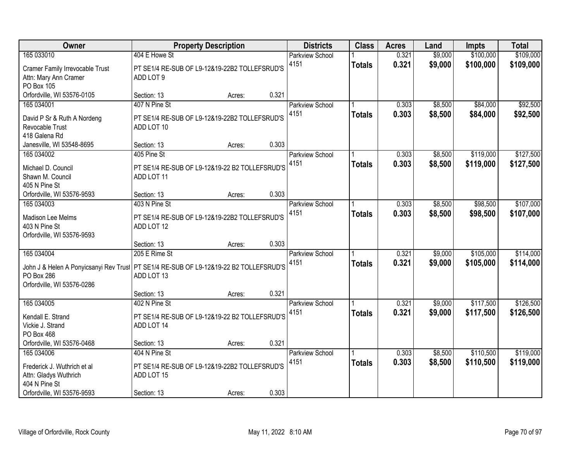| Owner                                           |                                                | <b>Property Description</b> |       | <b>Districts</b>       | <b>Class</b>  | <b>Acres</b> | Land    | <b>Impts</b> | <b>Total</b> |
|-------------------------------------------------|------------------------------------------------|-----------------------------|-------|------------------------|---------------|--------------|---------|--------------|--------------|
| 165 033010                                      | 404 E Howe St                                  |                             |       | <b>Parkview School</b> |               | 0.321        | \$9,000 | \$100,000    | \$109,000    |
| Cramer Family Irrevocable Trust                 | PT SE1/4 RE-SUB OF L9-12&19-22B2 TOLLEFSRUD'S  |                             |       | 4151                   | <b>Totals</b> | 0.321        | \$9,000 | \$100,000    | \$109,000    |
| Attn: Mary Ann Cramer                           | ADD LOT 9                                      |                             |       |                        |               |              |         |              |              |
| PO Box 105                                      |                                                |                             |       |                        |               |              |         |              |              |
| Orfordville, WI 53576-0105                      | Section: 13                                    | Acres:                      | 0.321 |                        |               |              |         |              |              |
| 165 034001                                      | 407 N Pine St                                  |                             |       | <b>Parkview School</b> |               | 0.303        | \$8,500 | \$84,000     | \$92,500     |
| David P Sr & Ruth A Nordeng                     | PT SE1/4 RE-SUB OF L9-12&19-22B2 TOLLEFSRUD'S  |                             |       | 4151                   | <b>Totals</b> | 0.303        | \$8,500 | \$84,000     | \$92,500     |
| Revocable Trust                                 | ADD LOT 10                                     |                             |       |                        |               |              |         |              |              |
| 418 Galena Rd                                   |                                                |                             |       |                        |               |              |         |              |              |
| Janesville, WI 53548-8695                       | Section: 13                                    | Acres:                      | 0.303 |                        |               |              |         |              |              |
| 165 034002                                      | 405 Pine St                                    |                             |       | Parkview School        |               | 0.303        | \$8,500 | \$119,000    | \$127,500    |
| Michael D. Council                              | PT SE1/4 RE-SUB OF L9-12&19-22 B2 TOLLEFSRUD'S |                             |       | 4151                   | <b>Totals</b> | 0.303        | \$8,500 | \$119,000    | \$127,500    |
| Shawn M. Council                                | ADD LOT 11                                     |                             |       |                        |               |              |         |              |              |
| 405 N Pine St                                   |                                                |                             |       |                        |               |              |         |              |              |
| Orfordville, WI 53576-9593                      | Section: 13                                    | Acres:                      | 0.303 |                        |               |              |         |              |              |
| 165 034003                                      | 403 N Pine St                                  |                             |       | <b>Parkview School</b> |               | 0.303        | \$8,500 | \$98,500     | \$107,000    |
| Madison Lee Melms                               | PT SE1/4 RE-SUB OF L9-12&19-22B2 TOLLEFSRUD'S  |                             |       | 4151                   | <b>Totals</b> | 0.303        | \$8,500 | \$98,500     | \$107,000    |
| 403 N Pine St                                   | ADD LOT 12                                     |                             |       |                        |               |              |         |              |              |
| Orfordville, WI 53576-9593                      |                                                |                             |       |                        |               |              |         |              |              |
|                                                 | Section: 13                                    | Acres:                      | 0.303 |                        |               |              |         |              |              |
| 165 034004                                      | 205 E Rime St                                  |                             |       | Parkview School        |               | 0.321        | \$9,000 | \$105,000    | \$114,000    |
|                                                 |                                                |                             |       | 4151                   | <b>Totals</b> | 0.321        | \$9,000 | \$105,000    | \$114,000    |
| John J & Helen A Ponyicsanyi Rev Trust          | PT SE1/4 RE-SUB OF L9-12&19-22 B2 TOLLEFSRUD'S |                             |       |                        |               |              |         |              |              |
| <b>PO Box 286</b><br>Orfordville, WI 53576-0286 | ADD LOT 13                                     |                             |       |                        |               |              |         |              |              |
|                                                 | Section: 13                                    | Acres:                      | 0.321 |                        |               |              |         |              |              |
| 165 034005                                      | 402 N Pine St                                  |                             |       | <b>Parkview School</b> |               | 0.321        | \$9,000 | \$117,500    | \$126,500    |
|                                                 |                                                |                             |       | 4151                   | <b>Totals</b> | 0.321        | \$9,000 | \$117,500    | \$126,500    |
| Kendall E. Strand                               | PT SE1/4 RE-SUB OF L9-12&19-22 B2 TOLLEFSRUD'S |                             |       |                        |               |              |         |              |              |
| Vickie J. Strand                                | ADD LOT 14                                     |                             |       |                        |               |              |         |              |              |
| PO Box 468                                      |                                                |                             |       |                        |               |              |         |              |              |
| Orfordville, WI 53576-0468                      | Section: 13                                    | Acres:                      | 0.321 |                        |               |              |         |              |              |
| 165 034006                                      | 404 N Pine St                                  |                             |       | <b>Parkview School</b> |               | 0.303        | \$8,500 | \$110,500    | \$119,000    |
| Frederick J. Wuthrich et al                     | PT SE1/4 RE-SUB OF L9-12&19-22B2 TOLLEFSRUD'S  |                             |       | 4151                   | <b>Totals</b> | 0.303        | \$8,500 | \$110,500    | \$119,000    |
| Attn: Gladys Wuthrich                           | ADD LOT 15                                     |                             |       |                        |               |              |         |              |              |
| 404 N Pine St                                   |                                                |                             |       |                        |               |              |         |              |              |
| Orfordville, WI 53576-9593                      | Section: 13                                    | Acres:                      | 0.303 |                        |               |              |         |              |              |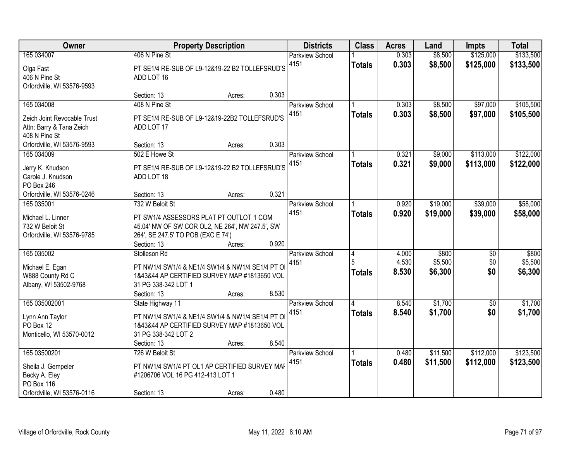| Owner                                     |                                                                                                  | <b>Property Description</b> |       | <b>Districts</b>       | <b>Class</b>   | <b>Acres</b> | Land     | Impts      | <b>Total</b> |
|-------------------------------------------|--------------------------------------------------------------------------------------------------|-----------------------------|-------|------------------------|----------------|--------------|----------|------------|--------------|
| 165 034007                                | 406 N Pine St                                                                                    |                             |       | <b>Parkview School</b> |                | 0.303        | \$8,500  | \$125,000  | \$133,500    |
| Olga Fast                                 | PT SE1/4 RE-SUB OF L9-12&19-22 B2 TOLLEFSRUD'S                                                   |                             |       | 4151                   | <b>Totals</b>  | 0.303        | \$8,500  | \$125,000  | \$133,500    |
| 406 N Pine St                             | ADD LOT 16                                                                                       |                             |       |                        |                |              |          |            |              |
| Orfordville, WI 53576-9593                |                                                                                                  |                             |       |                        |                |              |          |            |              |
|                                           | Section: 13                                                                                      | Acres:                      | 0.303 |                        |                |              |          |            |              |
| 165 034008                                | 408 N Pine St                                                                                    |                             |       | <b>Parkview School</b> |                | 0.303        | \$8,500  | \$97,000   | \$105,500    |
|                                           |                                                                                                  |                             |       | 4151                   | <b>Totals</b>  | 0.303        | \$8,500  | \$97,000   | \$105,500    |
| Zeich Joint Revocable Trust               | PT SE1/4 RE-SUB OF L9-12&19-22B2 TOLLEFSRUD'S<br>ADD LOT 17                                      |                             |       |                        |                |              |          |            |              |
| Attn: Barry & Tana Zeich<br>408 N Pine St |                                                                                                  |                             |       |                        |                |              |          |            |              |
| Orfordville, WI 53576-9593                | Section: 13                                                                                      | Acres:                      | 0.303 |                        |                |              |          |            |              |
| 165 034009                                | 502 E Howe St                                                                                    |                             |       | Parkview School        |                | 0.321        | \$9,000  | \$113,000  | \$122,000    |
|                                           |                                                                                                  |                             |       | 4151                   | <b>Totals</b>  | 0.321        | \$9,000  | \$113,000  | \$122,000    |
| Jerry K. Knudson                          | PT SE1/4 RE-SUB OF L9-12&19-22 B2 TOLLEFSRUD'S                                                   |                             |       |                        |                |              |          |            |              |
| Carole J. Knudson                         | ADD LOT 18                                                                                       |                             |       |                        |                |              |          |            |              |
| PO Box 246                                |                                                                                                  |                             |       |                        |                |              |          |            |              |
| Orfordville, WI 53576-0246                | Section: 13                                                                                      | Acres:                      | 0.321 |                        |                |              |          |            |              |
| 165 035001                                | 732 W Beloit St                                                                                  |                             |       | <b>Parkview School</b> |                | 0.920        | \$19,000 | \$39,000   | \$58,000     |
| Michael L. Linner                         | PT SW1/4 ASSESSORS PLAT PT OUTLOT 1 COM                                                          |                             |       | 4151                   | <b>Totals</b>  | 0.920        | \$19,000 | \$39,000   | \$58,000     |
| 732 W Beloit St                           | 45.04' NW OF SW COR OL2, NE 264', NW 247.5', SW                                                  |                             |       |                        |                |              |          |            |              |
| Orfordville, WI 53576-9785                | 264', SE 247.5' TO POB (EXC E 74')                                                               |                             |       |                        |                |              |          |            |              |
|                                           | Section: 13                                                                                      | Acres:                      | 0.920 |                        |                |              |          |            |              |
| 165 035002                                | Stolleson Rd                                                                                     |                             |       | Parkview School        | $\overline{4}$ | 4.000        | \$800    | \$0        | \$800        |
|                                           |                                                                                                  |                             |       | 4151                   | 5              | 4.530        | \$5,500  | \$0        | \$5,500      |
| Michael E. Egan<br>W888 County Rd C       | PT NW1/4 SW1/4 & NE1/4 SW1/4 & NW1/4 SE1/4 PT OI<br>1&43&44 AP CERTIFIED SURVEY MAP #1813650 VOL |                             |       |                        | <b>Totals</b>  | 8.530        | \$6,300  | \$0        | \$6,300      |
| Albany, WI 53502-9768                     | 31 PG 338-342 LOT 1                                                                              |                             |       |                        |                |              |          |            |              |
|                                           | Section: 13                                                                                      | Acres:                      | 8.530 |                        |                |              |          |            |              |
| 165 035002001                             | State Highway 11                                                                                 |                             |       | Parkview School        | 4              | 8.540        | \$1,700  | $\sqrt{6}$ | \$1,700      |
|                                           |                                                                                                  |                             |       | 4151                   | <b>Totals</b>  | 8.540        | \$1,700  | \$0        | \$1,700      |
| Lynn Ann Taylor                           | PT NW1/4 SW1/4 & NE1/4 SW1/4 & NW1/4 SE1/4 PT OI                                                 |                             |       |                        |                |              |          |            |              |
| PO Box 12                                 | 1&43&44 AP CERTIFIED SURVEY MAP #1813650 VOL                                                     |                             |       |                        |                |              |          |            |              |
| Monticello, WI 53570-0012                 | 31 PG 338-342 LOT 2                                                                              |                             |       |                        |                |              |          |            |              |
|                                           | Section: 13                                                                                      | Acres:                      | 8.540 |                        |                |              |          |            |              |
| 165 03500201                              | 726 W Beloit St                                                                                  |                             |       | <b>Parkview School</b> |                | 0.480        | \$11,500 | \$112,000  | \$123,500    |
| Sheila J. Gempeler                        | PT NW1/4 SW1/4 PT OL1 AP CERTIFIED SURVEY MAP                                                    |                             |       | 4151                   | <b>Totals</b>  | 0.480        | \$11,500 | \$112,000  | \$123,500    |
| Becky A. Eley                             | #1206706 VOL 16 PG 412-413 LOT 1                                                                 |                             |       |                        |                |              |          |            |              |
| PO Box 116                                |                                                                                                  |                             |       |                        |                |              |          |            |              |
| Orfordville, WI 53576-0116                | Section: 13                                                                                      | Acres:                      | 0.480 |                        |                |              |          |            |              |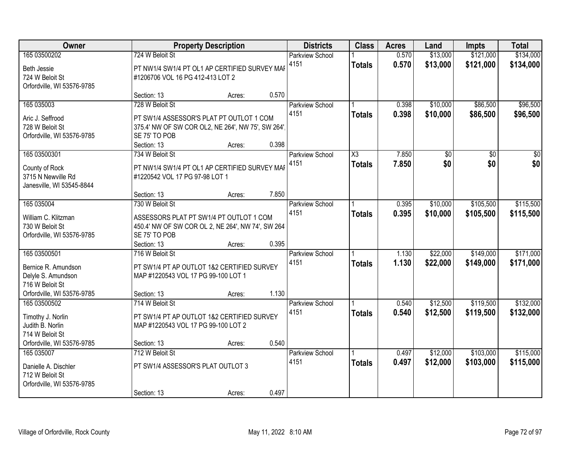| Owner                                                                                                      |                                                                                                                                                   | <b>Property Description</b> |       | <b>Districts</b>               | <b>Class</b>                            | <b>Acres</b>   | Land                 | <b>Impts</b>           | <b>Total</b>           |
|------------------------------------------------------------------------------------------------------------|---------------------------------------------------------------------------------------------------------------------------------------------------|-----------------------------|-------|--------------------------------|-----------------------------------------|----------------|----------------------|------------------------|------------------------|
| 165 03500202<br>Beth Jessie<br>724 W Beloit St<br>Orfordville, WI 53576-9785                               | 724 W Beloit St<br>PT NW1/4 SW1/4 PT OL1 AP CERTIFIED SURVEY MAP<br>#1206706 VOL 16 PG 412-413 LOT 2                                              |                             |       | <b>Parkview School</b><br>4151 | <b>Totals</b>                           | 0.570<br>0.570 | \$13,000<br>\$13,000 | \$121,000<br>\$121,000 | \$134,000<br>\$134,000 |
|                                                                                                            | Section: 13                                                                                                                                       | Acres:                      | 0.570 |                                |                                         |                |                      |                        |                        |
| 165 035003<br>Aric J. Seffrood<br>728 W Beloit St<br>Orfordville, WI 53576-9785                            | 728 W Beloit St<br>PT SW1/4 ASSESSOR'S PLAT PT OUTLOT 1 COM<br>375.4' NW OF SW COR OL2, NE 264', NW 75', SW 264',<br>SE 75' TO POB<br>Section: 13 | Acres:                      | 0.398 | Parkview School<br>4151        | Totals                                  | 0.398<br>0.398 | \$10,000<br>\$10,000 | \$86,500<br>\$86,500   | \$96,500<br>\$96,500   |
| 165 03500301<br>County of Rock<br>3715 N Newville Rd<br>Janesville, WI 53545-8844                          | 734 W Beloit St<br>PT NW1/4 SW1/4 PT OL1 AP CERTIFIED SURVEY MAP<br>#1220542 VOL 17 PG 97-98 LOT 1<br>Section: 13                                 | Acres:                      | 7.850 | Parkview School<br>4151        | $\overline{\text{X3}}$<br><b>Totals</b> | 7.850<br>7.850 | \$0<br>\$0           | \$0<br>\$0             | $\overline{30}$<br>\$0 |
| 165 035004<br>William C. Klitzman<br>730 W Beloit St<br>Orfordville, WI 53576-9785                         | 730 W Beloit St<br>ASSESSORS PLAT PT SW1/4 PT OUTLOT 1 COM<br>450.4' NW OF SW COR OL 2, NE 264', NW 74', SW 264<br>SE 75' TO POB<br>Section: 13   | Acres:                      | 0.395 | <b>Parkview School</b><br>4151 | -1<br><b>Totals</b>                     | 0.395<br>0.395 | \$10,000<br>\$10,000 | \$105,500<br>\$105,500 | \$115,500<br>\$115,500 |
| 165 03500501<br>Bernice R. Amundson<br>Delyle S. Amundson<br>716 W Beloit St<br>Orfordville, WI 53576-9785 | 716 W Beloit St<br>PT SW1/4 PT AP OUTLOT 1&2 CERTIFIED SURVEY<br>MAP #1220543 VOL 17 PG 99-100 LOT 1<br>Section: 13                               | Acres:                      | 1.130 | Parkview School<br>4151        | <b>Totals</b>                           | 1.130<br>1.130 | \$22,000<br>\$22,000 | \$149,000<br>\$149,000 | \$171,000<br>\$171,000 |
| 165 03500502<br>Timothy J. Norlin<br>Judith B. Norlin<br>714 W Beloit St<br>Orfordville, WI 53576-9785     | 714 W Beloit St<br>PT SW1/4 PT AP OUTLOT 1&2 CERTIFIED SURVEY<br>MAP #1220543 VOL 17 PG 99-100 LOT 2<br>Section: 13                               | Acres:                      | 0.540 | Parkview School<br>4151        | <b>Totals</b>                           | 0.540<br>0.540 | \$12,500<br>\$12,500 | \$119,500<br>\$119,500 | \$132,000<br>\$132,000 |
| 165 035007<br>Danielle A. Dischler<br>712 W Beloit St<br>Orfordville, WI 53576-9785                        | 712 W Beloit St<br>PT SW1/4 ASSESSOR'S PLAT OUTLOT 3<br>Section: 13                                                                               | Acres:                      | 0.497 | <b>Parkview School</b><br>4151 | Totals                                  | 0.497<br>0.497 | \$12,000<br>\$12,000 | \$103,000<br>\$103,000 | \$115,000<br>\$115,000 |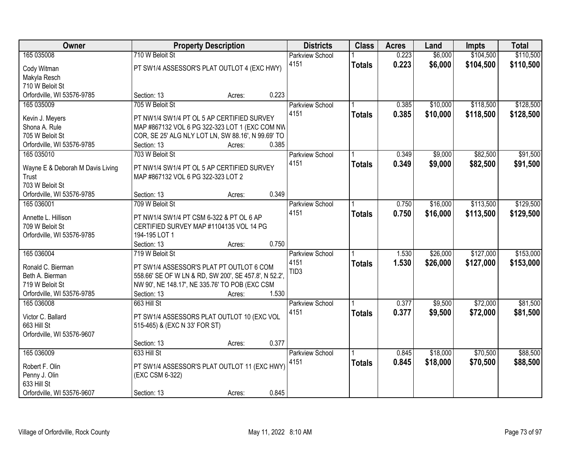| \$104,500<br>165 035008<br>710 W Beloit St<br>\$6,000<br>\$110,500<br>0.223<br><b>Parkview School</b><br>4151<br>0.223<br>\$6,000<br>\$104,500<br>\$110,500<br><b>Totals</b><br>PT SW1/4 ASSESSOR'S PLAT OUTLOT 4 (EXC HWY)<br>Cody Witman<br>Makyla Resch<br>710 W Beloit St<br>Orfordville, WI 53576-9785<br>0.223<br>Section: 13<br>Acres:<br>\$118,500<br>\$128,500<br>165 035009<br>705 W Beloit St<br>0.385<br>\$10,000<br><b>Parkview School</b><br>4151<br>0.385<br>\$10,000<br>\$118,500<br>\$128,500<br><b>Totals</b><br>PT NW1/4 SW1/4 PT OL 5 AP CERTIFIED SURVEY<br>Kevin J. Meyers<br>Shona A. Rule<br>MAP #867132 VOL 6 PG 322-323 LOT 1 (EXC COM NW<br>705 W Beloit St<br>COR, SE 25' ALG NLY LOT LN, SW 88.16', N 99.69' TO<br>0.385<br>Orfordville, WI 53576-9785<br>Section: 13<br>Acres:<br>\$9,000<br>\$82,500<br>\$91,500<br>165 035010<br>703 W Beloit St<br>Parkview School<br>0.349<br>4151<br>0.349 |
|-------------------------------------------------------------------------------------------------------------------------------------------------------------------------------------------------------------------------------------------------------------------------------------------------------------------------------------------------------------------------------------------------------------------------------------------------------------------------------------------------------------------------------------------------------------------------------------------------------------------------------------------------------------------------------------------------------------------------------------------------------------------------------------------------------------------------------------------------------------------------------------------------------------------------------|
|                                                                                                                                                                                                                                                                                                                                                                                                                                                                                                                                                                                                                                                                                                                                                                                                                                                                                                                               |
|                                                                                                                                                                                                                                                                                                                                                                                                                                                                                                                                                                                                                                                                                                                                                                                                                                                                                                                               |
|                                                                                                                                                                                                                                                                                                                                                                                                                                                                                                                                                                                                                                                                                                                                                                                                                                                                                                                               |
|                                                                                                                                                                                                                                                                                                                                                                                                                                                                                                                                                                                                                                                                                                                                                                                                                                                                                                                               |
|                                                                                                                                                                                                                                                                                                                                                                                                                                                                                                                                                                                                                                                                                                                                                                                                                                                                                                                               |
|                                                                                                                                                                                                                                                                                                                                                                                                                                                                                                                                                                                                                                                                                                                                                                                                                                                                                                                               |
|                                                                                                                                                                                                                                                                                                                                                                                                                                                                                                                                                                                                                                                                                                                                                                                                                                                                                                                               |
|                                                                                                                                                                                                                                                                                                                                                                                                                                                                                                                                                                                                                                                                                                                                                                                                                                                                                                                               |
|                                                                                                                                                                                                                                                                                                                                                                                                                                                                                                                                                                                                                                                                                                                                                                                                                                                                                                                               |
|                                                                                                                                                                                                                                                                                                                                                                                                                                                                                                                                                                                                                                                                                                                                                                                                                                                                                                                               |
|                                                                                                                                                                                                                                                                                                                                                                                                                                                                                                                                                                                                                                                                                                                                                                                                                                                                                                                               |
|                                                                                                                                                                                                                                                                                                                                                                                                                                                                                                                                                                                                                                                                                                                                                                                                                                                                                                                               |
| \$9,000<br>\$82,500<br>\$91,500<br><b>Totals</b><br>Wayne E & Deborah M Davis Living<br>PT NW1/4 SW1/4 PT OL 5 AP CERTIFIED SURVEY                                                                                                                                                                                                                                                                                                                                                                                                                                                                                                                                                                                                                                                                                                                                                                                            |
| MAP #867132 VOL 6 PG 322-323 LOT 2<br>Trust                                                                                                                                                                                                                                                                                                                                                                                                                                                                                                                                                                                                                                                                                                                                                                                                                                                                                   |
| 703 W Beloit St                                                                                                                                                                                                                                                                                                                                                                                                                                                                                                                                                                                                                                                                                                                                                                                                                                                                                                               |
| 0.349<br>Orfordville, WI 53576-9785<br>Section: 13<br>Acres:                                                                                                                                                                                                                                                                                                                                                                                                                                                                                                                                                                                                                                                                                                                                                                                                                                                                  |
| \$113,500<br>\$129,500<br>\$16,000<br>165 036001<br>709 W Beloit St<br>Parkview School<br>0.750                                                                                                                                                                                                                                                                                                                                                                                                                                                                                                                                                                                                                                                                                                                                                                                                                               |
| 4151<br>0.750<br>\$16,000<br>\$113,500<br>\$129,500<br><b>Totals</b><br>Annette L. Hillison<br>PT NW1/4 SW1/4 PT CSM 6-322 & PT OL 6 AP                                                                                                                                                                                                                                                                                                                                                                                                                                                                                                                                                                                                                                                                                                                                                                                       |
| 709 W Beloit St<br>CERTIFIED SURVEY MAP #1104135 VOL 14 PG                                                                                                                                                                                                                                                                                                                                                                                                                                                                                                                                                                                                                                                                                                                                                                                                                                                                    |
| 194-195 LOT 1<br>Orfordville, WI 53576-9785                                                                                                                                                                                                                                                                                                                                                                                                                                                                                                                                                                                                                                                                                                                                                                                                                                                                                   |
| 0.750<br>Section: 13<br>Acres:                                                                                                                                                                                                                                                                                                                                                                                                                                                                                                                                                                                                                                                                                                                                                                                                                                                                                                |
| \$153,000<br>165 036004<br>719 W Beloit St<br>\$26,000<br>\$127,000<br>Parkview School<br>1.530                                                                                                                                                                                                                                                                                                                                                                                                                                                                                                                                                                                                                                                                                                                                                                                                                               |
| 4151<br>1.530<br>\$26,000<br>\$127,000<br>\$153,000<br><b>Totals</b>                                                                                                                                                                                                                                                                                                                                                                                                                                                                                                                                                                                                                                                                                                                                                                                                                                                          |
| Ronald C. Bierman<br>PT SW1/4 ASSESSOR'S PLAT PT OUTLOT 6 COM<br>TID <sub>3</sub>                                                                                                                                                                                                                                                                                                                                                                                                                                                                                                                                                                                                                                                                                                                                                                                                                                             |
| 558.66' SE OF W LN & RD, SW 200', SE 457.8', N 52.2',<br>Beth A. Bierman                                                                                                                                                                                                                                                                                                                                                                                                                                                                                                                                                                                                                                                                                                                                                                                                                                                      |
| 719 W Beloit St<br>NW 90', NE 148.17', NE 335.76' TO POB (EXC CSM                                                                                                                                                                                                                                                                                                                                                                                                                                                                                                                                                                                                                                                                                                                                                                                                                                                             |
| Orfordville, WI 53576-9785<br>1.530<br>Section: 13<br>Acres:                                                                                                                                                                                                                                                                                                                                                                                                                                                                                                                                                                                                                                                                                                                                                                                                                                                                  |
| \$72,000<br>\$81,500<br>165 036008<br>663 Hill St<br>0.377<br>\$9,500<br><b>Parkview School</b>                                                                                                                                                                                                                                                                                                                                                                                                                                                                                                                                                                                                                                                                                                                                                                                                                               |
| 4151<br>0.377<br>\$9,500<br>\$72,000<br>\$81,500<br><b>Totals</b><br>PT SW1/4 ASSESSORS PLAT OUTLOT 10 (EXC VOL<br>Victor C. Ballard                                                                                                                                                                                                                                                                                                                                                                                                                                                                                                                                                                                                                                                                                                                                                                                          |
| 663 Hill St<br>515-465) & (EXC N 33' FOR ST)                                                                                                                                                                                                                                                                                                                                                                                                                                                                                                                                                                                                                                                                                                                                                                                                                                                                                  |
| Orfordville, WI 53576-9607                                                                                                                                                                                                                                                                                                                                                                                                                                                                                                                                                                                                                                                                                                                                                                                                                                                                                                    |
| 0.377<br>Section: 13<br>Acres:                                                                                                                                                                                                                                                                                                                                                                                                                                                                                                                                                                                                                                                                                                                                                                                                                                                                                                |
| \$70,500<br>\$88,500<br>165 036009<br>633 Hill St<br>\$18,000<br>0.845<br><b>Parkview School</b>                                                                                                                                                                                                                                                                                                                                                                                                                                                                                                                                                                                                                                                                                                                                                                                                                              |
| 0.845<br>4151<br>\$18,000<br>\$70,500<br>\$88,500<br><b>Totals</b>                                                                                                                                                                                                                                                                                                                                                                                                                                                                                                                                                                                                                                                                                                                                                                                                                                                            |
| Robert F. Olin<br>PT SW1/4 ASSESSOR'S PLAT OUTLOT 11 (EXC HWY)<br>(EXC CSM 6-322)                                                                                                                                                                                                                                                                                                                                                                                                                                                                                                                                                                                                                                                                                                                                                                                                                                             |
| Penny J. Olin<br>633 Hill St                                                                                                                                                                                                                                                                                                                                                                                                                                                                                                                                                                                                                                                                                                                                                                                                                                                                                                  |
| 0.845<br>Orfordville, WI 53576-9607<br>Section: 13<br>Acres:                                                                                                                                                                                                                                                                                                                                                                                                                                                                                                                                                                                                                                                                                                                                                                                                                                                                  |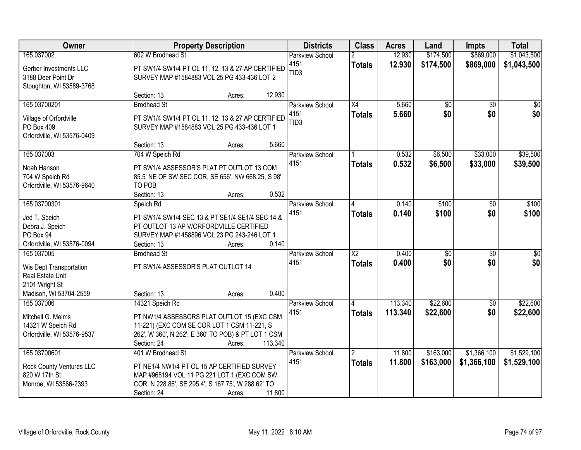| Owner                                                                                   | <b>Property Description</b>                                                                                                                                               | <b>Districts</b>         | <b>Class</b>           | <b>Acres</b> | Land            | <b>Impts</b>    | <b>Total</b>    |
|-----------------------------------------------------------------------------------------|---------------------------------------------------------------------------------------------------------------------------------------------------------------------------|--------------------------|------------------------|--------------|-----------------|-----------------|-----------------|
| 165 037002                                                                              | 602 W Brodhead St                                                                                                                                                         | <b>Parkview School</b>   | $\overline{2}$         | 12.930       | \$174,500       | \$869,000       | \$1,043,500     |
| Gerber Investments LLC<br>3188 Deer Point Dr<br>Stoughton, WI 53589-3768                | PT SW1/4 SW1/4 PT OL 11, 12, 13 & 27 AP CERTIFIED<br>SURVEY MAP #1584883 VOL 25 PG 433-436 LOT 2                                                                          | 4151<br>TID <sub>3</sub> | <b>Totals</b>          | 12.930       | \$174,500       | \$869,000       | \$1,043,500     |
|                                                                                         | Section: 13<br>Acres:                                                                                                                                                     | 12.930                   |                        |              |                 |                 |                 |
| 165 03700201                                                                            | <b>Brodhead St</b>                                                                                                                                                        | Parkview School          | X4                     | 5.660        | $\overline{50}$ | $\overline{50}$ | $\overline{30}$ |
| Village of Orfordville<br>PO Box 409<br>Orfordville, WI 53576-0409                      | PT SW1/4 SW1/4 PT OL 11, 12, 13 & 27 AP CERTIFIED<br>SURVEY MAP #1584883 VOL 25 PG 433-436 LOT 1                                                                          | 4151<br>TID <sub>3</sub> | <b>Totals</b>          | 5.660        | \$0             | \$0             | \$0             |
|                                                                                         | Section: 13<br>Acres:                                                                                                                                                     | 5.660                    |                        |              |                 |                 |                 |
| 165 037003                                                                              | 704 W Speich Rd                                                                                                                                                           | Parkview School          |                        | 0.532        | \$6,500         | \$33,000        | \$39,500        |
| Noah Hanson<br>704 W Speich Rd<br>Orfordville, WI 53576-9640                            | PT SW1/4 ASSESSOR'S PLAT PT OUTLOT 13 COM<br>85.5' NE OF SW SEC COR, SE 656', NW 668.25, S 98'<br>TO POB<br>Section: 13<br>Acres:                                         | 4151<br>0.532            | <b>Totals</b>          | 0.532        | \$6,500         | \$33,000        | \$39,500        |
| 165 03700301                                                                            | Speich Rd                                                                                                                                                                 | Parkview School          | 14                     | 0.140        | \$100           | \$0             | \$100           |
| Jed T. Speich<br>Debra J. Speich<br>PO Box 94<br>Orfordville, WI 53576-0094             | PT SW1/4 SW1/4 SEC 13 & PT SE1/4 SE1/4 SEC 14 &<br>PT OUTLOT 13 AP V/ORFORDVILLE CERTIFIED<br>SURVEY MAP #1458896 VOL 23 PG 243-246 LOT 1<br>Section: 13<br>Acres:        | 4151<br>0.140            | <b>Totals</b>          | 0.140        | \$100           | \$0             | \$100           |
| 165 037005                                                                              | <b>Brodhead St</b>                                                                                                                                                        | <b>Parkview School</b>   | $\overline{\text{X2}}$ | 0.400        | $\overline{50}$ | $\overline{50}$ | $\overline{50}$ |
| Wis Dept Transportation<br>Real Estate Unit<br>2101 Wright St<br>Madison, WI 53704-2559 | PT SW1/4 ASSESSOR'S PLAT OUTLOT 14<br>Section: 13<br>Acres:                                                                                                               | 4151<br>0.400            | <b>Totals</b>          | 0.400        | \$0             | \$0             | \$0             |
| 165 037006                                                                              | 14321 Speich Rd                                                                                                                                                           | <b>Parkview School</b>   |                        | 113.340      | \$22,600        | $\overline{60}$ | \$22,600        |
| Mitchell G. Melms<br>14321 W Speich Rd<br>Orfordville, WI 53576-9537                    | PT NW1/4 ASSESSORS PLAT OUTLOT 15 (EXC CSM<br>11-221) (EXC COM SE COR LOT 1 CSM 11-221, S<br>262', W 360', N 262', E 360' TO POB) & PT LOT 1 CSM<br>Section: 24<br>Acres: | 4151<br>113.340          | <b>Totals</b>          | 113.340      | \$22,600        | \$0             | \$22,600        |
| 165 03700601                                                                            | 401 W Brodhead St                                                                                                                                                         | Parkview School          | $\overline{2}$         | 11.800       | \$163,000       | \$1,366,100     | \$1,529,100     |
| Rock County Ventures LLC<br>820 W 17th St<br>Monroe, WI 53566-2393                      | PT NE1/4 NW1/4 PT OL 15 AP CERTIFIED SURVEY<br>MAP #968194 VOL 11 PG 221 LOT 1 (EXC COM SW<br>COR, N 228.86', SE 295.4', S 167.75', W 288.62' TO<br>Section: 24<br>Acres: | 4151<br>11.800           | Totals                 | 11.800       | \$163,000       | \$1,366,100     | \$1,529,100     |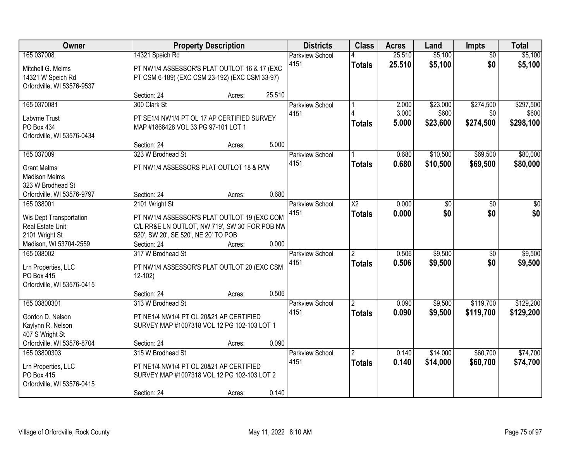| Owner                      |                                                | <b>Property Description</b> |        | <b>Districts</b>       | <b>Class</b>            | <b>Acres</b> | Land     | <b>Impts</b>    | <b>Total</b> |
|----------------------------|------------------------------------------------|-----------------------------|--------|------------------------|-------------------------|--------------|----------|-----------------|--------------|
| 165 037008                 | 14321 Speich Rd                                |                             |        | <b>Parkview School</b> |                         | 25.510       | \$5,100  | $\overline{50}$ | \$5,100      |
| Mitchell G. Melms          | PT NW1/4 ASSESSOR'S PLAT OUTLOT 16 & 17 (EXC   |                             |        | 4151                   | <b>Totals</b>           | 25.510       | \$5,100  | \$0             | \$5,100      |
| 14321 W Speich Rd          | PT CSM 6-189) (EXC CSM 23-192) (EXC CSM 33-97) |                             |        |                        |                         |              |          |                 |              |
| Orfordville, WI 53576-9537 |                                                |                             |        |                        |                         |              |          |                 |              |
|                            | Section: 24                                    | Acres:                      | 25.510 |                        |                         |              |          |                 |              |
| 165 0370081                | 300 Clark St                                   |                             |        | <b>Parkview School</b> |                         | 2.000        | \$23,000 | \$274,500       | \$297,500    |
| Labyme Trust               | PT SE1/4 NW1/4 PT OL 17 AP CERTIFIED SURVEY    |                             |        | 4151                   |                         | 3.000        | \$600    | \$0             | \$600        |
| PO Box 434                 | MAP #1868428 VOL 33 PG 97-101 LOT 1            |                             |        |                        | Totals                  | 5.000        | \$23,600 | \$274,500       | \$298,100    |
| Orfordville, WI 53576-0434 |                                                |                             |        |                        |                         |              |          |                 |              |
|                            | Section: 24                                    | Acres:                      | 5.000  |                        |                         |              |          |                 |              |
| 165 037009                 | 323 W Brodhead St                              |                             |        | Parkview School        |                         | 0.680        | \$10,500 | \$69,500        | \$80,000     |
| <b>Grant Melms</b>         | PT NW1/4 ASSESSORS PLAT OUTLOT 18 & R/W        |                             |        | 4151                   | <b>Totals</b>           | 0.680        | \$10,500 | \$69,500        | \$80,000     |
| <b>Madison Melms</b>       |                                                |                             |        |                        |                         |              |          |                 |              |
| 323 W Brodhead St          |                                                |                             |        |                        |                         |              |          |                 |              |
| Orfordville, WI 53576-9797 | Section: 24                                    | Acres:                      | 0.680  |                        |                         |              |          |                 |              |
| 165 038001                 | 2101 Wright St                                 |                             |        | <b>Parkview School</b> | X <sub>2</sub>          | 0.000        | \$0      | \$0             | \$0          |
| Wis Dept Transportation    | PT NW1/4 ASSESSOR'S PLAT OUTLOT 19 (EXC COM    |                             |        | 4151                   | <b>Totals</b>           | 0.000        | \$0      | \$0             | \$0          |
| Real Estate Unit           | C/L RR&E LN OUTLOT, NW 719', SW 30' FOR POB NW |                             |        |                        |                         |              |          |                 |              |
| 2101 Wright St             | 520', SW 20', SE 520', NE 20' TO POB           |                             |        |                        |                         |              |          |                 |              |
| Madison, WI 53704-2559     | Section: 24                                    | Acres:                      | 0.000  |                        |                         |              |          |                 |              |
| 165 038002                 | 317 W Brodhead St                              |                             |        | Parkview School        | $\overline{\mathbf{c}}$ | 0.506        | \$9,500  | $\overline{30}$ | \$9,500      |
| Lrn Properties, LLC        | PT NW1/4 ASSESSOR'S PLAT OUTLOT 20 (EXC CSM    |                             |        | 4151                   | <b>Totals</b>           | 0.506        | \$9,500  | \$0             | \$9,500      |
| PO Box 415                 | $12 - 102$                                     |                             |        |                        |                         |              |          |                 |              |
| Orfordville, WI 53576-0415 |                                                |                             |        |                        |                         |              |          |                 |              |
|                            | Section: 24                                    | Acres:                      | 0.506  |                        |                         |              |          |                 |              |
| 165 03800301               | 313 W Brodhead St                              |                             |        | Parkview School        | $\overline{2}$          | 0.090        | \$9,500  | \$119,700       | \$129,200    |
| Gordon D. Nelson           | PT NE1/4 NW1/4 PT OL 20&21 AP CERTIFIED        |                             |        | 4151                   | <b>Totals</b>           | 0.090        | \$9,500  | \$119,700       | \$129,200    |
| Kaylynn R. Nelson          | SURVEY MAP #1007318 VOL 12 PG 102-103 LOT 1    |                             |        |                        |                         |              |          |                 |              |
| 407 S Wright St            |                                                |                             |        |                        |                         |              |          |                 |              |
| Orfordville, WI 53576-8704 | Section: 24                                    | Acres:                      | 0.090  |                        |                         |              |          |                 |              |
| 165 03800303               | 315 W Brodhead St                              |                             |        | <b>Parkview School</b> | $\overline{2}$          | 0.140        | \$14,000 | \$60,700        | \$74,700     |
| Lrn Properties, LLC        | PT NE1/4 NW1/4 PT OL 20&21 AP CERTIFIED        |                             |        | 4151                   | Totals                  | 0.140        | \$14,000 | \$60,700        | \$74,700     |
| PO Box 415                 | SURVEY MAP #1007318 VOL 12 PG 102-103 LOT 2    |                             |        |                        |                         |              |          |                 |              |
| Orfordville, WI 53576-0415 |                                                |                             |        |                        |                         |              |          |                 |              |
|                            | Section: 24                                    | Acres:                      | 0.140  |                        |                         |              |          |                 |              |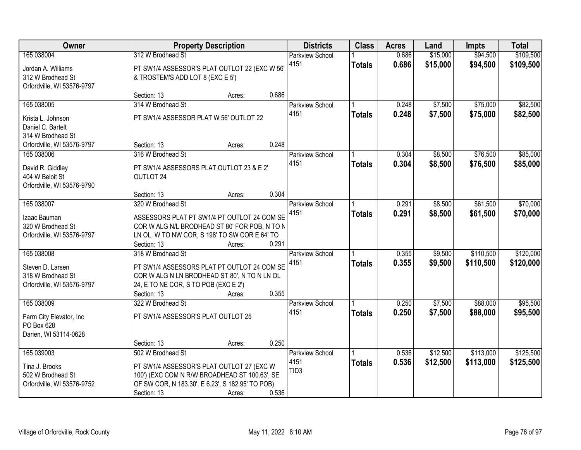| Owner                                                             |                                                                                                                                                | <b>Property Description</b> |       | <b>Districts</b>               | <b>Class</b>  | <b>Acres</b>   | Land                 | <b>Impts</b>           | <b>Total</b>           |
|-------------------------------------------------------------------|------------------------------------------------------------------------------------------------------------------------------------------------|-----------------------------|-------|--------------------------------|---------------|----------------|----------------------|------------------------|------------------------|
| 165 038004<br>Jordan A. Williams<br>312 W Brodhead St             | 312 W Brodhead St<br>PT SW1/4 ASSESSOR'S PLAT OUTLOT 22 (EXC W 56'<br>& TROSTEM'S ADD LOT 8 (EXC E 5')                                         |                             |       | <b>Parkview School</b><br>4151 | <b>Totals</b> | 0.686<br>0.686 | \$15,000<br>\$15,000 | \$94,500<br>\$94,500   | \$109,500<br>\$109,500 |
| Orfordville, WI 53576-9797                                        | Section: 13                                                                                                                                    | Acres:                      | 0.686 |                                |               |                |                      |                        |                        |
| 165 038005                                                        | 314 W Brodhead St                                                                                                                              |                             |       | <b>Parkview School</b>         |               | 0.248          | \$7,500              | \$75,000               | \$82,500               |
| Krista L. Johnson<br>Daniel C. Bartelt<br>314 W Brodhead St       | PT SW1/4 ASSESSOR PLAT W 56' OUTLOT 22                                                                                                         |                             |       | 4151                           | <b>Totals</b> | 0.248          | \$7,500              | \$75,000               | \$82,500               |
| Orfordville, WI 53576-9797                                        | Section: 13                                                                                                                                    | Acres:                      | 0.248 |                                |               |                |                      |                        |                        |
| 165 038006                                                        | 316 W Brodhead St                                                                                                                              |                             |       | Parkview School                |               | 0.304          | \$8,500              | \$76,500               | \$85,000               |
| David R. Giddley<br>404 W Beloit St<br>Orfordville, WI 53576-9790 | PT SW1/4 ASSESSORS PLAT OUTLOT 23 & E 2'<br>OUTLOT 24                                                                                          |                             |       | 4151                           | <b>Totals</b> | 0.304          | \$8,500              | \$76,500               | \$85,000               |
|                                                                   | Section: 13                                                                                                                                    | Acres:                      | 0.304 |                                |               |                |                      |                        |                        |
| 165 038007                                                        | 320 W Brodhead St                                                                                                                              |                             |       | <b>Parkview School</b>         |               | 0.291          | \$8,500              | \$61,500               | \$70,000               |
| Izaac Bauman<br>320 W Brodhead St<br>Orfordville, WI 53576-9797   | ASSESSORS PLAT PT SW1/4 PT OUTLOT 24 COM SE<br>COR W ALG N/L BRODHEAD ST 80' FOR POB, N TO N<br>LN OL, W TO NW COR, S 198' TO SW COR E 64' TO  |                             |       | 4151                           | <b>Totals</b> | 0.291          | \$8,500              | \$61,500               | \$70,000               |
|                                                                   | Section: 13                                                                                                                                    | Acres:                      | 0.291 |                                |               |                |                      |                        |                        |
| 165 038008                                                        | 318 W Brodhead St                                                                                                                              |                             |       | Parkview School<br>4151        | <b>Totals</b> | 0.355<br>0.355 | \$9,500<br>\$9,500   | \$110,500<br>\$110,500 | \$120,000<br>\$120,000 |
| Steven D. Larsen<br>318 W Brodhead St                             | PT SW1/4 ASSESSORS PLAT PT OUTLOT 24 COM SE<br>COR W ALG N LN BRODHEAD ST 80', N TO N LN OL                                                    |                             |       |                                |               |                |                      |                        |                        |
| Orfordville, WI 53576-9797                                        | 24, E TO NE COR, S TO POB (EXC E 2')                                                                                                           |                             |       |                                |               |                |                      |                        |                        |
|                                                                   | Section: 13                                                                                                                                    | Acres:                      | 0.355 |                                |               |                |                      |                        |                        |
| 165 038009                                                        | 322 W Brodhead St                                                                                                                              |                             |       | <b>Parkview School</b><br>4151 |               | 0.250          | \$7,500              | \$88,000               | \$95,500               |
| Farm City Elevator, Inc<br>PO Box 628<br>Darien, WI 53114-0628    | PT SW1/4 ASSESSOR'S PLAT OUTLOT 25                                                                                                             |                             |       |                                | <b>Totals</b> | 0.250          | \$7,500              | \$88,000               | \$95,500               |
|                                                                   | Section: 13                                                                                                                                    | Acres:                      | 0.250 |                                |               |                |                      |                        |                        |
| 165 039003                                                        | 502 W Brodhead St                                                                                                                              |                             |       | <b>Parkview School</b>         |               | 0.536          | \$12,500             | \$113,000              | \$125,500              |
| Tina J. Brooks<br>502 W Brodhead St<br>Orfordville, WI 53576-9752 | PT SW1/4 ASSESSOR'S PLAT OUTLOT 27 (EXC W<br>100') (EXC COM N R/W BROADHEAD ST 100.63', SE<br>OF SW COR, N 183.30', E 6.23', S 182.95' TO POB) |                             |       | 4151<br>TID <sub>3</sub>       | <b>Totals</b> | 0.536          | \$12,500             | \$113,000              | \$125,500              |
|                                                                   | Section: 13                                                                                                                                    | Acres:                      | 0.536 |                                |               |                |                      |                        |                        |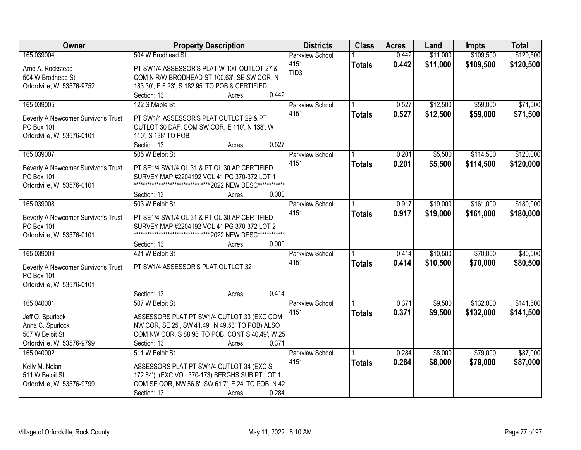| Owner                               | <b>Property Description</b>                                                                                | <b>Districts</b>       | <b>Class</b>  | <b>Acres</b> | Land     | <b>Impts</b> | <b>Total</b> |
|-------------------------------------|------------------------------------------------------------------------------------------------------------|------------------------|---------------|--------------|----------|--------------|--------------|
| 165 039004                          | 504 W Brodhead St                                                                                          | <b>Parkview School</b> |               | 0.442        | \$11,000 | \$109,500    | \$120,500    |
| Arne A. Rockstead                   | PT SW1/4 ASSESSOR'S PLAT W 100' OUTLOT 27 &                                                                | 4151                   | <b>Totals</b> | 0.442        | \$11,000 | \$109,500    | \$120,500    |
| 504 W Brodhead St                   | COM N R/W BRODHEAD ST 100.63', SE SW COR, N                                                                | TID <sub>3</sub>       |               |              |          |              |              |
| Orfordville, WI 53576-9752          | 183.30', E 6.23', S 182.95' TO POB & CERTIFIED                                                             |                        |               |              |          |              |              |
|                                     | 0.442<br>Section: 13<br>Acres:                                                                             |                        |               |              |          |              |              |
| 165 039005                          | 122 S Maple St                                                                                             | <b>Parkview School</b> |               | 0.527        | \$12,500 | \$59,000     | \$71,500     |
|                                     |                                                                                                            | 4151                   | <b>Totals</b> | 0.527        | \$12,500 | \$59,000     | \$71,500     |
| Beverly A Newcomer Survivor's Trust | PT SW1/4 ASSESSOR'S PLAT OUTLOT 29 & PT                                                                    |                        |               |              |          |              |              |
| PO Box 101                          | OUTLOT 30 DAF: COM SW COR, E 110', N 138', W                                                               |                        |               |              |          |              |              |
| Orfordville, WI 53576-0101          | 110', S 138' TO POB                                                                                        |                        |               |              |          |              |              |
|                                     | 0.527<br>Section: 13<br>Acres:                                                                             |                        |               |              |          |              |              |
| 165 039007                          | 505 W Beloit St                                                                                            | <b>Parkview School</b> |               | 0.201        | \$5,500  | \$114,500    | \$120,000    |
| Beverly A Newcomer Survivor's Trust | PT SE1/4 SW1/4 OL 31 & PT OL 30 AP CERTIFIED                                                               | 4151                   | <b>Totals</b> | 0.201        | \$5,500  | \$114,500    | \$120,000    |
| PO Box 101                          | SURVEY MAP #2204192 VOL 41 PG 370-372 LOT 1                                                                |                        |               |              |          |              |              |
| Orfordville, WI 53576-0101          |                                                                                                            |                        |               |              |          |              |              |
|                                     | 0.000<br>Section: 13<br>Acres:                                                                             |                        |               |              |          |              |              |
| 165 039008                          | 503 W Beloit St                                                                                            | <b>Parkview School</b> |               | 0.917        | \$19,000 | \$161,000    | \$180,000    |
|                                     |                                                                                                            | 4151                   | <b>Totals</b> | 0.917        | \$19,000 | \$161,000    | \$180,000    |
| Beverly A Newcomer Survivor's Trust | PT SE1/4 SW1/4 OL 31 & PT OL 30 AP CERTIFIED                                                               |                        |               |              |          |              |              |
| PO Box 101                          | SURVEY MAP #2204192 VOL 41 PG 370-372 LOT 2<br>**************************** **** 2022 NEW DESC************ |                        |               |              |          |              |              |
| Orfordville, WI 53576-0101          | 0.000<br>Section: 13                                                                                       |                        |               |              |          |              |              |
| 165 039009                          | Acres:<br>421 W Beloit St                                                                                  | <b>Parkview School</b> |               | 0.414        | \$10,500 | \$70,000     | \$80,500     |
|                                     |                                                                                                            | 4151                   |               |              |          |              |              |
| Beverly A Newcomer Survivor's Trust | PT SW1/4 ASSESSOR'S PLAT OUTLOT 32                                                                         |                        | <b>Totals</b> | 0.414        | \$10,500 | \$70,000     | \$80,500     |
| PO Box 101                          |                                                                                                            |                        |               |              |          |              |              |
| Orfordville, WI 53576-0101          |                                                                                                            |                        |               |              |          |              |              |
|                                     | 0.414<br>Section: 13<br>Acres:                                                                             |                        |               |              |          |              |              |
| 165 040001                          | 507 W Beloit St                                                                                            | <b>Parkview School</b> |               | 0.371        | \$9,500  | \$132,000    | \$141,500    |
| Jeff O. Spurlock                    | ASSESSORS PLAT PT SW1/4 OUTLOT 33 (EXC COM                                                                 | 4151                   | <b>Totals</b> | 0.371        | \$9,500  | \$132,000    | \$141,500    |
| Anna C. Spurlock                    | NW COR, SE 25', SW 41.49', N 49.53' TO POB) ALSO                                                           |                        |               |              |          |              |              |
| 507 W Beloit St                     | COM NW COR, S 88.98' TO POB, CONT S 40.49', W 25                                                           |                        |               |              |          |              |              |
| Orfordville, WI 53576-9799          | 0.371<br>Section: 13<br>Acres:                                                                             |                        |               |              |          |              |              |
| 165 040002                          | 511 W Beloit St                                                                                            | <b>Parkview School</b> |               | 0.284        | \$8,000  | \$79,000     | \$87,000     |
|                                     |                                                                                                            | 4151                   | <b>Totals</b> | 0.284        | \$8,000  | \$79,000     | \$87,000     |
| Kelly M. Nolan                      | ASSESSORS PLAT PT SW1/4 OUTLOT 34 (EXC S                                                                   |                        |               |              |          |              |              |
| 511 W Beloit St                     | 172.64'), (EXC VOL 370-173) BERGHS SUB PT LOT 1                                                            |                        |               |              |          |              |              |
| Orfordville, WI 53576-9799          | COM SE COR, NW 56.8', SW 61.7', E 24' TO POB, N 42                                                         |                        |               |              |          |              |              |
|                                     | 0.284<br>Section: 13<br>Acres:                                                                             |                        |               |              |          |              |              |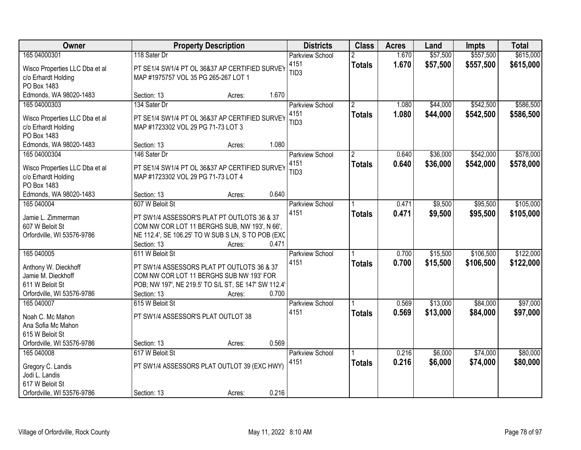| Owner                              |                                                                                      | <b>Property Description</b> |       | <b>Districts</b>       | <b>Class</b>   | <b>Acres</b> | Land     | <b>Impts</b> | <b>Total</b> |
|------------------------------------|--------------------------------------------------------------------------------------|-----------------------------|-------|------------------------|----------------|--------------|----------|--------------|--------------|
| 165 04000301                       | 118 Sater Dr                                                                         |                             |       | <b>Parkview School</b> | 2              | 1.670        | \$57,500 | \$557,500    | \$615,000    |
| Wisco Properties LLC Dba et al     | PT SE1/4 SW1/4 PT OL 36&37 AP CERTIFIED SURVEY                                       |                             |       | 4151                   | <b>Totals</b>  | 1.670        | \$57,500 | \$557,500    | \$615,000    |
| c/o Erhardt Holding                | MAP #1975757 VOL 35 PG 265-267 LOT 1                                                 |                             |       | TID <sub>3</sub>       |                |              |          |              |              |
| PO Box 1483                        |                                                                                      |                             |       |                        |                |              |          |              |              |
| Edmonds, WA 98020-1483             | Section: 13                                                                          | Acres:                      | 1.670 |                        |                |              |          |              |              |
| 165 04000303                       | 134 Sater Dr                                                                         |                             |       | Parkview School        | 2              | 1.080        | \$44,000 | \$542,500    | \$586,500    |
| Wisco Properties LLC Dba et al     | PT SE1/4 SW1/4 PT OL 36&37 AP CERTIFIED SURVEY                                       |                             |       | 4151                   | <b>Totals</b>  | 1.080        | \$44,000 | \$542,500    | \$586,500    |
| c/o Erhardt Holding                | MAP #1723302 VOL 29 PG 71-73 LOT 3                                                   |                             |       | TID <sub>3</sub>       |                |              |          |              |              |
| PO Box 1483                        |                                                                                      |                             |       |                        |                |              |          |              |              |
| Edmonds, WA 98020-1483             | Section: 13                                                                          | Acres:                      | 1.080 |                        |                |              |          |              |              |
| 165 04000304                       | 146 Sater Dr                                                                         |                             |       | <b>Parkview School</b> | $\overline{2}$ | 0.640        | \$36,000 | \$542,000    | \$578,000    |
|                                    |                                                                                      |                             |       | 4151                   | <b>Totals</b>  | 0.640        | \$36,000 | \$542,000    | \$578,000    |
| Wisco Properties LLC Dba et al     | PT SE1/4 SW1/4 PT OL 36&37 AP CERTIFIED SURVEY<br>MAP #1723302 VOL 29 PG 71-73 LOT 4 |                             |       | TID <sub>3</sub>       |                |              |          |              |              |
| c/o Erhardt Holding<br>PO Box 1483 |                                                                                      |                             |       |                        |                |              |          |              |              |
| Edmonds, WA 98020-1483             | Section: 13                                                                          | Acres:                      | 0.640 |                        |                |              |          |              |              |
| 165 040004                         | 607 W Beloit St                                                                      |                             |       | <b>Parkview School</b> |                | 0.471        | \$9,500  | \$95,500     | \$105,000    |
|                                    |                                                                                      |                             |       | 4151                   | <b>Totals</b>  | 0.471        | \$9,500  | \$95,500     | \$105,000    |
| Jamie L. Zimmerman                 | PT SW1/4 ASSESSOR'S PLAT PT OUTLOTS 36 & 37                                          |                             |       |                        |                |              |          |              |              |
| 607 W Beloit St                    | COM NW COR LOT 11 BERGHS SUB, NW 193', N 66',                                        |                             |       |                        |                |              |          |              |              |
| Orfordville, WI 53576-9786         | NE 112.4', SE 106.25' TO W SUB S LN, S TO POB (EXC                                   |                             | 0.471 |                        |                |              |          |              |              |
| 165 040005                         | Section: 13<br>611 W Beloit St                                                       | Acres:                      |       | Parkview School        |                | 0.700        | \$15,500 | \$106,500    | \$122,000    |
|                                    |                                                                                      |                             |       | 4151                   |                | 0.700        |          | \$106,500    |              |
| Anthony W. Dieckhoff               | PT SW1/4 ASSESSORS PLAT PT OUTLOTS 36 & 37                                           |                             |       |                        | <b>Totals</b>  |              | \$15,500 |              | \$122,000    |
| Jamie M. Dieckhoff                 | COM NW COR LOT 11 BERGHS SUB NW 193' FOR                                             |                             |       |                        |                |              |          |              |              |
| 611 W Beloit St                    | POB; NW 197', NE 219.5' TO S/L ST, SE 147' SW 112.4'                                 |                             |       |                        |                |              |          |              |              |
| Orfordville, WI 53576-9786         | Section: 13                                                                          | Acres:                      | 0.700 |                        |                |              |          |              |              |
| 165 040007                         | 615 W Beloit St                                                                      |                             |       | <b>Parkview School</b> |                | 0.569        | \$13,000 | \$84,000     | \$97,000     |
| Noah C. Mc Mahon                   | PT SW1/4 ASSESSOR'S PLAT OUTLOT 38                                                   |                             |       | 4151                   | <b>Totals</b>  | 0.569        | \$13,000 | \$84,000     | \$97,000     |
| Ana Sofia Mc Mahon                 |                                                                                      |                             |       |                        |                |              |          |              |              |
| 615 W Beloit St                    |                                                                                      |                             |       |                        |                |              |          |              |              |
| Orfordville, WI 53576-9786         | Section: 13                                                                          | Acres:                      | 0.569 |                        |                |              |          |              |              |
| 165 040008                         | 617 W Beloit St                                                                      |                             |       | <b>Parkview School</b> |                | 0.216        | \$6,000  | \$74,000     | \$80,000     |
| Gregory C. Landis                  | PT SW1/4 ASSESSORS PLAT OUTLOT 39 (EXC HWY)                                          |                             |       | 4151                   | <b>Totals</b>  | 0.216        | \$6,000  | \$74,000     | \$80,000     |
| Jodi L. Landis                     |                                                                                      |                             |       |                        |                |              |          |              |              |
| 617 W Beloit St                    |                                                                                      |                             |       |                        |                |              |          |              |              |
| Orfordville, WI 53576-9786         | Section: 13                                                                          | Acres:                      | 0.216 |                        |                |              |          |              |              |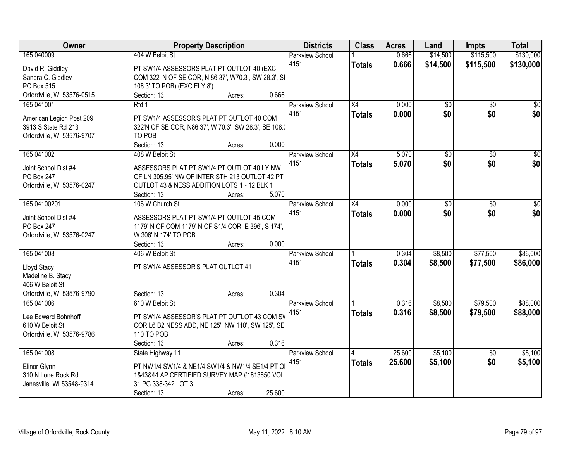| Owner                      | <b>Property Description</b>                           | <b>Districts</b>       | <b>Class</b>    | <b>Acres</b> | Land            | <b>Impts</b>    | <b>Total</b>    |
|----------------------------|-------------------------------------------------------|------------------------|-----------------|--------------|-----------------|-----------------|-----------------|
| 165 040009                 | 404 W Beloit St                                       | <b>Parkview School</b> |                 | 0.666        | \$14,500        | \$115,500       | \$130,000       |
| David R. Giddley           | PT SW1/4 ASSESSORS PLAT PT OUTLOT 40 (EXC             | 4151                   | <b>Totals</b>   | 0.666        | \$14,500        | \$115,500       | \$130,000       |
| Sandra C. Giddley          | COM 322' N OF SE COR, N 86.37', W70.3', SW 28.3', SI  |                        |                 |              |                 |                 |                 |
| PO Box 515                 | 108.3' TO POB) (EXC ELY 8')                           |                        |                 |              |                 |                 |                 |
| Orfordville, WI 53576-0515 | 0.666<br>Section: 13<br>Acres:                        |                        |                 |              |                 |                 |                 |
| 165 041001                 | Rfd 1                                                 | <b>Parkview School</b> | $\overline{X4}$ | 0.000        | $\overline{50}$ | $\overline{50}$ | $\sqrt{50}$     |
|                            |                                                       | 4151                   | <b>Totals</b>   | 0.000        | \$0             | \$0             | \$0             |
| American Legion Post 209   | PT SW1/4 ASSESSOR'S PLAT PT OUTLOT 40 COM             |                        |                 |              |                 |                 |                 |
| 3913 S State Rd 213        | 322'N OF SE COR, N86.37', W 70.3', SW 28.3', SE 108.3 |                        |                 |              |                 |                 |                 |
| Orfordville, WI 53576-9707 | TO POB                                                |                        |                 |              |                 |                 |                 |
|                            | 0.000<br>Section: 13<br>Acres:                        |                        |                 |              |                 |                 |                 |
| 165 041002                 | 408 W Beloit St                                       | Parkview School        | X4              | 5.070        | $\overline{50}$ | $\overline{50}$ | $\overline{50}$ |
| Joint School Dist #4       | ASSESSORS PLAT PT SW1/4 PT OUTLOT 40 LY NW            | 4151                   | <b>Totals</b>   | 5.070        | \$0             | \$0             | \$0             |
| PO Box 247                 | OF LN 305.95' NW OF INTER STH 213 OUTLOT 42 PT        |                        |                 |              |                 |                 |                 |
| Orfordville, WI 53576-0247 | OUTLOT 43 & NESS ADDITION LOTS 1 - 12 BLK 1           |                        |                 |              |                 |                 |                 |
|                            | 5.070<br>Section: 13<br>Acres:                        |                        |                 |              |                 |                 |                 |
| 165 04100201               | 106 W Church St                                       | <b>Parkview School</b> | X4              | 0.000        | $\overline{50}$ | \$0             | $\overline{30}$ |
|                            |                                                       | 4151                   | <b>Totals</b>   | 0.000        | \$0             | \$0             | \$0             |
| Joint School Dist #4       | ASSESSORS PLAT PT SW1/4 PT OUTLOT 45 COM              |                        |                 |              |                 |                 |                 |
| PO Box 247                 | 1179' N OF COM 1179' N OF S1/4 COR, E 396', S 174',   |                        |                 |              |                 |                 |                 |
| Orfordville, WI 53576-0247 | W 306' N 174' TO POB                                  |                        |                 |              |                 |                 |                 |
|                            | 0.000<br>Section: 13<br>Acres:                        |                        |                 |              |                 |                 |                 |
| 165 041003                 | 406 W Beloit St                                       | Parkview School        |                 | 0.304        | \$8,500         | \$77,500        | \$86,000        |
| Lloyd Stacy                | PT SW1/4 ASSESSOR'S PLAT OUTLOT 41                    | 4151                   | <b>Totals</b>   | 0.304        | \$8,500         | \$77,500        | \$86,000        |
| Madeline B. Stacy          |                                                       |                        |                 |              |                 |                 |                 |
| 406 W Beloit St            |                                                       |                        |                 |              |                 |                 |                 |
| Orfordville, WI 53576-9790 | 0.304<br>Section: 13<br>Acres:                        |                        |                 |              |                 |                 |                 |
| 165 041006                 | 610 W Beloit St                                       | <b>Parkview School</b> |                 | 0.316        | \$8,500         | \$79,500        | \$88,000        |
|                            |                                                       | 4151                   | <b>Totals</b>   | 0.316        | \$8,500         | \$79,500        | \$88,000        |
| Lee Edward Bohnhoff        | PT SW1/4 ASSESSOR'S PLAT PT OUTLOT 43 COM SV          |                        |                 |              |                 |                 |                 |
| 610 W Beloit St            | COR L6 B2 NESS ADD, NE 125', NW 110', SW 125', SE     |                        |                 |              |                 |                 |                 |
| Orfordville, WI 53576-9786 | 110 TO POB                                            |                        |                 |              |                 |                 |                 |
|                            | 0.316<br>Section: 13<br>Acres:                        |                        |                 |              |                 |                 |                 |
| 165 041008                 | State Highway 11                                      | <b>Parkview School</b> | 4               | 25,600       | \$5,100         | $\overline{50}$ | \$5,100         |
| Elinor Glynn               | PT NW1/4 SW1/4 & NE1/4 SW1/4 & NW1/4 SE1/4 PT O       | 4151                   | Totals          | 25.600       | \$5,100         | \$0             | \$5,100         |
| 310 N Lone Rock Rd         | 1&43&44 AP CERTIFIED SURVEY MAP #1813650 VOL          |                        |                 |              |                 |                 |                 |
| Janesville, WI 53548-9314  | 31 PG 338-342 LOT 3                                   |                        |                 |              |                 |                 |                 |
|                            | 25.600<br>Section: 13<br>Acres:                       |                        |                 |              |                 |                 |                 |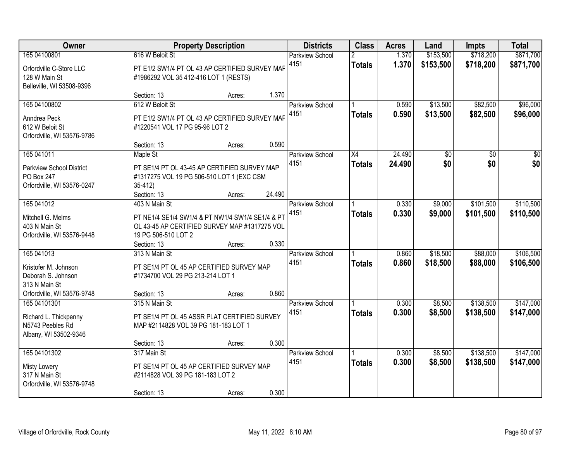| Owner                                                                                                   |                                                                                                                                                          | <b>Property Description</b> |                | <b>Districts</b>               | <b>Class</b>        | <b>Acres</b>     | Land                   | <b>Impts</b>           | <b>Total</b>           |
|---------------------------------------------------------------------------------------------------------|----------------------------------------------------------------------------------------------------------------------------------------------------------|-----------------------------|----------------|--------------------------------|---------------------|------------------|------------------------|------------------------|------------------------|
| 165 04100801<br>Orfordville C-Store LLC<br>128 W Main St<br>Belleville, WI 53508-9396                   | 616 W Beloit St<br>PT E1/2 SW1/4 PT OL 43 AP CERTIFIED SURVEY MAF<br>#1986292 VOL 35 412-416 LOT 1 (RESTS)                                               |                             |                | <b>Parkview School</b><br>4151 | <b>Totals</b>       | 1.370<br>1.370   | \$153,500<br>\$153,500 | \$718,200<br>\$718,200 | \$871,700<br>\$871,700 |
| 165 04100802<br>Anndrea Peck<br>612 W Beloit St<br>Orfordville, WI 53576-9786                           | Section: 13<br>612 W Beloit St<br>PT E1/2 SW1/4 PT OL 43 AP CERTIFIED SURVEY MAF<br>#1220541 VOL 17 PG 95-96 LOT 2<br>Section: 13                        | Acres:<br>Acres:            | 1.370<br>0.590 | <b>Parkview School</b><br>4151 | <b>Totals</b>       | 0.590<br>0.590   | \$13,500<br>\$13,500   | \$82,500<br>\$82,500   | \$96,000<br>\$96,000   |
| 165 041011<br><b>Parkview School District</b><br>PO Box 247<br>Orfordville, WI 53576-0247               | Maple St<br>PT SE1/4 PT OL 43-45 AP CERTIFIED SURVEY MAP<br>#1317275 VOL 19 PG 506-510 LOT 1 (EXC CSM<br>$35-412$<br>Section: 13                         | Acres:                      | 24.490         | Parkview School<br>4151        | X4<br><b>Totals</b> | 24.490<br>24.490 | $\overline{50}$<br>\$0 | \$0<br>\$0             | $\overline{30}$<br>\$0 |
| 165 041012<br>Mitchell G. Melms<br>403 N Main St<br>Orfordville, WI 53576-9448                          | 403 N Main St<br>PT NE1/4 SE1/4 SW1/4 & PT NW1/4 SW1/4 SE1/4 & PT<br>OL 43-45 AP CERTIFIED SURVEY MAP #1317275 VOL<br>19 PG 506-510 LOT 2<br>Section: 13 | Acres:                      | 0.330          | Parkview School<br>4151        | <b>Totals</b>       | 0.330<br>0.330   | \$9,000<br>\$9,000     | \$101,500<br>\$101,500 | \$110,500<br>\$110,500 |
| 165 041013<br>Kristofer M. Johnson<br>Deborah S. Johnson<br>313 N Main St<br>Orfordville, WI 53576-9748 | 313 N Main St<br>PT SE1/4 PT OL 45 AP CERTIFIED SURVEY MAP<br>#1734700 VOL 29 PG 213-214 LOT 1<br>Section: 13                                            | Acres:                      | 0.860          | Parkview School<br>4151        | <b>Totals</b>       | 0.860<br>0.860   | \$18,500<br>\$18,500   | \$88,000<br>\$88,000   | \$106,500<br>\$106,500 |
| 165 04101301<br>Richard L. Thickpenny<br>N5743 Peebles Rd<br>Albany, WI 53502-9346                      | 315 N Main St<br>PT SE1/4 PT OL 45 ASSR PLAT CERTIFIED SURVEY<br>MAP #2114828 VOL 39 PG 181-183 LOT 1<br>Section: 13                                     | Acres:                      | 0.300          | <b>Parkview School</b><br>4151 | <b>Totals</b>       | 0.300<br>0.300   | \$8,500<br>\$8,500     | \$138,500<br>\$138,500 | \$147,000<br>\$147,000 |
| 165 04101302<br><b>Misty Lowery</b><br>317 N Main St<br>Orfordville, WI 53576-9748                      | 317 Main St<br>PT SE1/4 PT OL 45 AP CERTIFIED SURVEY MAP<br>#2114828 VOL 39 PG 181-183 LOT 2<br>Section: 13                                              | Acres:                      | 0.300          | <b>Parkview School</b><br>4151 | <b>Totals</b>       | 0.300<br>0.300   | \$8,500<br>\$8,500     | \$138,500<br>\$138,500 | \$147,000<br>\$147,000 |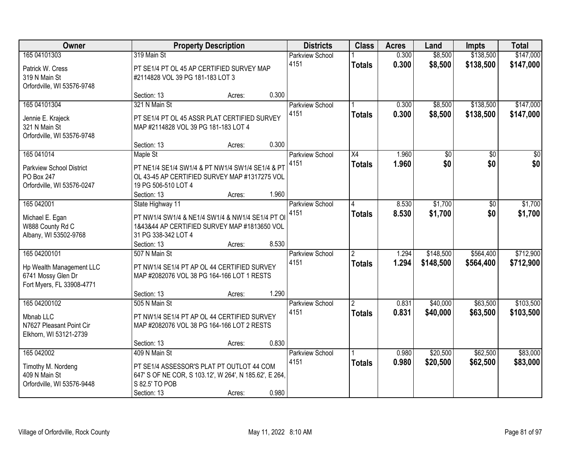| Owner                                                                       |                                      | <b>Property Description</b>                                                                         |       | <b>Districts</b>        | <b>Class</b>   | <b>Acres</b>   | Land               | <b>Impts</b>           | <b>Total</b>           |
|-----------------------------------------------------------------------------|--------------------------------------|-----------------------------------------------------------------------------------------------------|-------|-------------------------|----------------|----------------|--------------------|------------------------|------------------------|
| 165 04101303<br>Patrick W. Cress                                            | 319 Main St                          | PT SE1/4 PT OL 45 AP CERTIFIED SURVEY MAP                                                           |       | Parkview School<br>4151 | <b>Totals</b>  | 0.300<br>0.300 | \$8,500<br>\$8,500 | \$138,500<br>\$138,500 | \$147,000<br>\$147,000 |
| 319 N Main St<br>Orfordville, WI 53576-9748                                 | #2114828 VOL 39 PG 181-183 LOT 3     |                                                                                                     |       |                         |                |                |                    |                        |                        |
|                                                                             | Section: 13                          | Acres:                                                                                              | 0.300 |                         |                |                |                    |                        |                        |
| 165 04101304                                                                | 321 N Main St                        |                                                                                                     |       | <b>Parkview School</b>  |                | 0.300          | \$8,500            | \$138,500              | \$147,000              |
| Jennie E. Krajeck<br>321 N Main St<br>Orfordville, WI 53576-9748            | MAP #2114828 VOL 39 PG 181-183 LOT 4 | PT SE1/4 PT OL 45 ASSR PLAT CERTIFIED SURVEY                                                        |       | 4151                    | <b>Totals</b>  | 0.300          | \$8,500            | \$138,500              | \$147,000              |
|                                                                             | Section: 13                          | Acres:                                                                                              | 0.300 |                         |                |                |                    |                        |                        |
| 165 041014                                                                  | Maple St                             |                                                                                                     |       | Parkview School         | X4             | 1.960          | \$0                | \$0                    | \$0                    |
| <b>Parkview School District</b><br>PO Box 247<br>Orfordville, WI 53576-0247 | 19 PG 506-510 LOT 4                  | PT NE1/4 SE1/4 SW1/4 & PT NW1/4 SW1/4 SE1/4 & PT<br>OL 43-45 AP CERTIFIED SURVEY MAP #1317275 VOL   |       | 4151                    | <b>Totals</b>  | 1.960          | \$0                | \$0                    | \$0                    |
|                                                                             | Section: 13                          | Acres:                                                                                              | 1.960 |                         |                |                |                    |                        |                        |
| 165 04 2001                                                                 | State Highway 11                     |                                                                                                     |       | Parkview School         | 4              | 8.530          | \$1,700            | \$0                    | \$1,700                |
| Michael E. Egan<br>W888 County Rd C<br>Albany, WI 53502-9768                | 31 PG 338-342 LOT 4                  | PT NW1/4 SW1/4 & NE1/4 SW1/4 & NW1/4 SE1/4 PT O<br>1&43&44 AP CERTIFIED SURVEY MAP #1813650 VOL     |       | 4151                    | <b>Totals</b>  | 8.530          | \$1,700            | \$0                    | \$1,700                |
|                                                                             | Section: 13                          | Acres:                                                                                              | 8.530 |                         |                |                |                    |                        |                        |
| 165 04200101                                                                | 507 N Main St                        |                                                                                                     |       | Parkview School         |                | 1.294          | \$148,500          | \$564,400              | \$712,900              |
| Hp Wealth Management LLC<br>6741 Mossy Glen Dr<br>Fort Myers, FL 33908-4771 |                                      | PT NW1/4 SE1/4 PT AP OL 44 CERTIFIED SURVEY<br>MAP #2082076 VOL 38 PG 164-166 LOT 1 RESTS           |       | 4151                    | <b>Totals</b>  | 1.294          | \$148,500          | \$564,400              | \$712,900              |
|                                                                             | Section: 13                          | Acres:                                                                                              | 1.290 |                         |                |                |                    |                        |                        |
| 165 04200102                                                                | 505 N Main St                        |                                                                                                     |       | <b>Parkview School</b>  | $\overline{2}$ | 0.831          | \$40,000           | \$63,500               | \$103,500              |
| Mbnab LLC<br>N7627 Pleasant Point Cir<br>Elkhorn, WI 53121-2739             |                                      | PT NW1/4 SE1/4 PT AP OL 44 CERTIFIED SURVEY<br>MAP #2082076 VOL 38 PG 164-166 LOT 2 RESTS           |       | 4151                    | <b>Totals</b>  | 0.831          | \$40,000           | \$63,500               | \$103,500              |
|                                                                             | Section: 13                          | Acres:                                                                                              | 0.830 |                         |                |                |                    |                        |                        |
| 165 04 2002                                                                 | 409 N Main St                        |                                                                                                     |       | Parkview School         |                | 0.980          | \$20,500           | \$62,500               | \$83,000               |
| Timothy M. Nordeng<br>409 N Main St<br>Orfordville, WI 53576-9448           | S 82.5' TO POB                       | PT SE1/4 ASSESSOR'S PLAT PT OUTLOT 44 COM<br>647' S OF NE COR, S 103.12', W 264', N 185.62', E 264, |       | 4151                    | <b>Totals</b>  | 0.980          | \$20,500           | \$62,500               | \$83,000               |
|                                                                             | Section: 13                          | Acres:                                                                                              | 0.980 |                         |                |                |                    |                        |                        |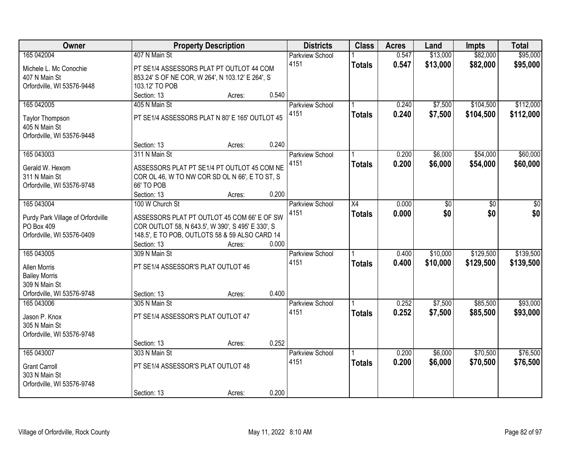| Owner                             | <b>Property Description</b>                                            | <b>Districts</b>       | <b>Class</b>  | <b>Acres</b> | Land     | <b>Impts</b> | <b>Total</b> |
|-----------------------------------|------------------------------------------------------------------------|------------------------|---------------|--------------|----------|--------------|--------------|
| 165 042004                        | 407 N Main St                                                          | <b>Parkview School</b> |               | 0.547        | \$13,000 | \$82,000     | \$95,000     |
| Michele L. Mc Conochie            | PT SE1/4 ASSESSORS PLAT PT OUTLOT 44 COM                               | 4151                   | <b>Totals</b> | 0.547        | \$13,000 | \$82,000     | \$95,000     |
| 407 N Main St                     | 853.24' S OF NE COR, W 264', N 103.12' E 264', S                       |                        |               |              |          |              |              |
| Orfordville, WI 53576-9448        | 103.12' TO POB                                                         |                        |               |              |          |              |              |
|                                   | 0.540<br>Section: 13<br>Acres:                                         |                        |               |              |          |              |              |
| 165 04 2005                       | 405 N Main St                                                          | Parkview School        |               | 0.240        | \$7,500  | \$104,500    | \$112,000    |
|                                   |                                                                        | 4151                   | <b>Totals</b> | 0.240        | \$7,500  | \$104,500    | \$112,000    |
| <b>Taylor Thompson</b>            | PT SE1/4 ASSESSORS PLAT N 80' E 165' OUTLOT 45                         |                        |               |              |          |              |              |
| 405 N Main St                     |                                                                        |                        |               |              |          |              |              |
| Orfordville, WI 53576-9448        |                                                                        |                        |               |              |          |              |              |
|                                   | 0.240<br>Section: 13<br>Acres:                                         |                        |               |              |          |              |              |
| 165 043003                        | 311 N Main St                                                          | Parkview School        |               | 0.200        | \$6,000  | \$54,000     | \$60,000     |
| Gerald W. Hexom                   | ASSESSORS PLAT PT SE1/4 PT OUTLOT 45 COM NE                            | 4151                   | <b>Totals</b> | 0.200        | \$6,000  | \$54,000     | \$60,000     |
| 311 N Main St                     | COR OL 46, W TO NW COR SD OL N 66', E TO ST, S                         |                        |               |              |          |              |              |
| Orfordville, WI 53576-9748        | 66' TO POB                                                             |                        |               |              |          |              |              |
|                                   | 0.200<br>Section: 13<br>Acres:                                         |                        |               |              |          |              |              |
| 165 043004                        | 100 W Church St                                                        | <b>Parkview School</b> | X4            | 0.000        | \$0      | \$0          | \$0          |
|                                   |                                                                        | 4151                   | <b>Totals</b> | 0.000        | \$0      | \$0          | \$0          |
| Purdy Park Village of Orfordville | ASSESSORS PLAT PT OUTLOT 45 COM 66' E OF SW                            |                        |               |              |          |              |              |
| PO Box 409                        | COR OUTLOT 58, N 643.5', W 390', S 495' E 330', S                      |                        |               |              |          |              |              |
| Orfordville, WI 53576-0409        | 148.5', E TO POB, OUTLOTS 58 & 59 ALSO CARD 14<br>0.000<br>Section: 13 |                        |               |              |          |              |              |
| 165 043005                        | Acres:<br>309 N Main St                                                |                        |               | 0.400        | \$10,000 | \$129,500    | \$139,500    |
|                                   |                                                                        | <b>Parkview School</b> |               |              |          |              |              |
| <b>Allen Morris</b>               | PT SE1/4 ASSESSOR'S PLAT OUTLOT 46                                     | 4151                   | <b>Totals</b> | 0.400        | \$10,000 | \$129,500    | \$139,500    |
| <b>Bailey Morris</b>              |                                                                        |                        |               |              |          |              |              |
| 309 N Main St                     |                                                                        |                        |               |              |          |              |              |
| Orfordville, WI 53576-9748        | 0.400<br>Section: 13<br>Acres:                                         |                        |               |              |          |              |              |
| 165 043006                        | 305 N Main St                                                          | <b>Parkview School</b> |               | 0.252        | \$7,500  | \$85,500     | \$93,000     |
| Jason P. Knox                     | PT SE1/4 ASSESSOR'S PLAT OUTLOT 47                                     | 4151                   | <b>Totals</b> | 0.252        | \$7,500  | \$85,500     | \$93,000     |
| 305 N Main St                     |                                                                        |                        |               |              |          |              |              |
| Orfordville, WI 53576-9748        |                                                                        |                        |               |              |          |              |              |
|                                   | 0.252<br>Section: 13<br>Acres:                                         |                        |               |              |          |              |              |
| 165 043007                        | 303 N Main St                                                          | Parkview School        |               | 0.200        | \$6,000  | \$70,500     | \$76,500     |
|                                   |                                                                        | 4151                   | <b>Totals</b> | 0.200        | \$6,000  | \$70,500     | \$76,500     |
| <b>Grant Carroll</b>              | PT SE1/4 ASSESSOR'S PLAT OUTLOT 48                                     |                        |               |              |          |              |              |
| 303 N Main St                     |                                                                        |                        |               |              |          |              |              |
| Orfordville, WI 53576-9748        |                                                                        |                        |               |              |          |              |              |
|                                   | 0.200<br>Section: 13<br>Acres:                                         |                        |               |              |          |              |              |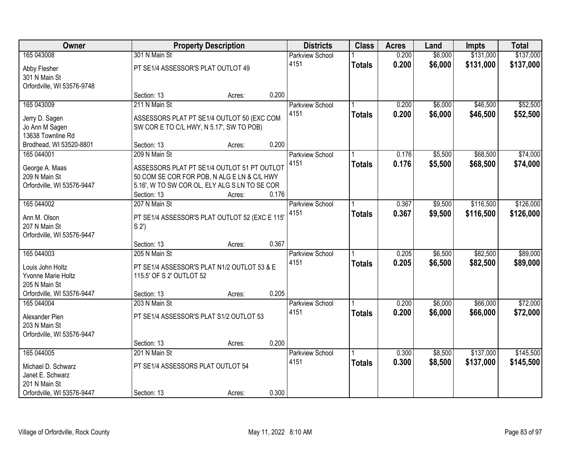| Owner                      |                                    | <b>Property Description</b>                    |       | <b>Districts</b>       | <b>Class</b>  | <b>Acres</b> | Land    | <b>Impts</b> | <b>Total</b> |
|----------------------------|------------------------------------|------------------------------------------------|-------|------------------------|---------------|--------------|---------|--------------|--------------|
| 165 043008                 | 301 N Main St                      |                                                |       | <b>Parkview School</b> |               | 0.200        | \$6,000 | \$131,000    | \$137,000    |
| Abby Flesher               | PT SE1/4 ASSESSOR'S PLAT OUTLOT 49 |                                                |       | 4151                   | <b>Totals</b> | 0.200        | \$6,000 | \$131,000    | \$137,000    |
| 301 N Main St              |                                    |                                                |       |                        |               |              |         |              |              |
| Orfordville, WI 53576-9748 |                                    |                                                |       |                        |               |              |         |              |              |
|                            | Section: 13                        | Acres:                                         | 0.200 |                        |               |              |         |              |              |
| 165 043009                 | 211 N Main St                      |                                                |       | <b>Parkview School</b> |               | 0.200        | \$6,000 | \$46,500     | \$52,500     |
| Jerry D. Sagen             |                                    | ASSESSORS PLAT PT SE1/4 OUTLOT 50 (EXC COM     |       | 4151                   | <b>Totals</b> | 0.200        | \$6,000 | \$46,500     | \$52,500     |
| Jo Ann M Sagen             |                                    | SW COR E TO C/L HWY, N 5.17', SW TO POB)       |       |                        |               |              |         |              |              |
| 13638 Townline Rd          |                                    |                                                |       |                        |               |              |         |              |              |
| Brodhead, WI 53520-8801    | Section: 13                        | Acres:                                         | 0.200 |                        |               |              |         |              |              |
| 165 044001                 | 209 N Main St                      |                                                |       | <b>Parkview School</b> |               | 0.176        | \$5,500 | \$68,500     | \$74,000     |
| George A. Maas             |                                    | ASSESSORS PLAT PT SE1/4 OUTLOT 51 PT OUTLOT    |       | 4151                   | <b>Totals</b> | 0.176        | \$5,500 | \$68,500     | \$74,000     |
| 209 N Main St              |                                    | 50 COM SE COR FOR POB, N ALG E LN & C/L HWY    |       |                        |               |              |         |              |              |
| Orfordville, WI 53576-9447 |                                    | 5.16', W TO SW COR OL, ELY ALG S LN TO SE COR  |       |                        |               |              |         |              |              |
|                            | Section: 13                        | Acres:                                         | 0.176 |                        |               |              |         |              |              |
| 165 044002                 | 207 N Main St                      |                                                |       | Parkview School        |               | 0.367        | \$9,500 | \$116,500    | \$126,000    |
| Ann M. Olson               |                                    | PT SE1/4 ASSESSOR'S PLAT OUTLOT 52 (EXC E 115' |       | 4151                   | <b>Totals</b> | 0.367        | \$9,500 | \$116,500    | \$126,000    |
| 207 N Main St              | S <sub>2</sub> '                   |                                                |       |                        |               |              |         |              |              |
| Orfordville, WI 53576-9447 |                                    |                                                |       |                        |               |              |         |              |              |
|                            | Section: 13                        | Acres:                                         | 0.367 |                        |               |              |         |              |              |
| 165 044003                 | 205 N Main St                      |                                                |       | <b>Parkview School</b> |               | 0.205        | \$6,500 | \$82,500     | \$89,000     |
| Louis John Holtz           |                                    | PT SE1/4 ASSESSOR'S PLAT N1/2 OUTLOT 53 & E    |       | 4151                   | <b>Totals</b> | 0.205        | \$6,500 | \$82,500     | \$89,000     |
| Yvonne Marie Holtz         | 115.5' OF S 2' OUTLOT 52           |                                                |       |                        |               |              |         |              |              |
| 205 N Main St              |                                    |                                                |       |                        |               |              |         |              |              |
| Orfordville, WI 53576-9447 | Section: 13                        | Acres:                                         | 0.205 |                        |               |              |         |              |              |
| 165 044004                 | 203 N Main St                      |                                                |       | Parkview School        |               | 0.200        | \$6,000 | \$66,000     | \$72,000     |
| Alexander Pien             |                                    | PT SE1/4 ASSESSOR'S PLAT S1/2 OUTLOT 53        |       | 4151                   | <b>Totals</b> | 0.200        | \$6,000 | \$66,000     | \$72,000     |
| 203 N Main St              |                                    |                                                |       |                        |               |              |         |              |              |
| Orfordville, WI 53576-9447 |                                    |                                                |       |                        |               |              |         |              |              |
|                            | Section: 13                        | Acres:                                         | 0.200 |                        |               |              |         |              |              |
| 165 044005                 | 201 N Main St                      |                                                |       | <b>Parkview School</b> |               | 0.300        | \$8,500 | \$137,000    | \$145,500    |
| Michael D. Schwarz         | PT SE1/4 ASSESSORS PLAT OUTLOT 54  |                                                |       | 4151                   | <b>Totals</b> | 0.300        | \$8,500 | \$137,000    | \$145,500    |
| Janet E. Schwarz           |                                    |                                                |       |                        |               |              |         |              |              |
| 201 N Main St              |                                    |                                                |       |                        |               |              |         |              |              |
| Orfordville, WI 53576-9447 | Section: 13                        | Acres:                                         | 0.300 |                        |               |              |         |              |              |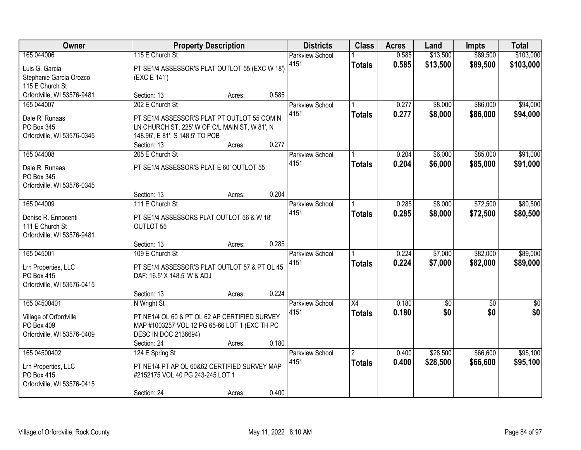| Owner                                                                              |                                                                                                                                                                   | <b>Property Description</b> |       | <b>Districts</b>               | <b>Class</b>                     | <b>Acres</b>   | Land                   | <b>Impts</b>           | <b>Total</b>           |
|------------------------------------------------------------------------------------|-------------------------------------------------------------------------------------------------------------------------------------------------------------------|-----------------------------|-------|--------------------------------|----------------------------------|----------------|------------------------|------------------------|------------------------|
| 165 044006<br>Luis G. Garcia<br>Stephanie Garcia Orozco<br>115 E Church St         | 115 E Church St<br>PT SE1/4 ASSESSOR'S PLAT OUTLOT 55 (EXC W 18')<br>(EXC E 141')                                                                                 |                             |       | <b>Parkview School</b><br>4151 | <b>Totals</b>                    | 0.585<br>0.585 | \$13,500<br>\$13,500   | \$89,500<br>\$89,500   | \$103,000<br>\$103,000 |
| Orfordville, WI 53576-9481                                                         | Section: 13                                                                                                                                                       | Acres:                      | 0.585 |                                |                                  |                |                        |                        |                        |
| 165 044007<br>Dale R. Runaas<br>PO Box 345<br>Orfordville, WI 53576-0345           | 202 E Church St<br>PT SE1/4 ASSESSOR'S PLAT PT OUTLOT 55 COM N<br>LN CHURCH ST, 225' W OF C/L MAIN ST, W 81', N<br>148.96', E 81', S 148.5' TO POB<br>Section: 13 | Acres:                      | 0.277 | <b>Parkview School</b><br>4151 | <b>Totals</b>                    | 0.277<br>0.277 | \$8,000<br>\$8,000     | \$86,000<br>\$86,000   | \$94,000<br>\$94,000   |
| 165 044008<br>Dale R. Runaas<br>PO Box 345<br>Orfordville, WI 53576-0345           | 205 E Church St<br>PT SE1/4 ASSESSOR'S PLAT E 60' OUTLOT 55<br>Section: 13                                                                                        | Acres:                      | 0.204 | Parkview School<br>4151        | <b>Totals</b>                    | 0.204<br>0.204 | \$6,000<br>\$6,000     | \$85,000<br>\$85,000   | \$91,000<br>\$91,000   |
| 165 044009<br>Denise R. Ennocenti<br>111 E Church St<br>Orfordville, WI 53576-9481 | 111 E Church St<br>PT SE1/4 ASSESSORS PLAT OUTLOT 56 & W 18'<br>OUTLOT 55<br>Section: 13                                                                          | Acres:                      | 0.285 | <b>Parkview School</b><br>4151 | <b>Totals</b>                    | 0.285<br>0.285 | \$8,000<br>\$8,000     | \$72,500<br>\$72,500   | \$80,500<br>\$80,500   |
| 165 045001<br>Lrn Properties, LLC<br>PO Box 415<br>Orfordville, WI 53576-0415      | 109 E Church St<br>PT SE1/4 ASSESSOR'S PLAT OUTLOT 57 & PT OL 45<br>DAF: 16.5' X 148.5' W & ADJ<br>Section: 13                                                    | Acres:                      | 0.224 | Parkview School<br>4151        | <b>Totals</b>                    | 0.224<br>0.224 | \$7,000<br>\$7,000     | \$82,000<br>\$82,000   | \$89,000<br>\$89,000   |
| 165 04500401<br>Village of Orfordville<br>PO Box 409<br>Orfordville, WI 53576-0409 | N Wright St<br>PT NE1/4 OL 60 & PT OL 62 AP CERTIFIED SURVEY<br>MAP #1003257 VOL 12 PG 65-66 LOT 1 (EXC TH PC<br>DESC IN DOC 2136694)<br>Section: 24              | Acres:                      | 0.180 | Parkview School<br>4151        | $\overline{X4}$<br><b>Totals</b> | 0.180<br>0.180 | $\overline{50}$<br>\$0 | $\overline{50}$<br>\$0 | $\overline{50}$<br>\$0 |
| 165 04500402<br>Lrn Properties, LLC<br>PO Box 415<br>Orfordville, WI 53576-0415    | 124 E Spring St<br>PT NE1/4 PT AP OL 60&62 CERTIFIED SURVEY MAP<br>#2152175 VOL 40 PG 243-245 LOT 1<br>Section: 24                                                | Acres:                      | 0.400 | Parkview School<br>4151        | $\overline{2}$<br><b>Totals</b>  | 0.400<br>0.400 | \$28,500<br>\$28,500   | \$66,600<br>\$66,600   | \$95,100<br>\$95,100   |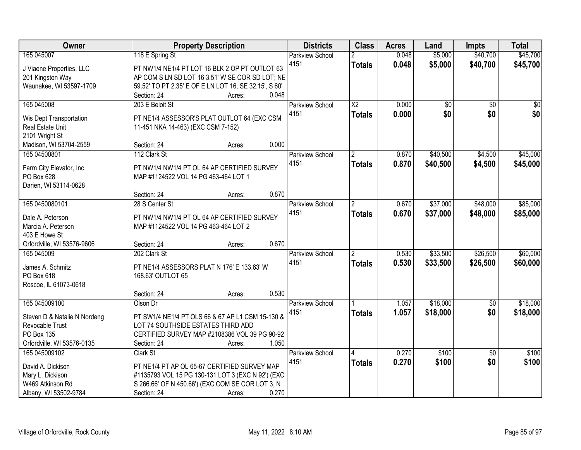| Owner                                              | <b>Property Description</b>                                                       | <b>Districts</b>       | <b>Class</b>             | <b>Acres</b> | Land     | <b>Impts</b>    | <b>Total</b>    |
|----------------------------------------------------|-----------------------------------------------------------------------------------|------------------------|--------------------------|--------------|----------|-----------------|-----------------|
| 165 045007                                         | 118 E Spring St                                                                   | <b>Parkview School</b> | 2                        | 0.048        | \$5,000  | \$40,700        | \$45,700        |
| J Viaene Properties, LLC                           | PT NW1/4 NE1/4 PT LOT 16 BLK 2 OP PT OUTLOT 63                                    | 4151                   | <b>Totals</b>            | 0.048        | \$5,000  | \$40,700        | \$45,700        |
| 201 Kingston Way                                   | AP COM S LN SD LOT 16 3.51' W SE COR SD LOT; NE                                   |                        |                          |              |          |                 |                 |
| Waunakee, WI 53597-1709                            | 59.52' TO PT 2.35' E OF E LN LOT 16, SE 32.15', S 60'                             |                        |                          |              |          |                 |                 |
|                                                    | 0.048<br>Section: 24<br>Acres:                                                    |                        |                          |              |          |                 |                 |
| 165 045008                                         | 203 E Beloit St                                                                   | Parkview School        | $\overline{\text{X2}}$   | 0.000        | \$0      | $\overline{50}$ | $\overline{50}$ |
|                                                    |                                                                                   | 4151                   | <b>Totals</b>            | 0.000        | \$0      | \$0             | \$0             |
| Wis Dept Transportation<br><b>Real Estate Unit</b> | PT NE1/4 ASSESSOR'S PLAT OUTLOT 64 (EXC CSM<br>11-451 NKA 14-463) (EXC CSM 7-152) |                        |                          |              |          |                 |                 |
| 2101 Wright St                                     |                                                                                   |                        |                          |              |          |                 |                 |
| Madison, WI 53704-2559                             | 0.000<br>Section: 24<br>Acres:                                                    |                        |                          |              |          |                 |                 |
| 165 04500801                                       | 112 Clark St                                                                      | Parkview School        | $\overline{2}$           | 0.870        | \$40,500 | \$4,500         | \$45,000        |
|                                                    |                                                                                   | 4151                   | <b>Totals</b>            | 0.870        | \$40,500 | \$4,500         | \$45,000        |
| Farm City Elevator, Inc                            | PT NW1/4 NW1/4 PT OL 64 AP CERTIFIED SURVEY                                       |                        |                          |              |          |                 |                 |
| PO Box 628                                         | MAP #1124522 VOL 14 PG 463-464 LOT 1                                              |                        |                          |              |          |                 |                 |
| Darien, WI 53114-0628                              |                                                                                   |                        |                          |              |          |                 |                 |
|                                                    | 0.870<br>Section: 24<br>Acres:                                                    |                        |                          |              |          |                 |                 |
| 165 0450080101                                     | 28 S Center St                                                                    | <b>Parkview School</b> | $\overline{2}$           | 0.670        | \$37,000 | \$48,000        | \$85,000        |
| Dale A. Peterson                                   | PT NW1/4 NW1/4 PT OL 64 AP CERTIFIED SURVEY                                       | 4151                   | <b>Totals</b>            | 0.670        | \$37,000 | \$48,000        | \$85,000        |
| Marcia A. Peterson                                 | MAP #1124522 VOL 14 PG 463-464 LOT 2                                              |                        |                          |              |          |                 |                 |
| 403 E Howe St                                      |                                                                                   |                        |                          |              |          |                 |                 |
| Orfordville, WI 53576-9606                         | 0.670<br>Section: 24<br>Acres:                                                    |                        |                          |              |          |                 |                 |
| 165 045009                                         | 202 Clark St                                                                      | Parkview School        | $\overline{\phantom{a}}$ | 0.530        | \$33,500 | \$26,500        | \$60,000        |
| James A. Schmitz                                   |                                                                                   | 4151                   | <b>Totals</b>            | 0.530        | \$33,500 | \$26,500        | \$60,000        |
| PO Box 618                                         | PT NE1/4 ASSESSORS PLAT N 176' E 133.63' W<br>168.63' OUTLOT 65                   |                        |                          |              |          |                 |                 |
| Roscoe, IL 61073-0618                              |                                                                                   |                        |                          |              |          |                 |                 |
|                                                    | 0.530<br>Section: 24<br>Acres:                                                    |                        |                          |              |          |                 |                 |
| 165 045009100                                      | Olson Dr                                                                          | Parkview School        |                          | 1.057        | \$18,000 | $\overline{60}$ | \$18,000        |
|                                                    |                                                                                   | 4151                   | <b>Totals</b>            | 1.057        | \$18,000 | \$0             | \$18,000        |
| Steven D & Natalie N Nordeng                       | PT SW1/4 NE1/4 PT OLS 66 & 67 AP L1 CSM 15-130 &                                  |                        |                          |              |          |                 |                 |
| Revocable Trust                                    | LOT 74 SOUTHSIDE ESTATES THIRD ADD                                                |                        |                          |              |          |                 |                 |
| PO Box 135                                         | CERTIFIED SURVEY MAP #2108386 VOL 39 PG 90-92                                     |                        |                          |              |          |                 |                 |
| Orfordville, WI 53576-0135                         | Section: 24<br>1.050<br>Acres:                                                    |                        |                          |              |          |                 |                 |
| 165 045009102                                      | Clark St                                                                          | Parkview School        | 4                        | 0.270        | \$100    | $\overline{50}$ | \$100           |
| David A. Dickison                                  | PT NE1/4 PT AP OL 65-67 CERTIFIED SURVEY MAP                                      | 4151                   | <b>Totals</b>            | 0.270        | \$100    | \$0             | \$100           |
| Mary L. Dickison                                   | #1135793 VOL 15 PG 130-131 LOT 3 (EXC N 92') (EXC                                 |                        |                          |              |          |                 |                 |
| W469 Atkinson Rd                                   | S 266.66' OF N 450.66') (EXC COM SE COR LOT 3, N                                  |                        |                          |              |          |                 |                 |
| Albany, WI 53502-9784                              | 0.270<br>Section: 24<br>Acres:                                                    |                        |                          |              |          |                 |                 |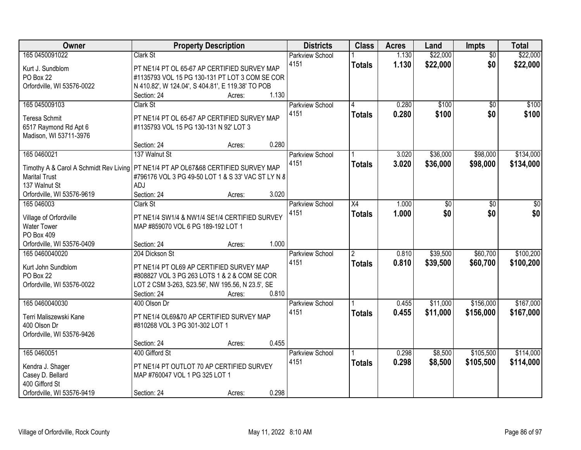| Owner                                                                                | <b>Property Description</b>                        |        |       | <b>Districts</b>       | <b>Class</b>   | <b>Acres</b> | Land     | <b>Impts</b>    | <b>Total</b> |
|--------------------------------------------------------------------------------------|----------------------------------------------------|--------|-------|------------------------|----------------|--------------|----------|-----------------|--------------|
| 165 0450091022                                                                       | Clark St                                           |        |       | <b>Parkview School</b> |                | 1.130        | \$22,000 | $\overline{50}$ | \$22,000     |
| Kurt J. Sundblom                                                                     | PT NE1/4 PT OL 65-67 AP CERTIFIED SURVEY MAP       |        |       | 4151                   | <b>Totals</b>  | 1.130        | \$22,000 | \$0             | \$22,000     |
| PO Box 22                                                                            | #1135793 VOL 15 PG 130-131 PT LOT 3 COM SE COR     |        |       |                        |                |              |          |                 |              |
| Orfordville, WI 53576-0022                                                           | N 410.82', W 124.04', S 404.81', E 119.38' TO POB  |        |       |                        |                |              |          |                 |              |
|                                                                                      | Section: 24                                        | Acres: | 1.130 |                        |                |              |          |                 |              |
| 165 045009103                                                                        | Clark St                                           |        |       | Parkview School        | 4              | 0.280        | \$100    | $\overline{50}$ | \$100        |
| Teresa Schmit                                                                        | PT NE1/4 PT OL 65-67 AP CERTIFIED SURVEY MAP       |        |       | 4151                   | <b>Totals</b>  | 0.280        | \$100    | \$0             | \$100        |
| 6517 Raymond Rd Apt 6                                                                | #1135793 VOL 15 PG 130-131 N 92' LOT 3             |        |       |                        |                |              |          |                 |              |
| Madison, WI 53711-3976                                                               |                                                    |        |       |                        |                |              |          |                 |              |
|                                                                                      | Section: 24                                        | Acres: | 0.280 |                        |                |              |          |                 |              |
| 165 0460021                                                                          | 137 Walnut St                                      |        |       | Parkview School        |                | 3.020        | \$36,000 | \$98,000        | \$134,000    |
| Timothy A & Carol A Schmidt Rev Living   PT NE1/4 PT AP OL67&68 CERTIFIED SURVEY MAP |                                                    |        |       | 4151                   | <b>Totals</b>  | 3.020        | \$36,000 | \$98,000        | \$134,000    |
| <b>Marital Trust</b>                                                                 | #796176 VOL 3 PG 49-50 LOT 1 & S 33' VAC ST LY N 8 |        |       |                        |                |              |          |                 |              |
| 137 Walnut St                                                                        | ADJ                                                |        |       |                        |                |              |          |                 |              |
| Orfordville, WI 53576-9619                                                           | Section: 24                                        | Acres: | 3.020 |                        |                |              |          |                 |              |
| 165 046003                                                                           | Clark St                                           |        |       | <b>Parkview School</b> | X4             | 1.000        | \$0      | \$0             | \$0          |
|                                                                                      |                                                    |        |       | 4151                   | <b>Totals</b>  | 1.000        | \$0      | \$0             | \$0          |
| Village of Orfordville                                                               | PT NE1/4 SW1/4 & NW1/4 SE1/4 CERTIFIED SURVEY      |        |       |                        |                |              |          |                 |              |
| <b>Water Tower</b>                                                                   | MAP #859070 VOL 6 PG 189-192 LOT 1                 |        |       |                        |                |              |          |                 |              |
| PO Box 409<br>Orfordville, WI 53576-0409                                             |                                                    |        | 1.000 |                        |                |              |          |                 |              |
| 165 0460040020                                                                       | Section: 24<br>204 Dickson St                      | Acres: |       | Parkview School        | $\overline{2}$ | 0.810        | \$39,500 | \$60,700        | \$100,200    |
|                                                                                      |                                                    |        |       | 4151                   |                | 0.810        |          |                 |              |
| Kurt John Sundblom                                                                   | PT NE1/4 PT OL69 AP CERTIFIED SURVEY MAP           |        |       |                        | <b>Totals</b>  |              | \$39,500 | \$60,700        | \$100,200    |
| PO Box 22                                                                            | #808827 VOL 3 PG 263 LOTS 1 & 2 & COM SE COR       |        |       |                        |                |              |          |                 |              |
| Orfordville, WI 53576-0022                                                           | LOT 2 CSM 3-263, S23.56', NW 195.56, N 23.5', SE   |        |       |                        |                |              |          |                 |              |
|                                                                                      | Section: 24                                        | Acres: | 0.810 |                        |                |              |          |                 |              |
| 165 0460040030                                                                       | 400 Olson Dr                                       |        |       | <b>Parkview School</b> |                | 0.455        | \$11,000 | \$156,000       | \$167,000    |
| Terri Maliszewski Kane                                                               | PT NE1/4 OL69&70 AP CERTIFIED SURVEY MAP           |        |       | 4151                   | <b>Totals</b>  | 0.455        | \$11,000 | \$156,000       | \$167,000    |
| 400 Olson Dr                                                                         | #810268 VOL 3 PG 301-302 LOT 1                     |        |       |                        |                |              |          |                 |              |
| Orfordville, WI 53576-9426                                                           |                                                    |        |       |                        |                |              |          |                 |              |
|                                                                                      | Section: 24                                        | Acres: | 0.455 |                        |                |              |          |                 |              |
| 165 0460051                                                                          | 400 Gifford St                                     |        |       | <b>Parkview School</b> |                | 0.298        | \$8,500  | \$105,500       | \$114,000    |
| Kendra J. Shager                                                                     | PT NE1/4 PT OUTLOT 70 AP CERTIFIED SURVEY          |        |       | 4151                   | <b>Totals</b>  | 0.298        | \$8,500  | \$105,500       | \$114,000    |
| Casey D. Bellard                                                                     | MAP #760047 VOL 1 PG 325 LOT 1                     |        |       |                        |                |              |          |                 |              |
| 400 Gifford St                                                                       |                                                    |        |       |                        |                |              |          |                 |              |
| Orfordville, WI 53576-9419                                                           | Section: 24                                        | Acres: | 0.298 |                        |                |              |          |                 |              |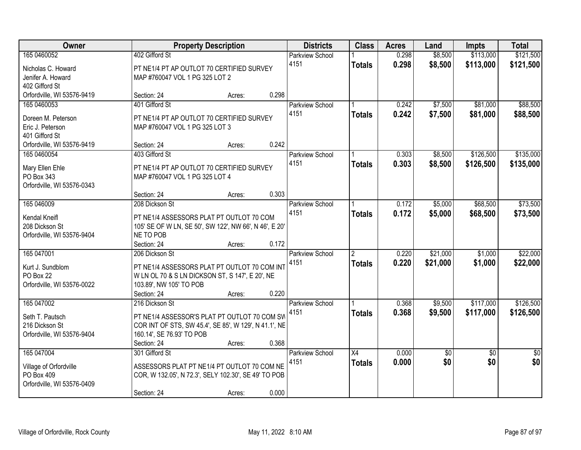| 165 0460052<br>402 Gifford St<br>0.298<br>\$8,500<br>\$113,000<br><b>Parkview School</b><br>0.298<br>\$8,500<br>\$113,000<br>4151<br>\$121,500<br><b>Totals</b><br>PT NE1/4 PT AP OUTLOT 70 CERTIFIED SURVEY<br>Nicholas C. Howard<br>Jenifer A. Howard<br>MAP #760047 VOL 1 PG 325 LOT 2<br>402 Gifford St<br>Orfordville, WI 53576-9419<br>0.298<br>Section: 24<br>Acres:<br>401 Gifford St<br>\$7,500<br>\$81,000<br>165 0460053<br>0.242<br><b>Parkview School</b><br>0.242<br>4151<br>\$7,500<br>\$81,000<br><b>Totals</b><br>PT NE1/4 PT AP OUTLOT 70 CERTIFIED SURVEY<br>Doreen M. Peterson<br>Eric J. Peterson<br>MAP #760047 VOL 1 PG 325 LOT 3<br>401 Gifford St<br>0.242<br>Orfordville, WI 53576-9419<br>Section: 24<br>Acres:<br>\$126,500<br>165 0460054<br>0.303<br>\$8,500<br>403 Gifford St<br>Parkview School<br>4151<br>0.303<br>\$8,500<br>\$126,500<br><b>Totals</b><br>Mary Ellen Ehle<br>PT NE1/4 PT AP OUTLOT 70 CERTIFIED SURVEY<br>PO Box 343<br>MAP #760047 VOL 1 PG 325 LOT 4<br>Orfordville, WI 53576-0343<br>0.303<br>Section: 24<br>Acres:<br>\$5,000<br>\$68,500<br>165 046009<br>208 Dickson St<br>0.172<br>Parkview School<br>0.172<br>4151<br>\$68,500<br>\$5,000<br><b>Totals</b><br>Kendal Kneifl<br>PT NE1/4 ASSESSORS PLAT PT OUTLOT 70 COM<br>208 Dickson St<br>105' SE OF W LN, SE 50', SW 122', NW 66', N 46', E 20'<br>NE TO POB<br>Orfordville, WI 53576-9404<br>0.172<br>Section: 24<br>Acres:<br>\$21,000<br>165 047001<br>0.220<br>\$1,000<br>206 Dickson St<br>$\overline{2}$<br>Parkview School<br>0.220<br>\$21,000<br>\$1,000<br>4151<br><b>Totals</b><br>Kurt J. Sundblom<br>PT NE1/4 ASSESSORS PLAT PT OUTLOT 70 COM INT<br>PO Box 22<br>W LN OL 70 & S LN DICKSON ST, S 147', E 20', NE<br>Orfordville, WI 53576-0022<br>103.89', NW 105' TO POB<br>Section: 24<br>0.220<br>Acres:<br>\$117,000<br>165 047002<br>Parkview School<br>0.368<br>\$9,500<br>216 Dickson St<br>0.368<br>\$117,000<br>4151<br>\$9,500<br><b>Totals</b><br>PT NE1/4 ASSESSOR'S PLAT PT OUTLOT 70 COM SW<br>Seth T. Pautsch<br>COR INT OF STS, SW 45.4', SE 85', W 129', N 41.1', NE<br>216 Dickson St<br>Orfordville, WI 53576-9404<br>160.14', SE 76.93' TO POB<br>0.368<br>Section: 24<br>Acres:<br>165 047004<br>0.000<br>301 Gifford St<br>$\overline{X4}$<br>$\sqrt{50}$<br>$\overline{50}$<br>$\overline{50}$<br>Parkview School<br>\$0<br>\$0<br>4151<br>0.000<br><b>Totals</b><br>ASSESSORS PLAT PT NE1/4 PT OUTLOT 70 COM NE<br>Village of Orfordville<br>PO Box 409<br>COR, W 132.05', N 72.3', SELY 102.30', SE 49' TO POB<br>Orfordville, WI 53576-0409 | Owner |             | <b>Property Description</b> |       | <b>Districts</b> | <b>Class</b> | <b>Acres</b> | Land | <b>Impts</b> | <b>Total</b> |
|----------------------------------------------------------------------------------------------------------------------------------------------------------------------------------------------------------------------------------------------------------------------------------------------------------------------------------------------------------------------------------------------------------------------------------------------------------------------------------------------------------------------------------------------------------------------------------------------------------------------------------------------------------------------------------------------------------------------------------------------------------------------------------------------------------------------------------------------------------------------------------------------------------------------------------------------------------------------------------------------------------------------------------------------------------------------------------------------------------------------------------------------------------------------------------------------------------------------------------------------------------------------------------------------------------------------------------------------------------------------------------------------------------------------------------------------------------------------------------------------------------------------------------------------------------------------------------------------------------------------------------------------------------------------------------------------------------------------------------------------------------------------------------------------------------------------------------------------------------------------------------------------------------------------------------------------------------------------------------------------------------------------------------------------------------------------------------------------------------------------------------------------------------------------------------------------------------------------------------------------------------------------------------------------------------------------------------------------------------------------------------------------------------------------------------------------------------------------------------------------------------------------------------------------------------------------------------------------------|-------|-------------|-----------------------------|-------|------------------|--------------|--------------|------|--------------|--------------|
|                                                                                                                                                                                                                                                                                                                                                                                                                                                                                                                                                                                                                                                                                                                                                                                                                                                                                                                                                                                                                                                                                                                                                                                                                                                                                                                                                                                                                                                                                                                                                                                                                                                                                                                                                                                                                                                                                                                                                                                                                                                                                                                                                                                                                                                                                                                                                                                                                                                                                                                                                                                                    |       |             |                             |       |                  |              |              |      |              | \$121,500    |
| \$88,500<br>\$88,500<br>\$135,000<br>\$135,000<br>\$0                                                                                                                                                                                                                                                                                                                                                                                                                                                                                                                                                                                                                                                                                                                                                                                                                                                                                                                                                                                                                                                                                                                                                                                                                                                                                                                                                                                                                                                                                                                                                                                                                                                                                                                                                                                                                                                                                                                                                                                                                                                                                                                                                                                                                                                                                                                                                                                                                                                                                                                                              |       |             |                             |       |                  |              |              |      |              |              |
|                                                                                                                                                                                                                                                                                                                                                                                                                                                                                                                                                                                                                                                                                                                                                                                                                                                                                                                                                                                                                                                                                                                                                                                                                                                                                                                                                                                                                                                                                                                                                                                                                                                                                                                                                                                                                                                                                                                                                                                                                                                                                                                                                                                                                                                                                                                                                                                                                                                                                                                                                                                                    |       |             |                             |       |                  |              |              |      |              |              |
|                                                                                                                                                                                                                                                                                                                                                                                                                                                                                                                                                                                                                                                                                                                                                                                                                                                                                                                                                                                                                                                                                                                                                                                                                                                                                                                                                                                                                                                                                                                                                                                                                                                                                                                                                                                                                                                                                                                                                                                                                                                                                                                                                                                                                                                                                                                                                                                                                                                                                                                                                                                                    |       |             |                             |       |                  |              |              |      |              |              |
|                                                                                                                                                                                                                                                                                                                                                                                                                                                                                                                                                                                                                                                                                                                                                                                                                                                                                                                                                                                                                                                                                                                                                                                                                                                                                                                                                                                                                                                                                                                                                                                                                                                                                                                                                                                                                                                                                                                                                                                                                                                                                                                                                                                                                                                                                                                                                                                                                                                                                                                                                                                                    |       |             |                             |       |                  |              |              |      |              |              |
|                                                                                                                                                                                                                                                                                                                                                                                                                                                                                                                                                                                                                                                                                                                                                                                                                                                                                                                                                                                                                                                                                                                                                                                                                                                                                                                                                                                                                                                                                                                                                                                                                                                                                                                                                                                                                                                                                                                                                                                                                                                                                                                                                                                                                                                                                                                                                                                                                                                                                                                                                                                                    |       |             |                             |       |                  |              |              |      |              |              |
|                                                                                                                                                                                                                                                                                                                                                                                                                                                                                                                                                                                                                                                                                                                                                                                                                                                                                                                                                                                                                                                                                                                                                                                                                                                                                                                                                                                                                                                                                                                                                                                                                                                                                                                                                                                                                                                                                                                                                                                                                                                                                                                                                                                                                                                                                                                                                                                                                                                                                                                                                                                                    |       |             |                             |       |                  |              |              |      |              |              |
|                                                                                                                                                                                                                                                                                                                                                                                                                                                                                                                                                                                                                                                                                                                                                                                                                                                                                                                                                                                                                                                                                                                                                                                                                                                                                                                                                                                                                                                                                                                                                                                                                                                                                                                                                                                                                                                                                                                                                                                                                                                                                                                                                                                                                                                                                                                                                                                                                                                                                                                                                                                                    |       |             |                             |       |                  |              |              |      |              |              |
|                                                                                                                                                                                                                                                                                                                                                                                                                                                                                                                                                                                                                                                                                                                                                                                                                                                                                                                                                                                                                                                                                                                                                                                                                                                                                                                                                                                                                                                                                                                                                                                                                                                                                                                                                                                                                                                                                                                                                                                                                                                                                                                                                                                                                                                                                                                                                                                                                                                                                                                                                                                                    |       |             |                             |       |                  |              |              |      |              |              |
|                                                                                                                                                                                                                                                                                                                                                                                                                                                                                                                                                                                                                                                                                                                                                                                                                                                                                                                                                                                                                                                                                                                                                                                                                                                                                                                                                                                                                                                                                                                                                                                                                                                                                                                                                                                                                                                                                                                                                                                                                                                                                                                                                                                                                                                                                                                                                                                                                                                                                                                                                                                                    |       |             |                             |       |                  |              |              |      |              |              |
|                                                                                                                                                                                                                                                                                                                                                                                                                                                                                                                                                                                                                                                                                                                                                                                                                                                                                                                                                                                                                                                                                                                                                                                                                                                                                                                                                                                                                                                                                                                                                                                                                                                                                                                                                                                                                                                                                                                                                                                                                                                                                                                                                                                                                                                                                                                                                                                                                                                                                                                                                                                                    |       |             |                             |       |                  |              |              |      |              |              |
|                                                                                                                                                                                                                                                                                                                                                                                                                                                                                                                                                                                                                                                                                                                                                                                                                                                                                                                                                                                                                                                                                                                                                                                                                                                                                                                                                                                                                                                                                                                                                                                                                                                                                                                                                                                                                                                                                                                                                                                                                                                                                                                                                                                                                                                                                                                                                                                                                                                                                                                                                                                                    |       |             |                             |       |                  |              |              |      |              |              |
|                                                                                                                                                                                                                                                                                                                                                                                                                                                                                                                                                                                                                                                                                                                                                                                                                                                                                                                                                                                                                                                                                                                                                                                                                                                                                                                                                                                                                                                                                                                                                                                                                                                                                                                                                                                                                                                                                                                                                                                                                                                                                                                                                                                                                                                                                                                                                                                                                                                                                                                                                                                                    |       |             |                             |       |                  |              |              |      |              |              |
| \$73,500<br>\$73,500<br>\$22,000<br>\$22,000<br>\$126,500<br>\$126,500                                                                                                                                                                                                                                                                                                                                                                                                                                                                                                                                                                                                                                                                                                                                                                                                                                                                                                                                                                                                                                                                                                                                                                                                                                                                                                                                                                                                                                                                                                                                                                                                                                                                                                                                                                                                                                                                                                                                                                                                                                                                                                                                                                                                                                                                                                                                                                                                                                                                                                                             |       |             |                             |       |                  |              |              |      |              |              |
|                                                                                                                                                                                                                                                                                                                                                                                                                                                                                                                                                                                                                                                                                                                                                                                                                                                                                                                                                                                                                                                                                                                                                                                                                                                                                                                                                                                                                                                                                                                                                                                                                                                                                                                                                                                                                                                                                                                                                                                                                                                                                                                                                                                                                                                                                                                                                                                                                                                                                                                                                                                                    |       |             |                             |       |                  |              |              |      |              |              |
|                                                                                                                                                                                                                                                                                                                                                                                                                                                                                                                                                                                                                                                                                                                                                                                                                                                                                                                                                                                                                                                                                                                                                                                                                                                                                                                                                                                                                                                                                                                                                                                                                                                                                                                                                                                                                                                                                                                                                                                                                                                                                                                                                                                                                                                                                                                                                                                                                                                                                                                                                                                                    |       |             |                             |       |                  |              |              |      |              |              |
|                                                                                                                                                                                                                                                                                                                                                                                                                                                                                                                                                                                                                                                                                                                                                                                                                                                                                                                                                                                                                                                                                                                                                                                                                                                                                                                                                                                                                                                                                                                                                                                                                                                                                                                                                                                                                                                                                                                                                                                                                                                                                                                                                                                                                                                                                                                                                                                                                                                                                                                                                                                                    |       |             |                             |       |                  |              |              |      |              |              |
|                                                                                                                                                                                                                                                                                                                                                                                                                                                                                                                                                                                                                                                                                                                                                                                                                                                                                                                                                                                                                                                                                                                                                                                                                                                                                                                                                                                                                                                                                                                                                                                                                                                                                                                                                                                                                                                                                                                                                                                                                                                                                                                                                                                                                                                                                                                                                                                                                                                                                                                                                                                                    |       |             |                             |       |                  |              |              |      |              |              |
|                                                                                                                                                                                                                                                                                                                                                                                                                                                                                                                                                                                                                                                                                                                                                                                                                                                                                                                                                                                                                                                                                                                                                                                                                                                                                                                                                                                                                                                                                                                                                                                                                                                                                                                                                                                                                                                                                                                                                                                                                                                                                                                                                                                                                                                                                                                                                                                                                                                                                                                                                                                                    |       |             |                             |       |                  |              |              |      |              |              |
|                                                                                                                                                                                                                                                                                                                                                                                                                                                                                                                                                                                                                                                                                                                                                                                                                                                                                                                                                                                                                                                                                                                                                                                                                                                                                                                                                                                                                                                                                                                                                                                                                                                                                                                                                                                                                                                                                                                                                                                                                                                                                                                                                                                                                                                                                                                                                                                                                                                                                                                                                                                                    |       |             |                             |       |                  |              |              |      |              |              |
|                                                                                                                                                                                                                                                                                                                                                                                                                                                                                                                                                                                                                                                                                                                                                                                                                                                                                                                                                                                                                                                                                                                                                                                                                                                                                                                                                                                                                                                                                                                                                                                                                                                                                                                                                                                                                                                                                                                                                                                                                                                                                                                                                                                                                                                                                                                                                                                                                                                                                                                                                                                                    |       |             |                             |       |                  |              |              |      |              |              |
|                                                                                                                                                                                                                                                                                                                                                                                                                                                                                                                                                                                                                                                                                                                                                                                                                                                                                                                                                                                                                                                                                                                                                                                                                                                                                                                                                                                                                                                                                                                                                                                                                                                                                                                                                                                                                                                                                                                                                                                                                                                                                                                                                                                                                                                                                                                                                                                                                                                                                                                                                                                                    |       |             |                             |       |                  |              |              |      |              |              |
|                                                                                                                                                                                                                                                                                                                                                                                                                                                                                                                                                                                                                                                                                                                                                                                                                                                                                                                                                                                                                                                                                                                                                                                                                                                                                                                                                                                                                                                                                                                                                                                                                                                                                                                                                                                                                                                                                                                                                                                                                                                                                                                                                                                                                                                                                                                                                                                                                                                                                                                                                                                                    |       |             |                             |       |                  |              |              |      |              |              |
|                                                                                                                                                                                                                                                                                                                                                                                                                                                                                                                                                                                                                                                                                                                                                                                                                                                                                                                                                                                                                                                                                                                                                                                                                                                                                                                                                                                                                                                                                                                                                                                                                                                                                                                                                                                                                                                                                                                                                                                                                                                                                                                                                                                                                                                                                                                                                                                                                                                                                                                                                                                                    |       |             |                             |       |                  |              |              |      |              |              |
|                                                                                                                                                                                                                                                                                                                                                                                                                                                                                                                                                                                                                                                                                                                                                                                                                                                                                                                                                                                                                                                                                                                                                                                                                                                                                                                                                                                                                                                                                                                                                                                                                                                                                                                                                                                                                                                                                                                                                                                                                                                                                                                                                                                                                                                                                                                                                                                                                                                                                                                                                                                                    |       |             |                             |       |                  |              |              |      |              |              |
|                                                                                                                                                                                                                                                                                                                                                                                                                                                                                                                                                                                                                                                                                                                                                                                                                                                                                                                                                                                                                                                                                                                                                                                                                                                                                                                                                                                                                                                                                                                                                                                                                                                                                                                                                                                                                                                                                                                                                                                                                                                                                                                                                                                                                                                                                                                                                                                                                                                                                                                                                                                                    |       |             |                             |       |                  |              |              |      |              |              |
|                                                                                                                                                                                                                                                                                                                                                                                                                                                                                                                                                                                                                                                                                                                                                                                                                                                                                                                                                                                                                                                                                                                                                                                                                                                                                                                                                                                                                                                                                                                                                                                                                                                                                                                                                                                                                                                                                                                                                                                                                                                                                                                                                                                                                                                                                                                                                                                                                                                                                                                                                                                                    |       |             |                             |       |                  |              |              |      |              |              |
|                                                                                                                                                                                                                                                                                                                                                                                                                                                                                                                                                                                                                                                                                                                                                                                                                                                                                                                                                                                                                                                                                                                                                                                                                                                                                                                                                                                                                                                                                                                                                                                                                                                                                                                                                                                                                                                                                                                                                                                                                                                                                                                                                                                                                                                                                                                                                                                                                                                                                                                                                                                                    |       |             |                             |       |                  |              |              |      |              |              |
|                                                                                                                                                                                                                                                                                                                                                                                                                                                                                                                                                                                                                                                                                                                                                                                                                                                                                                                                                                                                                                                                                                                                                                                                                                                                                                                                                                                                                                                                                                                                                                                                                                                                                                                                                                                                                                                                                                                                                                                                                                                                                                                                                                                                                                                                                                                                                                                                                                                                                                                                                                                                    |       |             |                             |       |                  |              |              |      |              |              |
|                                                                                                                                                                                                                                                                                                                                                                                                                                                                                                                                                                                                                                                                                                                                                                                                                                                                                                                                                                                                                                                                                                                                                                                                                                                                                                                                                                                                                                                                                                                                                                                                                                                                                                                                                                                                                                                                                                                                                                                                                                                                                                                                                                                                                                                                                                                                                                                                                                                                                                                                                                                                    |       |             |                             |       |                  |              |              |      |              |              |
|                                                                                                                                                                                                                                                                                                                                                                                                                                                                                                                                                                                                                                                                                                                                                                                                                                                                                                                                                                                                                                                                                                                                                                                                                                                                                                                                                                                                                                                                                                                                                                                                                                                                                                                                                                                                                                                                                                                                                                                                                                                                                                                                                                                                                                                                                                                                                                                                                                                                                                                                                                                                    |       |             |                             |       |                  |              |              |      |              |              |
|                                                                                                                                                                                                                                                                                                                                                                                                                                                                                                                                                                                                                                                                                                                                                                                                                                                                                                                                                                                                                                                                                                                                                                                                                                                                                                                                                                                                                                                                                                                                                                                                                                                                                                                                                                                                                                                                                                                                                                                                                                                                                                                                                                                                                                                                                                                                                                                                                                                                                                                                                                                                    |       |             |                             |       |                  |              |              |      |              |              |
|                                                                                                                                                                                                                                                                                                                                                                                                                                                                                                                                                                                                                                                                                                                                                                                                                                                                                                                                                                                                                                                                                                                                                                                                                                                                                                                                                                                                                                                                                                                                                                                                                                                                                                                                                                                                                                                                                                                                                                                                                                                                                                                                                                                                                                                                                                                                                                                                                                                                                                                                                                                                    |       |             |                             |       |                  |              |              |      |              |              |
|                                                                                                                                                                                                                                                                                                                                                                                                                                                                                                                                                                                                                                                                                                                                                                                                                                                                                                                                                                                                                                                                                                                                                                                                                                                                                                                                                                                                                                                                                                                                                                                                                                                                                                                                                                                                                                                                                                                                                                                                                                                                                                                                                                                                                                                                                                                                                                                                                                                                                                                                                                                                    |       |             |                             |       |                  |              |              |      |              |              |
|                                                                                                                                                                                                                                                                                                                                                                                                                                                                                                                                                                                                                                                                                                                                                                                                                                                                                                                                                                                                                                                                                                                                                                                                                                                                                                                                                                                                                                                                                                                                                                                                                                                                                                                                                                                                                                                                                                                                                                                                                                                                                                                                                                                                                                                                                                                                                                                                                                                                                                                                                                                                    |       |             |                             |       |                  |              |              |      |              |              |
|                                                                                                                                                                                                                                                                                                                                                                                                                                                                                                                                                                                                                                                                                                                                                                                                                                                                                                                                                                                                                                                                                                                                                                                                                                                                                                                                                                                                                                                                                                                                                                                                                                                                                                                                                                                                                                                                                                                                                                                                                                                                                                                                                                                                                                                                                                                                                                                                                                                                                                                                                                                                    |       | Section: 24 | Acres:                      | 0.000 |                  |              |              |      |              |              |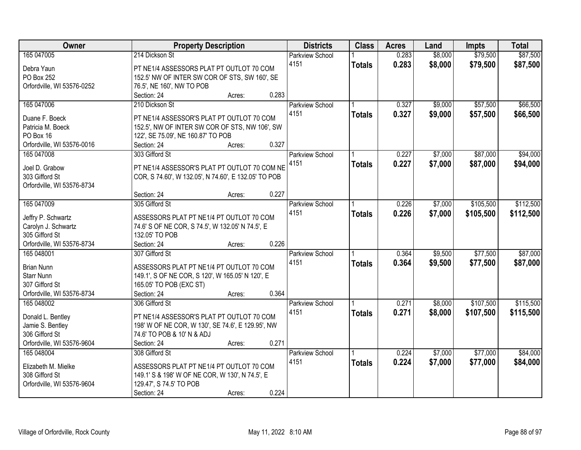| Owner                      | <b>Property Description</b>                          | <b>Districts</b>       | <b>Class</b>  | <b>Acres</b> | Land    | Impts     | <b>Total</b> |
|----------------------------|------------------------------------------------------|------------------------|---------------|--------------|---------|-----------|--------------|
| 165 047005                 | 214 Dickson St                                       | <b>Parkview School</b> |               | 0.283        | \$8,000 | \$79,500  | \$87,500     |
| Debra Yaun                 | PT NE1/4 ASSESSORS PLAT PT OUTLOT 70 COM             | 4151                   | <b>Totals</b> | 0.283        | \$8,000 | \$79,500  | \$87,500     |
| PO Box 252                 | 152.5' NW OF INTER SW COR OF STS, SW 160', SE        |                        |               |              |         |           |              |
| Orfordville, WI 53576-0252 | 76.5', NE 160', NW TO POB                            |                        |               |              |         |           |              |
|                            | 0.283<br>Section: 24<br>Acres:                       |                        |               |              |         |           |              |
| 165 047006                 | 210 Dickson St                                       | <b>Parkview School</b> |               | 0.327        | \$9,000 | \$57,500  | \$66,500     |
|                            |                                                      | 4151                   | <b>Totals</b> | 0.327        | \$9,000 | \$57,500  | \$66,500     |
| Duane F. Boeck             | PT NE1/4 ASSESSOR'S PLAT PT OUTLOT 70 COM            |                        |               |              |         |           |              |
| Patricia M. Boeck          | 152.5', NW OF INTER SW COR OF STS, NW 106', SW       |                        |               |              |         |           |              |
| PO Box 16                  | 122', SE 75.09', NE 160.87' TO POB                   |                        |               |              |         |           |              |
| Orfordville, WI 53576-0016 | 0.327<br>Section: 24<br>Acres:                       |                        |               |              |         |           |              |
| 165 047008                 | 303 Gifford St                                       | <b>Parkview School</b> |               | 0.227        | \$7,000 | \$87,000  | \$94,000     |
| Joel D. Grabow             | PT NE1/4 ASSESSOR'S PLAT PT OUTLOT 70 COM NE         | 4151                   | <b>Totals</b> | 0.227        | \$7,000 | \$87,000  | \$94,000     |
| 303 Gifford St             | COR, S 74.60', W 132.05', N 74.60', E 132.05' TO POB |                        |               |              |         |           |              |
| Orfordville, WI 53576-8734 |                                                      |                        |               |              |         |           |              |
|                            | 0.227<br>Section: 24<br>Acres:                       |                        |               |              |         |           |              |
| 165 047009                 | 305 Gifford St                                       | <b>Parkview School</b> |               | 0.226        | \$7,000 | \$105,500 | \$112,500    |
|                            |                                                      | 4151                   |               | 0.226        | \$7,000 | \$105,500 |              |
| Jeffry P. Schwartz         | ASSESSORS PLAT PT NE1/4 PT OUTLOT 70 COM             |                        | <b>Totals</b> |              |         |           | \$112,500    |
| Carolyn J. Schwartz        | 74.6' S OF NE COR, S 74.5', W 132.05' N 74.5', E     |                        |               |              |         |           |              |
| 305 Gifford St             | 132.05' TO POB                                       |                        |               |              |         |           |              |
| Orfordville, WI 53576-8734 | 0.226<br>Section: 24<br>Acres:                       |                        |               |              |         |           |              |
| 165 048001                 | 307 Gifford St                                       | Parkview School        |               | 0.364        | \$9,500 | \$77,500  | \$87,000     |
| <b>Brian Nunn</b>          | ASSESSORS PLAT PT NE1/4 PT OUTLOT 70 COM             | 4151                   | <b>Totals</b> | 0.364        | \$9,500 | \$77,500  | \$87,000     |
| <b>Starr Nunn</b>          | 149.1', S OF NE COR, S 120', W 165.05' N 120', E     |                        |               |              |         |           |              |
| 307 Gifford St             | 165.05' TO POB (EXC ST)                              |                        |               |              |         |           |              |
| Orfordville, WI 53576-8734 | 0.364<br>Section: 24<br>Acres:                       |                        |               |              |         |           |              |
| 165 048002                 | 306 Gifford St                                       | <b>Parkview School</b> |               | 0.271        | \$8,000 | \$107,500 | \$115,500    |
|                            |                                                      | 4151                   |               |              |         |           |              |
| Donald L. Bentley          | PT NE1/4 ASSESSOR'S PLAT PT OUTLOT 70 COM            |                        | <b>Totals</b> | 0.271        | \$8,000 | \$107,500 | \$115,500    |
| Jamie S. Bentley           | 198' W OF NE COR, W 130', SE 74.6', E 129.95', NW    |                        |               |              |         |           |              |
| 306 Gifford St             | 74.6' TO POB & 10' N & ADJ                           |                        |               |              |         |           |              |
| Orfordville, WI 53576-9604 | 0.271<br>Section: 24<br>Acres:                       |                        |               |              |         |           |              |
| 165 048004                 | 308 Gifford St                                       | <b>Parkview School</b> |               | 0.224        | \$7,000 | \$77,000  | \$84,000     |
|                            |                                                      | 4151                   | <b>Totals</b> | 0.224        | \$7,000 | \$77,000  | \$84,000     |
| Elizabeth M. Mielke        | ASSESSORS PLAT PT NE1/4 PT OUTLOT 70 COM             |                        |               |              |         |           |              |
| 308 Gifford St             | 149.1' S & 198' W OF NE COR, W 130', N 74.5', E      |                        |               |              |         |           |              |
| Orfordville, WI 53576-9604 | 129.47', S 74.5' TO POB                              |                        |               |              |         |           |              |
|                            | 0.224<br>Section: 24<br>Acres:                       |                        |               |              |         |           |              |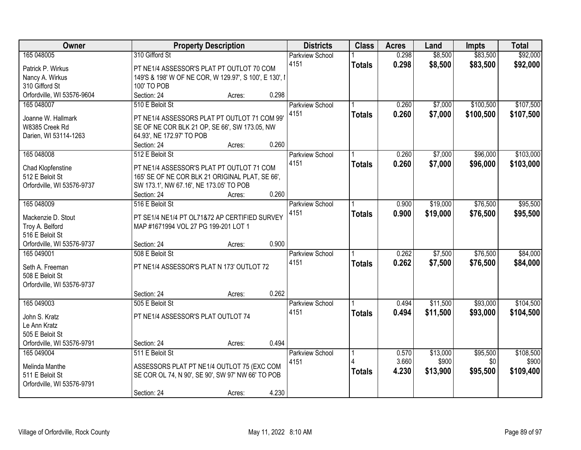| Owner                                 |                                                                                       | <b>Property Description</b> |       | <b>Districts</b>       | <b>Class</b>  | <b>Acres</b> | Land     | <b>Impts</b> | <b>Total</b> |
|---------------------------------------|---------------------------------------------------------------------------------------|-----------------------------|-------|------------------------|---------------|--------------|----------|--------------|--------------|
| 165 048005                            | 310 Gifford St                                                                        |                             |       | <b>Parkview School</b> |               | 0.298        | \$8,500  | \$83,500     | \$92,000     |
| Patrick P. Wirkus                     | PT NE1/4 ASSESSOR'S PLAT PT OUTLOT 70 COM                                             |                             | 4151  |                        | <b>Totals</b> | 0.298        | \$8,500  | \$83,500     | \$92,000     |
| Nancy A. Wirkus                       | 149'S & 198' W OF NE COR, W 129.97', S 100', E 130', I                                |                             |       |                        |               |              |          |              |              |
| 310 Gifford St                        | 100' TO POB                                                                           |                             |       |                        |               |              |          |              |              |
| Orfordville, WI 53576-9604            | Section: 24                                                                           | Acres:                      | 0.298 |                        |               |              |          |              |              |
| 165 048007                            | 510 E Beloit St                                                                       |                             |       | <b>Parkview School</b> |               | 0.260        | \$7,000  | \$100,500    | \$107,500    |
|                                       |                                                                                       |                             | 4151  |                        | <b>Totals</b> | 0.260        | \$7,000  | \$100,500    | \$107,500    |
| Joanne W. Hallmark                    | PT NE1/4 ASSESSORS PLAT PT OUTLOT 71 COM 99'                                          |                             |       |                        |               |              |          |              |              |
| W8385 Creek Rd                        | SE OF NE COR BLK 21 OP, SE 66', SW 173.05, NW                                         |                             |       |                        |               |              |          |              |              |
| Darien, WI 53114-1263                 | 64.93', NE 172.97' TO POB                                                             |                             |       |                        |               |              |          |              |              |
|                                       | Section: 24                                                                           | Acres:                      | 0.260 |                        |               |              |          |              |              |
| 165 048008                            | 512 E Beloit St                                                                       |                             |       | Parkview School        |               | 0.260        | \$7,000  | \$96,000     | \$103,000    |
| Chad Klopfenstine                     | PT NE1/4 ASSESSOR'S PLAT PT OUTLOT 71 COM                                             |                             | 4151  |                        | <b>Totals</b> | 0.260        | \$7,000  | \$96,000     | \$103,000    |
| 512 E Beloit St                       | 165' SE OF NE COR BLK 21 ORIGINAL PLAT, SE 66',                                       |                             |       |                        |               |              |          |              |              |
| Orfordville, WI 53576-9737            | SW 173.1', NW 67.16', NE 173.05' TO POB                                               |                             |       |                        |               |              |          |              |              |
|                                       | Section: 24                                                                           | Acres:                      | 0.260 |                        |               |              |          |              |              |
| 165 048009                            | 516 E Beloit St                                                                       |                             |       | Parkview School        |               | 0.900        | \$19,000 | \$76,500     | \$95,500     |
|                                       |                                                                                       |                             | 4151  |                        | <b>Totals</b> | 0.900        | \$19,000 | \$76,500     | \$95,500     |
| Mackenzie D. Stout<br>Troy A. Belford | PT SE1/4 NE1/4 PT OL71&72 AP CERTIFIED SURVEY<br>MAP #1671994 VOL 27 PG 199-201 LOT 1 |                             |       |                        |               |              |          |              |              |
| 516 E Beloit St                       |                                                                                       |                             |       |                        |               |              |          |              |              |
| Orfordville, WI 53576-9737            | Section: 24                                                                           | Acres:                      | 0.900 |                        |               |              |          |              |              |
| 165 049001                            | 508 E Beloit St                                                                       |                             |       | <b>Parkview School</b> |               | 0.262        | \$7,500  | \$76,500     | \$84,000     |
|                                       |                                                                                       |                             | 4151  |                        |               | 0.262        |          | \$76,500     |              |
| Seth A. Freeman                       | PT NE1/4 ASSESSOR'S PLAT N 173' OUTLOT 72                                             |                             |       |                        | <b>Totals</b> |              | \$7,500  |              | \$84,000     |
| 508 E Beloit St                       |                                                                                       |                             |       |                        |               |              |          |              |              |
| Orfordville, WI 53576-9737            |                                                                                       |                             |       |                        |               |              |          |              |              |
|                                       | Section: 24                                                                           | Acres:                      | 0.262 |                        |               |              |          |              |              |
| 165 049003                            | 505 E Beloit St                                                                       |                             |       | Parkview School        |               | 0.494        | \$11,500 | \$93,000     | \$104,500    |
| John S. Kratz                         | PT NE1/4 ASSESSOR'S PLAT OUTLOT 74                                                    |                             | 4151  |                        | <b>Totals</b> | 0.494        | \$11,500 | \$93,000     | \$104,500    |
| Le Ann Kratz                          |                                                                                       |                             |       |                        |               |              |          |              |              |
| 505 E Beloit St                       |                                                                                       |                             |       |                        |               |              |          |              |              |
| Orfordville, WI 53576-9791            | Section: 24                                                                           | Acres:                      | 0.494 |                        |               |              |          |              |              |
| 165 049004                            | 511 E Beloit St                                                                       |                             |       | Parkview School        |               | 0.570        | \$13,000 | \$95,500     | \$108,500    |
|                                       |                                                                                       |                             | 4151  |                        |               | 3.660        | \$900    | \$0          | \$900        |
| Melinda Manthe                        | ASSESSORS PLAT PT NE1/4 OUTLOT 75 (EXC COM                                            |                             |       |                        | <b>Totals</b> | 4.230        | \$13,900 | \$95,500     | \$109,400    |
| 511 E Beloit St                       | SE COR OL 74, N 90', SE 90', SW 97' NW 66' TO POB                                     |                             |       |                        |               |              |          |              |              |
| Orfordville, WI 53576-9791            |                                                                                       |                             |       |                        |               |              |          |              |              |
|                                       | Section: 24                                                                           | Acres:                      | 4.230 |                        |               |              |          |              |              |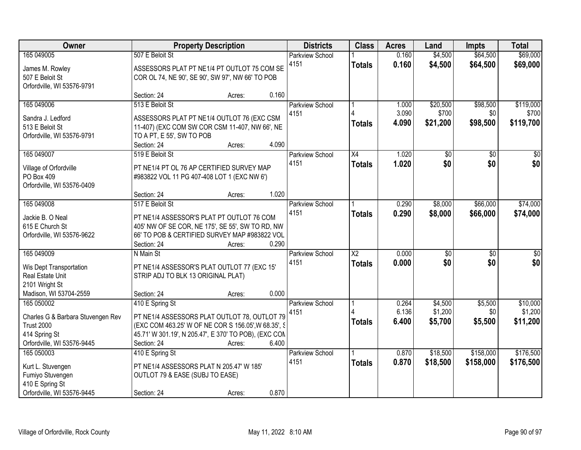| Owner                                                                                                               | <b>Property Description</b>                                                                                                                                                                    |                                    | <b>Districts</b>               | <b>Class</b>                            | <b>Acres</b>            | Land                          | Impts                       | <b>Total</b>                    |
|---------------------------------------------------------------------------------------------------------------------|------------------------------------------------------------------------------------------------------------------------------------------------------------------------------------------------|------------------------------------|--------------------------------|-----------------------------------------|-------------------------|-------------------------------|-----------------------------|---------------------------------|
| 165 049005<br>James M. Rowley<br>507 E Beloit St<br>Orfordville, WI 53576-9791                                      | 507 E Beloit St<br>ASSESSORS PLAT PT NE1/4 PT OUTLOT 75 COM SE<br>COR OL 74, NE 90', SE 90', SW 97', NW 66' TO POB                                                                             |                                    | <b>Parkview School</b><br>4151 | <b>Totals</b>                           | 0.160<br>0.160          | \$4,500<br>\$4,500            | \$64,500<br>\$64,500        | \$69,000<br>\$69,000            |
| 165 049006<br>Sandra J. Ledford<br>513 E Beloit St<br>Orfordville, WI 53576-9791                                    | Section: 24<br>513 E Beloit St<br>ASSESSORS PLAT PT NE1/4 OUTLOT 76 (EXC CSM<br>11-407) (EXC COM SW COR CSM 11-407, NW 66', NE<br>TO A PT, E 55', SW TO POB<br>Section: 24                     | 0.160<br>Acres:<br>4.090<br>Acres: | <b>Parkview School</b><br>4151 | <b>Totals</b>                           | 1.000<br>3.090<br>4.090 | \$20,500<br>\$700<br>\$21,200 | \$98,500<br>\$0<br>\$98,500 | \$119,000<br>\$700<br>\$119,700 |
| 165 049007<br>Village of Orfordville<br>PO Box 409<br>Orfordville, WI 53576-0409                                    | 519 E Beloit St<br>PT NE1/4 PT OL 76 AP CERTIFIED SURVEY MAP<br>#983822 VOL 11 PG 407-408 LOT 1 (EXC NW 6')<br>Section: 24                                                                     | 1.020<br>Acres:                    | Parkview School<br>4151        | X4<br><b>Totals</b>                     | 1.020<br>1.020          | $\overline{50}$<br>\$0        | \$0<br>\$0                  | $\overline{30}$<br>\$0          |
| 165 049008<br>Jackie B. O Neal<br>615 E Church St<br>Orfordville, WI 53576-9622                                     | 517 E Beloit St<br>PT NE1/4 ASSESSOR'S PLAT PT OUTLOT 76 COM<br>405' NW OF SE COR, NE 175', SE 55', SW TO RD, NW<br>66' TO POB & CERTIFIED SURVEY MAP #983822 VOL<br>Section: 24               | 0.290<br>Acres:                    | Parkview School<br>4151        | <b>Totals</b>                           | 0.290<br>0.290          | \$8,000<br>\$8,000            | \$66,000<br>\$66,000        | \$74,000<br>\$74,000            |
| 165 049009<br>Wis Dept Transportation<br>Real Estate Unit<br>2101 Wright St<br>Madison, WI 53704-2559               | N Main St<br>PT NE1/4 ASSESSOR'S PLAT OUTLOT 77 (EXC 15'<br>STRIP ADJ TO BLK 13 ORIGINAL PLAT)<br>Section: 24                                                                                  | 0.000<br>Acres:                    | Parkview School<br>4151        | $\overline{\text{X2}}$<br><b>Totals</b> | 0.000<br>0.000          | $\overline{50}$<br>\$0        | $\overline{30}$<br>\$0      | $\overline{30}$<br>\$0          |
| 165 050002<br>Charles G & Barbara Stuvengen Rev<br><b>Trust 2000</b><br>414 Spring St<br>Orfordville, WI 53576-9445 | 410 E Spring St<br>PT NE1/4 ASSESSORS PLAT OUTLOT 78, OUTLOT 79<br>(EXC COM 463.25' W OF NE COR S 156.05', W 68.35', S<br>45.71' W 301.19', N 205.47', E 370' TO POB), (EXC CON<br>Section: 24 | 6.400<br>Acres:                    | <b>Parkview School</b><br>4151 | <b>Totals</b>                           | 0.264<br>6.136<br>6.400 | \$4,500<br>\$1,200<br>\$5,700 | \$5,500<br>\$0<br>\$5,500   | \$10,000<br>\$1,200<br>\$11,200 |
| 165 050003<br>Kurt L. Stuvengen<br>Fumiyo Stuvengen<br>410 E Spring St<br>Orfordville, WI 53576-9445                | 410 E Spring St<br>PT NE1/4 ASSESSORS PLAT N 205.47' W 185'<br>OUTLOT 79 & EASE (SUBJ TO EASE)<br>Section: 24                                                                                  | 0.870<br>Acres:                    | <b>Parkview School</b><br>4151 | <b>Totals</b>                           | 0.870<br>0.870          | \$18,500<br>\$18,500          | \$158,000<br>\$158,000      | \$176,500<br>\$176,500          |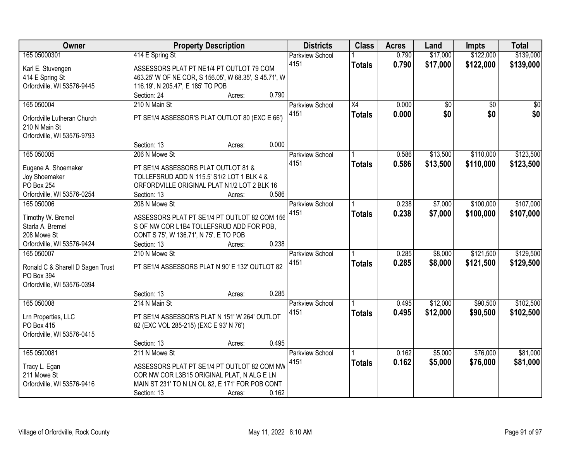| Owner                            |                                            | <b>Property Description</b>                           | <b>Districts</b>               | <b>Class</b>    | <b>Acres</b> | Land     | <b>Impts</b>    | <b>Total</b>    |
|----------------------------------|--------------------------------------------|-------------------------------------------------------|--------------------------------|-----------------|--------------|----------|-----------------|-----------------|
| 165 05000301                     | 414 E Spring St                            |                                                       | <b>Parkview School</b>         |                 | 0.790        | \$17,000 | \$122,000       | \$139,000       |
| Karl E. Stuvengen                |                                            | ASSESSORS PLAT PT NE1/4 PT OUTLOT 79 COM              | 4151                           | <b>Totals</b>   | 0.790        | \$17,000 | \$122,000       | \$139,000       |
| 414 E Spring St                  |                                            | 463.25' W OF NE COR, S 156.05', W 68.35', S 45.71', W |                                |                 |              |          |                 |                 |
| Orfordville, WI 53576-9445       | 116.19', N 205.47', E 185' TO POB          |                                                       |                                |                 |              |          |                 |                 |
|                                  | Section: 24                                | Acres:                                                | 0.790                          |                 |              |          |                 |                 |
| 165 050004                       | 210 N Main St                              |                                                       | <b>Parkview School</b>         | $\overline{X4}$ | 0.000        | \$0      | $\overline{50}$ | $\overline{50}$ |
|                                  |                                            |                                                       | 4151                           | <b>Totals</b>   | 0.000        | \$0      | \$0             | \$0             |
| Orfordville Lutheran Church      |                                            | PT SE1/4 ASSESSOR'S PLAT OUTLOT 80 (EXC E 66')        |                                |                 |              |          |                 |                 |
| 210 N Main St                    |                                            |                                                       |                                |                 |              |          |                 |                 |
| Orfordville, WI 53576-9793       | Section: 13                                | Acres:                                                | 0.000                          |                 |              |          |                 |                 |
| 165 050005                       | 206 N Mowe St                              |                                                       | Parkview School                |                 | 0.586        | \$13,500 | \$110,000       | \$123,500       |
|                                  |                                            |                                                       | 4151                           |                 | 0.586        | \$13,500 | \$110,000       |                 |
| Eugene A. Shoemaker              | PT SE1/4 ASSESSORS PLAT OUTLOT 81 &        |                                                       |                                | <b>Totals</b>   |              |          |                 | \$123,500       |
| Joy Shoemaker                    | TOLLEFSRUD ADD N 115.5' S1/2 LOT 1 BLK 4 & |                                                       |                                |                 |              |          |                 |                 |
| <b>PO Box 254</b>                |                                            | ORFORDVILLE ORIGINAL PLAT N1/2 LOT 2 BLK 16           |                                |                 |              |          |                 |                 |
| Orfordville, WI 53576-0254       | Section: 13                                | Acres:                                                | 0.586                          |                 |              |          |                 |                 |
| 165 050006                       | 208 N Mowe St                              |                                                       | <b>Parkview School</b>         |                 | 0.238        | \$7,000  | \$100,000       | \$107,000       |
| Timothy W. Bremel                |                                            | ASSESSORS PLAT PT SE1/4 PT OUTLOT 82 COM 156          | 4151                           | <b>Totals</b>   | 0.238        | \$7,000  | \$100,000       | \$107,000       |
| Starla A. Bremel                 |                                            | S OF NW COR L1B4 TOLLEFSRUD ADD FOR POB,              |                                |                 |              |          |                 |                 |
| 208 Mowe St                      | CONT S 75', W 136.71', N 75', E TO POB     |                                                       |                                |                 |              |          |                 |                 |
| Orfordville, WI 53576-9424       | Section: 13                                | Acres:                                                | 0.238                          |                 |              |          |                 |                 |
| 165 050007                       | 210 N Mowe St                              |                                                       | Parkview School                |                 | 0.285        | \$8,000  | \$121,500       | \$129,500       |
|                                  |                                            |                                                       | 4151                           | <b>Totals</b>   | 0.285        | \$8,000  | \$121,500       | \$129,500       |
| Ronald C & Sharell D Sagen Trust |                                            | PT SE1/4 ASSESSORS PLAT N 90' E 132' OUTLOT 82        |                                |                 |              |          |                 |                 |
| PO Box 394                       |                                            |                                                       |                                |                 |              |          |                 |                 |
| Orfordville, WI 53576-0394       |                                            |                                                       | 0.285                          |                 |              |          |                 |                 |
|                                  | Section: 13                                | Acres:                                                |                                |                 |              |          |                 |                 |
| 165 050008                       | 214 N Main St                              |                                                       | <b>Parkview School</b><br>4151 |                 | 0.495        | \$12,000 | \$90,500        | \$102,500       |
| Lrn Properties, LLC              |                                            | PT SE1/4 ASSESSOR'S PLAT N 151' W 264' OUTLOT         |                                | <b>Totals</b>   | 0.495        | \$12,000 | \$90,500        | \$102,500       |
| PO Box 415                       | 82 (EXC VOL 285-215) (EXC E 93' N 76')     |                                                       |                                |                 |              |          |                 |                 |
| Orfordville, WI 53576-0415       |                                            |                                                       |                                |                 |              |          |                 |                 |
|                                  | Section: 13                                | Acres:                                                | 0.495                          |                 |              |          |                 |                 |
| 165 0500081                      | 211 N Mowe St                              |                                                       | <b>Parkview School</b>         |                 | 0.162        | \$5,000  | \$76,000        | \$81,000        |
| Tracy L. Egan                    |                                            | ASSESSORS PLAT PT SE1/4 PT OUTLOT 82 COM NW           | 4151                           | <b>Totals</b>   | 0.162        | \$5,000  | \$76,000        | \$81,000        |
| 211 Mowe St                      |                                            | COR NW COR L3B15 ORIGINAL PLAT, N ALG E LN            |                                |                 |              |          |                 |                 |
| Orfordville, WI 53576-9416       |                                            | MAIN ST 231' TO N LN OL 82, E 171' FOR POB CONT       |                                |                 |              |          |                 |                 |
|                                  | Section: 13                                | Acres:                                                | 0.162                          |                 |              |          |                 |                 |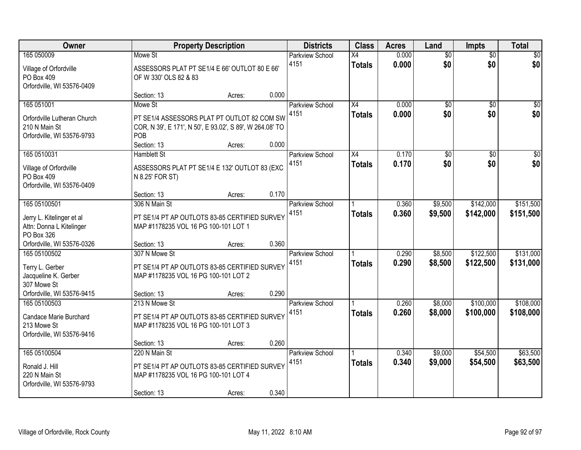| Owner                                                                                                |                                                                                                                                          | <b>Property Description</b> |       | <b>Districts</b>               | <b>Class</b>                     | <b>Acres</b>   | Land                   | <b>Impts</b>           | <b>Total</b>           |
|------------------------------------------------------------------------------------------------------|------------------------------------------------------------------------------------------------------------------------------------------|-----------------------------|-------|--------------------------------|----------------------------------|----------------|------------------------|------------------------|------------------------|
| 165 050009<br>Village of Orfordville<br>PO Box 409<br>Orfordville, WI 53576-0409                     | Mowe St<br>ASSESSORS PLAT PT SE1/4 E 66' OUTLOT 80 E 66'<br>OF W 330' OLS 82 & 83                                                        |                             |       | <b>Parkview School</b><br>4151 | $\overline{X4}$<br><b>Totals</b> | 0.000<br>0.000 | $\overline{50}$<br>\$0 | $\overline{50}$<br>\$0 | \$0<br>\$0             |
|                                                                                                      | Section: 13                                                                                                                              | Acres:                      | 0.000 |                                |                                  |                |                        |                        |                        |
| 165 051001<br>Orfordville Lutheran Church<br>210 N Main St<br>Orfordville, WI 53576-9793             | Mowe St<br>PT SE1/4 ASSESSORS PLAT PT OUTLOT 82 COM SW<br>COR, N 39', E 171', N 50', E 93.02', S 89', W 264.08' TO<br>POB<br>Section: 13 | Acres:                      | 0.000 | <b>Parkview School</b><br>4151 | X4<br><b>Totals</b>              | 0.000<br>0.000 | $\overline{50}$<br>\$0 | $\overline{50}$<br>\$0 | \$0<br>\$0             |
| 165 0510031                                                                                          | <b>Hamblett St</b>                                                                                                                       |                             |       | Parkview School                | X4                               | 0.170          | $\overline{50}$        | \$0                    | $\overline{\$0}$       |
| Village of Orfordville<br>PO Box 409<br>Orfordville, WI 53576-0409                                   | ASSESSORS PLAT PT SE1/4 E 132' OUTLOT 83 (EXC<br>N 8.25' FOR ST)                                                                         |                             |       | 4151                           | <b>Totals</b>                    | 0.170          | \$0                    | \$0                    | \$0                    |
|                                                                                                      | Section: 13                                                                                                                              | Acres:                      | 0.170 |                                |                                  |                |                        |                        |                        |
| 165 05100501<br>Jerry L. Kitelinger et al<br>Attn: Donna L Kitelinger<br>PO Box 326                  | 306 N Main St<br>PT SE1/4 PT AP OUTLOTS 83-85 CERTIFIED SURVEY<br>MAP #1178235 VOL 16 PG 100-101 LOT 1                                   |                             |       | Parkview School<br>4151        | <b>Totals</b>                    | 0.360<br>0.360 | \$9,500<br>\$9,500     | \$142,000<br>\$142,000 | \$151,500<br>\$151,500 |
| Orfordville, WI 53576-0326                                                                           | Section: 13                                                                                                                              | Acres:                      | 0.360 |                                |                                  |                |                        |                        |                        |
| 165 05100502<br>Terry L. Gerber<br>Jacqueline K. Gerber<br>307 Mowe St<br>Orfordville, WI 53576-9415 | 307 N Mowe St<br>PT SE1/4 PT AP OUTLOTS 83-85 CERTIFIED SURVEY<br>MAP #1178235 VOL 16 PG 100-101 LOT 2<br>Section: 13                    | Acres:                      | 0.290 | Parkview School<br>4151        | <b>Totals</b>                    | 0.290<br>0.290 | \$8,500<br>\$8,500     | \$122,500<br>\$122,500 | \$131,000<br>\$131,000 |
| 165 05100503                                                                                         | 213 N Mowe St                                                                                                                            |                             |       | <b>Parkview School</b>         |                                  | 0.260          | \$8,000                | \$100,000              | \$108,000              |
| Candace Marie Burchard<br>213 Mowe St<br>Orfordville, WI 53576-9416                                  | PT SE1/4 PT AP OUTLOTS 83-85 CERTIFIED SURVEY<br>MAP #1178235 VOL 16 PG 100-101 LOT 3                                                    |                             |       | 4151                           | <b>Totals</b>                    | 0.260          | \$8,000                | \$100,000              | \$108,000              |
|                                                                                                      | Section: 13                                                                                                                              | Acres:                      | 0.260 |                                |                                  |                |                        |                        |                        |
| 165 05100504<br>Ronald J. Hill<br>220 N Main St<br>Orfordville, WI 53576-9793                        | 220 N Main St<br>PT SE1/4 PT AP OUTLOTS 83-85 CERTIFIED SURVEY<br>MAP #1178235 VOL 16 PG 100-101 LOT 4<br>Section: 13                    | Acres:                      | 0.340 | <b>Parkview School</b><br>4151 | <b>Totals</b>                    | 0.340<br>0.340 | \$9,000<br>\$9,000     | \$54,500<br>\$54,500   | \$63,500<br>\$63,500   |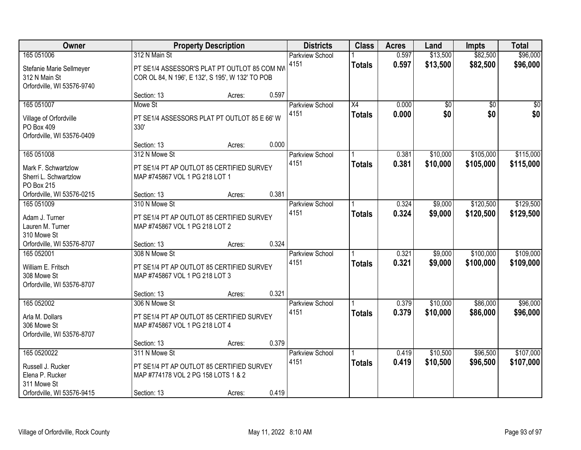| Owner                                                                                            | <b>Property Description</b>                                                                                       |        |       | <b>Districts</b>               | <b>Class</b>                     | <b>Acres</b>   | Land                   | <b>Impts</b>           | <b>Total</b>           |
|--------------------------------------------------------------------------------------------------|-------------------------------------------------------------------------------------------------------------------|--------|-------|--------------------------------|----------------------------------|----------------|------------------------|------------------------|------------------------|
| 165 051006<br>Stefanie Marie Sellmeyer<br>312 N Main St<br>Orfordville, WI 53576-9740            | 312 N Main St<br>PT SE1/4 ASSESSOR'S PLAT PT OUTLOT 85 COM NW<br>COR OL 84, N 196', E 132', S 195', W 132' TO POB |        |       | <b>Parkview School</b><br>4151 | <b>Totals</b>                    | 0.597<br>0.597 | \$13,500<br>\$13,500   | \$82,500<br>\$82,500   | \$96,000<br>\$96,000   |
|                                                                                                  | Section: 13                                                                                                       | Acres: | 0.597 |                                |                                  |                |                        |                        |                        |
| 165 051007<br>Village of Orfordville<br>PO Box 409<br>Orfordville, WI 53576-0409                 | Mowe St<br>PT SE1/4 ASSESSORS PLAT PT OUTLOT 85 E 66' W<br>330'<br>Section: 13                                    | Acres: | 0.000 | <b>Parkview School</b><br>4151 | $\overline{X4}$<br><b>Totals</b> | 0.000<br>0.000 | $\overline{50}$<br>\$0 | $\overline{50}$<br>\$0 | $\sqrt{50}$<br>\$0     |
| 165 051008                                                                                       | 312 N Mowe St                                                                                                     |        |       | Parkview School                |                                  | 0.381          | \$10,000               | \$105,000              | \$115,000              |
| Mark F. Schwartzlow<br>Sherri L. Schwartzlow<br>PO Box 215                                       | PT SE1/4 PT AP OUTLOT 85 CERTIFIED SURVEY<br>MAP #745867 VOL 1 PG 218 LOT 1                                       |        |       | 4151                           | <b>Totals</b>                    | 0.381          | \$10,000               | \$105,000              | \$115,000              |
| Orfordville, WI 53576-0215                                                                       | Section: 13                                                                                                       | Acres: | 0.381 |                                |                                  |                |                        |                        |                        |
| 165 051009<br>Adam J. Turner<br>Lauren M. Turner<br>310 Mowe St                                  | 310 N Mowe St<br>PT SE1/4 PT AP OUTLOT 85 CERTIFIED SURVEY<br>MAP #745867 VOL 1 PG 218 LOT 2                      |        |       | <b>Parkview School</b><br>4151 | <b>Totals</b>                    | 0.324<br>0.324 | \$9,000<br>\$9,000     | \$120,500<br>\$120,500 | \$129,500<br>\$129,500 |
| Orfordville, WI 53576-8707                                                                       | Section: 13                                                                                                       | Acres: | 0.324 |                                |                                  |                |                        |                        |                        |
| 165 052001<br>William E. Fritsch<br>308 Mowe St<br>Orfordville, WI 53576-8707                    | 308 N Mowe St<br>PT SE1/4 PT AP OUTLOT 85 CERTIFIED SURVEY<br>MAP #745867 VOL 1 PG 218 LOT 3                      |        |       | Parkview School<br>4151        | <b>Totals</b>                    | 0.321<br>0.321 | \$9,000<br>\$9,000     | \$100,000<br>\$100,000 | \$109,000<br>\$109,000 |
|                                                                                                  | Section: 13                                                                                                       | Acres: | 0.321 |                                |                                  |                |                        |                        |                        |
| 165 052002<br>Arla M. Dollars<br>306 Mowe St<br>Orfordville, WI 53576-8707                       | 306 N Mowe St<br>PT SE1/4 PT AP OUTLOT 85 CERTIFIED SURVEY<br>MAP #745867 VOL 1 PG 218 LOT 4                      |        |       | <b>Parkview School</b><br>4151 | <b>Totals</b>                    | 0.379<br>0.379 | \$10,000<br>\$10,000   | \$86,000<br>\$86,000   | \$96,000<br>\$96,000   |
|                                                                                                  | Section: 13                                                                                                       | Acres: | 0.379 |                                |                                  |                |                        |                        |                        |
| 165 0520022<br>Russell J. Rucker<br>Elena P. Rucker<br>311 Mowe St<br>Orfordville, WI 53576-9415 | 311 N Mowe St<br>PT SE1/4 PT AP OUTLOT 85 CERTIFIED SURVEY<br>MAP #774178 VOL 2 PG 158 LOTS 1 & 2<br>Section: 13  | Acres: | 0.419 | <b>Parkview School</b><br>4151 | <b>Totals</b>                    | 0.419<br>0.419 | \$10,500<br>\$10,500   | \$96,500<br>\$96,500   | \$107,000<br>\$107,000 |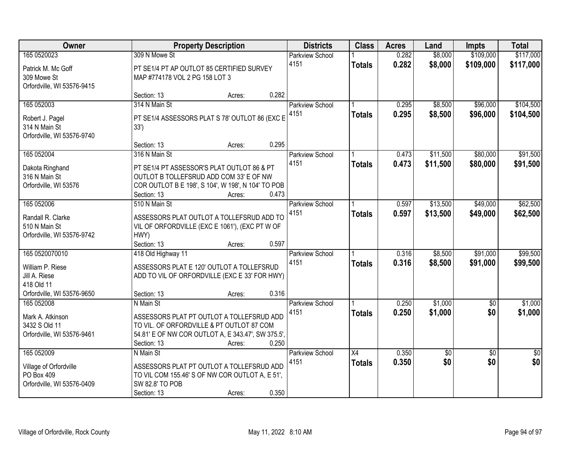| Owner                                       | <b>Property Description</b>                                                                     |                 | <b>Districts</b>       | <b>Class</b>    | <b>Acres</b> | Land            | <b>Impts</b>    | <b>Total</b>    |
|---------------------------------------------|-------------------------------------------------------------------------------------------------|-----------------|------------------------|-----------------|--------------|-----------------|-----------------|-----------------|
| 165 0520023                                 | 309 N Mowe St                                                                                   |                 | <b>Parkview School</b> |                 | 0.282        | \$8,000         | \$109,000       | \$117,000       |
| Patrick M. Mc Goff                          | PT SE1/4 PT AP OUTLOT 85 CERTIFIED SURVEY                                                       |                 | 4151                   | <b>Totals</b>   | 0.282        | \$8,000         | \$109,000       | \$117,000       |
| 309 Mowe St                                 | MAP #774178 VOL 2 PG 158 LOT 3                                                                  |                 |                        |                 |              |                 |                 |                 |
| Orfordville, WI 53576-9415                  | Section: 13                                                                                     | 0.282           |                        |                 |              |                 |                 |                 |
| 165 052003                                  | 314 N Main St                                                                                   | Acres:          | <b>Parkview School</b> |                 | 0.295        | \$8,500         | \$96,000        | \$104,500       |
|                                             |                                                                                                 |                 | 4151                   | <b>Totals</b>   | 0.295        | \$8,500         | \$96,000        | \$104,500       |
| Robert J. Pagel                             | PT SE1/4 ASSESSORS PLAT S 78' OUTLOT 86 (EXC E                                                  |                 |                        |                 |              |                 |                 |                 |
| 314 N Main St                               | 33')                                                                                            |                 |                        |                 |              |                 |                 |                 |
| Orfordville, WI 53576-9740                  |                                                                                                 |                 |                        |                 |              |                 |                 |                 |
|                                             | Section: 13                                                                                     | 0.295<br>Acres: |                        |                 |              |                 |                 |                 |
| 165 052004                                  | 316 N Main St                                                                                   |                 | Parkview School        |                 | 0.473        | \$11,500        | \$80,000        | \$91,500        |
| Dakota Ringhand                             | PT SE1/4 PT ASSESSOR'S PLAT OUTLOT 86 & PT                                                      |                 | 4151                   | <b>Totals</b>   | 0.473        | \$11,500        | \$80,000        | \$91,500        |
| 316 N Main St                               | OUTLOT B TOLLEFSRUD ADD COM 33' E OF NW                                                         |                 |                        |                 |              |                 |                 |                 |
| Orfordville, WI 53576                       | COR OUTLOT B E 198', S 104', W 198', N 104' TO POB                                              |                 |                        |                 |              |                 |                 |                 |
|                                             | Section: 13                                                                                     | 0.473<br>Acres: |                        |                 |              |                 |                 |                 |
| 165 052006                                  | 510 N Main St                                                                                   |                 | <b>Parkview School</b> |                 | 0.597        | \$13,500        | \$49,000        | \$62,500        |
| Randall R. Clarke                           | ASSESSORS PLAT OUTLOT A TOLLEFSRUD ADD TO                                                       |                 | 4151                   | <b>Totals</b>   | 0.597        | \$13,500        | \$49,000        | \$62,500        |
| 510 N Main St                               | VIL OF ORFORDVILLE (EXC E 1061'), (EXC PT W OF                                                  |                 |                        |                 |              |                 |                 |                 |
| Orfordville, WI 53576-9742                  | HWY)                                                                                            |                 |                        |                 |              |                 |                 |                 |
|                                             | Section: 13                                                                                     | 0.597<br>Acres: |                        |                 |              |                 |                 |                 |
| 165 0520070010                              | 418 Old Highway 11                                                                              |                 | Parkview School        |                 | 0.316        | \$8,500         | \$91,000        | \$99,500        |
| William P. Riese                            | ASSESSORS PLAT E 120' OUTLOT A TOLLEFSRUD                                                       |                 | 4151                   | <b>Totals</b>   | 0.316        | \$8,500         | \$91,000        | \$99,500        |
| Jill A. Riese                               | ADD TO VIL OF ORFORDVILLE (EXC E 33' FOR HWY)                                                   |                 |                        |                 |              |                 |                 |                 |
| 418 Old 11                                  |                                                                                                 |                 |                        |                 |              |                 |                 |                 |
| Orfordville, WI 53576-9650                  | Section: 13                                                                                     | 0.316<br>Acres: |                        |                 |              |                 |                 |                 |
| 165 052008                                  | N Main St                                                                                       |                 | Parkview School        |                 | 0.250        | \$1,000         | $\sqrt{6}$      | \$1,000         |
|                                             |                                                                                                 |                 | 4151                   | <b>Totals</b>   | 0.250        | \$1,000         | \$0             | \$1,000         |
| Mark A. Atkinson                            | ASSESSORS PLAT PT OUTLOT A TOLLEFSRUD ADD                                                       |                 |                        |                 |              |                 |                 |                 |
| 3432 S Old 11<br>Orfordville, WI 53576-9461 | TO VIL. OF ORFORDVILLE & PT OUTLOT 87 COM<br>54.81' E OF NW COR OUTLOT A, E 343.47', SW 375.5', |                 |                        |                 |              |                 |                 |                 |
|                                             | Section: 13                                                                                     | 0.250<br>Acres: |                        |                 |              |                 |                 |                 |
| 165 052009                                  | N Main St                                                                                       |                 | Parkview School        | $\overline{X4}$ | 0.350        | $\overline{50}$ | $\overline{50}$ | $\overline{50}$ |
|                                             |                                                                                                 |                 | 4151                   | <b>Totals</b>   | 0.350        | \$0             | \$0             | \$0             |
| Village of Orfordville                      | ASSESSORS PLAT PT OUTLOT A TOLLEFSRUD ADD                                                       |                 |                        |                 |              |                 |                 |                 |
| PO Box 409                                  | TO VIL COM 155.46' S OF NW COR OUTLOT A, E 51',                                                 |                 |                        |                 |              |                 |                 |                 |
| Orfordville, WI 53576-0409                  | SW 82.8' TO POB                                                                                 |                 |                        |                 |              |                 |                 |                 |
|                                             | Section: 13                                                                                     | 0.350<br>Acres: |                        |                 |              |                 |                 |                 |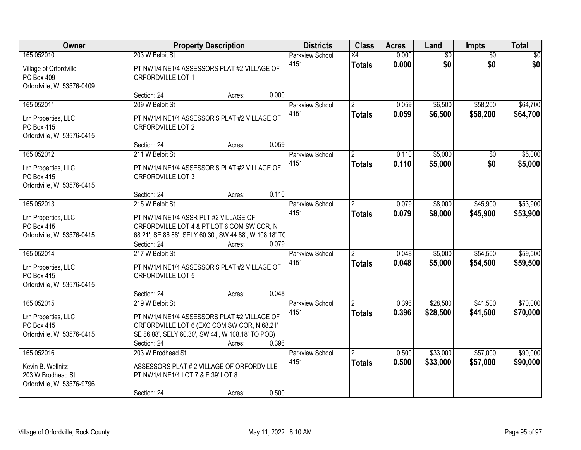| Owner                                                                                | <b>Property Description</b>                                                                                                                                                                 |       | <b>Districts</b>               | <b>Class</b>                           | <b>Acres</b>   | Land                   | Impts                  | <b>Total</b>         |
|--------------------------------------------------------------------------------------|---------------------------------------------------------------------------------------------------------------------------------------------------------------------------------------------|-------|--------------------------------|----------------------------------------|----------------|------------------------|------------------------|----------------------|
| 165 052010<br>Village of Orfordville<br>PO Box 409<br>Orfordville, WI 53576-0409     | 203 W Beloit St<br>PT NW1/4 NE1/4 ASSESSORS PLAT #2 VILLAGE OF<br>ORFORDVILLE LOT 1                                                                                                         |       | <b>Parkview School</b><br>4151 | X4<br><b>Totals</b>                    | 0.000<br>0.000 | $\overline{60}$<br>\$0 | $\overline{50}$<br>\$0 | \$0<br>\$0           |
|                                                                                      | Section: 24<br>Acres:                                                                                                                                                                       | 0.000 |                                |                                        |                |                        |                        |                      |
| 165 052011<br>Lrn Properties, LLC<br>PO Box 415<br>Orfordville, WI 53576-0415        | 209 W Beloit St<br>PT NW1/4 NE1/4 ASSESSOR'S PLAT #2 VILLAGE OF<br>ORFORDVILLE LOT 2<br>Section: 24                                                                                         | 0.059 | <b>Parkview School</b><br>4151 | $\overline{2}$<br><b>Totals</b>        | 0.059<br>0.059 | \$6,500<br>\$6,500     | \$58,200<br>\$58,200   | \$64,700<br>\$64,700 |
| 165 052012                                                                           | Acres:<br>211 W Beloit St                                                                                                                                                                   |       | Parkview School                | $\overline{2}$                         | 0.110          | \$5,000                | \$0                    | \$5,000              |
| Lrn Properties, LLC<br>PO Box 415<br>Orfordville, WI 53576-0415                      | PT NW1/4 NE1/4 ASSESSOR'S PLAT #2 VILLAGE OF<br>ORFORDVILLE LOT 3                                                                                                                           |       | 4151                           | <b>Totals</b>                          | 0.110          | \$5,000                | \$0                    | \$5,000              |
|                                                                                      | Section: 24<br>Acres:                                                                                                                                                                       | 0.110 |                                |                                        |                |                        |                        |                      |
| 165 052013<br>Lrn Properties, LLC<br>PO Box 415                                      | 215 W Beloit St<br>PT NW1/4 NE1/4 ASSR PLT #2 VILLAGE OF<br>ORFORDVILLE LOT 4 & PT LOT 6 COM SW COR, N                                                                                      |       | <b>Parkview School</b><br>4151 | $\mathbf{2}^{\prime}$<br><b>Totals</b> | 0.079<br>0.079 | \$8,000<br>\$8,000     | \$45,900<br>\$45,900   | \$53,900<br>\$53,900 |
| Orfordville, WI 53576-0415                                                           | 68.21', SE 86.88', SELY 60.30', SW 44.88', W 108.18' TC<br>Section: 24<br>Acres:                                                                                                            | 0.079 |                                |                                        |                |                        |                        |                      |
| 165 052014<br>Lrn Properties, LLC<br><b>PO Box 415</b><br>Orfordville, WI 53576-0415 | 217 W Beloit St<br>PT NW1/4 NE1/4 ASSESSOR'S PLAT #2 VILLAGE OF<br>ORFORDVILLE LOT 5                                                                                                        |       | <b>Parkview School</b><br>4151 | $\overline{2}$<br><b>Totals</b>        | 0.048<br>0.048 | \$5,000<br>\$5,000     | \$54,500<br>\$54,500   | \$59,500<br>\$59,500 |
|                                                                                      | Section: 24<br>Acres:                                                                                                                                                                       | 0.048 |                                |                                        |                |                        |                        |                      |
| 165 052015<br>Lrn Properties, LLC<br>PO Box 415<br>Orfordville, WI 53576-0415        | 219 W Beloit St<br>PT NW1/4 NE1/4 ASSESSORS PLAT #2 VILLAGE OF<br>ORFORDVILLE LOT 6 (EXC COM SW COR, N 68.21'<br>SE 86.88', SELY 60.30', SW 44', W 108.18' TO POB)<br>Section: 24<br>Acres: | 0.396 | Parkview School<br>4151        | $\overline{2}$<br><b>Totals</b>        | 0.396<br>0.396 | \$28,500<br>\$28,500   | \$41,500<br>\$41,500   | \$70,000<br>\$70,000 |
| 165 052016<br>Kevin B. Wellnitz<br>203 W Brodhead St<br>Orfordville, WI 53576-9796   | 203 W Brodhead St<br>ASSESSORS PLAT # 2 VILLAGE OF ORFORDVILLE<br>PT NW1/4 NE1/4 LOT 7 & E 39' LOT 8<br>Section: 24<br>Acres:                                                               | 0.500 | <b>Parkview School</b><br>4151 | $\overline{2}$<br><b>Totals</b>        | 0.500<br>0.500 | \$33,000<br>\$33,000   | \$57,000<br>\$57,000   | \$90,000<br>\$90,000 |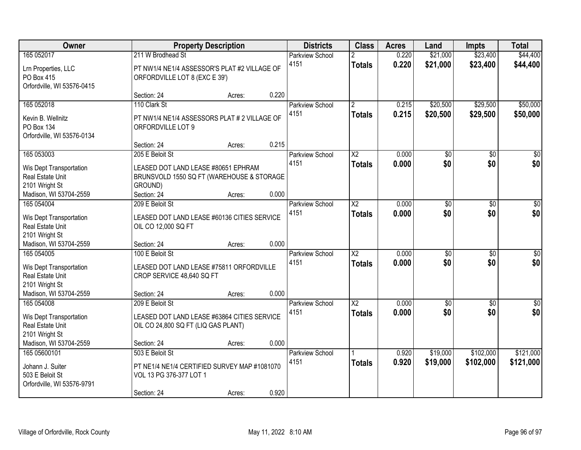| Owner                                                                                   |                                                                                                                               | <b>Property Description</b> |       | <b>Districts</b>               | <b>Class</b>                    | <b>Acres</b>   | Land                   | <b>Impts</b>           | <b>Total</b>           |
|-----------------------------------------------------------------------------------------|-------------------------------------------------------------------------------------------------------------------------------|-----------------------------|-------|--------------------------------|---------------------------------|----------------|------------------------|------------------------|------------------------|
| 165 052017<br>Lrn Properties, LLC<br>PO Box 415                                         | 211 W Brodhead St<br>PT NW1/4 NE1/4 ASSESSOR'S PLAT #2 VILLAGE OF<br>ORFORDVILLE LOT 8 (EXC E 39')                            |                             |       | <b>Parkview School</b><br>4151 | <b>Totals</b>                   | 0.220<br>0.220 | \$21,000<br>\$21,000   | \$23,400<br>\$23,400   | \$44,400<br>\$44,400   |
| Orfordville, WI 53576-0415                                                              | Section: 24                                                                                                                   | Acres:                      | 0.220 |                                |                                 |                |                        |                        |                        |
| 165 052018<br>Kevin B. Wellnitz<br><b>PO Box 134</b><br>Orfordville, WI 53576-0134      | 110 Clark St<br>PT NW1/4 NE1/4 ASSESSORS PLAT # 2 VILLAGE OF<br>ORFORDVILLE LOT 9                                             |                             |       | <b>Parkview School</b><br>4151 | $\overline{2}$<br><b>Totals</b> | 0.215<br>0.215 | \$20,500<br>\$20,500   | \$29,500<br>\$29,500   | \$50,000<br>\$50,000   |
| 165 053003                                                                              | Section: 24                                                                                                                   | Acres:                      | 0.215 |                                | $\overline{\text{X2}}$          |                |                        |                        |                        |
| Wis Dept Transportation<br>Real Estate Unit<br>2101 Wright St<br>Madison, WI 53704-2559 | 205 E Beloit St<br>LEASED DOT LAND LEASE #80651 EPHRAM<br>BRUNSVOLD 1550 SQ FT (WAREHOUSE & STORAGE<br>GROUND)<br>Section: 24 | Acres:                      | 0.000 | <b>Parkview School</b><br>4151 | <b>Totals</b>                   | 0.000<br>0.000 | $\overline{50}$<br>\$0 | \$0<br>\$0             | $\overline{50}$<br>\$0 |
| 165 054004                                                                              | 209 E Beloit St                                                                                                               |                             |       | Parkview School                | $\overline{\text{X2}}$          | 0.000          | $\overline{50}$        | \$0                    | $\sqrt{50}$            |
| Wis Dept Transportation<br>Real Estate Unit<br>2101 Wright St                           | LEASED DOT LAND LEASE #60136 CITIES SERVICE<br>OIL CO 12,000 SQ FT                                                            |                             |       | 4151                           | <b>Totals</b>                   | 0.000          | \$0                    | \$0                    | \$0                    |
| Madison, WI 53704-2559<br>165 054005                                                    | Section: 24<br>100 E Beloit St                                                                                                | Acres:                      | 0.000 |                                | $\overline{X2}$                 | 0.000          |                        | $\overline{50}$        | $\sqrt{50}$            |
| Wis Dept Transportation<br>Real Estate Unit<br>2101 Wright St                           | LEASED DOT LAND LEASE #75811 ORFORDVILLE<br>CROP SERVICE 48,640 SQ FT                                                         |                             |       | Parkview School<br>4151        | <b>Totals</b>                   | 0.000          | \$0<br>\$0             | \$0                    | \$0                    |
| Madison, WI 53704-2559<br>165 054008                                                    | Section: 24<br>209 E Beloit St                                                                                                | Acres:                      | 0.000 | <b>Parkview School</b>         | $\overline{\text{X2}}$          | 0.000          | $\sqrt{6}$             | \$0                    | $\sqrt{50}$            |
| Wis Dept Transportation<br>Real Estate Unit<br>2101 Wright St                           | LEASED DOT LAND LEASE #63864 CITIES SERVICE<br>OIL CO 24,800 SQ FT (LIQ GAS PLANT)                                            |                             |       | 4151                           | <b>Totals</b>                   | 0.000          | \$0                    | \$0                    | \$0                    |
| Madison, WI 53704-2559                                                                  | Section: 24                                                                                                                   | Acres:                      | 0.000 |                                |                                 |                |                        |                        |                        |
| 165 05600101<br>Johann J. Suiter<br>503 E Beloit St<br>Orfordville, WI 53576-9791       | 503 E Beloit St<br>PT NE1/4 NE1/4 CERTIFIED SURVEY MAP #1081070<br>VOL 13 PG 376-377 LOT 1<br>Section: 24                     | Acres:                      | 0.920 | <b>Parkview School</b><br>4151 | <b>Totals</b>                   | 0.920<br>0.920 | \$19,000<br>\$19,000   | \$102,000<br>\$102,000 | \$121,000<br>\$121,000 |